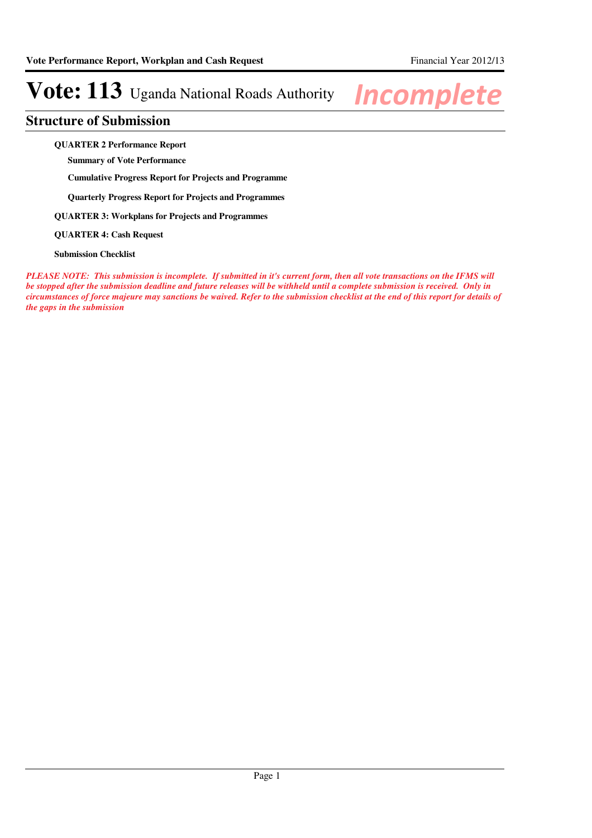### **Structure of Submission**

**QUARTER 2 Performance Report**

**Summary of Vote Performance**

**Cumulative Progress Report for Projects and Programme**

**Quarterly Progress Report for Projects and Programmes**

**QUARTER 3: Workplans for Projects and Programmes**

**QUARTER 4: Cash Request**

**Submission Checklist**

*PLEASE NOTE: This submission is incomplete. If submitted in it's current form, then all vote transactions on the IFMS will be stopped after the submission deadline and future releases will be withheld until a complete submission is received. Only in circumstances of force majeure may sanctions be waived. Refer to the submission checklist at the end of this report for details of the gaps in the submission*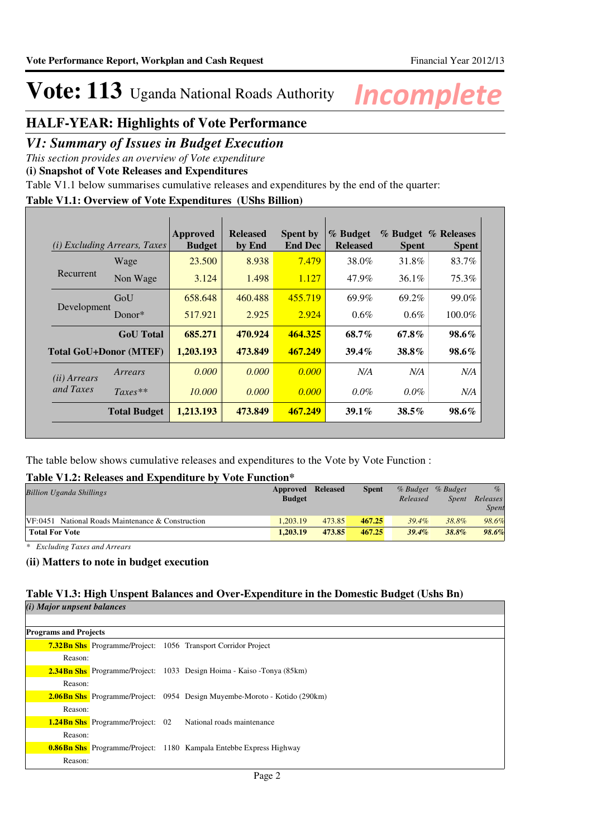### **HALF-YEAR: Highlights of Vote Performance**

### *V1: Summary of Issues in Budget Execution*

*This section provides an overview of Vote expenditure* 

**(i) Snapshot of Vote Releases and Expenditures**

Table V1.1 below summarises cumulative releases and expenditures by the end of the quarter:

### **Table V1.1: Overview of Vote Expenditures (UShs Billion)**

| (i)                   | <i>Excluding Arrears, Taxes</i> | Approved<br><b>Budget</b> | <b>Released</b><br>by End | <b>Spent by</b><br><b>End Dec</b> | % Budget<br><b>Released</b> | <b>Spent</b> | % Budget % Releases<br><b>Spent</b> |
|-----------------------|---------------------------------|---------------------------|---------------------------|-----------------------------------|-----------------------------|--------------|-------------------------------------|
|                       | Wage                            | 23.500                    | 8.938                     | 7.479                             | 38.0%                       | 31.8%        | 83.7%                               |
| Recurrent             | Non Wage                        | 3.124                     | 1.498                     | 1.127                             | 47.9%                       | 36.1%        | 75.3%                               |
|                       | GoU                             | 658.648                   | 460.488                   | 455.719                           | 69.9%                       | 69.2%        | 99.0%                               |
| Development           | $Donor*$                        | 517.921                   | 2.925                     | 2.924                             | $0.6\%$                     | $0.6\%$      | $100.0\%$                           |
|                       | <b>GoU</b> Total                | 685.271                   | 470.924                   | 464.325                           | 68.7%                       | 67.8%        | $98.6\%$                            |
|                       | <b>Total GoU+Donor (MTEF)</b>   | 1,203.193                 | 473.849                   | 467.249                           | $39.4\%$                    | 38.8%        | $98.6\%$                            |
| ( <i>ii</i> ) Arrears | Arrears                         | 0.000                     | 0.000                     | 0.000                             | N/A                         | N/A          | N/A                                 |
| and Taxes             | $Taxes**$                       | 10,000                    | 0.000                     | 0.000                             | $0.0\%$                     | $0.0\%$      | N/A                                 |
|                       | <b>Total Budget</b>             | 1,213.193                 | 473.849                   | 467.249                           | $39.1\%$                    | $38.5\%$     | 98.6%                               |

The table below shows cumulative releases and expenditures to the Vote by Vote Function :

### **Table V1.2: Releases and Expenditure by Vote Function\***

| <b>Billion Uganda Shillings</b>                      | Approved<br><b>Budget</b> | Released | <b>Spent</b> | Released | % Budget % Budget<br><i>Spent</i> | $\%$<br>Releases<br>Spent |
|------------------------------------------------------|---------------------------|----------|--------------|----------|-----------------------------------|---------------------------|
| $VF: 0451$ National Roads Maintenance & Construction | 1.203.19                  | 473.85   | 467.25       | $39.4\%$ | 38.8%                             | 98.6%                     |
| <b>Total For Vote</b>                                | 1.203.19                  | 473.85   | 467.25       | $39.4\%$ | 38.8%                             | 98.6%                     |

*\* Excluding Taxes and Arrears*

### **(ii) Matters to note in budget execution**

#### **Table V1.3: High Unspent Balances and Over-Expenditure in the Domestic Budget (Ushs Bn)**  $(i)$  *Major unp*

| u wayor unpsem valances      |                                         |                                                                                  |
|------------------------------|-----------------------------------------|----------------------------------------------------------------------------------|
|                              |                                         |                                                                                  |
| <b>Programs and Projects</b> |                                         |                                                                                  |
|                              |                                         | <b>7.32Bn Shs</b> Programme/Project: 1056 Transport Corridor Project             |
| Reason:                      |                                         |                                                                                  |
|                              |                                         | <b>2.34Bn Shs</b> Programme/Project: 1033 Design Hoima - Kaiso - Tonya (85km)    |
| Reason:                      |                                         |                                                                                  |
|                              |                                         | <b>2.06Bn Shs</b> Programme/Project: 0954 Design Muyembe-Moroto - Kotido (290km) |
| Reason:                      |                                         |                                                                                  |
|                              | <b>1.24Bn Shs</b> Programme/Project: 02 | National roads maintenance                                                       |
| Reason:                      |                                         |                                                                                  |
|                              |                                         | <b>0.86Bn Shs</b> Programme/Project: 1180 Kampala Entebbe Express Highway        |
| Reason:                      |                                         |                                                                                  |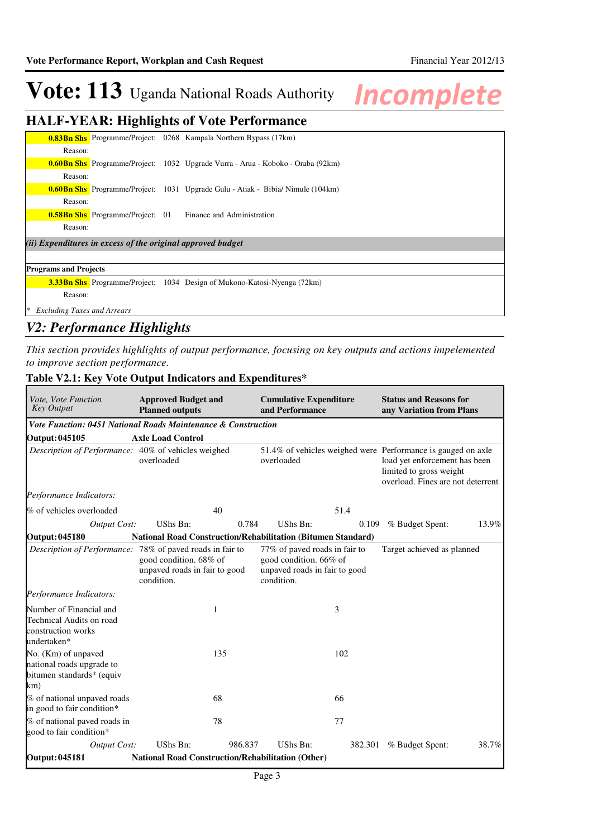### **HALF-YEAR: Highlights of Vote Performance**

|         |                                                             | <b>0.83Bn Shs</b> Programme/Project: 0268 Kampala Northern Bypass (17km)               |
|---------|-------------------------------------------------------------|----------------------------------------------------------------------------------------|
| Reason: |                                                             |                                                                                        |
|         |                                                             | <b>0.60Bn Shs</b> Programme/Project: 1032 Upgrade Vurra - Arua - Koboko - Oraba (92km) |
| Reason: |                                                             |                                                                                        |
|         |                                                             | <b>0.60Bn Shs</b> Programme/Project: 1031 Upgrade Gulu - Atiak - Bibia/ Nimule (104km) |
| Reason: |                                                             |                                                                                        |
|         |                                                             | <b>0.58Bn Shs</b> Programme/Project: 01 Finance and Administration                     |
| Reason: |                                                             |                                                                                        |
|         | (ii) Expenditures in excess of the original approved budget |                                                                                        |
|         |                                                             |                                                                                        |

### **Programs and Projects**

**3.33Bn Shs** Programme/Project: 1034 Design of Mukono-Katosi-Nyenga (72km) Reason:

*\* Excluding Taxes and Arrears*

### *V2: Performance Highlights*

*This section provides highlights of output performance, focusing on key outputs and actions impelemented to improve section performance.*

#### **Cumulative Expenditure and Performance Approved Budget and Planned outputs Status and Reasons for any Variation from Plans** *Vote, Vote Function Key Output Vote Function: 0451 National Roads Maintenance & Construction* **Output: 045105 Axle Load Control** *Description of Performance:* 40% of vehicles weighed overloaded 51.4% of vehicles weighed were Performance is gauged on axle overloaded load yet enforcement has been limited to gross weight overload. Fines are not deterrent *Output Cost:* UShs Bn: 0.784 UShs Bn: 0.109 % Budget Spent: 13.9% *Performance Indicators:* % of vehicles overloaded  $40$  51.4 **Output: 045180 National Road Construction/Rehabilitation (Bitumen Standard)** *Description of Performance:* 78% of paved roads in fair to good condition. 68% of unpaved roads in fair to good condition. 77% of paved roads in fair to good condition. 66% of unpaved roads in fair to good condition. Target achieved as planned *Output Cost:* UShs Bn: 986.837 UShs Bn: 382.301 % Budget Spent: 38.7% *Performance Indicators:* Number of Financial and Technical Audits on road construction works undertaken\* 1 3 No. (Km) of unpaved national roads upgrade to bitumen standards\* (equiv km) 135 102 % of national unpaved roads in good to fair condition\* 68 66 % of national paved roads in good to fair condition\* 78 77 **Output: 045181 National Road Construction/Rehabilitation (Other)**

### **Table V2.1: Key Vote Output Indicators and Expenditures\***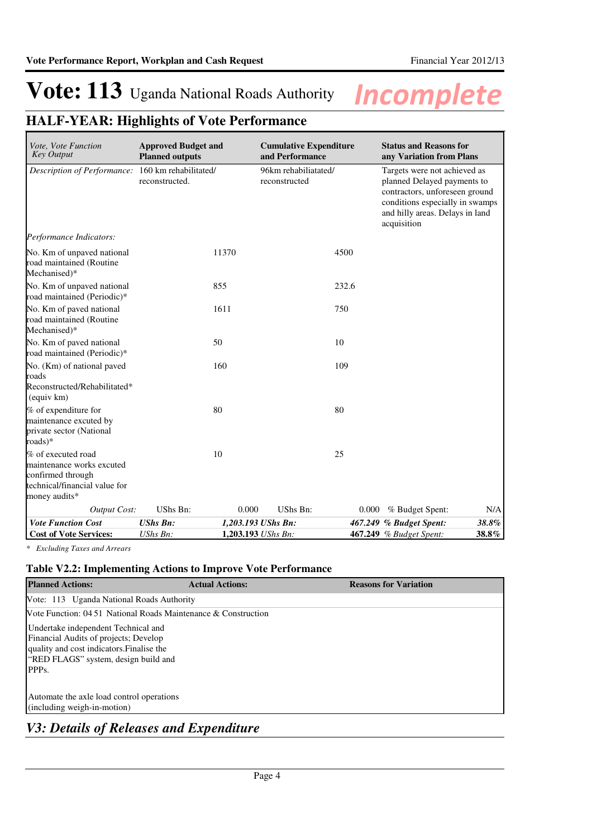## **HALF-YEAR: Highlights of Vote Performance**

| Vote, Vote Function<br><b>Key Output</b>                                                                               | <b>Approved Budget and</b><br><b>Planned outputs</b> |                    | <b>Cumulative Expenditure</b><br>and Performance | <b>Status and Reasons for</b><br>any Variation from Plans                                                                                                                          |
|------------------------------------------------------------------------------------------------------------------------|------------------------------------------------------|--------------------|--------------------------------------------------|------------------------------------------------------------------------------------------------------------------------------------------------------------------------------------|
| Description of Performance:                                                                                            | 160 km rehabilitated/<br>reconstructed.              | reconstructed      | 96km rehabiliatated/                             | Targets were not achieved as<br>planned Delayed payments to<br>contractors, unforeseen ground<br>conditions especially in swamps<br>and hilly areas. Delays in land<br>acquisition |
| Performance Indicators:                                                                                                |                                                      |                    |                                                  |                                                                                                                                                                                    |
| No. Km of unpaved national<br>road maintained (Routine<br>Mechanised)*                                                 | 11370                                                |                    | 4500                                             |                                                                                                                                                                                    |
| No. Km of unpaved national<br>road maintained (Periodic)*                                                              | 855                                                  |                    | 232.6                                            |                                                                                                                                                                                    |
| No. Km of paved national<br>road maintained (Routine<br>Mechanised)*                                                   | 1611                                                 |                    | 750                                              |                                                                                                                                                                                    |
| No. Km of paved national<br>road maintained (Periodic)*                                                                | 50                                                   |                    | 10                                               |                                                                                                                                                                                    |
| No. (Km) of national paved<br>roads<br>Reconstructed/Rehabilitated*<br>(equiv km)                                      | 160                                                  |                    | 109                                              |                                                                                                                                                                                    |
| % of expenditure for<br>maintenance excuted by<br>private sector (National<br>roads)*                                  | 80                                                   |                    | 80                                               |                                                                                                                                                                                    |
| % of executed road<br>maintenance works excuted<br>confirmed through<br>technical/financial value for<br>money audits* | 10                                                   |                    | 25                                               |                                                                                                                                                                                    |
| <b>Output Cost:</b>                                                                                                    | UShs Bn:                                             | 0.000              | <b>UShs Bn:</b><br>0.000                         | % Budget Spent:<br>N/A                                                                                                                                                             |
| <b>Vote Function Cost</b>                                                                                              | <b>UShs Bn:</b>                                      | 1,203.193 UShs Bn: |                                                  | 38.8%<br>467.249 % Budget Spent:                                                                                                                                                   |
| <b>Cost of Vote Services:</b>                                                                                          | UShs Bn:                                             | 1,203.193 UShs Bn: |                                                  | 38.8%<br>467.249 % Budget Spent:                                                                                                                                                   |

*\* Excluding Taxes and Arrears*

### **Table V2.2: Implementing Actions to Improve Vote Performance**

| <b>Planned Actions:</b>                                        | <b>Actual Actions:</b> | <b>Reasons for Variation</b> |
|----------------------------------------------------------------|------------------------|------------------------------|
| Vote: 113 Uganda National Roads Authority                      |                        |                              |
| Vote Function: 04 51 National Roads Maintenance & Construction |                        |                              |
| Undertake independent Technical and                            |                        |                              |
| Financial Audits of projects; Develop                          |                        |                              |
| quality and cost indicators. Finalise the                      |                        |                              |
| "RED FLAGS" system, design build and                           |                        |                              |
| PPP <sub>s</sub>                                               |                        |                              |
|                                                                |                        |                              |
| Automate the axle load control operations                      |                        |                              |
| (including weigh-in-motion)                                    |                        |                              |
|                                                                |                        |                              |

### *V3: Details of Releases and Expenditure*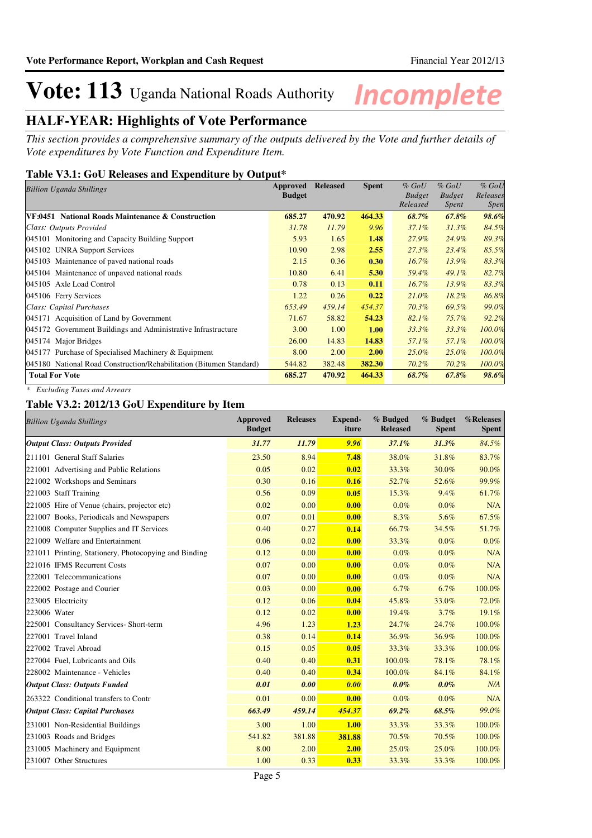### **HALF-YEAR: Highlights of Vote Performance**

*This section provides a comprehensive summary of the outputs delivered by the Vote and further details of Vote expenditures by Vote Function and Expenditure Item.*

### **Table V3.1: GoU Releases and Expenditure by Output\***

| <b>Billion Uganda Shillings</b>                                     | Approved      | <b>Released</b> | <b>Spent</b> | $%$ GoU       | $%$ GoU       | $%$ GoU     |
|---------------------------------------------------------------------|---------------|-----------------|--------------|---------------|---------------|-------------|
|                                                                     | <b>Budget</b> |                 |              | <b>Budget</b> | <b>Budget</b> | Releases    |
|                                                                     |               |                 |              | Released      | Spent         | <i>Spen</i> |
| VF:0451 National Roads Maintenance & Construction                   | 685.27        | 470.92          | 464.33       | 68.7%         | $67.8\%$      | 98.6%       |
| Class: Outputs Provided                                             | 31.78         | 11.79           | 9.96         | $37.1\%$      | $31.3\%$      | 84.5%       |
| 045101 Monitoring and Capacity Building Support                     | 5.93          | 1.65            | 1.48         | 27.9%         | 24.9%         | 89.3%       |
| 045102 UNRA Support Services                                        | 10.90         | 2.98            | 2.55         | 27.3%         | $23.4\%$      | 85.5%       |
| 045103 Maintenance of paved national roads                          | 2.15          | 0.36            | 0.30         | $16.7\%$      | 13.9%         | 83.3%       |
| 045104 Maintenance of unpaved national roads                        | 10.80         | 6.41            | 5.30         | 59.4%         | 49.1%         | 82.7%       |
| 045105 Axle Load Control                                            | 0.78          | 0.13            | 0.11         | 16.7%         | 13.9%         | 83.3%       |
| 045106 Ferry Services                                               | 1.22          | 0.26            | 0.22         | $21.0\%$      | $18.2\%$      | 86.8%       |
| Class: Capital Purchases                                            | 653.49        | 459.14          | 454.37       | $70.3\%$      | 69.5%         | 99.0%       |
| 045171 Acquisition of Land by Government                            | 71.67         | 58.82           | 54.23        | 82.1%         | 75.7%         | 92.2%       |
| 045172 Government Buildings and Administrative Infrastructure       | 3.00          | 1.00            | 1.00         | 33.3%         | 33.3%         | 100.0%      |
| 045174 Major Bridges                                                | 26.00         | 14.83           | 14.83        | 57.1%         | 57.1%         | 100.0%      |
| 045177 Purchase of Specialised Machinery & Equipment                | 8.00          | 2.00            | 2.00         | $25.0\%$      | 25.0%         | 100.0%      |
| 045180 National Road Construction/Rehabilitation (Bitumen Standard) | 544.82        | 382.48          | 382.30       | $70.2\%$      | $70.2\%$      | 100.0%      |
| <b>Total For Vote</b>                                               | 685.27        | 470.92          | 464.33       | 68.7%         | $67.8\%$      | 98.6%       |

*\* Excluding Taxes and Arrears*

### **Table V3.2: 2012/13 GoU Expenditure by Item**

| <b>Billion Uganda Shillings</b>                       | <b>Approved</b><br><b>Budget</b> | <b>Releases</b> | <b>Expend-</b><br>iture | % Budged<br><b>Released</b> | % Budget<br><b>Spent</b> | %Releases<br><b>Spent</b> |
|-------------------------------------------------------|----------------------------------|-----------------|-------------------------|-----------------------------|--------------------------|---------------------------|
| <b>Output Class: Outputs Provided</b>                 | 31.77                            | 11.79           | 9.96                    | 37.1%                       | 31.3%                    | 84.5%                     |
| 211101 General Staff Salaries                         | 23.50                            | 8.94            | 7.48                    | 38.0%                       | 31.8%                    | 83.7%                     |
| 221001 Advertising and Public Relations               | 0.05                             | 0.02            | 0.02                    | 33.3%                       | 30.0%                    | 90.0%                     |
| 221002 Workshops and Seminars                         | 0.30                             | 0.16            | 0.16                    | 52.7%                       | 52.6%                    | 99.9%                     |
| 221003 Staff Training                                 | 0.56                             | 0.09            | 0.05                    | 15.3%                       | 9.4%                     | 61.7%                     |
| 221005 Hire of Venue (chairs, projector etc)          | 0.02                             | 0.00            | 0.00                    | $0.0\%$                     | $0.0\%$                  | N/A                       |
| 221007 Books, Periodicals and Newspapers              | 0.07                             | 0.01            | 0.00                    | 8.3%                        | 5.6%                     | 67.5%                     |
| 221008 Computer Supplies and IT Services              | 0.40                             | 0.27            | 0.14                    | 66.7%                       | 34.5%                    | 51.7%                     |
| 221009 Welfare and Entertainment                      | 0.06                             | 0.02            | 0.00                    | 33.3%                       | $0.0\%$                  | $0.0\%$                   |
| 221011 Printing, Stationery, Photocopying and Binding | 0.12                             | 0.00            | 0.00                    | $0.0\%$                     | $0.0\%$                  | N/A                       |
| 221016 IFMS Recurrent Costs                           | 0.07                             | 0.00            | 0.00                    | $0.0\%$                     | $0.0\%$                  | N/A                       |
| 222001 Telecommunications                             | 0.07                             | 0.00            | 0.00                    | $0.0\%$                     | $0.0\%$                  | N/A                       |
| 222002 Postage and Courier                            | 0.03                             | 0.00            | 0.00                    | 6.7%                        | 6.7%                     | 100.0%                    |
| 223005 Electricity                                    | 0.12                             | 0.06            | 0.04                    | 45.8%                       | 33.0%                    | 72.0%                     |
| 223006 Water                                          | 0.12                             | 0.02            | 0.00                    | 19.4%                       | 3.7%                     | 19.1%                     |
| 225001 Consultancy Services- Short-term               | 4.96                             | 1.23            | 1.23                    | 24.7%                       | 24.7%                    | 100.0%                    |
| 227001 Travel Inland                                  | 0.38                             | 0.14            | 0.14                    | 36.9%                       | 36.9%                    | 100.0%                    |
| 227002 Travel Abroad                                  | 0.15                             | 0.05            | 0.05                    | 33.3%                       | 33.3%                    | 100.0%                    |
| 227004 Fuel, Lubricants and Oils                      | 0.40                             | 0.40            | 0.31                    | 100.0%                      | 78.1%                    | 78.1%                     |
| 228002 Maintenance - Vehicles                         | 0.40                             | 0.40            | 0.34                    | 100.0%                      | 84.1%                    | 84.1%                     |
| <b>Output Class: Outputs Funded</b>                   | 0.01                             | 0.00            | 0.00                    | $0.0\%$                     | $0.0\%$                  | N/A                       |
| 263322 Conditional transfers to Contr                 | 0.01                             | 0.00            | 0.00                    | $0.0\%$                     | $0.0\%$                  | N/A                       |
| <b>Output Class: Capital Purchases</b>                | 663.49                           | 459.14          | 454.37                  | 69.2%                       | 68.5%                    | 99.0%                     |
| 231001 Non-Residential Buildings                      | 3.00                             | 1.00            | 1.00                    | 33.3%                       | 33.3%                    | 100.0%                    |
| 231003 Roads and Bridges                              | 541.82                           | 381.88          | 381.88                  | 70.5%                       | 70.5%                    | 100.0%                    |
| 231005 Machinery and Equipment                        | 8.00                             | 2.00            | 2.00                    | 25.0%                       | 25.0%                    | 100.0%                    |
| 231007 Other Structures                               | 1.00                             | 0.33            | 0.33                    | 33.3%                       | 33.3%                    | 100.0%                    |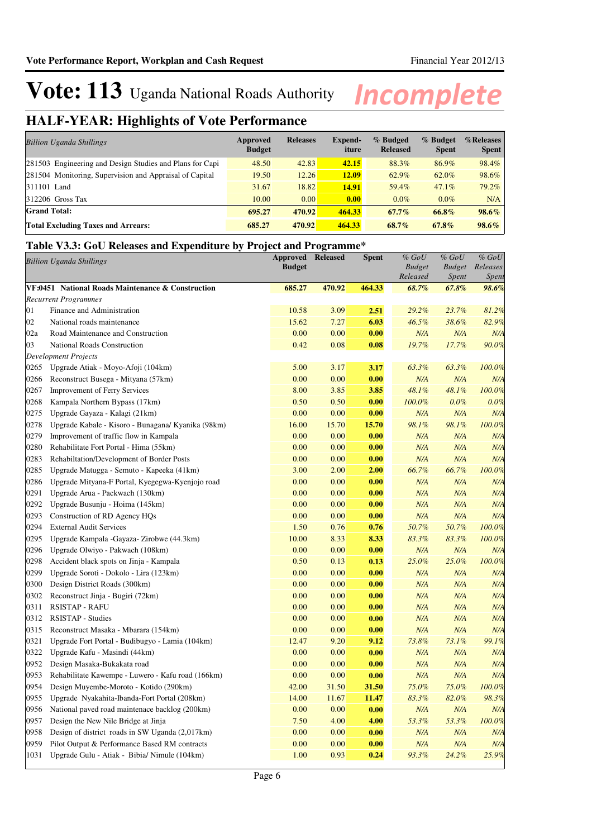## **HALF-YEAR: Highlights of Vote Performance**

| <b>Billion Uganda Shillings</b>                          | Approved<br><b>Budget</b> | <b>Releases</b> | Expend-<br>iture | % Budged<br><b>Released</b> | % Budget<br><b>Spent</b> | %Releases<br><b>Spent</b> |
|----------------------------------------------------------|---------------------------|-----------------|------------------|-----------------------------|--------------------------|---------------------------|
| 281503 Engineering and Design Studies and Plans for Capi | 48.50                     | 42.83           | 42.15            | 88.3%                       | 86.9%                    | 98.4%                     |
| 281504 Monitoring, Supervision and Appraisal of Capital  | 19.50                     | 12.26           | <b>12.09</b>     | 62.9%                       | 62.0%                    | 98.6%                     |
| 311101 Land                                              | 31.67                     | 18.82           | 14.91            | 59.4%                       | 47.1%                    | 79.2%                     |
| $ 312206$ Gross Tax                                      | 10.00                     | 0.00            | 0.00             | $0.0\%$                     | $0.0\%$                  | N/A                       |
| <b>Grand Total:</b>                                      | 695.27                    | 470.92          | 464.33           | $67.7\%$                    | 66.8%                    | 98.6%                     |
| <b>Total Excluding Taxes and Arrears:</b>                | 685.27                    | 470.92          | 464.33           | 68.7%                       | $67.8\%$                 | $98.6\%$                  |

### **Table V3.3: GoU Releases and Expenditure by Project and Programme\***

| <b>Billion Uganda Shillings</b> |                                                    | <b>Approved</b><br><b>Budget</b> | <b>Released</b> | <b>Spent</b> | $%$ $GoU$<br><b>Budget</b><br>Released | $%$ $GoU$<br><b>Budget</b><br>Spent | $%$ $GoU$<br>Releases<br>Spent |
|---------------------------------|----------------------------------------------------|----------------------------------|-----------------|--------------|----------------------------------------|-------------------------------------|--------------------------------|
|                                 | VF:0451 National Roads Maintenance & Construction  | 685.27                           | 470.92          | 464.33       | 68.7%                                  | 67.8%                               | 98.6%                          |
|                                 | <b>Recurrent Programmes</b>                        |                                  |                 |              |                                        |                                     |                                |
| 01                              | Finance and Administration                         | 10.58                            | 3.09            | 2.51         | 29.2%                                  | 23.7%                               | 81.2%                          |
| 02                              | National roads maintenance                         | 15.62                            | 7.27            | 6.03         | 46.5%                                  | 38.6%                               | 82.9%                          |
| 02a                             | Road Maintenance and Construction                  | 0.00                             | 0.00            | 0.00         | N/A                                    | N/A                                 | N/A                            |
| 03                              | National Roads Construction                        | 0.42                             | 0.08            | 0.08         | 19.7%                                  | 17.7%                               | 90.0%                          |
|                                 | <b>Development Projects</b>                        |                                  |                 |              |                                        |                                     |                                |
| 0265                            | Upgrade Atiak - Moyo-Afoji (104km)                 | 5.00                             | 3.17            | 3.17         | 63.3%                                  | 63.3%                               | 100.0%                         |
| 0266                            | Reconstruct Busega - Mityana (57km)                | 0.00                             | 0.00            | 0.00         | N/A                                    | N/A                                 | N/A                            |
| 0267                            | <b>Improvement of Ferry Services</b>               | 8.00                             | 3.85            | 3.85         | 48.1%                                  | 48.1%                               | 100.0%                         |
| 0268                            | Kampala Northern Bypass (17km)                     | 0.50                             | 0.50            | 0.00         | 100.0%                                 | $0.0\%$                             | 0.0%                           |
| 0275                            | Upgrade Gayaza - Kalagi (21km)                     | 0.00                             | 0.00            | 0.00         | N/A                                    | N/A                                 | N/A                            |
| 0278                            | Upgrade Kabale - Kisoro - Bunagana/ Kyanika (98km) | 16.00                            | 15.70           | 15.70        | 98.1%                                  | 98.1%                               | 100.0%                         |
| 0279                            | Improvement of traffic flow in Kampala             | 0.00                             | 0.00            | 0.00         | N/A                                    | N/A                                 | N/A                            |
| 0280                            | Rehabilitate Fort Portal - Hima (55km)             | 0.00                             | 0.00            | 0.00         | N/A                                    | N/A                                 | N/A                            |
| 0283                            | Rehabiltation/Development of Border Posts          | 0.00                             | 0.00            | 0.00         | N/A                                    | N/A                                 | N/A                            |
| 0285                            | Upgrade Matugga - Semuto - Kapeeka (41km)          | 3.00                             | 2.00            | 2.00         | 66.7%                                  | 66.7%                               | 100.0%                         |
| 0286                            | Upgrade Mityana-F Portal, Kyegegwa-Kyenjojo road   | 0.00                             | 0.00            | 0.00         | N/A                                    | N/A                                 | N/A                            |
| 0291                            | Upgrade Arua - Packwach (130km)                    | 0.00                             | 0.00            | 0.00         | N/A                                    | N/A                                 | N/A                            |
| 0292                            | Upgrade Busunju - Hoima (145km)                    | 0.00                             | 0.00            | 0.00         | N/A                                    | N/A                                 | N/A                            |
| 0293                            | Construction of RD Agency HQs                      | 0.00                             | 0.00            | 0.00         | N/A                                    | N/A                                 | N/A                            |
| 0294                            | <b>External Audit Services</b>                     | 1.50                             | 0.76            | 0.76         | 50.7%                                  | 50.7%                               | 100.0%                         |
| 0295                            | Upgrade Kampala - Gayaza - Zirobwe (44.3km)        | 10.00                            | 8.33            | 8.33         | 83.3%                                  | 83.3%                               | 100.0%                         |
| 0296                            | Upgrade Olwiyo - Pakwach (108km)                   | 0.00                             | 0.00            | 0.00         | N/A                                    | N/A                                 | N/A                            |
| 0298                            | Accident black spots on Jinja - Kampala            | 0.50                             | 0.13            | 0.13         | 25.0%                                  | 25.0%                               | 100.0%                         |
| 0299                            | Upgrade Soroti - Dokolo - Lira (123km)             | 0.00                             | 0.00            | 0.00         | N/A                                    | N/A                                 | N/A                            |
| 0300                            | Design District Roads (300km)                      | 0.00                             | 0.00            | 0.00         | N/A                                    | N/A                                 | N/A                            |
| 0302                            | Reconstruct Jinja - Bugiri (72km)                  | 0.00                             | 0.00            | 0.00         | N/A                                    | N/A                                 | N/A                            |
| 0311                            | <b>RSISTAP - RAFU</b>                              | 0.00                             | 0.00            | 0.00         | N/A                                    | N/A                                 | N/A                            |
| 0312                            | <b>RSISTAP - Studies</b>                           | 0.00                             | 0.00            | 0.00         | N/A                                    | N/A                                 | N/A                            |
| 0315                            | Reconstruct Masaka - Mbarara (154km)               | 0.00                             | 0.00            | 0.00         | N/A                                    | N/A                                 | N/A                            |
| 0321                            | Upgrade Fort Portal - Budibugyo - Lamia (104km)    | 12.47                            | 9.20            | 9.12         | 73.8%                                  | 73.1%                               | 99.1%                          |
| 0322                            | Upgrade Kafu - Masindi (44km)                      | 0.00                             | 0.00            | 0.00         | N/A                                    | N/A                                 | N/A                            |
| 0952                            | Design Masaka-Bukakata road                        | 0.00                             | 0.00            | 0.00         | N/A                                    | N/A                                 | N/A                            |
| 0953                            | Rehabilitate Kawempe - Luwero - Kafu road (166km)  | 0.00                             | 0.00            | 0.00         | N/A                                    | N/A                                 | N/A                            |
| 0954                            | Design Muyembe-Moroto - Kotido (290km)             | 42.00                            | 31.50           | 31.50        | 75.0%                                  | 75.0%                               | 100.0%                         |
| 0955                            | Upgrade Nyakahita-Ibanda-Fort Portal (208km)       | 14.00                            | 11.67           | 11.47        | 83.3%                                  | 82.0%                               | 98.3%                          |
| 0956                            | National paved road maintenace backlog (200km)     | 0.00                             | 0.00            | 0.00         | N/A                                    | N/A                                 | N/A                            |
| 0957                            | Design the New Nile Bridge at Jinja                | 7.50                             | 4.00            | 4.00         | 53.3%                                  | 53.3%                               | 100.0%                         |
| 0958                            | Design of district roads in SW Uganda (2,017km)    | 0.00                             | 0.00            | 0.00         | N/A                                    | N/A                                 | N/A                            |
| 0959                            | Pilot Output & Performance Based RM contracts      | 0.00                             | 0.00            | 0.00         | N/A                                    | N/A                                 | N/A                            |
| 1031                            | Upgrade Gulu - Atiak - Bibia/ Nimule (104km)       | 1.00                             | 0.93            | 0.24         | 93.3%                                  | 24.2%                               | 25.9%                          |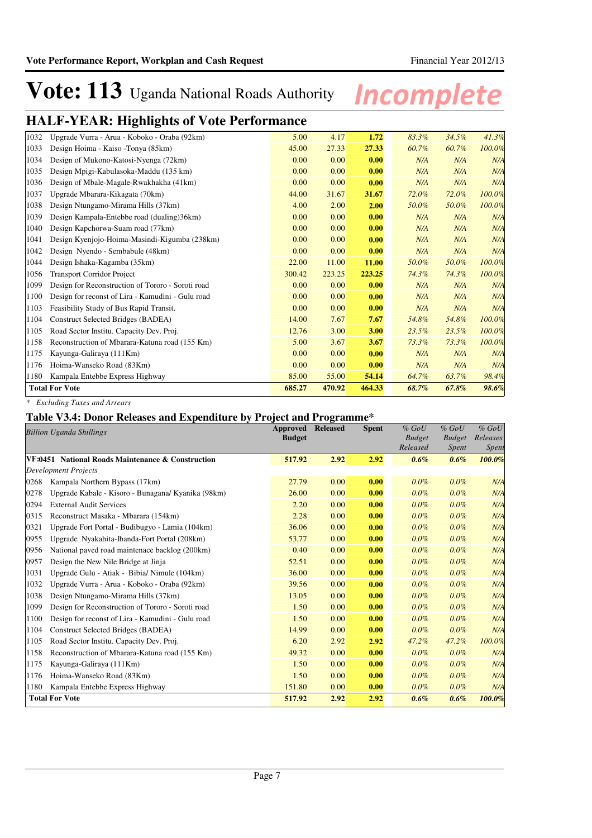### **HALF-YEAR: Highlights of Vote Performance**

| 1032 | Upgrade Vurra - Arua - Koboko - Oraba (92km)      | 5.00   | 4.17   | 1.72   | 83.3% | 34.5% | 41.3%  |
|------|---------------------------------------------------|--------|--------|--------|-------|-------|--------|
| 1033 | Design Hoima - Kaiso - Tonya (85km)               | 45.00  | 27.33  | 27.33  | 60.7% | 60.7% | 100.0% |
| 1034 | Design of Mukono-Katosi-Nyenga (72km)             | 0.00   | 0.00   | 0.00   | N/A   | N/A   | N/A    |
| 1035 | Design Mpigi-Kabulasoka-Maddu (135 km)            | 0.00   | 0.00   | 0.00   | N/A   | N/A   | N/A    |
| 1036 | Design of Mbale-Magale-Rwakhakha (41km)           | 0.00   | 0.00   | 0.00   | N/A   | N/A   | N/A    |
| 1037 | Upgrade Mbarara-Kikagata (70km)                   | 44.00  | 31.67  | 31.67  | 72.0% | 72.0% | 100.0% |
| 1038 | Design Ntungamo-Mirama Hills (37km)               | 4.00   | 2.00   | 2.00   | 50.0% | 50.0% | 100.0% |
| 1039 | Design Kampala-Entebbe road (dualing)36km)        | 0.00   | 0.00   | 0.00   | N/A   | N/A   | N/A    |
| 1040 | Design Kapchorwa-Suam road (77km)                 | 0.00   | 0.00   | 0.00   | N/A   | N/A   | N/A    |
| 1041 | Design Kyenjojo-Hoima-Masindi-Kigumba (238km)     | 0.00   | 0.00   | 0.00   | N/A   | N/A   | N/A    |
| 1042 | Design Nyendo - Sembabule (48km)                  | 0.00   | 0.00   | 0.00   | N/A   | N/A   | N/A    |
| 1044 | Design Ishaka-Kagamba (35km)                      | 22.00  | 11.00  | 11.00  | 50.0% | 50.0% | 100.0% |
| 1056 | <b>Transport Corridor Project</b>                 | 300.42 | 223.25 | 223.25 | 74.3% | 74.3% | 100.0% |
| 1099 | Design for Reconstruction of Tororo - Soroti road | 0.00   | 0.00   | 0.00   | N/A   | N/A   | N/A    |
| 1100 | Design for reconst of Lira - Kamudini - Gulu road | 0.00   | 0.00   | 0.00   | N/A   | N/A   | N/A    |
| 1103 | Feasibility Study of Bus Rapid Transit.           | 0.00   | 0.00   | 0.00   | N/A   | N/A   | N/A    |
| 1104 | Construct Selected Bridges (BADEA)                | 14.00  | 7.67   | 7.67   | 54.8% | 54.8% | 100.0% |
| 1105 | Road Sector Institu. Capacity Dev. Proj.          | 12.76  | 3.00   | 3.00   | 23.5% | 23.5% | 100.0% |
| 1158 | Reconstruction of Mbarara-Katuna road (155 Km)    | 5.00   | 3.67   | 3.67   | 73.3% | 73.3% | 100.0% |
| 1175 | Kayunga-Galiraya (111Km)                          | 0.00   | 0.00   | 0.00   | N/A   | N/A   | N/A    |
| 1176 | Hoima-Wanseko Road (83Km)                         | 0.00   | 0.00   | 0.00   | N/A   | N/A   | N/A    |
| 1180 | Kampala Entebbe Express Highway                   | 85.00  | 55.00  | 54.14  | 64.7% | 63.7% | 98.4%  |
|      | <b>Total For Vote</b>                             | 685.27 | 470.92 | 464.33 | 68.7% | 67.8% | 98.6%  |
|      |                                                   |        |        |        |       |       |        |

*\* Excluding Taxes and Arrears*

### **Table V3.4: Donor Releases and Expenditure by Project and Programme\***

|      | <b>Billion Uganda Shillings</b>                    | Approved<br><b>Budget</b> | <b>Released</b> | <b>Spent</b> | $%$ GoU<br><b>Budget</b><br>Released | $%$ GoU<br><b>Budget</b><br><i>Spent</i> | $%$ GoU<br>Releases<br>Spent |
|------|----------------------------------------------------|---------------------------|-----------------|--------------|--------------------------------------|------------------------------------------|------------------------------|
|      | VF:0451 National Roads Maintenance & Construction  | 517.92                    | 2.92            | 2.92         | 0.6%                                 | 0.6%                                     | 100.0%                       |
|      | <b>Development Projects</b>                        |                           |                 |              |                                      |                                          |                              |
| 0268 | Kampala Northern Bypass (17km)                     | 27.79                     | 0.00            | 0.00         | 0.0%                                 | 0.0%                                     | N/A                          |
| 0278 | Upgrade Kabale - Kisoro - Bunagana/ Kyanika (98km) | 26.00                     | 0.00            | 0.00         | 0.0%                                 | 0.0%                                     | N/A                          |
| 0294 | <b>External Audit Services</b>                     | 2.20                      | 0.00            | 0.00         | $0.0\%$                              | 0.0%                                     | N/A                          |
| 0315 | Reconstruct Masaka - Mbarara (154km)               | 2.28                      | 0.00            | 0.00         | 0.0%                                 | 0.0%                                     | N/A                          |
| 0321 | Upgrade Fort Portal - Budibugyo - Lamia (104km)    | 36.06                     | 0.00            | 0.00         | 0.0%                                 | 0.0%                                     | N/A                          |
| 0955 | Upgrade Nyakahita-Ibanda-Fort Portal (208km)       | 53.77                     | 0.00            | 0.00         | 0.0%                                 | 0.0%                                     | N/A                          |
| 0956 | National paved road maintenace backlog (200km)     | 0.40                      | 0.00            | 0.00         | 0.0%                                 | 0.0%                                     | N/A                          |
| 0957 | Design the New Nile Bridge at Jinja                | 52.51                     | 0.00            | 0.00         | 0.0%                                 | 0.0%                                     | N/A                          |
| 1031 | Upgrade Gulu - Atiak - Bibia/ Nimule (104km)       | 36.00                     | 0.00            | 0.00         | 0.0%                                 | 0.0%                                     | N/A                          |
| 1032 | Upgrade Vurra - Arua - Koboko - Oraba (92km)       | 39.56                     | 0.00            | 0.00         | 0.0%                                 | $0.0\%$                                  | N/A                          |
| 1038 | Design Ntungamo-Mirama Hills (37km)                | 13.05                     | 0.00            | 0.00         | 0.0%                                 | 0.0%                                     | N/A                          |
| 1099 | Design for Reconstruction of Tororo - Soroti road  | 1.50                      | 0.00            | 0.00         | 0.0%                                 | 0.0%                                     | N/A                          |
| 1100 | Design for reconst of Lira - Kamudini - Gulu road  | 1.50                      | 0.00            | 0.00         | 0.0%                                 | 0.0%                                     | N/A                          |
| 1104 | Construct Selected Bridges (BADEA)                 | 14.99                     | 0.00            | 0.00         | 0.0%                                 | $0.0\%$                                  | N/A                          |
| 1105 | Road Sector Institu. Capacity Dev. Proj.           | 6.20                      | 2.92            | 2.92         | 47.2%                                | 47.2%                                    | 100.0%                       |
| 1158 | Reconstruction of Mbarara-Katuna road (155 Km)     | 49.32                     | 0.00            | 0.00         | $0.0\%$                              | $0.0\%$                                  | N/A                          |
| 1175 | Kayunga-Galiraya (111Km)                           | 1.50                      | 0.00            | 0.00         | $0.0\%$                              | 0.0%                                     | N/A                          |
| 1176 | Hoima-Wanseko Road (83Km)                          | 1.50                      | 0.00            | 0.00         | $0.0\%$                              | $0.0\%$                                  | N/A                          |
| 1180 | Kampala Entebbe Express Highway                    | 151.80                    | 0.00            | 0.00         | 0.0%                                 | 0.0%                                     | N/A                          |
|      | <b>Total For Vote</b>                              | 517.92                    | 2.92            | 2.92         | 0.6%                                 | 0.6%                                     | 100.0%                       |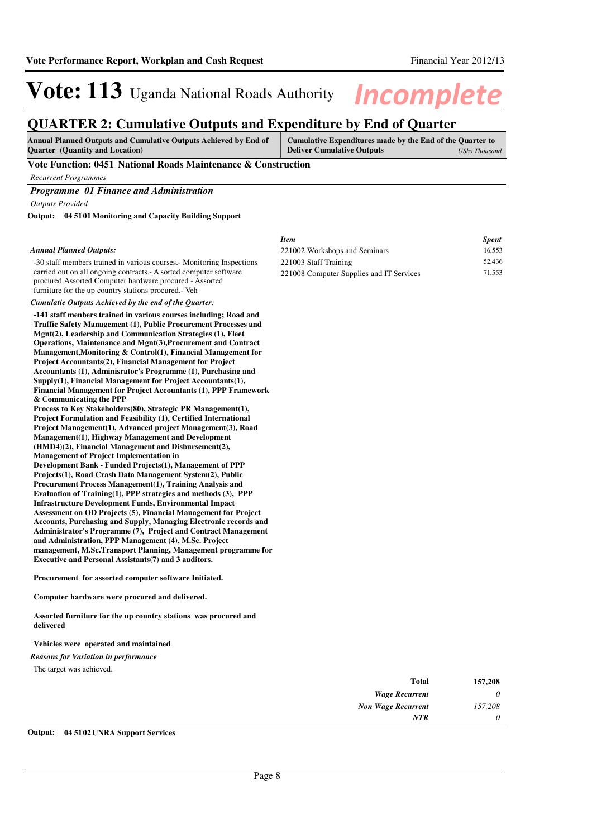### **QUARTER 2: Cumulative Outputs and Expenditure by End of Quarter**

| <b>Annual Planned Outputs and Cumulative Outputs Achieved by End of</b> | Cumulative Expenditures made by the End of the Quarter to |               |
|-------------------------------------------------------------------------|-----------------------------------------------------------|---------------|
| <b>Quarter</b> (Quantity and Location)                                  | <b>Deliver Cumulative Outputs</b>                         | UShs Thousand |

#### **Vote Function: 0451 National Roads Maintenance & Construction**

*Recurrent Programmes*

### *Programme 01 Finance and Administration*

*Outputs Provided*

**04 5101 Monitoring and Capacity Building Support Output:**

#### *Annual Planned Outputs:*

-30 staff members trained in various courses.- Monitoring Inspections carried out on all ongoing contracts.- A sorted computer software procured.Assorted Computer hardware procured - Assorted furniture for the up country stations procured.- Veh

### *Cumulatie Outputs Achieved by the end of the Quarter:*

**-141 staff menbers trained in various courses including; Road and Traffic Safety Management (1), Public Procurement Processes and Mgnt(2), Leadership and Communication Strategies (1), Fleet Operations, Maintenance and Mgnt(3),Procurement and Contract Management,Monitoring & Control(1), Financial Management for Project Accountants(2), Financial Management for Project Accountants (1), Adminisrator's Programme (1), Purchasing and Supply(1), Financial Management for Project Accountants(1), Financial Management for Project Accountants (1), PPP Framework & Communicating the PPP Process to Key Stakeholders(80), Strategic PR Management(1), Project Formulation and Feasibility (1), Certified International Project Management(1), Advanced project Management(3), Road Management(1), Highway Management and Development (HMD4)(2), Financial Management and Disbursement(2), Management of Project Implementation in Development Bank - Funded Projects(1), Management of PPP Projects(1), Road Crash Data Management System(2), Public Procurement Process Management(1), Training Analysis and Evaluation of Training(1), PPP strategies and methods (3), PPP Infrastructure Development Funds, Environmental Impact Assessment on OD Projects (5), Financial Management for Project Accounts, Purchasing and Supply, Managing Electronic records and Administrator's Programme (7), Project and Contract Management and Administration, PPP Management (4), M.Sc. Project** 

**management, M.Sc.Transport Planning, Management programme for Executive and Personal Assistants(7) and 3 auditors.**

**Procurement for assorted computer software Initiated.**

**Computer hardware were procured and delivered.**

**Assorted furniture for the up country stations was procured and delivered**

#### **Vehicles were operated and maintained**

#### *Reasons for Variation in performance*

The target was achieved.

| 157,208 | <b>Total</b>              |
|---------|---------------------------|
| 0       | <b>Wage Recurrent</b>     |
| 157,208 | <b>Non Wage Recurrent</b> |
| 0       | <b>NTR</b>                |
|         |                           |

### **Output: 04 5102 UNRA Support Services**

| Item                                     | <b>Spent</b> |
|------------------------------------------|--------------|
| 221002 Workshops and Seminars            | 16.553       |
| 221003 Staff Training                    | 52,436       |
| 221008 Computer Supplies and IT Services | 71.553       |
|                                          |              |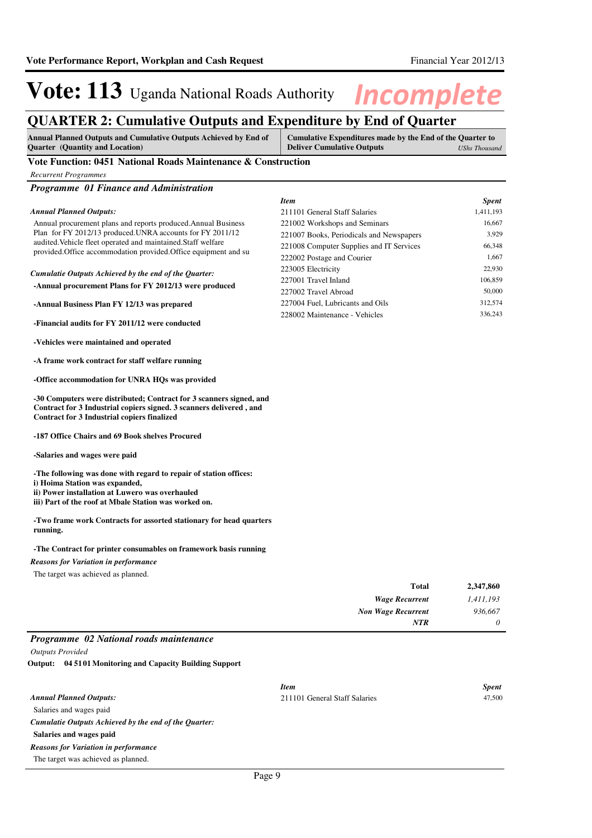### **QUARTER 2: Cumulative Outputs and Expenditure by End of Quarter**

| <b>Annual Planned Outputs and Cumulative Outputs Achieved by End of</b> | Cumulative Expenditures made by the End of the Quarter to |               |
|-------------------------------------------------------------------------|-----------------------------------------------------------|---------------|
| <b>Quarter</b> (Quantity and Location)                                  | <b>Deliver Cumulative Outputs</b>                         | UShs Thousand |

### **Vote Function: 0451 National Roads Maintenance & Construction**

*Programme 01 Finance and Administration*

#### Annual procurement plans and reports produced.Annual Business Plan for FY 2012/13 produced.UNRA accounts for FY 2011/12 audited.Vehicle fleet operated and maintained.Staff welfare provided.Office accommodation provided.Office equipment and su **-Annual procurement Plans for FY 2012/13 were produced -Annual Business Plan FY 12/13 was prepared -Financial audits for FY 2011/12 were conducted -Vehicles were maintained and operated -A frame work contract for staff welfare running -Office accommodation for UNRA HQs was provided -30 Computers were distributed; Contract for 3 scanners signed, and Contract for 3 Industrial copiers signed. 3 scanners delivered , and Contract for 3 Industrial copiers finalized -187 Office Chairs and 69 Book shelves Procured -Salaries and wages were paid -The following was done with regard to repair of station offices: i) Hoima Station was expanded, ii) Power installation at Luwero was overhauled iii) Part of the roof at Mbale Station was worked on. -Two frame work Contracts for assorted stationary for head quarters running.** *Cumulatie Outputs Achieved by the end of the Quarter: Annual Planned Outputs: Item Spent* 211101 General Staff Salaries 1,411,193 221002 Workshops and Seminars 16,667 221007 Books, Periodicals and Newspapers 3,929 221008 Computer Supplies and IT Services 66,348 222002 Postage and Courier 1,667 223005 Electricity 22,930 227001 Travel Inland 106,859 227002 Travel Abroad 50,000 227004 Fuel, Lubricants and Oils 312,574 228002 Maintenance - Vehicles 336,243

**-The Contract for printer consumables on framework basis running**

#### *Reasons for Variation in performance*

The target was achieved as planned.

| 2,347,860 | Total                     |
|-----------|---------------------------|
| 1,411,193 | <b>Wage Recurrent</b>     |
| 936,667   | <b>Non Wage Recurrent</b> |
| $\theta$  | <b>NTR</b>                |
|           | _____<br>____             |

### *Programme 02 National roads maintenance*

*Outputs Provided*

**04 5101 Monitoring and Capacity Building Support Output:**

|                                                       | <b>Item</b>                   | <b>Spent</b> |
|-------------------------------------------------------|-------------------------------|--------------|
| <b>Annual Planned Outputs:</b>                        | 211101 General Staff Salaries | 47,500       |
| Salaries and wages paid                               |                               |              |
| Cumulatie Outputs Achieved by the end of the Ouarter: |                               |              |
| Salaries and wages paid                               |                               |              |
| <b>Reasons for Variation in performance</b>           |                               |              |
| The target was achieved as planned.                   |                               |              |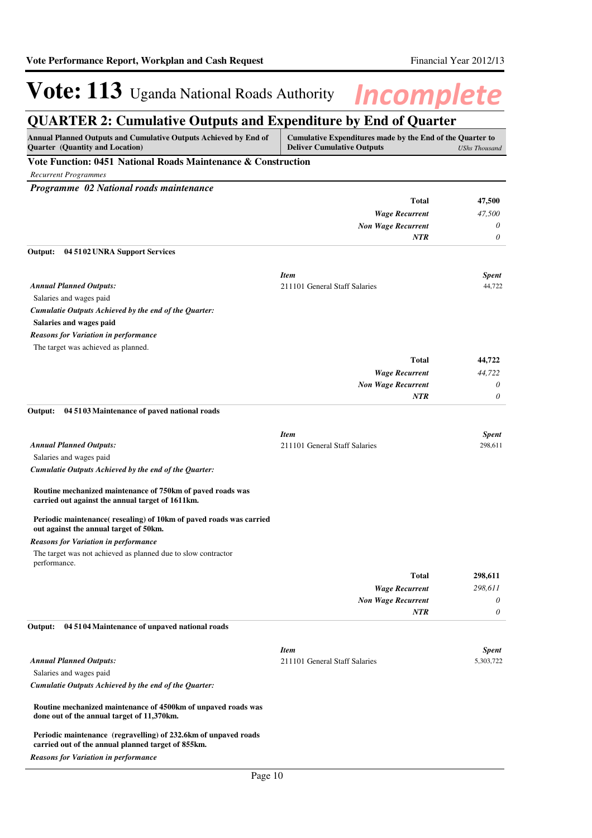## **QUARTER 2: Cumulative Outputs and Expenditure by End of Quarter**

| Annual Planned Outputs and Cumulative Outputs Achieved by End of<br><b>Quarter</b> (Quantity and Location)            | Cumulative Expenditures made by the End of the Quarter to<br><b>Deliver Cumulative Outputs</b> | <b>UShs Thousand</b>      |
|-----------------------------------------------------------------------------------------------------------------------|------------------------------------------------------------------------------------------------|---------------------------|
| Vote Function: 0451 National Roads Maintenance & Construction                                                         |                                                                                                |                           |
| <b>Recurrent Programmes</b>                                                                                           |                                                                                                |                           |
| Programme 02 National roads maintenance                                                                               |                                                                                                |                           |
|                                                                                                                       | <b>Total</b>                                                                                   | 47,500                    |
|                                                                                                                       | <b>Wage Recurrent</b>                                                                          | 47,500                    |
|                                                                                                                       | <b>Non Wage Recurrent</b>                                                                      | 0                         |
|                                                                                                                       | <b>NTR</b>                                                                                     | $\theta$                  |
| Output:<br>04 51 02 UNRA Support Services                                                                             |                                                                                                |                           |
|                                                                                                                       |                                                                                                |                           |
| <b>Annual Planned Outputs:</b>                                                                                        | <b>Item</b><br>211101 General Staff Salaries                                                   | <b>Spent</b><br>44,722    |
| Salaries and wages paid                                                                                               |                                                                                                |                           |
| Cumulatie Outputs Achieved by the end of the Quarter:                                                                 |                                                                                                |                           |
| Salaries and wages paid                                                                                               |                                                                                                |                           |
| <b>Reasons for Variation in performance</b>                                                                           |                                                                                                |                           |
| The target was achieved as planned.                                                                                   |                                                                                                |                           |
|                                                                                                                       | <b>Total</b>                                                                                   | 44,722                    |
|                                                                                                                       | <b>Wage Recurrent</b>                                                                          | 44,722                    |
|                                                                                                                       | <b>Non Wage Recurrent</b>                                                                      | 0                         |
|                                                                                                                       | <b>NTR</b>                                                                                     | 0                         |
| Output:<br>04 51 03 Maintenance of paved national roads                                                               |                                                                                                |                           |
|                                                                                                                       |                                                                                                |                           |
|                                                                                                                       | <b>Item</b>                                                                                    | <b>Spent</b>              |
| <b>Annual Planned Outputs:</b>                                                                                        | 211101 General Staff Salaries                                                                  | 298,611                   |
| Salaries and wages paid                                                                                               |                                                                                                |                           |
| Cumulatie Outputs Achieved by the end of the Quarter:                                                                 |                                                                                                |                           |
| Routine mechanized maintenance of 750km of paved roads was                                                            |                                                                                                |                           |
| carried out against the annual target of 1611km.                                                                      |                                                                                                |                           |
| Periodic maintenance(resealing) of 10km of paved roads was carried                                                    |                                                                                                |                           |
| out against the annual target of 50km.                                                                                |                                                                                                |                           |
| <b>Reasons for Variation in performance</b>                                                                           |                                                                                                |                           |
| The target was not achieved as planned due to slow contractor                                                         |                                                                                                |                           |
| performance.                                                                                                          |                                                                                                |                           |
|                                                                                                                       | <b>Total</b>                                                                                   | 298,611                   |
|                                                                                                                       | <b>Wage Recurrent</b>                                                                          | 298,611                   |
|                                                                                                                       | <b>Non Wage Recurrent</b>                                                                      | 0                         |
|                                                                                                                       | <b>NTR</b>                                                                                     | 0                         |
| 04 51 04 Maintenance of unpaved national roads<br>Output:                                                             |                                                                                                |                           |
|                                                                                                                       |                                                                                                |                           |
| <b>Annual Planned Outputs:</b>                                                                                        | <b>Item</b><br>211101 General Staff Salaries                                                   | <b>Spent</b><br>5,303,722 |
| Salaries and wages paid                                                                                               |                                                                                                |                           |
| Cumulatie Outputs Achieved by the end of the Quarter:                                                                 |                                                                                                |                           |
|                                                                                                                       |                                                                                                |                           |
| Routine mechanized maintenance of 4500km of unpaved roads was<br>done out of the annual target of 11,370km.           |                                                                                                |                           |
| Periodic maintenance (regravelling) of 232.6km of unpaved roads<br>carried out of the annual planned target of 855km. |                                                                                                |                           |
| <b>Reasons for Variation in performance</b>                                                                           |                                                                                                |                           |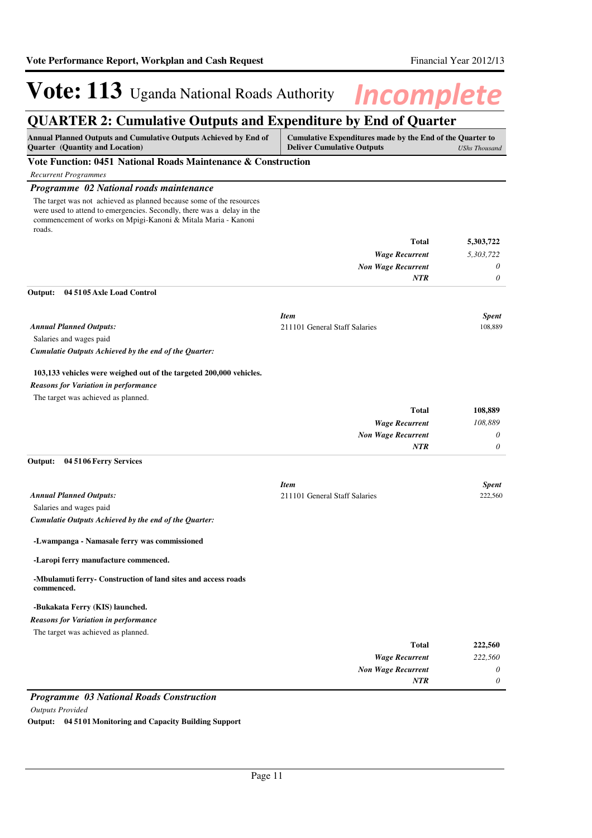### **QUARTER 2: Cumulative Outputs and Expenditure by End of Quarter**

| Annual Planned Outputs and Cumulative Outputs Achieved by End of<br>Quarter (Quantity and Location)                                                                                                                       | Cumulative Expenditures made by the End of the Quarter to<br><b>Deliver Cumulative Outputs</b><br><b>UShs Thousand</b> |                         |
|---------------------------------------------------------------------------------------------------------------------------------------------------------------------------------------------------------------------------|------------------------------------------------------------------------------------------------------------------------|-------------------------|
| Vote Function: 0451 National Roads Maintenance & Construction                                                                                                                                                             |                                                                                                                        |                         |
| <b>Recurrent Programmes</b>                                                                                                                                                                                               |                                                                                                                        |                         |
| Programme 02 National roads maintenance                                                                                                                                                                                   |                                                                                                                        |                         |
| The target was not achieved as planned because some of the resources<br>were used to attend to emergencies. Secondly, there was a delay in the<br>commencement of works on Mpigi-Kanoni & Mitala Maria - Kanoni<br>roads. |                                                                                                                        |                         |
|                                                                                                                                                                                                                           | Total                                                                                                                  | 5,303,722               |
|                                                                                                                                                                                                                           | <b>Wage Recurrent</b>                                                                                                  | 5,303,722               |
|                                                                                                                                                                                                                           | <b>Non Wage Recurrent</b>                                                                                              | 0                       |
|                                                                                                                                                                                                                           | NTR                                                                                                                    | $\boldsymbol{\theta}$   |
| Output:<br>04 51 05 Axle Load Control                                                                                                                                                                                     |                                                                                                                        |                         |
|                                                                                                                                                                                                                           | <b>Item</b>                                                                                                            | <b>Spent</b><br>108,889 |
| <b>Annual Planned Outputs:</b><br>Salaries and wages paid                                                                                                                                                                 | 211101 General Staff Salaries                                                                                          |                         |
| Cumulatie Outputs Achieved by the end of the Quarter:                                                                                                                                                                     |                                                                                                                        |                         |
|                                                                                                                                                                                                                           |                                                                                                                        |                         |
| 103,133 vehicles were weighed out of the targeted 200,000 vehicles.                                                                                                                                                       |                                                                                                                        |                         |
| <b>Reasons for Variation in performance</b>                                                                                                                                                                               |                                                                                                                        |                         |
| The target was achieved as planned.                                                                                                                                                                                       |                                                                                                                        |                         |
|                                                                                                                                                                                                                           | Total                                                                                                                  | 108,889                 |
|                                                                                                                                                                                                                           | <b>Wage Recurrent</b>                                                                                                  | 108,889                 |
|                                                                                                                                                                                                                           | <b>Non Wage Recurrent</b>                                                                                              | 0                       |
|                                                                                                                                                                                                                           | NTR                                                                                                                    | 0                       |
| Output:<br>04 51 06 Ferry Services                                                                                                                                                                                        |                                                                                                                        |                         |
|                                                                                                                                                                                                                           | <b>Item</b>                                                                                                            | Spent                   |
| <b>Annual Planned Outputs:</b>                                                                                                                                                                                            | 211101 General Staff Salaries                                                                                          | 222,560                 |
| Salaries and wages paid                                                                                                                                                                                                   |                                                                                                                        |                         |
| Cumulatie Outputs Achieved by the end of the Quarter:                                                                                                                                                                     |                                                                                                                        |                         |
| -Lwampanga - Namasale ferry was commissioned                                                                                                                                                                              |                                                                                                                        |                         |
| -Laropi ferry manufacture commenced.                                                                                                                                                                                      |                                                                                                                        |                         |
| -Mbulamuti ferry- Construction of land sites and access roads<br>commenced.                                                                                                                                               |                                                                                                                        |                         |
| -Bukakata Ferry (KIS) launched.                                                                                                                                                                                           |                                                                                                                        |                         |
| <b>Reasons for Variation in performance</b>                                                                                                                                                                               |                                                                                                                        |                         |
| The target was achieved as planned.                                                                                                                                                                                       |                                                                                                                        |                         |
|                                                                                                                                                                                                                           | <b>Total</b>                                                                                                           | 222,560                 |
|                                                                                                                                                                                                                           | <b>Wage Recurrent</b>                                                                                                  | 222,560                 |
|                                                                                                                                                                                                                           | <b>Non Wage Recurrent</b>                                                                                              | 0                       |
|                                                                                                                                                                                                                           | NTR                                                                                                                    | 0                       |

### *Programme 03 National Roads Construction*

*Outputs Provided*

**Output: 04 5101 Monitoring and Capacity Building Support**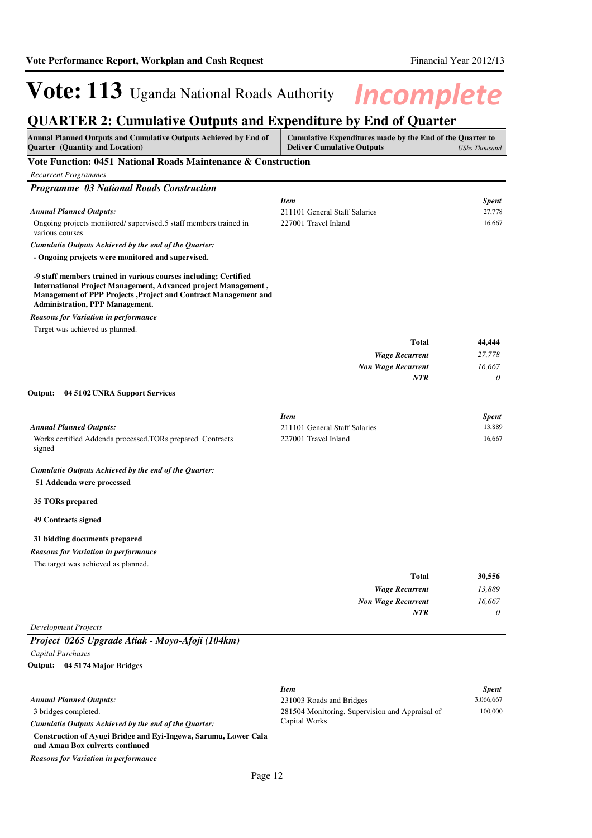## **QUARTER 2: Cumulative Outputs and Expenditure by End of Quarter**

| Annual Planned Outputs and Cumulative Outputs Achieved by End of<br><b>Quarter</b> (Quantity and Location)                                                                                                                                       | Cumulative Expenditures made by the End of the Quarter to<br><b>Deliver Cumulative Outputs</b> | <b>UShs Thousand</b> |
|--------------------------------------------------------------------------------------------------------------------------------------------------------------------------------------------------------------------------------------------------|------------------------------------------------------------------------------------------------|----------------------|
| Vote Function: 0451 National Roads Maintenance & Construction                                                                                                                                                                                    |                                                                                                |                      |
| <b>Recurrent Programmes</b>                                                                                                                                                                                                                      |                                                                                                |                      |
| <b>Programme 03 National Roads Construction</b>                                                                                                                                                                                                  |                                                                                                |                      |
|                                                                                                                                                                                                                                                  | <b>Item</b>                                                                                    | <b>Spent</b>         |
| <b>Annual Planned Outputs:</b>                                                                                                                                                                                                                   | 211101 General Staff Salaries                                                                  | 27,778               |
| Ongoing projects monitored/supervised.5 staff members trained in<br>various courses                                                                                                                                                              | 227001 Travel Inland                                                                           | 16,667               |
| Cumulatie Outputs Achieved by the end of the Quarter:                                                                                                                                                                                            |                                                                                                |                      |
| - Ongoing projects were monitored and supervised.                                                                                                                                                                                                |                                                                                                |                      |
| -9 staff members trained in various courses including; Certified<br>International Project Management, Advanced project Management,<br>Management of PPP Projects , Project and Contract Management and<br><b>Administration, PPP Management.</b> |                                                                                                |                      |
| <b>Reasons for Variation in performance</b>                                                                                                                                                                                                      |                                                                                                |                      |
| Target was achieved as planned.                                                                                                                                                                                                                  |                                                                                                |                      |
|                                                                                                                                                                                                                                                  | <b>Total</b>                                                                                   | 44,444               |
|                                                                                                                                                                                                                                                  | <b>Wage Recurrent</b>                                                                          | 27,778               |
|                                                                                                                                                                                                                                                  | <b>Non Wage Recurrent</b>                                                                      | 16,667               |
|                                                                                                                                                                                                                                                  | <b>NTR</b>                                                                                     | 0                    |
| Output:<br>04 51 02 UNRA Support Services                                                                                                                                                                                                        |                                                                                                |                      |
|                                                                                                                                                                                                                                                  | <b>Item</b>                                                                                    | <b>Spent</b>         |
| <b>Annual Planned Outputs:</b>                                                                                                                                                                                                                   | 211101 General Staff Salaries                                                                  | 13,889               |
| Works certified Addenda processed.TORs prepared Contracts<br>signed                                                                                                                                                                              | 227001 Travel Inland                                                                           | 16,667               |
| Cumulatie Outputs Achieved by the end of the Quarter:<br>51 Addenda were processed                                                                                                                                                               |                                                                                                |                      |
| 35 TORs prepared                                                                                                                                                                                                                                 |                                                                                                |                      |
| <b>49 Contracts signed</b>                                                                                                                                                                                                                       |                                                                                                |                      |
| 31 bidding documents prepared                                                                                                                                                                                                                    |                                                                                                |                      |
| <b>Reasons for Variation in performance</b>                                                                                                                                                                                                      |                                                                                                |                      |
| The target was achieved as planned.                                                                                                                                                                                                              |                                                                                                |                      |
|                                                                                                                                                                                                                                                  | Total                                                                                          | 30,556               |
|                                                                                                                                                                                                                                                  | <b>Wage Recurrent</b>                                                                          | 13,889               |
|                                                                                                                                                                                                                                                  | <b>Non Wage Recurrent</b>                                                                      | 16.667               |
|                                                                                                                                                                                                                                                  | <b>NTR</b>                                                                                     | 0                    |
| <b>Development Projects</b>                                                                                                                                                                                                                      |                                                                                                |                      |
| Project 0265 Upgrade Atiak - Moyo-Afoji (104km)                                                                                                                                                                                                  |                                                                                                |                      |
| Capital Purchases                                                                                                                                                                                                                                |                                                                                                |                      |
| Output: 04 5174 Major Bridges                                                                                                                                                                                                                    |                                                                                                |                      |
|                                                                                                                                                                                                                                                  | <b>Item</b>                                                                                    | <b>Spent</b>         |
| <b>Annual Planned Outputs:</b>                                                                                                                                                                                                                   | 231003 Roads and Bridges                                                                       | 3,066,667            |
| 3 bridges completed.                                                                                                                                                                                                                             | 281504 Monitoring, Supervision and Appraisal of                                                | 100,000              |
| Cumulatie Outputs Achieved by the end of the Quarter:                                                                                                                                                                                            | Capital Works                                                                                  |                      |
| Construction of Ayugi Bridge and Eyi-Ingewa, Sarumu, Lower Cala<br>and Amau Box culverts continued                                                                                                                                               |                                                                                                |                      |

*Reasons for Variation in performance*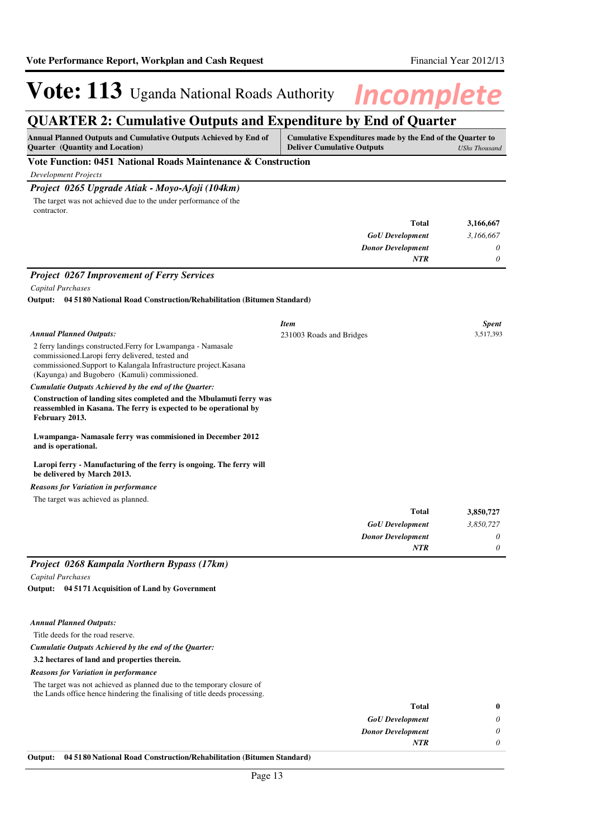### **QUARTER 2: Cumulative Outputs and Expenditure by End of Quarter**

| <b>Annual Planned Outputs and Cumulative Outputs Achieved by End of</b><br>Quarter (Quantity and Location)                                                                                                                             | Cumulative Expenditures made by the End of the Quarter to<br><b>Deliver Cumulative Outputs</b> | <b>UShs Thousand</b> |
|----------------------------------------------------------------------------------------------------------------------------------------------------------------------------------------------------------------------------------------|------------------------------------------------------------------------------------------------|----------------------|
| Vote Function: 0451 National Roads Maintenance & Construction                                                                                                                                                                          |                                                                                                |                      |
| <b>Development Projects</b>                                                                                                                                                                                                            |                                                                                                |                      |
| Project 0265 Upgrade Atiak - Moyo-Afoji (104km)                                                                                                                                                                                        |                                                                                                |                      |
| The target was not achieved due to the under performance of the<br>contractor.                                                                                                                                                         |                                                                                                |                      |
|                                                                                                                                                                                                                                        | <b>Total</b>                                                                                   | 3,166,667            |
|                                                                                                                                                                                                                                        | <b>GoU</b> Development                                                                         | 3,166,667            |
|                                                                                                                                                                                                                                        | <b>Donor Development</b>                                                                       | 0                    |
|                                                                                                                                                                                                                                        | <b>NTR</b>                                                                                     | $\theta$             |
| <b>Project 0267 Improvement of Ferry Services</b>                                                                                                                                                                                      |                                                                                                |                      |
| Capital Purchases                                                                                                                                                                                                                      |                                                                                                |                      |
| <b>Output:</b> 04 51 80 National Road Construction/Rehabilitation (Bitumen Standard)                                                                                                                                                   |                                                                                                |                      |
|                                                                                                                                                                                                                                        | <b>Item</b>                                                                                    | <b>Spent</b>         |
| <b>Annual Planned Outputs:</b>                                                                                                                                                                                                         | 231003 Roads and Bridges                                                                       | 3,517,393            |
| 2 ferry landings constructed. Ferry for Lwampanga - Namasale<br>commissioned. Laropi ferry delivered, tested and<br>commissioned. Support to Kalangala Infrastructure project. Kasana<br>(Kayunga) and Bugobero (Kamuli) commissioned. |                                                                                                |                      |
| Cumulatie Outputs Achieved by the end of the Quarter:                                                                                                                                                                                  |                                                                                                |                      |
| Construction of landing sites completed and the Mbulamuti ferry was<br>reassembled in Kasana. The ferry is expected to be operational by<br>February 2013.                                                                             |                                                                                                |                      |
| Lwampanga-Namasale ferry was commisioned in December 2012<br>and is operational.                                                                                                                                                       |                                                                                                |                      |
| Laropi ferry - Manufacturing of the ferry is ongoing. The ferry will<br>be delivered by March 2013.                                                                                                                                    |                                                                                                |                      |
| <b>Reasons for Variation in performance</b>                                                                                                                                                                                            |                                                                                                |                      |
| The target was achieved as planned.                                                                                                                                                                                                    |                                                                                                |                      |
|                                                                                                                                                                                                                                        | Total                                                                                          | 3,850,727            |
|                                                                                                                                                                                                                                        | <b>GoU</b> Development                                                                         | 3,850,727            |
|                                                                                                                                                                                                                                        | <b>Donor Development</b>                                                                       | 0                    |
|                                                                                                                                                                                                                                        | <b>NTR</b>                                                                                     |                      |

#### *Annual Planned Outputs:*

Title deeds for the road reserve.

### *Cumulatie Outputs Achieved by the end of the Quarter:*

**3.2 hectares of land and properties therein.**

#### *Reasons for Variation in performance*

The target was not achieved as planned due to the temporary closure of the Lands office hence hindering the finalising of title deeds processing.

| $\bf{0}$ | <b>Total</b>             |
|----------|--------------------------|
| 0        | <b>GoU</b> Development   |
| $\theta$ | <b>Donor Development</b> |
| 0        | <b>NTR</b>               |
|          |                          |

### **Output: 04 5180 National Road Construction/Rehabilitation (Bitumen Standard)**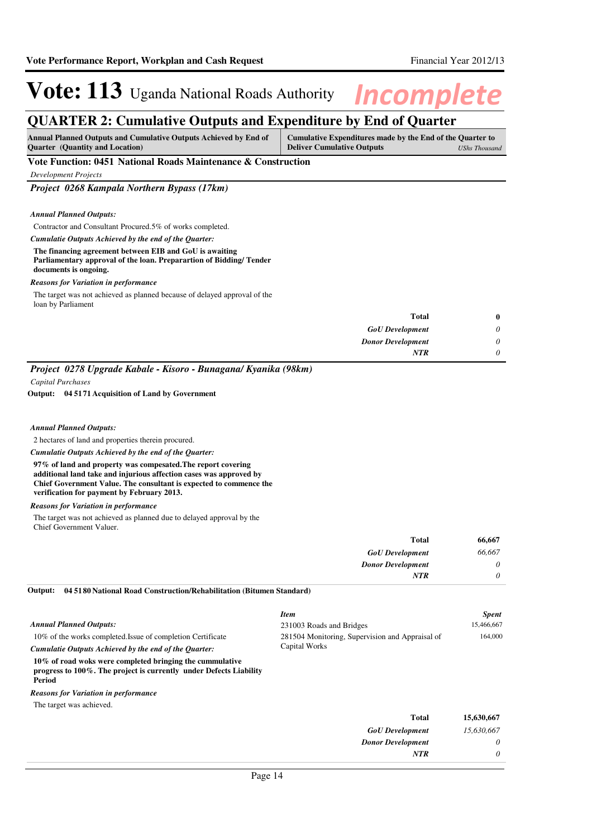### **QUARTER 2: Cumulative Outputs and Expenditure by End of Quarter**

| <b>Ouarter</b> (Quantity and Location)<br><b>Deliver Cumulative Outputs</b> |               |
|-----------------------------------------------------------------------------|---------------|
|                                                                             | UShs Thousand |

### **Vote Function: 0451 National Roads Maintenance & Construction**

*Development Projects*

*Project 0268 Kampala Northern Bypass (17km)*

#### *Annual Planned Outputs:*

#### Contractor and Consultant Procured.5% of works completed.

*Cumulatie Outputs Achieved by the end of the Quarter:*

#### **The financing agreement between EIB and GoU is awaiting Parliamentary approval of the loan. Preparartion of Bidding/ Tender documents is ongoing.**

#### *Reasons for Variation in performance*

The target was not achieved as planned because of delayed approval of the loan by Parliament

|          | <b>Total</b>             |
|----------|--------------------------|
| 0        | <b>GoU</b> Development   |
| $\theta$ | <b>Donor Development</b> |
|          | <b>NTR</b>               |
|          |                          |

*Project 0278 Upgrade Kabale - Kisoro - Bunagana/ Kyanika (98km)*

*Capital Purchases*

**04 5171 Acquisition of Land by Government Output:**

#### *Annual Planned Outputs:*

2 hectares of land and properties therein procured.

*Cumulatie Outputs Achieved by the end of the Quarter:*

**97% of land and property was compesated.The report covering additional land take and injurious affection cases was approved by Chief Government Value. The consultant is expected to commence the verification for payment by February 2013.**

### *Reasons for Variation in performance*

The target was not achieved as planned due to delayed approval by the Chief Government Valuer.

| 66,667 | <b>Total</b>             |
|--------|--------------------------|
| 66,667 | <b>GoU</b> Development   |
| 0      | <b>Donor Development</b> |
| 0      | <b>NTR</b>               |
|        |                          |

**04 5180 National Road Construction/Rehabilitation (Bitumen Standard) Output:**

|                                                                                                                                          | <b>Item</b>                                     | <b>Spent</b> |
|------------------------------------------------------------------------------------------------------------------------------------------|-------------------------------------------------|--------------|
| <b>Annual Planned Outputs:</b>                                                                                                           | 231003 Roads and Bridges                        | 15.466.667   |
| 10% of the works completed. Issue of completion Certificate                                                                              | 281504 Monitoring, Supervision and Appraisal of | 164,000      |
| Cumulatie Outputs Achieved by the end of the Ouarter:                                                                                    | Capital Works                                   |              |
| 10% of road woks were completed bringing the cummulative<br>progress to 100%. The project is currently under Defects Liability<br>Period |                                                 |              |
| <b>Reasons for Variation in performance</b>                                                                                              |                                                 |              |
| The target was achieved.                                                                                                                 |                                                 |              |
|                                                                                                                                          | <b>Total</b>                                    | 15,630,667   |
|                                                                                                                                          | <b>GoU</b> Development                          | 15.630.667   |

*Donor Development*

*NTR*

*0 0*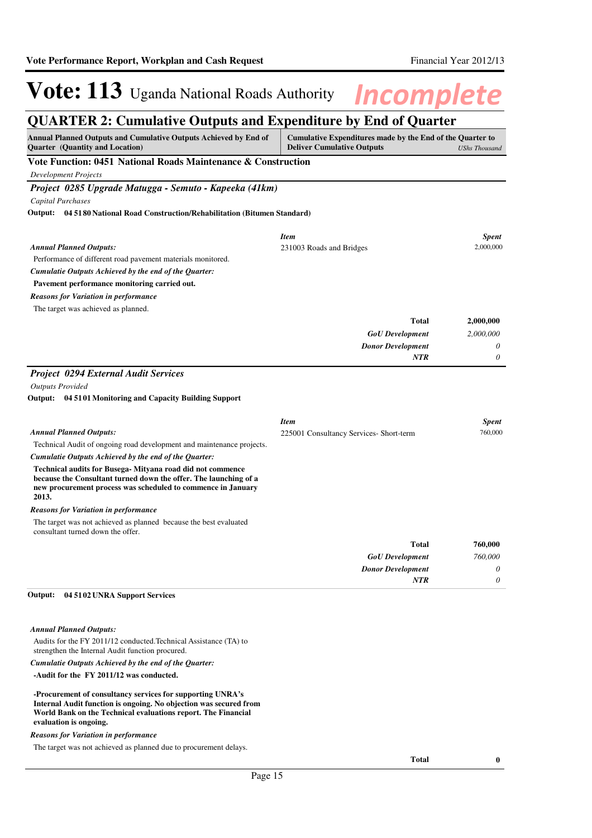### **QUARTER 2: Cumulative Outputs and Expenditure by End of Quarter**

| $\frac{1}{2}$ . $\frac{1}{2}$ . $\frac{1}{2}$<br>Annual Planned Outputs and Cumulative Outputs Achieved by End of<br>Quarter (Quantity and Location) | YWW WIIW LII<br>Cumulative Expenditures made by the End of the Quarter to<br><b>Deliver Cumulative Outputs</b><br><b>UShs Thousand</b> |              |
|------------------------------------------------------------------------------------------------------------------------------------------------------|----------------------------------------------------------------------------------------------------------------------------------------|--------------|
| Vote Function: 0451 National Roads Maintenance & Construction                                                                                        |                                                                                                                                        |              |
| <b>Development Projects</b>                                                                                                                          |                                                                                                                                        |              |
| Project 0285 Upgrade Matugga - Semuto - Kapeeka (41km)                                                                                               |                                                                                                                                        |              |
| <b>Capital Purchases</b>                                                                                                                             |                                                                                                                                        |              |
| Output: 04 51 80 National Road Construction/Rehabilitation (Bitumen Standard)                                                                        |                                                                                                                                        |              |
|                                                                                                                                                      | <b>Item</b>                                                                                                                            | <b>Spent</b> |
| <b>Annual Planned Outputs:</b>                                                                                                                       | 231003 Roads and Bridges                                                                                                               | 2,000,000    |
| Performance of different road pavement materials monitored.                                                                                          |                                                                                                                                        |              |
| Cumulatie Outputs Achieved by the end of the Quarter:                                                                                                |                                                                                                                                        |              |
| Pavement performance monitoring carried out.                                                                                                         |                                                                                                                                        |              |
| <b>Reasons for Variation in performance</b>                                                                                                          |                                                                                                                                        |              |
| The target was achieved as planned.                                                                                                                  |                                                                                                                                        |              |
|                                                                                                                                                      | Total                                                                                                                                  | 2,000,000    |
|                                                                                                                                                      | <b>GoU</b> Development                                                                                                                 | 2,000,000    |
|                                                                                                                                                      | <b>Donor Development</b>                                                                                                               | 0            |
|                                                                                                                                                      | NTR                                                                                                                                    | 0            |
| <b>Project 0294 External Audit Services</b>                                                                                                          |                                                                                                                                        |              |
| <b>Outputs Provided</b>                                                                                                                              |                                                                                                                                        |              |
| Output: 04 51 01 Monitoring and Capacity Building Support                                                                                            |                                                                                                                                        |              |
|                                                                                                                                                      |                                                                                                                                        |              |
|                                                                                                                                                      | <b>Item</b>                                                                                                                            | <b>Spent</b> |
| <b>Annual Planned Outputs:</b>                                                                                                                       | 225001 Consultancy Services- Short-term                                                                                                | 760,000      |
| Technical Audit of ongoing road development and maintenance projects.                                                                                |                                                                                                                                        |              |
| Cumulatie Outputs Achieved by the end of the Quarter:                                                                                                |                                                                                                                                        |              |
| Technical audits for Busega-Mityana road did not commence<br>because the Consultant turned down the offer. The launching of a                        |                                                                                                                                        |              |
| new procurement process was scheduled to commence in January                                                                                         |                                                                                                                                        |              |
| 2013.                                                                                                                                                |                                                                                                                                        |              |
| <b>Reasons for Variation in performance</b>                                                                                                          |                                                                                                                                        |              |
| The target was not achieved as planned because the best evaluated<br>consultant turned down the offer.                                               |                                                                                                                                        |              |
|                                                                                                                                                      | <b>Total</b>                                                                                                                           | 760,000      |
|                                                                                                                                                      | <b>GoU</b> Development                                                                                                                 | 760,000      |
|                                                                                                                                                      | <b>Donor Development</b>                                                                                                               | 0            |
|                                                                                                                                                      | NTR                                                                                                                                    | 0            |
| 04 51 02 UNRA Support Services<br>Output:                                                                                                            |                                                                                                                                        |              |
| <b>Annual Planned Outputs:</b>                                                                                                                       |                                                                                                                                        |              |
| Audits for the FY 2011/12 conducted. Technical Assistance (TA) to<br>strengthen the Internal Audit function procured.                                |                                                                                                                                        |              |
| Cumulatie Outputs Achieved by the end of the Quarter:                                                                                                |                                                                                                                                        |              |
| -Audit for the FY 2011/12 was conducted.                                                                                                             |                                                                                                                                        |              |

**-Procurement of consultancy services for supporting UNRA's Internal Audit function is ongoing. No objection was secured from World Bank on the Technical evaluations report. The Financial evaluation is ongoing.**

### *Reasons for Variation in performance*

The target was not achieved as planned due to procurement delays.

**Total 0**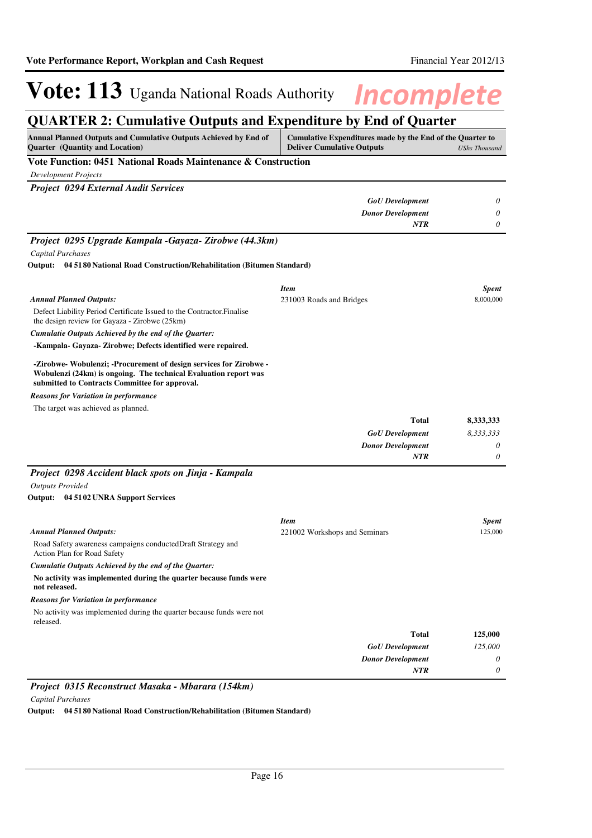### **QUARTER 2: Cumulative Outputs and Expenditure by End of Quarter**

| Annual Planned Outputs and Cumulative Outputs Achieved by End of<br><b>Quarter</b> (Quantity and Location)                                                                               | Cumulative Expenditures made by the End of the Quarter to<br><b>Deliver Cumulative Outputs</b> | <b>UShs Thousand</b>    |
|------------------------------------------------------------------------------------------------------------------------------------------------------------------------------------------|------------------------------------------------------------------------------------------------|-------------------------|
| Vote Function: 0451 National Roads Maintenance & Construction                                                                                                                            |                                                                                                |                         |
| <b>Development Projects</b>                                                                                                                                                              |                                                                                                |                         |
| <b>Project 0294 External Audit Services</b>                                                                                                                                              |                                                                                                |                         |
|                                                                                                                                                                                          | <b>GoU</b> Development                                                                         | 0                       |
|                                                                                                                                                                                          | <b>Donor Development</b>                                                                       | 0                       |
|                                                                                                                                                                                          | NTR                                                                                            | 0                       |
| Project 0295 Upgrade Kampala -Gayaza- Zirobwe (44.3km)                                                                                                                                   |                                                                                                |                         |
| Capital Purchases                                                                                                                                                                        |                                                                                                |                         |
| Output: 04 51 80 National Road Construction/Rehabilitation (Bitumen Standard)                                                                                                            |                                                                                                |                         |
|                                                                                                                                                                                          | <b>Item</b>                                                                                    | <b>Spent</b>            |
| <b>Annual Planned Outputs:</b>                                                                                                                                                           | 231003 Roads and Bridges                                                                       | 8,000,000               |
| Defect Liability Period Certificate Issued to the Contractor. Finalise<br>the design review for Gayaza - Zirobwe (25km)                                                                  |                                                                                                |                         |
| Cumulatie Outputs Achieved by the end of the Quarter:                                                                                                                                    |                                                                                                |                         |
| -Kampala- Gayaza- Zirobwe; Defects identified were repaired.                                                                                                                             |                                                                                                |                         |
| -Zirobwe- Wobulenzi; -Procurement of design services for Zirobwe -<br>Wobulenzi (24km) is ongoing. The technical Evaluation report was<br>submitted to Contracts Committee for approval. |                                                                                                |                         |
| <b>Reasons for Variation in performance</b>                                                                                                                                              |                                                                                                |                         |
| The target was achieved as planned.                                                                                                                                                      |                                                                                                |                         |
|                                                                                                                                                                                          | <b>Total</b>                                                                                   | 8,333,333               |
|                                                                                                                                                                                          | <b>GoU</b> Development                                                                         | 8,333,333               |
|                                                                                                                                                                                          | <b>Donor Development</b>                                                                       | 0                       |
|                                                                                                                                                                                          | <b>NTR</b>                                                                                     | 0                       |
| Project 0298 Accident black spots on Jinja - Kampala                                                                                                                                     |                                                                                                |                         |
| <b>Outputs Provided</b>                                                                                                                                                                  |                                                                                                |                         |
| Output: 04 51 02 UNRA Support Services                                                                                                                                                   |                                                                                                |                         |
|                                                                                                                                                                                          | <b>Item</b>                                                                                    |                         |
| <b>Annual Planned Outputs:</b>                                                                                                                                                           | 221002 Workshops and Seminars                                                                  | <b>Spent</b><br>125,000 |
| Road Safety awareness campaigns conducted Draft Strategy and<br>Action Plan for Road Safety                                                                                              |                                                                                                |                         |
| Cumulatie Outputs Achieved by the end of the Quarter:                                                                                                                                    |                                                                                                |                         |
| No activity was implemented during the quarter because funds were<br>not released.                                                                                                       |                                                                                                |                         |
| <b>Reasons for Variation in performance</b>                                                                                                                                              |                                                                                                |                         |
| No activity was implemented during the quarter because funds were not<br>released.                                                                                                       |                                                                                                |                         |
|                                                                                                                                                                                          | <b>Total</b>                                                                                   | 125,000                 |
|                                                                                                                                                                                          | <b>GoU</b> Development                                                                         | 125,000                 |
|                                                                                                                                                                                          | <b>Donor Development</b>                                                                       | 0                       |
|                                                                                                                                                                                          | NTR                                                                                            | 0                       |

### *Project 0315 Reconstruct Masaka - Mbarara (154km)*

*Capital Purchases*

**Output: 04 5180 National Road Construction/Rehabilitation (Bitumen Standard)**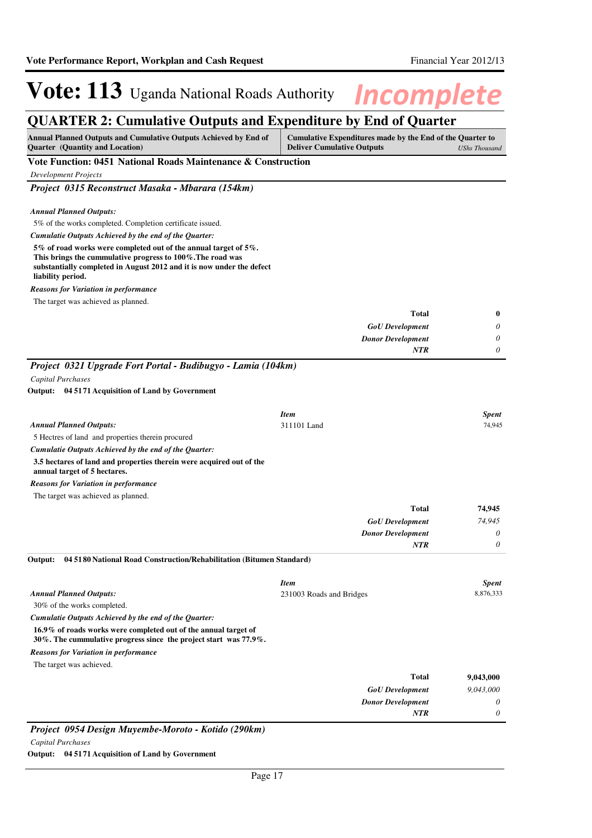### **QUARTER 2: Cumulative Outputs and Expenditure by End of Quarter**

| Annual Planned Outputs and Cumulative Outputs Achieved by End of<br><b>Quarter</b> (Quantity and Location)                                                                                                                  | Cumulative Expenditures made by the End of the Quarter to<br><b>Deliver Cumulative Outputs</b> | <b>UShs Thousand</b> |
|-----------------------------------------------------------------------------------------------------------------------------------------------------------------------------------------------------------------------------|------------------------------------------------------------------------------------------------|----------------------|
| Vote Function: 0451 National Roads Maintenance & Construction                                                                                                                                                               |                                                                                                |                      |
| <b>Development Projects</b>                                                                                                                                                                                                 |                                                                                                |                      |
| Project 0315 Reconstruct Masaka - Mbarara (154km)                                                                                                                                                                           |                                                                                                |                      |
|                                                                                                                                                                                                                             |                                                                                                |                      |
| <b>Annual Planned Outputs:</b>                                                                                                                                                                                              |                                                                                                |                      |
| 5% of the works completed. Completion certificate issued.                                                                                                                                                                   |                                                                                                |                      |
| Cumulatie Outputs Achieved by the end of the Quarter:                                                                                                                                                                       |                                                                                                |                      |
| 5% of road works were completed out of the annual target of 5%.<br>This brings the cummulative progress to 100%. The road was<br>substantially completed in August 2012 and it is now under the defect<br>liability period. |                                                                                                |                      |
| <b>Reasons for Variation in performance</b>                                                                                                                                                                                 |                                                                                                |                      |
| The target was achieved as planned.                                                                                                                                                                                         |                                                                                                |                      |
|                                                                                                                                                                                                                             | <b>Total</b>                                                                                   | $\bf{0}$             |
|                                                                                                                                                                                                                             | <b>GoU</b> Development                                                                         | 0                    |
|                                                                                                                                                                                                                             | <b>Donor Development</b>                                                                       | 0                    |
|                                                                                                                                                                                                                             | <b>NTR</b>                                                                                     | 0                    |
| Project 0321 Upgrade Fort Portal - Budibugyo - Lamia (104km)                                                                                                                                                                |                                                                                                |                      |
| Capital Purchases                                                                                                                                                                                                           |                                                                                                |                      |
| Output: 04 5171 Acquisition of Land by Government                                                                                                                                                                           |                                                                                                |                      |
|                                                                                                                                                                                                                             |                                                                                                |                      |
|                                                                                                                                                                                                                             | <b>Item</b>                                                                                    | <b>Spent</b>         |
| <b>Annual Planned Outputs:</b>                                                                                                                                                                                              | 311101 Land                                                                                    | 74,945               |
| 5 Hectres of land and properties therein procured                                                                                                                                                                           |                                                                                                |                      |
| Cumulatie Outputs Achieved by the end of the Quarter:                                                                                                                                                                       |                                                                                                |                      |
| 3.5 hectares of land and properties therein were acquired out of the<br>annual target of 5 hectares.                                                                                                                        |                                                                                                |                      |
| <b>Reasons for Variation in performance</b>                                                                                                                                                                                 |                                                                                                |                      |
| The target was achieved as planned.                                                                                                                                                                                         |                                                                                                |                      |
|                                                                                                                                                                                                                             | <b>Total</b>                                                                                   | 74,945               |
|                                                                                                                                                                                                                             | <b>GoU</b> Development                                                                         | 74,945               |
|                                                                                                                                                                                                                             | <b>Donor Development</b>                                                                       | 0                    |
|                                                                                                                                                                                                                             | <b>NTR</b>                                                                                     | 0                    |
| Output:<br>04 5180 National Road Construction/Rehabilitation (Bitumen Standard)                                                                                                                                             |                                                                                                |                      |
|                                                                                                                                                                                                                             | <b>Item</b>                                                                                    | <b>Spent</b>         |
| <b>Annual Planned Outputs:</b>                                                                                                                                                                                              | 231003 Roads and Bridges                                                                       | 8,876,333            |
| 30% of the works completed.                                                                                                                                                                                                 |                                                                                                |                      |
| Cumulatie Outputs Achieved by the end of the Quarter:                                                                                                                                                                       |                                                                                                |                      |
| 16.9% of roads works were completed out of the annual target of<br>30%. The cummulative progress since the project start was $77.9\%$ .                                                                                     |                                                                                                |                      |
| <b>Reasons for Variation in performance</b>                                                                                                                                                                                 |                                                                                                |                      |
| The target was achieved.                                                                                                                                                                                                    |                                                                                                |                      |
|                                                                                                                                                                                                                             | <b>Total</b>                                                                                   | 9,043,000            |
|                                                                                                                                                                                                                             | <b>GoU</b> Development                                                                         | 9,043,000            |
|                                                                                                                                                                                                                             | <b>Donor Development</b>                                                                       | 0                    |
|                                                                                                                                                                                                                             | NTR                                                                                            | 0                    |

*Project 0954 Design Muyembe-Moroto - Kotido (290km)*

*Capital Purchases*

**Output: 04 5171 Acquisition of Land by Government**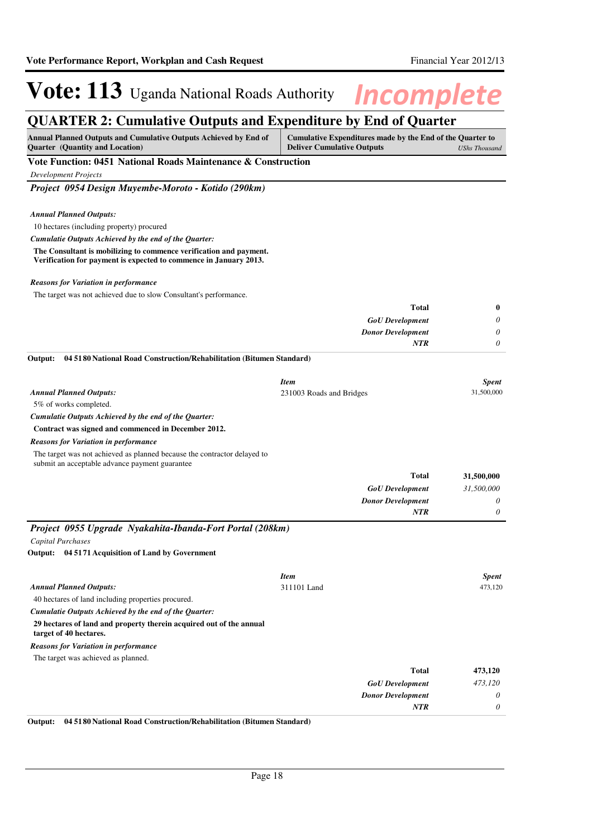## **QUARTER 2: Cumulative Outputs and Expenditure by End of Quarter**

| Annual Planned Outputs and Cumulative Outputs Achieved by End of<br>Quarter (Quantity and Location)                                     | Cumulative Expenditures made by the End of the Quarter to<br><b>Deliver Cumulative Outputs</b> | <b>UShs Thousand</b> |
|-----------------------------------------------------------------------------------------------------------------------------------------|------------------------------------------------------------------------------------------------|----------------------|
| Vote Function: 0451 National Roads Maintenance & Construction                                                                           |                                                                                                |                      |
| <b>Development Projects</b>                                                                                                             |                                                                                                |                      |
| Project 0954 Design Muyembe-Moroto - Kotido (290km)                                                                                     |                                                                                                |                      |
|                                                                                                                                         |                                                                                                |                      |
| <b>Annual Planned Outputs:</b>                                                                                                          |                                                                                                |                      |
| 10 hectares (including property) procured                                                                                               |                                                                                                |                      |
| Cumulatie Outputs Achieved by the end of the Quarter:                                                                                   |                                                                                                |                      |
| The Consultant is mobilizing to commence verification and payment.<br>Verification for payment is expected to commence in January 2013. |                                                                                                |                      |
| <b>Reasons for Variation in performance</b>                                                                                             |                                                                                                |                      |
| The target was not achieved due to slow Consultant's performance.                                                                       |                                                                                                |                      |
|                                                                                                                                         | <b>Total</b>                                                                                   | 0                    |
|                                                                                                                                         | <b>GoU</b> Development                                                                         | 0                    |
|                                                                                                                                         | <b>Donor Development</b>                                                                       | 0                    |
|                                                                                                                                         | <b>NTR</b>                                                                                     | 0                    |
| Output:<br>04 51 80 National Road Construction/Rehabilitation (Bitumen Standard)                                                        |                                                                                                |                      |
|                                                                                                                                         |                                                                                                |                      |
|                                                                                                                                         | <b>Item</b>                                                                                    | <b>Spent</b>         |
| <b>Annual Planned Outputs:</b>                                                                                                          | 231003 Roads and Bridges                                                                       | 31,500,000           |
| 5% of works completed.                                                                                                                  |                                                                                                |                      |
| Cumulatie Outputs Achieved by the end of the Quarter:                                                                                   |                                                                                                |                      |
| Contract was signed and commenced in December 2012.                                                                                     |                                                                                                |                      |
| <b>Reasons for Variation in performance</b>                                                                                             |                                                                                                |                      |
| The target was not achieved as planned because the contractor delayed to<br>submit an acceptable advance payment guarantee              |                                                                                                |                      |
|                                                                                                                                         | <b>Total</b>                                                                                   | 31,500,000           |
|                                                                                                                                         | <b>GoU</b> Development                                                                         | 31,500,000           |
|                                                                                                                                         | <b>Donor Development</b>                                                                       | 0                    |
|                                                                                                                                         | NTR                                                                                            | 0                    |
| Project 0955 Upgrade Nyakahita-Ibanda-Fort Portal (208km)                                                                               |                                                                                                |                      |
| Capital Purchases                                                                                                                       |                                                                                                |                      |
| Output: 04 5171 Acquisition of Land by Government                                                                                       |                                                                                                |                      |
|                                                                                                                                         |                                                                                                |                      |
|                                                                                                                                         | <b>Item</b>                                                                                    | <b>Spent</b>         |
| <b>Annual Planned Outputs:</b>                                                                                                          | 311101 Land                                                                                    | 473,120              |
| 40 hectares of land including properties procured.                                                                                      |                                                                                                |                      |
| Cumulatie Outputs Achieved by the end of the Quarter:<br>29 hectares of land and property therein acquired out of the annual            |                                                                                                |                      |
| target of 40 hectares.                                                                                                                  |                                                                                                |                      |
| <b>Reasons for Variation in performance</b>                                                                                             |                                                                                                |                      |
| The target was achieved as planned.                                                                                                     |                                                                                                |                      |
|                                                                                                                                         | <b>Total</b>                                                                                   | 473,120              |
|                                                                                                                                         | <b>GoU</b> Development                                                                         | 473,120              |
|                                                                                                                                         | <b>Donor Development</b>                                                                       | 0                    |
|                                                                                                                                         | NTR                                                                                            | $\theta$             |

**Output: 04 5180 National Road Construction/Rehabilitation (Bitumen Standard)**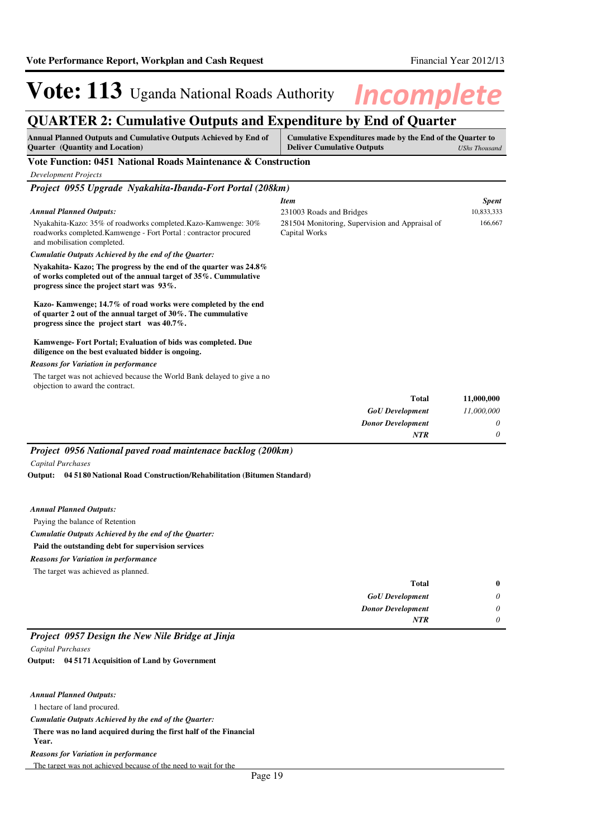## **QUARTER 2: Cumulative Outputs and Expenditure by End of Quarter**

| Annual Planned Outputs and Cumulative Outputs Achieved by End of<br><b>Ouarter</b> (Ouantity and Location)                                                                               | Cumulative Expenditures made by the End of the Quarter to<br><b>Deliver Cumulative Outputs</b><br>UShs Thousand |              |
|------------------------------------------------------------------------------------------------------------------------------------------------------------------------------------------|-----------------------------------------------------------------------------------------------------------------|--------------|
| Vote Function: 0451 National Roads Maintenance & Construction                                                                                                                            |                                                                                                                 |              |
| <b>Development Projects</b>                                                                                                                                                              |                                                                                                                 |              |
| Project 0955 Upgrade Nyakahita-Ibanda-Fort Portal (208km)                                                                                                                                |                                                                                                                 |              |
|                                                                                                                                                                                          | <b>Item</b>                                                                                                     | <b>Spent</b> |
| <b>Annual Planned Outputs:</b>                                                                                                                                                           | 231003 Roads and Bridges                                                                                        | 10,833,333   |
| Nyakahita-Kazo: 35% of roadworks completed.Kazo-Kamwenge: 30%<br>roadworks completed. Kamwenge - Fort Portal : contractor procured<br>and mobilisation completed.                        | 281504 Monitoring, Supervision and Appraisal of<br>Capital Works                                                | 166,667      |
| Cumulatie Outputs Achieved by the end of the Quarter:                                                                                                                                    |                                                                                                                 |              |
| Nyakahita-Kazo; The progress by the end of the quarter was 24.8%<br>of works completed out of the annual target of $35\%$ . Cummulative<br>progress since the project start was $93\%$ . |                                                                                                                 |              |
| Kazo-Kamwenge; 14.7% of road works were completed by the end<br>of quarter 2 out of the annual target of $30\%$ . The cummulative<br>progress since the project start was $40.7\%$ .     |                                                                                                                 |              |
| Kamwenge-Fort Portal; Evaluation of bids was completed. Due<br>diligence on the best evaluated bidder is ongoing.                                                                        |                                                                                                                 |              |
| <b>Reasons for Variation in performance</b>                                                                                                                                              |                                                                                                                 |              |
| The target was not achieved because the World Bank delayed to give a no<br>objection to award the contract.                                                                              |                                                                                                                 |              |
|                                                                                                                                                                                          | Total                                                                                                           | 11,000,000   |
|                                                                                                                                                                                          | <b>GoU</b> Development                                                                                          | 11,000,000   |
|                                                                                                                                                                                          | <b>Donor Development</b>                                                                                        | 0            |
|                                                                                                                                                                                          | NTR                                                                                                             | 0            |
| Project 0956 National paved road maintenace backlog (200km)                                                                                                                              |                                                                                                                 |              |
| Capital Purchases                                                                                                                                                                        |                                                                                                                 |              |
| 04 51 80 National Road Construction/Rehabilitation (Bitumen Standard)<br>Output:                                                                                                         |                                                                                                                 |              |
| <b>Annual Planned Outputs:</b>                                                                                                                                                           |                                                                                                                 |              |
| Paying the balance of Retention                                                                                                                                                          |                                                                                                                 |              |
| Cumulatie Outputs Achieved by the end of the Quarter:                                                                                                                                    |                                                                                                                 |              |
| Paid the outstanding debt for supervision services                                                                                                                                       |                                                                                                                 |              |
| <b>Reasons for Variation in performance</b>                                                                                                                                              |                                                                                                                 |              |
| The target was achieved as planned.                                                                                                                                                      |                                                                                                                 |              |
|                                                                                                                                                                                          | <b>Total</b>                                                                                                    | $\bf{0}$     |
|                                                                                                                                                                                          | <b>GoU</b> Development                                                                                          | 0            |
|                                                                                                                                                                                          | <b>Donor Development</b>                                                                                        | 0            |
|                                                                                                                                                                                          | <b>NTR</b>                                                                                                      | 0            |
| Project 0957 Design the New Nile Bridge at Jinja                                                                                                                                         |                                                                                                                 |              |
| <b>Capital Purchases</b>                                                                                                                                                                 |                                                                                                                 |              |

**04 5171 Acquisition of Land by Government Output:**

| <b>Annual Planned Outputs:</b>                                             |
|----------------------------------------------------------------------------|
| 1 hectare of land procured.                                                |
| Cumulatie Outputs Achieved by the end of the Ouarter:                      |
| There was no land acquired during the first half of the Financial<br>Year. |
| <b>Reasons for Variation in performance</b>                                |
| The target was not achieved because of the need to wait for the            |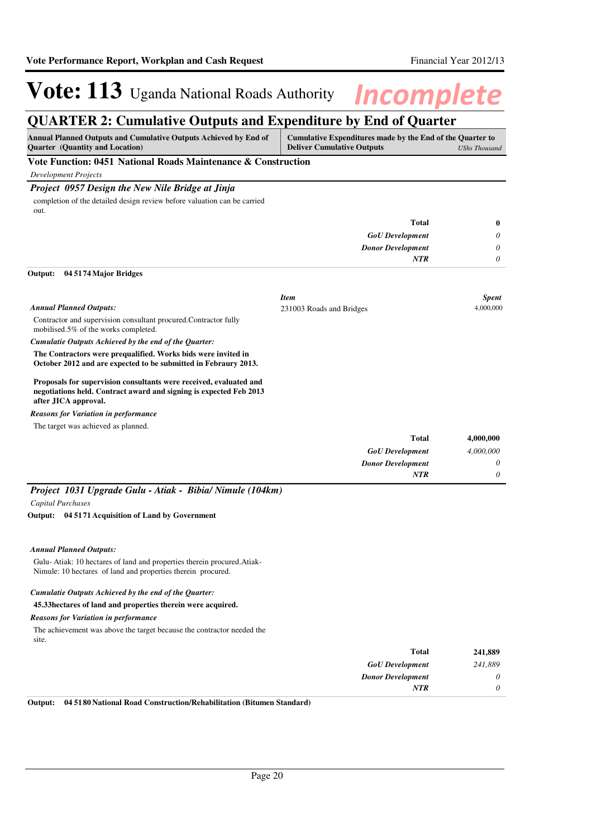### **QUARTER 2: Cumulative Outputs and Expenditure by End of Quarter**

| Annual Planned Outputs and Cumulative Outputs Achieved by End of<br><b>Quarter</b> (Quantity and Location)                                                       | Cumulative Expenditures made by the End of the Quarter to<br><b>Deliver Cumulative Outputs</b> | <b>UShs Thousand</b> |
|------------------------------------------------------------------------------------------------------------------------------------------------------------------|------------------------------------------------------------------------------------------------|----------------------|
| Vote Function: 0451 National Roads Maintenance & Construction                                                                                                    |                                                                                                |                      |
| <b>Development Projects</b>                                                                                                                                      |                                                                                                |                      |
| Project 0957 Design the New Nile Bridge at Jinja                                                                                                                 |                                                                                                |                      |
| completion of the detailed design review before valuation can be carried<br>out.                                                                                 |                                                                                                |                      |
|                                                                                                                                                                  | <b>Total</b>                                                                                   | $\bf{0}$             |
|                                                                                                                                                                  | <b>GoU</b> Development                                                                         | 0                    |
|                                                                                                                                                                  | <b>Donor Development</b>                                                                       | 0                    |
|                                                                                                                                                                  | <b>NTR</b>                                                                                     | $\theta$             |
| Output:<br>04 5174 Major Bridges                                                                                                                                 |                                                                                                |                      |
|                                                                                                                                                                  | <b>Item</b>                                                                                    | <b>Spent</b>         |
| <b>Annual Planned Outputs:</b>                                                                                                                                   | 231003 Roads and Bridges                                                                       | 4,000,000            |
| Contractor and supervision consultant procured. Contractor fully<br>mobilised.5% of the works completed.                                                         |                                                                                                |                      |
| Cumulatie Outputs Achieved by the end of the Quarter:                                                                                                            |                                                                                                |                      |
| The Contractors were prequalified. Works bids were invited in<br>October 2012 and are expected to be submitted in Febraury 2013.                                 |                                                                                                |                      |
| Proposals for supervision consultants were received, evaluated and<br>negotiations held. Contract award and signing is expected Feb 2013<br>after JICA approval. |                                                                                                |                      |
| <b>Reasons for Variation in performance</b>                                                                                                                      |                                                                                                |                      |
| The target was achieved as planned.                                                                                                                              |                                                                                                |                      |
|                                                                                                                                                                  | <b>Total</b>                                                                                   | 4,000,000            |
|                                                                                                                                                                  | <b>GoU</b> Development                                                                         | 4,000,000            |
|                                                                                                                                                                  | <b>Donor Development</b>                                                                       | 0                    |
|                                                                                                                                                                  | NTR                                                                                            | 0                    |

### *Project 1031 Upgrade Gulu - Atiak - Bibia/ Nimule (104km) Capital Purchases*

**04 5171 Acquisition of Land by Government Output:**

#### *Annual Planned Outputs:*

Gulu- Atiak: 10 hectares of land and properties therein procured.Atiak-Nimule: 10 hectares of land and properties therein procured.

### *Cumulatie Outputs Achieved by the end of the Quarter:*

### **45.33hectares of land and properties therein were acquired.**

### *Reasons for Variation in performance*

The achievement was above the target because the contractor needed the site.

| 241,889 | <b>Total</b>             |
|---------|--------------------------|
| 241,889 | <b>GoU</b> Development   |
|         | <b>Donor Development</b> |
|         | <b>NTR</b>               |
|         |                          |

**Output: 04 5180 National Road Construction/Rehabilitation (Bitumen Standard)**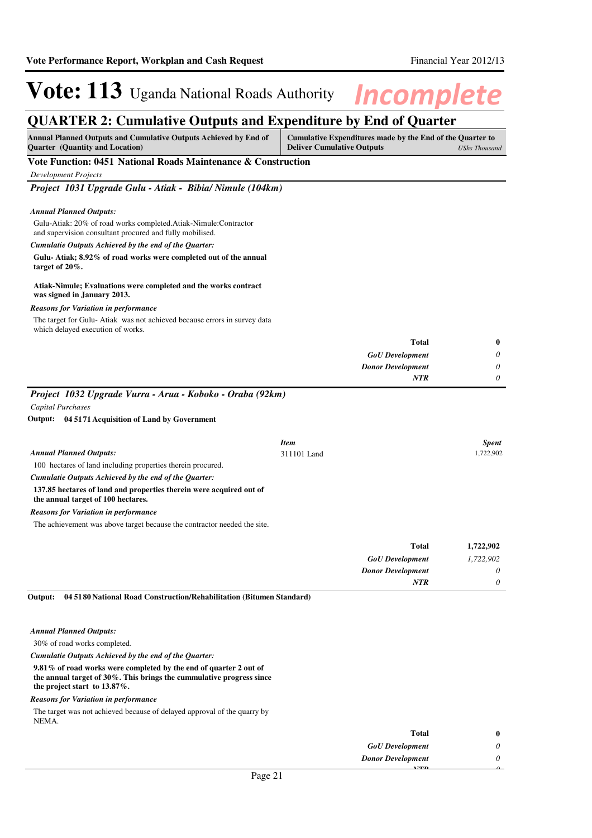## **QUARTER 2: Cumulative Outputs and Expenditure by End of Quarter**

| <b>Annual Planned Outputs and Cumulative Outputs Achieved by End of</b><br><b>Quarter</b> (Quantity and Location)           | Cumulative Expenditures made by the End of the Quarter to<br><b>Deliver Cumulative Outputs</b><br><b>UShs Thousand</b> |                          |              |
|-----------------------------------------------------------------------------------------------------------------------------|------------------------------------------------------------------------------------------------------------------------|--------------------------|--------------|
| Vote Function: 0451 National Roads Maintenance & Construction                                                               |                                                                                                                        |                          |              |
| <b>Development Projects</b>                                                                                                 |                                                                                                                        |                          |              |
| Project 1031 Upgrade Gulu - Atiak - Bibia/ Nimule (104km)                                                                   |                                                                                                                        |                          |              |
| <b>Annual Planned Outputs:</b>                                                                                              |                                                                                                                        |                          |              |
| Gulu-Atiak: 20% of road works completed.Atiak-Nimule:Contractor<br>and supervision consultant procured and fully mobilised. |                                                                                                                        |                          |              |
| Cumulatie Outputs Achieved by the end of the Quarter:                                                                       |                                                                                                                        |                          |              |
| Gulu-Atiak; 8.92% of road works were completed out of the annual<br>target of $20\%$ .                                      |                                                                                                                        |                          |              |
| Atiak-Nimule; Evaluations were completed and the works contract<br>was signed in January 2013.                              |                                                                                                                        |                          |              |
| <b>Reasons for Variation in performance</b>                                                                                 |                                                                                                                        |                          |              |
| The target for Gulu-Atiak was not achieved because errors in survey data<br>which delayed execution of works.               |                                                                                                                        |                          |              |
|                                                                                                                             |                                                                                                                        | <b>Total</b>             | $\bf{0}$     |
|                                                                                                                             |                                                                                                                        | <b>GoU</b> Development   | 0            |
|                                                                                                                             |                                                                                                                        | <b>Donor Development</b> | 0            |
|                                                                                                                             |                                                                                                                        | <b>NTR</b>               | 0            |
| Project 1032 Upgrade Vurra - Arua - Koboko - Oraba (92km)                                                                   |                                                                                                                        |                          |              |
| Capital Purchases                                                                                                           |                                                                                                                        |                          |              |
| Output: 04 5171 Acquisition of Land by Government                                                                           |                                                                                                                        |                          |              |
|                                                                                                                             |                                                                                                                        |                          |              |
|                                                                                                                             | <b>Item</b>                                                                                                            |                          | <b>Spent</b> |
| <b>Annual Planned Outputs:</b>                                                                                              | 311101 Land                                                                                                            |                          | 1,722,902    |
| 100 hectares of land including properties therein procured.                                                                 |                                                                                                                        |                          |              |
| Cumulatie Outputs Achieved by the end of the Quarter:                                                                       |                                                                                                                        |                          |              |
| 137.85 hectares of land and properties therein were acquired out of<br>the annual target of 100 hectares.                   |                                                                                                                        |                          |              |
| <b>Reasons for Variation in performance</b>                                                                                 |                                                                                                                        |                          |              |
| The achievement was above target because the contractor needed the site.                                                    |                                                                                                                        |                          |              |
|                                                                                                                             |                                                                                                                        | <b>Total</b>             | 1,722,902    |
|                                                                                                                             |                                                                                                                        | <b>GoU</b> Development   | 1,722,902    |
|                                                                                                                             |                                                                                                                        | <b>Donor Development</b> | 0            |
|                                                                                                                             |                                                                                                                        | <b>NTR</b>               | $\theta$     |

**04 5180 National Road Construction/Rehabilitation (Bitumen Standard) Output:**

*Annual Planned Outputs:*

30% of road works completed.

*Cumulatie Outputs Achieved by the end of the Quarter:*

**9.81% of road works were completed by the end of quarter 2 out of the annual target of 30%. This brings the cummulative progress since the project start to 13.87%.**

#### *Reasons for Variation in performance*

The target was not achieved because of delayed approval of the quarry by NEMA.

|                               | <b>Total</b>             |  |
|-------------------------------|--------------------------|--|
|                               | <b>GoU</b> Development   |  |
|                               | <b>Donor Development</b> |  |
|                               | <b>3 7/27.23</b>         |  |
| $\mathbf{D} \quad \mathbf{A}$ |                          |  |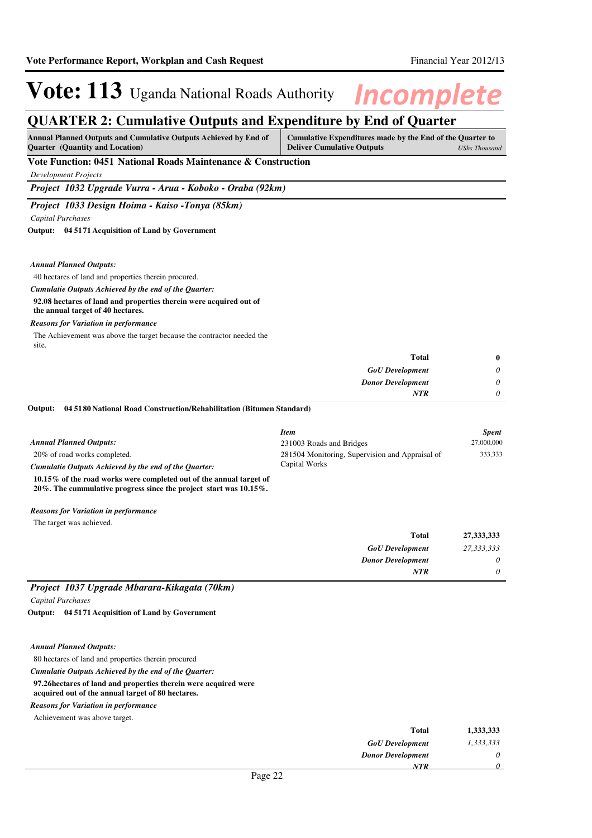*0*

*NTR*

# **Vote: 113** Uganda National Roads Authority **Incomplete**

### **QUARTER 2: Cumulative Outputs and Expenditure by End of Quarter**

| Annual Planned Outputs and Cumulative Outputs Achieved by End of<br><b>Quarter</b> (Quantity and Location)                                   | Cumulative Expenditures made by the End of the Quarter to<br><b>Deliver Cumulative Outputs</b><br><b>UShs Thousand</b> |            |
|----------------------------------------------------------------------------------------------------------------------------------------------|------------------------------------------------------------------------------------------------------------------------|------------|
| Vote Function: 0451 National Roads Maintenance & Construction                                                                                |                                                                                                                        |            |
| <b>Development Projects</b>                                                                                                                  |                                                                                                                        |            |
| Project 1032 Upgrade Vurra - Arua - Koboko - Oraba (92km)                                                                                    |                                                                                                                        |            |
| Project 1033 Design Hoima - Kaiso -Tonya (85km)                                                                                              |                                                                                                                        |            |
| Capital Purchases                                                                                                                            |                                                                                                                        |            |
| Output: 04 5171 Acquisition of Land by Government                                                                                            |                                                                                                                        |            |
| <b>Annual Planned Outputs:</b>                                                                                                               |                                                                                                                        |            |
| 40 hectares of land and properties therein procured.                                                                                         |                                                                                                                        |            |
| Cumulatie Outputs Achieved by the end of the Quarter:                                                                                        |                                                                                                                        |            |
| 92.08 hectares of land and properties therein were acquired out of<br>the annual target of 40 hectares.                                      |                                                                                                                        |            |
| <b>Reasons for Variation in performance</b>                                                                                                  |                                                                                                                        |            |
| The Achievement was above the target because the contractor needed the<br>site.                                                              |                                                                                                                        |            |
|                                                                                                                                              | Total                                                                                                                  | $\bf{0}$   |
|                                                                                                                                              | <b>GoU</b> Development                                                                                                 | 0          |
|                                                                                                                                              | <b>Donor Development</b>                                                                                               | 0          |
|                                                                                                                                              | NTR                                                                                                                    | 0          |
| 04 51 80 National Road Construction/Rehabilitation (Bitumen Standard)<br>Output:                                                             |                                                                                                                        |            |
|                                                                                                                                              | <b>Item</b>                                                                                                            | Spent      |
| <b>Annual Planned Outputs:</b>                                                                                                               | 231003 Roads and Bridges                                                                                               | 27,000,000 |
| 20% of road works completed.                                                                                                                 | 281504 Monitoring, Supervision and Appraisal of                                                                        | 333,333    |
| Cumulatie Outputs Achieved by the end of the Quarter:                                                                                        | Capital Works                                                                                                          |            |
| 10.15% of the road works were completed out of the annual target of<br>20%. The cummulative progress since the project start was $10.15\%$ . |                                                                                                                        |            |
| <b>Reasons for Variation in performance</b>                                                                                                  |                                                                                                                        |            |
| The target was achieved.                                                                                                                     |                                                                                                                        |            |
|                                                                                                                                              | <b>Total</b>                                                                                                           | 27,333,333 |
|                                                                                                                                              | <b>GoU</b> Development                                                                                                 | 27,333,333 |
|                                                                                                                                              | <b>Donor Development</b>                                                                                               | $\theta$   |

### *Project 1037 Upgrade Mbarara-Kikagata (70km)*

*Capital Purchases*

**04 5171 Acquisition of Land by Government Output:**

#### *Annual Planned Outputs:*

80 hectares of land and properties therein procured **97.26hectares of land and properties therein were acquired were acquired out of the annual target of 80 hectares.** *Cumulatie Outputs Achieved by the end of the Quarter:*

*Reasons for Variation in performance*

| Achievement was above target. |  |  |  |
|-------------------------------|--|--|--|
|-------------------------------|--|--|--|

| 1,333,333 | <b>Total</b>                   |
|-----------|--------------------------------|
| 1,333,333 | <b>GoU</b> Development         |
| 0         | <b>Donor Development</b>       |
|           | NTR                            |
|           | __<br>$\overline{\phantom{a}}$ |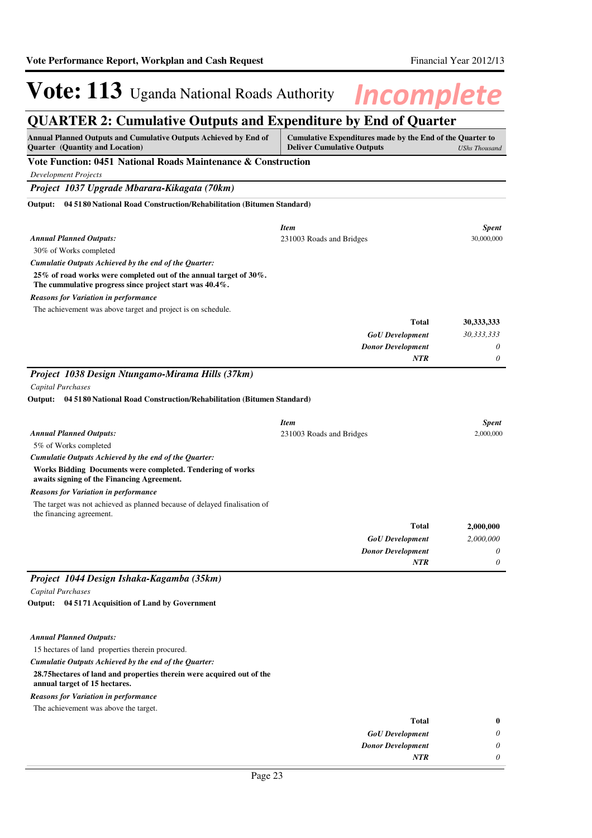## **QUARTER 2: Cumulative Outputs and Expenditure by End of Quarter**

| $\frac{1}{2}$<br>PWW WILL LIS<br>Annual Planned Outputs and Cumulative Outputs Achieved by End of<br>Quarter (Quantity and Location)                      | $\lambda$<br><b>LARG VI</b><br>Cumulative Expenditures made by the End of the Quarter to<br><b>Deliver Cumulative Outputs</b><br><b>UShs Thousand</b> |              |  |
|-----------------------------------------------------------------------------------------------------------------------------------------------------------|-------------------------------------------------------------------------------------------------------------------------------------------------------|--------------|--|
| Vote Function: 0451 National Roads Maintenance & Construction                                                                                             |                                                                                                                                                       |              |  |
| <b>Development Projects</b>                                                                                                                               |                                                                                                                                                       |              |  |
| Project 1037 Upgrade Mbarara-Kikagata (70km)                                                                                                              |                                                                                                                                                       |              |  |
| 04 51 80 National Road Construction/Rehabilitation (Bitumen Standard)<br>Output:                                                                          |                                                                                                                                                       |              |  |
|                                                                                                                                                           |                                                                                                                                                       |              |  |
|                                                                                                                                                           | <b>Item</b>                                                                                                                                           | <b>Spent</b> |  |
| <b>Annual Planned Outputs:</b>                                                                                                                            | 231003 Roads and Bridges                                                                                                                              | 30,000,000   |  |
| 30% of Works completed                                                                                                                                    |                                                                                                                                                       |              |  |
| Cumulatie Outputs Achieved by the end of the Quarter:                                                                                                     |                                                                                                                                                       |              |  |
| 25% of road works were completed out of the annual target of 30%.<br>The cummulative progress since project start was 40.4%.                              |                                                                                                                                                       |              |  |
| <b>Reasons for Variation in performance</b>                                                                                                               |                                                                                                                                                       |              |  |
| The achievement was above target and project is on schedule.                                                                                              |                                                                                                                                                       |              |  |
|                                                                                                                                                           | <b>Total</b>                                                                                                                                          | 30, 333, 333 |  |
|                                                                                                                                                           | <b>GoU</b> Development                                                                                                                                | 30,333,333   |  |
|                                                                                                                                                           | <b>Donor Development</b>                                                                                                                              | 0            |  |
|                                                                                                                                                           | NTR                                                                                                                                                   | 0            |  |
| Project 1038 Design Ntungamo-Mirama Hills (37km)<br>Capital Purchases<br>04 51 80 National Road Construction/Rehabilitation (Bitumen Standard)<br>Output: |                                                                                                                                                       |              |  |
|                                                                                                                                                           | <b>Item</b>                                                                                                                                           | <b>Spent</b> |  |
| <b>Annual Planned Outputs:</b>                                                                                                                            | 231003 Roads and Bridges                                                                                                                              | 2,000,000    |  |
| 5% of Works completed                                                                                                                                     |                                                                                                                                                       |              |  |
| Cumulatie Outputs Achieved by the end of the Quarter:                                                                                                     |                                                                                                                                                       |              |  |
| Works Bidding Documents were completed. Tendering of works<br>awaits signing of the Financing Agreement.                                                  |                                                                                                                                                       |              |  |
| <b>Reasons for Variation in performance</b>                                                                                                               |                                                                                                                                                       |              |  |
| The target was not achieved as planned because of delayed finalisation of<br>the financing agreement.                                                     |                                                                                                                                                       |              |  |
|                                                                                                                                                           | Total                                                                                                                                                 | 2,000,000    |  |
|                                                                                                                                                           | <b>GoU</b> Development                                                                                                                                | 2,000,000    |  |
|                                                                                                                                                           | <b>Donor Development</b>                                                                                                                              | 0            |  |
|                                                                                                                                                           | <b>NTR</b>                                                                                                                                            | 0            |  |
| Project 1044 Design Ishaka-Kagamba (35km)                                                                                                                 |                                                                                                                                                       |              |  |
| Capital Purchases                                                                                                                                         |                                                                                                                                                       |              |  |
| Output: 04 5171 Acquisition of Land by Government                                                                                                         |                                                                                                                                                       |              |  |
| <b>Annual Planned Outputs:</b>                                                                                                                            |                                                                                                                                                       |              |  |
| 15 hectares of land properties therein procured.                                                                                                          |                                                                                                                                                       |              |  |
| Cumulatie Outputs Achieved by the end of the Quarter:                                                                                                     |                                                                                                                                                       |              |  |
| 28.75 hectares of land and properties therein were acquired out of the                                                                                    |                                                                                                                                                       |              |  |
| annual target of 15 hectares.                                                                                                                             |                                                                                                                                                       |              |  |

*Reasons for Variation in performance*

The achievement was above the target.

| Total                    |
|--------------------------|
| <b>GoU</b> Development   |
| <b>Donor Development</b> |
| <b>NTR</b>               |
|                          |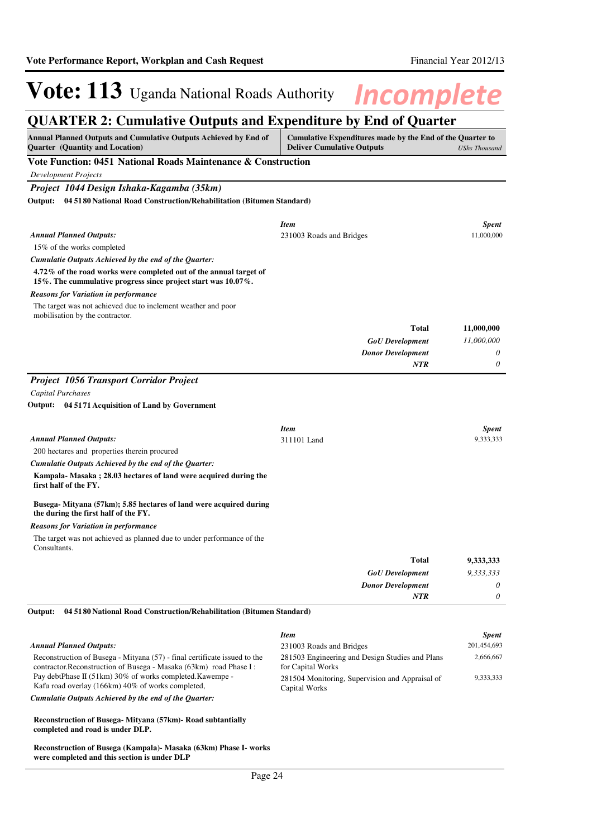### **QUARTER 2: Cumulative Outputs and Expenditure by End of Quarter**

| Annual Planned Outputs and Cumulative Outputs Achieved by End of<br>Quarter (Quantity and Location)                                             | Cumulative Expenditures made by the End of the Quarter to<br><b>Deliver Cumulative Outputs</b><br><b>UShs Thousand</b> |                           |  |
|-------------------------------------------------------------------------------------------------------------------------------------------------|------------------------------------------------------------------------------------------------------------------------|---------------------------|--|
| Vote Function: 0451 National Roads Maintenance & Construction                                                                                   |                                                                                                                        |                           |  |
| <b>Development Projects</b>                                                                                                                     |                                                                                                                        |                           |  |
| Project 1044 Design Ishaka-Kagamba (35km)                                                                                                       |                                                                                                                        |                           |  |
| Output: 04 51 80 National Road Construction/Rehabilitation (Bitumen Standard)                                                                   |                                                                                                                        |                           |  |
|                                                                                                                                                 | <b>Item</b>                                                                                                            | <b>Spent</b>              |  |
| <b>Annual Planned Outputs:</b>                                                                                                                  | 231003 Roads and Bridges                                                                                               | 11,000,000                |  |
| 15% of the works completed                                                                                                                      |                                                                                                                        |                           |  |
| Cumulatie Outputs Achieved by the end of the Quarter:                                                                                           |                                                                                                                        |                           |  |
| 4.72% of the road works were completed out of the annual target of<br>15%. The cummulative progress since project start was 10.07%.             |                                                                                                                        |                           |  |
| <b>Reasons for Variation in performance</b>                                                                                                     |                                                                                                                        |                           |  |
| The target was not achieved due to inclement weather and poor<br>mobilisation by the contractor.                                                |                                                                                                                        |                           |  |
|                                                                                                                                                 | <b>Total</b>                                                                                                           | 11,000,000                |  |
|                                                                                                                                                 | <b>GoU</b> Development                                                                                                 | 11,000,000                |  |
|                                                                                                                                                 | <b>Donor Development</b>                                                                                               | 0                         |  |
|                                                                                                                                                 | NTR                                                                                                                    | 0                         |  |
| <b>Project 1056 Transport Corridor Project</b>                                                                                                  |                                                                                                                        |                           |  |
| Capital Purchases                                                                                                                               |                                                                                                                        |                           |  |
| Output: 04 5171 Acquisition of Land by Government                                                                                               |                                                                                                                        |                           |  |
|                                                                                                                                                 |                                                                                                                        |                           |  |
| <b>Annual Planned Outputs:</b>                                                                                                                  | <b>Item</b>                                                                                                            | <b>Spent</b><br>9,333,333 |  |
| 200 hectares and properties therein procured                                                                                                    | 311101 Land                                                                                                            |                           |  |
| Cumulatie Outputs Achieved by the end of the Quarter:                                                                                           |                                                                                                                        |                           |  |
| Kampala-Masaka; 28.03 hectares of land were acquired during the                                                                                 |                                                                                                                        |                           |  |
| first half of the FY.                                                                                                                           |                                                                                                                        |                           |  |
| Busega- Mityana (57km); 5.85 hectares of land were acquired during<br>the during the first half of the FY.                                      |                                                                                                                        |                           |  |
| <b>Reasons for Variation in performance</b>                                                                                                     |                                                                                                                        |                           |  |
| The target was not achieved as planned due to under performance of the<br>Consultants.                                                          |                                                                                                                        |                           |  |
|                                                                                                                                                 | Total                                                                                                                  | 9,333,333                 |  |
|                                                                                                                                                 | <b>GoU</b> Development                                                                                                 | 9,333,333                 |  |
|                                                                                                                                                 | <b>Donor Development</b>                                                                                               | 0                         |  |
|                                                                                                                                                 | NTR                                                                                                                    | 0                         |  |
| 04 51 80 National Road Construction/Rehabilitation (Bitumen Standard)<br>Output:                                                                |                                                                                                                        |                           |  |
|                                                                                                                                                 | <b>Item</b>                                                                                                            | <b>Spent</b>              |  |
| <b>Annual Planned Outputs:</b>                                                                                                                  | 231003 Roads and Bridges                                                                                               | 201,454,693               |  |
| Reconstruction of Busega - Mityana (57) - final certificate issued to the<br>contractor. Reconstruction of Busega - Masaka (63km) road Phase I: | 281503 Engineering and Design Studies and Plans                                                                        | 2,666,667                 |  |
| Pay debtPhase II (51km) 30% of works completed. Kawempe -<br>Kafu road overlay (166km) 40% of works completed,                                  | for Capital Works<br>281504 Monitoring, Supervision and Appraisal of<br>Capital Works                                  | 9,333,333                 |  |
| Cumulatie Outputs Achieved by the end of the Quarter:                                                                                           |                                                                                                                        |                           |  |
| Reconstruction of Busega- Mityana (57km)- Road subtantially<br>completed and road is under DLP.                                                 |                                                                                                                        |                           |  |

**Reconstruction of Busega (Kampala)- Masaka (63km) Phase I- works were completed and this section is under DLP**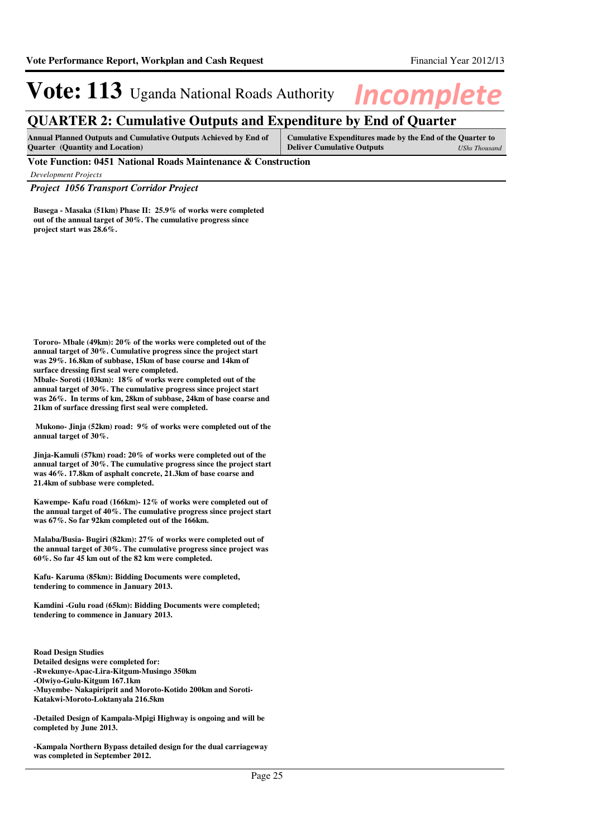### **QUARTER 2: Cumulative Outputs and Expenditure by End of Quarter**

**Annual Planned Outputs and Cumulative Outputs Achieved by End of Quarter (Quantity and Location) Cumulative Expenditures made by the End of the Quarter to Deliver Cumulative Outputs** *UShs Thousand*

**Vote Function: 0451 National Roads Maintenance & Construction**

*Development Projects*

*Project 1056 Transport Corridor Project*

**Busega - Masaka (51km) Phase II: 25.9% of works were completed out of the annual target of 30%. The cumulative progress since project start was 28.6%.**

**Tororo- Mbale (49km): 20% of the works were completed out of the annual target of 30%. Cumulative progress since the project start was 29%. 16.8km of subbase, 15km of base course and 14km of surface dressing first seal were completed.**

**Mbale- Soroti (103km): 18% of works were completed out of the annual target of 30%. The cumulative progress since project start was 26%. In terms of km, 28km of subbase, 24km of base coarse and 21km of surface dressing first seal were completed.**

 **Mukono- Jinja (52km) road: 9% of works were completed out of the annual target of 30%.**

**Jinja-Kamuli (57km) road: 20% of works were completed out of the annual target of 30%. The cumulative progress since the project start was 46%. 17.8km of asphalt concrete, 21.3km of base coarse and 21.4km of subbase were completed.**

**Kawempe- Kafu road (166km)- 12% of works were completed out of the annual target of 40%. The cumulative progress since project start was 67%. So far 92km completed out of the 166km.**

**Malaba/Busia- Bugiri (82km): 27% of works were completed out of the annual target of 30%. The cumulative progress since project was 60%. So far 45 km out of the 82 km were completed.**

**Kafu- Karuma (85km): Bidding Documents were completed, tendering to commence in January 2013.**

**Kamdini -Gulu road (65km): Bidding Documents were completed; tendering to commence in January 2013.**

**Road Design Studies Detailed designs were completed for: -Rwekunye-Apac-Lira-Kitgum-Musingo 350km -Olwiyo-Gulu-Kitgum 167.1km -Muyembe- Nakapiriprit and Moroto-Kotido 200km and Soroti-Katakwi-Moroto-Loktanyala 216.5km**

**-Detailed Design of Kampala-Mpigi Highway is ongoing and will be completed by June 2013.**

**-Kampala Northern Bypass detailed design for the dual carriageway was completed in September 2012.**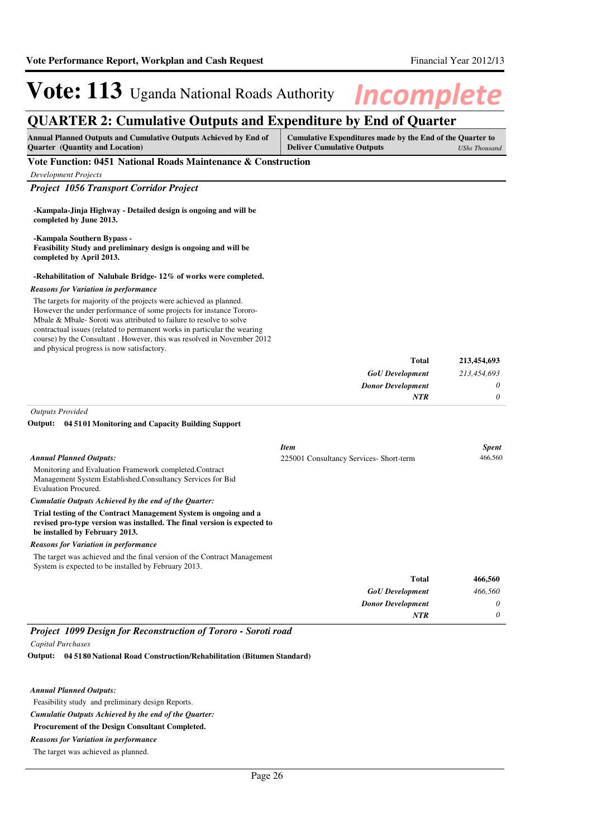*0*

*NTR*

# **Vote: 113** Uganda National Roads Authority **Incomplete**

### **QUARTER 2: Cumulative Outputs and Expenditure by End of Quarter**

| <b>Annual Planned Outputs and Cumulative Outputs Achieved by End of</b> | Cumulative Expenditures made by the End of the Quarter to |  |
|-------------------------------------------------------------------------|-----------------------------------------------------------|--|
| <b>Ouarter</b> (Quantity and Location)                                  | <b>Deliver Cumulative Outputs</b><br>UShs Thousand        |  |
| ___                                                                     |                                                           |  |

#### **Vote Function: 0451 National Roads Maintenance & Construction**

| Development Projects                           |
|------------------------------------------------|
| <b>Project 1056 Transport Corridor Project</b> |

| -Kampala-Jinja Highway - Detailed design is ongoing and will be |  |  |  |
|-----------------------------------------------------------------|--|--|--|
| completed by June 2013.                                         |  |  |  |

**-Kampala Southern Bypass - Feasibility Study and preliminary design is ongoing and will be completed by April 2013.**

### **-Rehabilitation of Nalubale Bridge- 12% of works were completed.**

#### *Reasons for Variation in performance*

The targets for majority of the projects were achieved as planned. However the under performance of some projects for instance Tororo-Mbale & Mbale- Soroti was attributed to failure to resolve to solve contractual issues (related to permanent works in particular the wearing course) by the Consultant . However, this was resolved in November 2012 and physical progress is now satisfactory.

| 213,454,693 | <b>Total</b>             |
|-------------|--------------------------|
| 213,454,693 | <b>GoU</b> Development   |
| $\theta$    | <b>Donor Development</b> |
| 0           | NTR                      |

*Outputs Provided*

#### **04 5101 Monitoring and Capacity Building Support Output:**

|                                                                                                                                                                                | <b>Item</b>                             | <b>Spent</b> |
|--------------------------------------------------------------------------------------------------------------------------------------------------------------------------------|-----------------------------------------|--------------|
| <b>Annual Planned Outputs:</b>                                                                                                                                                 | 225001 Consultancy Services- Short-term | 466,560      |
| Monitoring and Evaluation Framework completed.Contract<br>Management System Established. Consultancy Services for Bid<br>Evaluation Procured.                                  |                                         |              |
| Cumulatie Outputs Achieved by the end of the Ouarter:                                                                                                                          |                                         |              |
| Trial testing of the Contract Management System is ongoing and a<br>revised pro-type version was installed. The final version is expected to<br>be installed by February 2013. |                                         |              |
| <b>Reasons for Variation in performance</b>                                                                                                                                    |                                         |              |
| The target was achieved and the final version of the Contract Management<br>System is expected to be installed by February 2013.                                               |                                         |              |
|                                                                                                                                                                                | <b>Total</b>                            | 466,560      |
|                                                                                                                                                                                | <b>GoU</b> Development                  | 466.560      |
|                                                                                                                                                                                | <b>Donor Development</b>                | 0            |

### *Project 1099 Design for Reconstruction of Tororo - Soroti road*

*Capital Purchases*

**04 5180 National Road Construction/Rehabilitation (Bitumen Standard) Output:**

### *Annual Planned Outputs:*

Feasibility study and preliminary design Reports.

*Cumulatie Outputs Achieved by the end of the Quarter:*

**Procurement of the Design Consultant Completed.**

### *Reasons for Variation in performance*

The target was achieved as planned.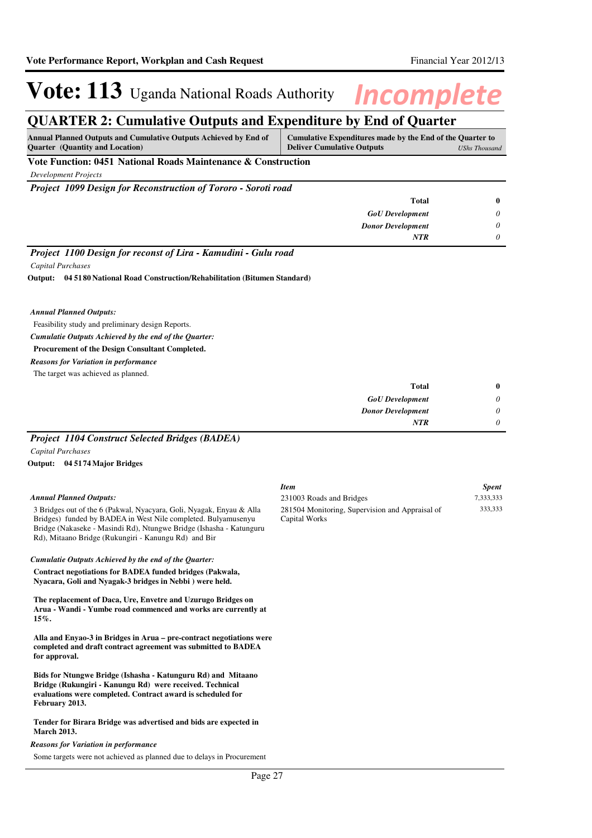### **QUARTER 2: Cumulative Outputs and Expenditure by End of Quarter**

| <b>Annual Planned Outputs and Cumulative Outputs Achieved by End of</b><br><b>Ouarter</b> (Quantity and Location) | Cumulative Expenditures made by the End of the Quarter to<br><b>Deliver Cumulative Outputs</b><br>UShs Thousand |  |
|-------------------------------------------------------------------------------------------------------------------|-----------------------------------------------------------------------------------------------------------------|--|
| Vote Function: 0451 National Roads Maintenance & Construction                                                     |                                                                                                                 |  |
| Development Projects                                                                                              |                                                                                                                 |  |
| <b>Project 1099 Design for Reconstruction of Tororo - Soroti road</b>                                             |                                                                                                                 |  |
|                                                                                                                   |                                                                                                                 |  |

| <b>Total</b>             |
|--------------------------|
| <b>GoU</b> Development   |
| <b>Donor Development</b> |
| <b>NTR</b>               |
| ___                      |

*Project 1100 Design for reconst of Lira - Kamudini - Gulu road*

*Capital Purchases*

**04 5180 National Road Construction/Rehabilitation (Bitumen Standard) Output:**

### *Annual Planned Outputs:*

Feasibility study and preliminary design Reports.

### *Cumulatie Outputs Achieved by the end of the Quarter:*

#### **Procurement of the Design Consultant Completed.**

*Reasons for Variation in performance*

The target was achieved as planned.

| <b>Total</b>             | $\bf{0}$ |
|--------------------------|----------|
| <b>GoU</b> Development   | $\theta$ |
| <b>Donor Development</b> | $\theta$ |
| <b>NTR</b>               | $\theta$ |

### *Project 1104 Construct Selected Bridges (BADEA) Capital Purchases*

**04 5174 Major Bridges Output:**

### *Annual Planned Outputs:*

3 Bridges out of the 6 (Pakwal, Nyacyara, Goli, Nyagak, Enyau & Alla Bridges) funded by BADEA in West Nile completed. Bulyamusenyu Bridge (Nakaseke - Masindi Rd), Ntungwe Bridge (Ishasha - Katunguru Rd), Mitaano Bridge (Rukungiri - Kanungu Rd) and Bir

#### *Cumulatie Outputs Achieved by the end of the Quarter:*

**Contract negotiations for BADEA funded bridges (Pakwala, Nyacara, Goli and Nyagak-3 bridges in Nebbi ) were held.**

**The replacement of Daca, Ure, Envetre and Uzurugo Bridges on Arua - Wandi - Yumbe road commenced and works are currently at 15%.**

**Alla and Enyao-3 in Bridges in Arua – pre-contract negotiations were completed and draft contract agreement was submitted to BADEA for approval.**

**Bids for Ntungwe Bridge (Ishasha - Katunguru Rd) and Mitaano Bridge (Rukungiri - Kanungu Rd) were received. Technical evaluations were completed. Contract award is scheduled for February 2013.**

#### **Tender for Birara Bridge was advertised and bids are expected in March 2013.**

#### *Reasons for Variation in performance*

Some targets were not achieved as planned due to delays in Procurement

| <b>Item</b>                                     | <b>Spent</b> |
|-------------------------------------------------|--------------|
| 231003 Roads and Bridges                        | 7.333.333    |
| 281504 Monitoring, Supervision and Appraisal of | 333.333      |
| Capital Works                                   |              |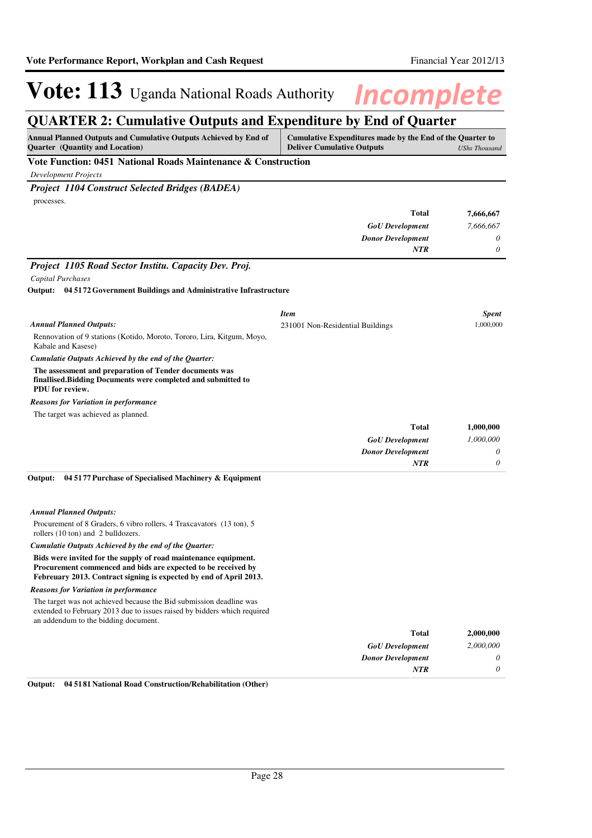### **QUARTER 2: Cumulative Outputs and Expenditure by End of Quarter**

| Annual Planned Outputs and Cumulative Outputs Achieved by End of<br>Quarter (Quantity and Location)                                                                                                    | Cumulative Expenditures made by the End of the Quarter to<br><b>Deliver Cumulative Outputs</b><br><b>UShs Thousand</b> |              |
|--------------------------------------------------------------------------------------------------------------------------------------------------------------------------------------------------------|------------------------------------------------------------------------------------------------------------------------|--------------|
| Vote Function: 0451 National Roads Maintenance & Construction                                                                                                                                          |                                                                                                                        |              |
| <b>Development Projects</b>                                                                                                                                                                            |                                                                                                                        |              |
| <b>Project 1104 Construct Selected Bridges (BADEA)</b>                                                                                                                                                 |                                                                                                                        |              |
| processes.                                                                                                                                                                                             |                                                                                                                        |              |
|                                                                                                                                                                                                        | <b>Total</b>                                                                                                           | 7,666,667    |
|                                                                                                                                                                                                        | <b>GoU</b> Development                                                                                                 | 7,666,667    |
|                                                                                                                                                                                                        | <b>Donor Development</b>                                                                                               | 0            |
|                                                                                                                                                                                                        | NTR                                                                                                                    | 0            |
| Project 1105 Road Sector Institu. Capacity Dev. Proj.                                                                                                                                                  |                                                                                                                        |              |
| Capital Purchases                                                                                                                                                                                      |                                                                                                                        |              |
| Output: 04 5172 Government Buildings and Administrative Infrastructure                                                                                                                                 |                                                                                                                        |              |
|                                                                                                                                                                                                        | Item                                                                                                                   | <b>Spent</b> |
| <b>Annual Planned Outputs:</b>                                                                                                                                                                         | 231001 Non-Residential Buildings                                                                                       | 1,000,000    |
| Rennovation of 9 stations (Kotido, Moroto, Tororo, Lira, Kitgum, Moyo,<br>Kabale and Kasese)                                                                                                           |                                                                                                                        |              |
| Cumulatie Outputs Achieved by the end of the Quarter:                                                                                                                                                  |                                                                                                                        |              |
| The assessment and preparation of Tender documents was<br>finallised. Bidding Documents were completed and submitted to<br>PDU for review.                                                             |                                                                                                                        |              |
| <b>Reasons for Variation in performance</b>                                                                                                                                                            |                                                                                                                        |              |
| The target was achieved as planned.                                                                                                                                                                    |                                                                                                                        |              |
|                                                                                                                                                                                                        | <b>Total</b>                                                                                                           | 1,000,000    |
|                                                                                                                                                                                                        | <b>GoU</b> Development                                                                                                 | 1,000,000    |
|                                                                                                                                                                                                        | <b>Donor Development</b>                                                                                               | 0            |
|                                                                                                                                                                                                        | <b>NTR</b>                                                                                                             | 0            |
| 04 5177 Purchase of Specialised Machinery & Equipment<br>Output:                                                                                                                                       |                                                                                                                        |              |
| <b>Annual Planned Outputs:</b>                                                                                                                                                                         |                                                                                                                        |              |
| Procurement of 8 Graders, 6 vibro rollers, 4 Traxcavators (13 ton), 5<br>rollers (10 ton) and 2 bulldozers.                                                                                            |                                                                                                                        |              |
| Cumulatie Outputs Achieved by the end of the Quarter:                                                                                                                                                  |                                                                                                                        |              |
| Bids were invited for the supply of road maintenance equipment.<br>Procurement commenced and bids are expected to be received by<br>Febreuary 2013. Contract signing is expected by end of April 2013. |                                                                                                                        |              |
| <b>Reasons for Variation in performance</b>                                                                                                                                                            |                                                                                                                        |              |
| The target was not achieved because the Bid submission deadline was<br>extended to February 2013 due to issues raised by bidders which required<br>an addendum to the bidding document.                |                                                                                                                        |              |
|                                                                                                                                                                                                        | <b>Total</b>                                                                                                           | 2,000,000    |
|                                                                                                                                                                                                        | <b>GoU</b> Development                                                                                                 | 2,000,000    |
|                                                                                                                                                                                                        | <b>Donor Development</b>                                                                                               | 0            |
|                                                                                                                                                                                                        | NTR                                                                                                                    | 0            |

**Output: 04 5181 National Road Construction/Rehabilitation (Other)**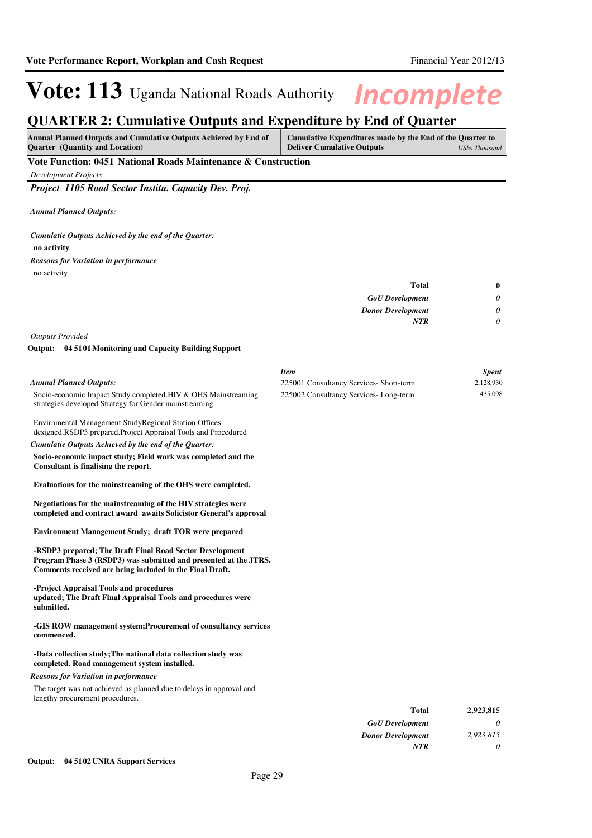### **QUARTER 2: Cumulative Outputs and Expenditure by End of Quarter**

| <b>Annual Planned Outputs and Cumulative Outputs Achieved by End of</b><br><b>Ouarter</b> (Quantity and Location) | Cumulative Expenditures made by the End of the Quarter to<br><b>Deliver Cumulative Outputs</b> | UShs Thousand |  |  |
|-------------------------------------------------------------------------------------------------------------------|------------------------------------------------------------------------------------------------|---------------|--|--|
| Vote Function: 0451 National Roads Maintenance & Construction                                                     |                                                                                                |               |  |  |

*Development Projects*

*Project 1105 Road Sector Institu. Capacity Dev. Proj.*

*Annual Planned Outputs:*

**no activity** *Cumulatie Outputs Achieved by the end of the Quarter:* no activity *Reasons for Variation in performance*

| $\bf{0}$ |
|----------|
| $\theta$ |
| $\theta$ |
| 0        |
|          |

*Outputs Provided*

**04 5101 Monitoring and Capacity Building Support Output:**

|                                                                                                                                                                                          | <b>Item</b>                             | <b>Spent</b> |
|------------------------------------------------------------------------------------------------------------------------------------------------------------------------------------------|-----------------------------------------|--------------|
| <b>Annual Planned Outputs:</b>                                                                                                                                                           | 225001 Consultancy Services- Short-term | 2,128,930    |
| Socio-economic Impact Study completed.HIV & OHS Mainstreaming<br>strategies developed. Strategy for Gender mainstreaming                                                                 | 225002 Consultancy Services-Long-term   | 435,098      |
| Envirnmental Management StudyRegional Station Offices<br>designed.RSDP3 prepared.Project Appraisal Tools and Procedured                                                                  |                                         |              |
| Cumulatie Outputs Achieved by the end of the Ouarter:                                                                                                                                    |                                         |              |
| Socio-economic impact study; Field work was completed and the<br>Consultant is finalising the report.                                                                                    |                                         |              |
| Evaluations for the mainstreaming of the OHS were completed.                                                                                                                             |                                         |              |
| Negotiations for the mainstreaming of the HIV strategies were<br>completed and contract award awaits Solicistor General's approval                                                       |                                         |              |
| <b>Environment Management Study; draft TOR were prepared</b>                                                                                                                             |                                         |              |
| -RSDP3 prepared; The Draft Final Road Sector Development<br>Program Phase 3 (RSDP3) was submitted and presented at the JTRS.<br>Comments received are being included in the Final Draft. |                                         |              |
| -Project Appraisal Tools and procedures<br>updated; The Draft Final Appraisal Tools and procedures were<br>submitted.                                                                    |                                         |              |
| -GIS ROW management system; Procurement of consultancy services<br>commenced.                                                                                                            |                                         |              |
| -Data collection study; The national data collection study was<br>completed. Road management system installed.                                                                           |                                         |              |
| <b>Reasons for Variation in performance</b>                                                                                                                                              |                                         |              |
| The target was not achieved as planned due to delays in approval and<br>lengthy procurement procedures.                                                                                  |                                         |              |
|                                                                                                                                                                                          | <b>Total</b>                            | 2,923,815    |
|                                                                                                                                                                                          | <b>GoU</b> Development                  | 0            |

*Donor Development*

*NTR*

*2,923,815 0*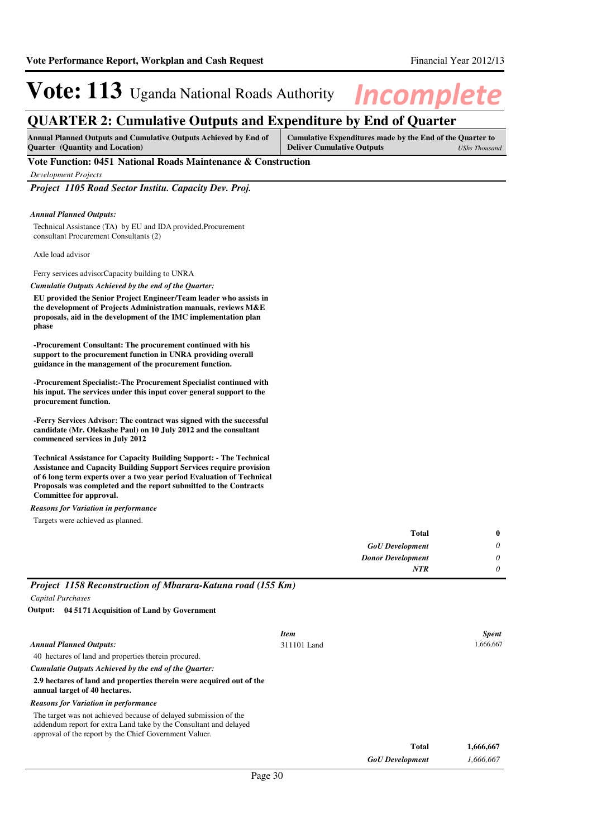### **QUARTER 2: Cumulative Outputs and Expenditure by End of Quarter**

| <b>Annual Planned Outputs and Cumulative Outputs Achieved by End of</b> | Cumulative Expenditures made by the End of the Quarter to |               |
|-------------------------------------------------------------------------|-----------------------------------------------------------|---------------|
| <b>Ouarter</b> (Quantity and Location)                                  | <b>Deliver Cumulative Outputs</b>                         | UShs Thousand |

### **Vote Function: 0451 National Roads Maintenance & Construction**

*Development Projects*

*Project 1105 Road Sector Institu. Capacity Dev. Proj.*

#### *Annual Planned Outputs:*

Technical Assistance (TA) by EU and IDA provided.Procurement consultant Procurement Consultants (2)

Axle load advisor

Ferry services advisorCapacity building to UNRA

*Cumulatie Outputs Achieved by the end of the Quarter:*

**EU provided the Senior Project Engineer/Team leader who assists in the development of Projects Administration manuals, reviews M&E proposals, aid in the development of the IMC implementation plan phase**

**-Procurement Consultant: The procurement continued with his support to the procurement function in UNRA providing overall guidance in the management of the procurement function.**

**-Procurement Specialist:-The Procurement Specialist continued with his input. The services under this input cover general support to the procurement function.**

**-Ferry Services Advisor: The contract was signed with the successful candidate (Mr. Olekashe Paul) on 10 July 2012 and the consultant commenced services in July 2012**

**Technical Assistance for Capacity Building Support: - The Technical Assistance and Capacity Building Support Services require provision of 6 long term experts over a two year period Evaluation of Technical Proposals was completed and the report submitted to the Contracts Committee for approval.**

*Reasons for Variation in performance*

Targets were achieved as planned.

|                                                                                                                                                                                                 |             | <b>Total</b>             | 0            |
|-------------------------------------------------------------------------------------------------------------------------------------------------------------------------------------------------|-------------|--------------------------|--------------|
|                                                                                                                                                                                                 |             | <b>GoU</b> Development   | 0            |
|                                                                                                                                                                                                 |             | <b>Donor Development</b> | 0            |
|                                                                                                                                                                                                 | <b>NTR</b>  | 0                        |              |
| Project 1158 Reconstruction of Mbarara-Katuna road (155 Km)                                                                                                                                     |             |                          |              |
| Capital Purchases                                                                                                                                                                               |             |                          |              |
| Output: 04 5171 Acquisition of Land by Government                                                                                                                                               |             |                          |              |
|                                                                                                                                                                                                 | <b>Item</b> |                          | <b>Spent</b> |
| <b>Annual Planned Outputs:</b>                                                                                                                                                                  | 311101 Land |                          | 1,666,667    |
| 40 hectares of land and properties therein procured.                                                                                                                                            |             |                          |              |
| Cumulatie Outputs Achieved by the end of the Quarter:                                                                                                                                           |             |                          |              |
| 2.9 hectares of land and properties therein were acquired out of the<br>annual target of 40 hectares.                                                                                           |             |                          |              |
| <b>Reasons for Variation in performance</b>                                                                                                                                                     |             |                          |              |
| The target was not achieved because of delayed submission of the<br>addendum report for extra Land take by the Consultant and delayed<br>approval of the report by the Chief Government Valuer. |             |                          |              |
|                                                                                                                                                                                                 |             | <b>Total</b>             | 1,666,667    |
|                                                                                                                                                                                                 |             | <b>GoU</b> Development   | 1,666,667    |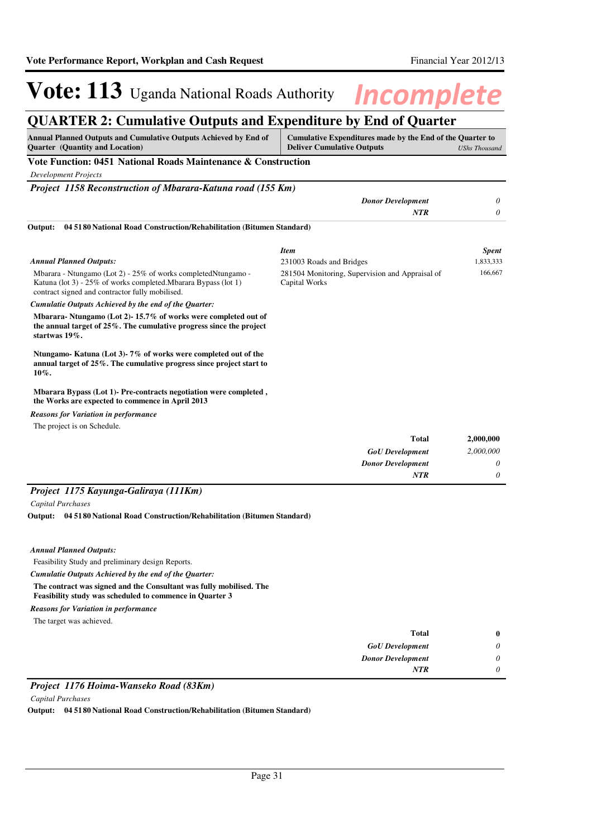### **QUARTER 2: Cumulative Outputs and Expenditure by End of Quarter**

| Annual Planned Outputs and Cumulative Outputs Achieved by End of<br>Cumulative Expenditures made by the End of the Quarter to<br><b>Quarter</b> (Quantity and Location)<br><b>Deliver Cumulative Outputs</b> |                                                                  | <b>UShs Thousand</b> |  |
|--------------------------------------------------------------------------------------------------------------------------------------------------------------------------------------------------------------|------------------------------------------------------------------|----------------------|--|
| Vote Function: 0451 National Roads Maintenance & Construction                                                                                                                                                |                                                                  |                      |  |
| <b>Development Projects</b>                                                                                                                                                                                  |                                                                  |                      |  |
| Project 1158 Reconstruction of Mbarara-Katuna road (155 Km)                                                                                                                                                  |                                                                  |                      |  |
|                                                                                                                                                                                                              | <b>Donor Development</b>                                         | 0                    |  |
|                                                                                                                                                                                                              | <b>NTR</b>                                                       | 0                    |  |
| 04 5180 National Road Construction/Rehabilitation (Bitumen Standard)<br>Output:                                                                                                                              |                                                                  |                      |  |
|                                                                                                                                                                                                              | <b>Item</b>                                                      | <b>Spent</b>         |  |
| <b>Annual Planned Outputs:</b>                                                                                                                                                                               | 231003 Roads and Bridges                                         | 1,833,333            |  |
| Mbarara - Ntungamo (Lot 2) - 25% of works completed Ntungamo -<br>Katuna (lot 3) - 25% of works completed. Mbarara Bypass (lot 1)<br>contract signed and contractor fully mobilised.                         | 281504 Monitoring, Supervision and Appraisal of<br>Capital Works | 166,667              |  |
| Cumulatie Outputs Achieved by the end of the Quarter:                                                                                                                                                        |                                                                  |                      |  |
| Mbarara-Ntungamo (Lot 2)-15.7% of works were completed out of<br>the annual target of $25\%$ . The cumulative progress since the project<br>startwas 19%.                                                    |                                                                  |                      |  |
| Ntungamo-Katuna (Lot 3)-7% of works were completed out of the<br>annual target of 25%. The cumulative progress since project start to<br>10%.                                                                |                                                                  |                      |  |
| Mbarara Bypass (Lot 1)- Pre-contracts negotiation were completed,<br>the Works are expected to commence in April 2013                                                                                        |                                                                  |                      |  |
| <b>Reasons for Variation in performance</b>                                                                                                                                                                  |                                                                  |                      |  |
| The project is on Schedule.                                                                                                                                                                                  |                                                                  |                      |  |
|                                                                                                                                                                                                              | <b>Total</b>                                                     | 2,000,000            |  |
|                                                                                                                                                                                                              | <b>GoU</b> Development                                           | 2,000,000            |  |
|                                                                                                                                                                                                              | <b>Donor Development</b>                                         | 0                    |  |
|                                                                                                                                                                                                              | <b>NTR</b>                                                       | 0                    |  |
| Project 1175 Kayunga-Galiraya (111Km)                                                                                                                                                                        |                                                                  |                      |  |
| <b>Capital Purchases</b>                                                                                                                                                                                     |                                                                  |                      |  |
| Output: 04 51 80 National Road Construction/Rehabilitation (Bitumen Standard)                                                                                                                                |                                                                  |                      |  |
|                                                                                                                                                                                                              |                                                                  |                      |  |
| <b>Annual Planned Outputs:</b>                                                                                                                                                                               |                                                                  |                      |  |
| Feasibility Study and preliminary design Reports.                                                                                                                                                            |                                                                  |                      |  |
| Cumulatie Outputs Achieved by the end of the Quarter:                                                                                                                                                        |                                                                  |                      |  |
| The contract was signed and the Consultant was fully mobilised. The<br><b>Feasibility study was scheduled to commence in Quarter 3</b>                                                                       |                                                                  |                      |  |

*Reasons for Variation in performance*

The target was achieved.

| 0 | <b>Total</b>             |
|---|--------------------------|
|   | <b>GoU</b> Development   |
|   | <b>Donor Development</b> |
|   | <b>NTR</b>               |

### *Project 1176 Hoima-Wanseko Road (83Km)*

*Capital Purchases*

**Output: 04 5180 National Road Construction/Rehabilitation (Bitumen Standard)**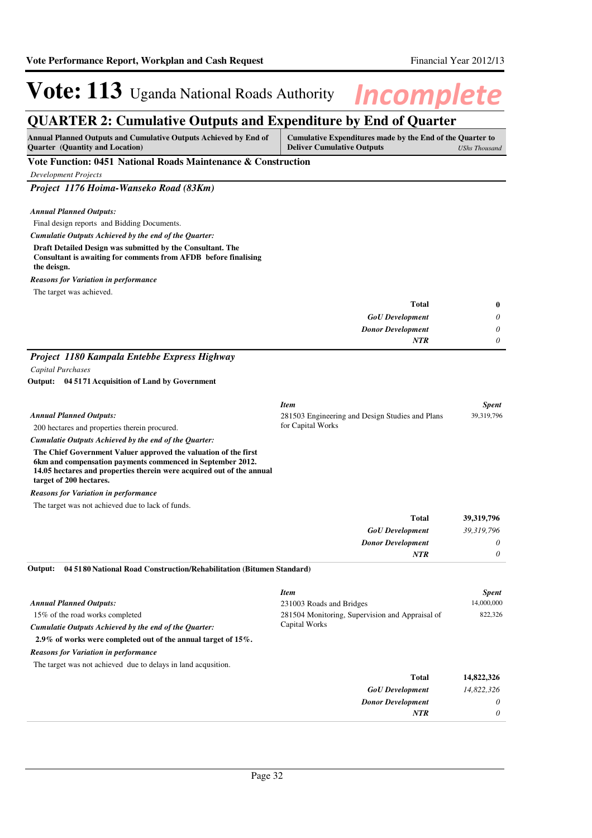### **QUARTER 2: Cumulative Outputs and Expenditure by End of Quarter**

| <b>Annual Planned Outputs and Cumulative Outputs Achieved by End of</b> | Cumulative Expenditures made by the End of the Quarter to |
|-------------------------------------------------------------------------|-----------------------------------------------------------|
| <b>Quarter</b> (Quantity and Location)                                  | <b>Deliver Cumulative Outputs</b><br>UShs Thousand        |
| <b>**</b> 1 <b>m</b><br>$A = 1.57 \cdot 10$<br>$\mathbf{r}$             |                                                           |

### **Vote Function: 0451 National Roads Maintenance & Construction**

*Development Projects*

*Project 1176 Hoima-Wanseko Road (83Km)*

### *Annual Planned Outputs:*

Final design reports and Bidding Documents.

*Cumulatie Outputs Achieved by the end of the Quarter:*

#### **Draft Detailed Design was submitted by the Consultant. The Consultant is awaiting for comments from AFDB before finalising the deisgn.**

*Reasons for Variation in performance*

The target was achieved.

|   | <b>Total</b>             |
|---|--------------------------|
|   | <b>GoU</b> Development   |
| 0 | <b>Donor Development</b> |
|   | <b>NTR</b>               |
|   |                          |

### *Project 1180 Kampala Entebbe Express Highway*

*Capital Purchases*

**04 5171 Acquisition of Land by Government Output:**

|                                                                       | <b>Item</b>                                     | <b>Spent</b> |
|-----------------------------------------------------------------------|-------------------------------------------------|--------------|
| <b>Annual Planned Outputs:</b>                                        | 281503 Engineering and Design Studies and Plans | 39, 319, 796 |
| 200 hectares and properties therein procured.                         | for Capital Works                               |              |
| Cumulatie Outputs Achieved by the end of the Ouarter:                 |                                                 |              |
| The Chief Government Valuer approved the valuation of the first       |                                                 |              |
| 6km and compensation payments commenced in September 2012.            |                                                 |              |
| 14.05 hectares and properties therein were acquired out of the annual |                                                 |              |
| target of 200 hectares.                                               |                                                 |              |

*Reasons for Variation in performance*

The target was not achieved due to lack of funds.

| 39,319,796 | <b>Total</b>             |
|------------|--------------------------|
| 39,319,796 | <b>GoU</b> Development   |
| 0          | <b>Donor Development</b> |
| 0          | NTR                      |

**04 5180 National Road Construction/Rehabilitation (Bitumen Standard) Output:**

|                                                                   | <b>Item</b>                                     | <b>Spent</b> |
|-------------------------------------------------------------------|-------------------------------------------------|--------------|
| <b>Annual Planned Outputs:</b>                                    | 231003 Roads and Bridges                        | 14,000,000   |
| 15% of the road works completed                                   | 281504 Monitoring, Supervision and Appraisal of | 822,326      |
| Cumulatie Outputs Achieved by the end of the Quarter:             | Capital Works                                   |              |
| 2.9% of works were completed out of the annual target of $15\%$ . |                                                 |              |
| <b>Reasons for Variation in performance</b>                       |                                                 |              |
| The target was not achieved due to delays in land acquaition.     |                                                 |              |
|                                                                   | <b>Total</b>                                    | 14,822,326   |
|                                                                   | <b>GoU</b> Development                          | 14,822,326   |
|                                                                   | <b>Donor Development</b>                        | $\theta$     |
|                                                                   | <b>NTR</b>                                      | $\theta$     |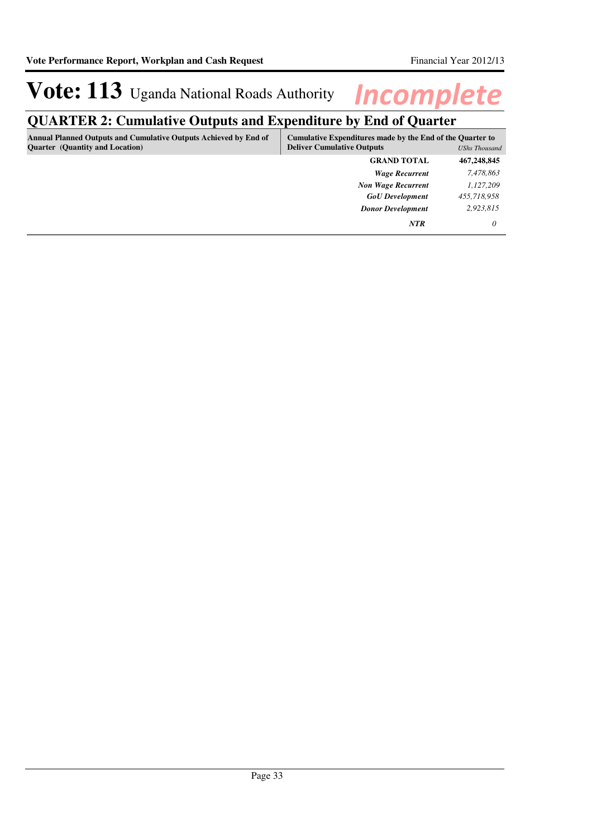## **QUARTER 2: Cumulative Outputs and Expenditure by End of Quarter**

| <b>Annual Planned Outputs and Cumulative Outputs Achieved by End of</b><br><b>Quarter</b> (Quantity and Location) | Cumulative Expenditures made by the End of the Quarter to<br><b>Deliver Cumulative Outputs</b><br><b>UShs Thousand</b> |             |
|-------------------------------------------------------------------------------------------------------------------|------------------------------------------------------------------------------------------------------------------------|-------------|
|                                                                                                                   | <b>GRAND TOTAL</b>                                                                                                     | 467,248,845 |
|                                                                                                                   | <b>Wage Recurrent</b>                                                                                                  | 7,478,863   |
|                                                                                                                   | <b>Non Wage Recurrent</b>                                                                                              | 1,127,209   |
|                                                                                                                   | <b>GoU</b> Development                                                                                                 | 455,718,958 |
|                                                                                                                   | <b>Donor Development</b>                                                                                               | 2,923,815   |
|                                                                                                                   | <b>NTR</b>                                                                                                             | 0           |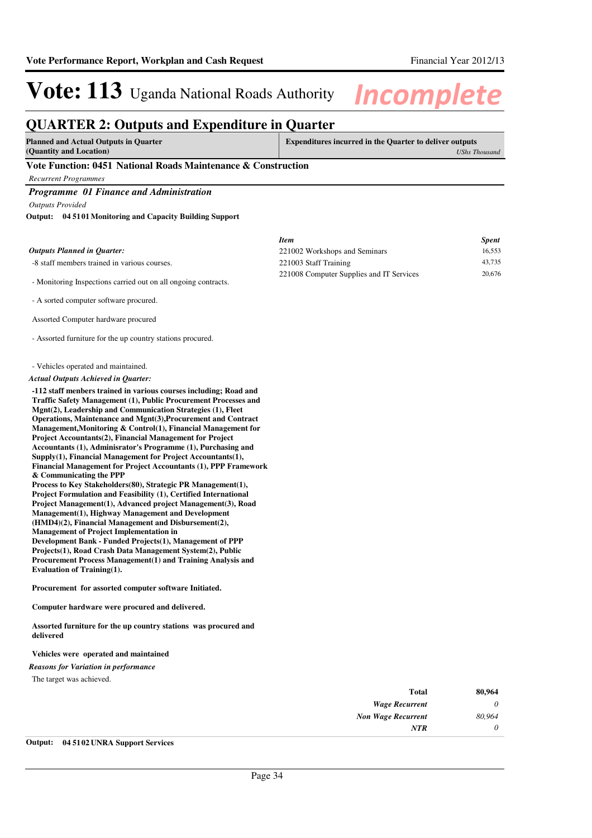*0*

*NTR*

# **Vote: 113** Uganda National Roads Authority **Incomplete**

### **QUARTER 2: Outputs and Expenditure in Quarter**

**Planned and Actual Outputs in Quarter (Quantity and Location)**

**Expenditures incurred in the Quarter to deliver outputs**  *UShs Thousand*

### **Vote Function: 0451 National Roads Maintenance & Construction**

*Recurrent Programmes*

### *Programme 01 Finance and Administration*

*Outputs Provided*

#### **04 5101 Monitoring and Capacity Building Support Output:**

|                                                                                                                                                                                                                                                                                                                                                                                                                                                                                                                                                                                                                                                                                                                                                                                                                                                                                                                                                                                                                                                                                                                                                                                                                                                              | <b>Item</b>                              | <b>Spent</b> |
|--------------------------------------------------------------------------------------------------------------------------------------------------------------------------------------------------------------------------------------------------------------------------------------------------------------------------------------------------------------------------------------------------------------------------------------------------------------------------------------------------------------------------------------------------------------------------------------------------------------------------------------------------------------------------------------------------------------------------------------------------------------------------------------------------------------------------------------------------------------------------------------------------------------------------------------------------------------------------------------------------------------------------------------------------------------------------------------------------------------------------------------------------------------------------------------------------------------------------------------------------------------|------------------------------------------|--------------|
| <b>Outputs Planned in Quarter:</b>                                                                                                                                                                                                                                                                                                                                                                                                                                                                                                                                                                                                                                                                                                                                                                                                                                                                                                                                                                                                                                                                                                                                                                                                                           | 221002 Workshops and Seminars            | 16,553       |
| -8 staff members trained in various courses.                                                                                                                                                                                                                                                                                                                                                                                                                                                                                                                                                                                                                                                                                                                                                                                                                                                                                                                                                                                                                                                                                                                                                                                                                 | 221003 Staff Training                    | 43,735       |
| - Monitoring Inspections carried out on all ongoing contracts.                                                                                                                                                                                                                                                                                                                                                                                                                                                                                                                                                                                                                                                                                                                                                                                                                                                                                                                                                                                                                                                                                                                                                                                               | 221008 Computer Supplies and IT Services | 20,676       |
| - A sorted computer software procured.                                                                                                                                                                                                                                                                                                                                                                                                                                                                                                                                                                                                                                                                                                                                                                                                                                                                                                                                                                                                                                                                                                                                                                                                                       |                                          |              |
| Assorted Computer hardware procured                                                                                                                                                                                                                                                                                                                                                                                                                                                                                                                                                                                                                                                                                                                                                                                                                                                                                                                                                                                                                                                                                                                                                                                                                          |                                          |              |
| - Assorted furniture for the up country stations procured.                                                                                                                                                                                                                                                                                                                                                                                                                                                                                                                                                                                                                                                                                                                                                                                                                                                                                                                                                                                                                                                                                                                                                                                                   |                                          |              |
| - Vehicles operated and maintained.                                                                                                                                                                                                                                                                                                                                                                                                                                                                                                                                                                                                                                                                                                                                                                                                                                                                                                                                                                                                                                                                                                                                                                                                                          |                                          |              |
| Actual Outputs Achieved in Quarter:                                                                                                                                                                                                                                                                                                                                                                                                                                                                                                                                                                                                                                                                                                                                                                                                                                                                                                                                                                                                                                                                                                                                                                                                                          |                                          |              |
| -112 staff menbers trained in various courses including; Road and<br>Traffic Safety Management (1), Public Procurement Processes and<br>Mgnt(2), Leadership and Communication Strategies (1), Fleet<br>Operations, Maintenance and Mgnt(3), Procurement and Contract<br>Management, Monitoring & Control(1), Financial Management for<br><b>Project Accountants(2), Financial Management for Project</b><br>Accountants (1), Adminisrator's Programme (1), Purchasing and<br>Supply(1), Financial Management for Project Accountants(1),<br>Financial Management for Project Accountants (1), PPP Framework<br>& Communicating the PPP<br>Process to Key Stakeholders (80), Strategic PR Management (1),<br><b>Project Formulation and Feasibility (1), Certified International</b><br>Project Management(1), Advanced project Management(3), Road<br><b>Management(1), Highway Management and Development</b><br>(HMD4)(2), Financial Management and Disbursement(2),<br><b>Management of Project Implementation in</b><br>Development Bank - Funded Projects(1), Management of PPP<br>Projects(1), Road Crash Data Management System(2), Public<br><b>Procurement Process Management(1) and Training Analysis and</b><br><b>Evaluation of Training(1).</b> |                                          |              |
| Procurement for assorted computer software Initiated.                                                                                                                                                                                                                                                                                                                                                                                                                                                                                                                                                                                                                                                                                                                                                                                                                                                                                                                                                                                                                                                                                                                                                                                                        |                                          |              |
| Computer hardware were procured and delivered.                                                                                                                                                                                                                                                                                                                                                                                                                                                                                                                                                                                                                                                                                                                                                                                                                                                                                                                                                                                                                                                                                                                                                                                                               |                                          |              |
| Assorted furniture for the up country stations was procured and<br>delivered                                                                                                                                                                                                                                                                                                                                                                                                                                                                                                                                                                                                                                                                                                                                                                                                                                                                                                                                                                                                                                                                                                                                                                                 |                                          |              |
| Vehicles were operated and maintained                                                                                                                                                                                                                                                                                                                                                                                                                                                                                                                                                                                                                                                                                                                                                                                                                                                                                                                                                                                                                                                                                                                                                                                                                        |                                          |              |
| Reasons for Variation in performance                                                                                                                                                                                                                                                                                                                                                                                                                                                                                                                                                                                                                                                                                                                                                                                                                                                                                                                                                                                                                                                                                                                                                                                                                         |                                          |              |
| The target was achieved.                                                                                                                                                                                                                                                                                                                                                                                                                                                                                                                                                                                                                                                                                                                                                                                                                                                                                                                                                                                                                                                                                                                                                                                                                                     |                                          |              |
|                                                                                                                                                                                                                                                                                                                                                                                                                                                                                                                                                                                                                                                                                                                                                                                                                                                                                                                                                                                                                                                                                                                                                                                                                                                              | <b>Total</b>                             | 80,964       |
|                                                                                                                                                                                                                                                                                                                                                                                                                                                                                                                                                                                                                                                                                                                                                                                                                                                                                                                                                                                                                                                                                                                                                                                                                                                              | <b>Wage Recurrent</b>                    | 0            |
|                                                                                                                                                                                                                                                                                                                                                                                                                                                                                                                                                                                                                                                                                                                                                                                                                                                                                                                                                                                                                                                                                                                                                                                                                                                              | <b>Non Wage Recurrent</b>                | 80.964       |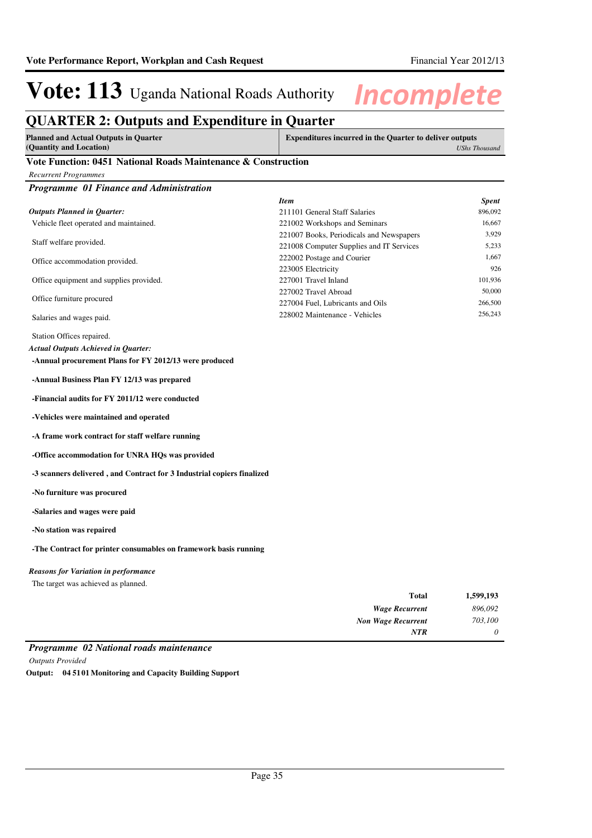### **QUARTER 2: Outputs and Expenditure in Quarter**

| <b>Planned and Actual Outputs in Quarter</b> | <b>Expenditures incurred in the Quarter to deliver outputs</b> |
|----------------------------------------------|----------------------------------------------------------------|
| (Quantity and Location)                      | <b>UShs Thousand</b>                                           |

### **Vote Function: 0451 National Roads Maintenance & Construction**

| <b>Recurrent Programmes</b>                                            |                                          |              |
|------------------------------------------------------------------------|------------------------------------------|--------------|
| Programme 01 Finance and Administration                                |                                          |              |
|                                                                        | <b>Item</b>                              | <b>Spent</b> |
| <b>Outputs Planned in Quarter:</b>                                     | 211101 General Staff Salaries            | 896,092      |
| Vehicle fleet operated and maintained.                                 | 221002 Workshops and Seminars            | 16,667       |
|                                                                        | 221007 Books, Periodicals and Newspapers | 3,929        |
| Staff welfare provided.                                                | 221008 Computer Supplies and IT Services | 5,233        |
| Office accommodation provided.                                         | 222002 Postage and Courier               | 1,667        |
|                                                                        | 223005 Electricity                       | 926          |
| Office equipment and supplies provided.                                | 227001 Travel Inland                     | 101,936      |
| Office furniture procured                                              | 227002 Travel Abroad                     | 50,000       |
|                                                                        | 227004 Fuel, Lubricants and Oils         | 266,500      |
| Salaries and wages paid.                                               | 228002 Maintenance - Vehicles            | 256,243      |
| Station Offices repaired.                                              |                                          |              |
| <b>Actual Outputs Achieved in Quarter:</b>                             |                                          |              |
| -Annual procurement Plans for FY 2012/13 were produced                 |                                          |              |
| -Annual Business Plan FY 12/13 was prepared                            |                                          |              |
| -Financial audits for FY 2011/12 were conducted                        |                                          |              |
| -Vehicles were maintained and operated                                 |                                          |              |
| -A frame work contract for staff welfare running                       |                                          |              |
| -Office accommodation for UNRA HQs was provided                        |                                          |              |
| -3 scanners delivered, and Contract for 3 Industrial copiers finalized |                                          |              |
| -No furniture was procured                                             |                                          |              |
| -Salaries and wages were paid                                          |                                          |              |
| -No station was repaired                                               |                                          |              |
| -The Contract for printer consumables on framework basis running       |                                          |              |
| <b>Reasons for Variation in performance</b>                            |                                          |              |
| The target was achieved as planned.                                    |                                          |              |
|                                                                        | Total                                    | 1,599,193    |
|                                                                        | <b>Wage Recurrent</b>                    | 896,092      |

|                                         | <b>NTR</b> |  |
|-----------------------------------------|------------|--|
| Programme 02 National roads maintenance |            |  |
| <b>Outputs Provided</b>                 |            |  |

*Non Wage Recurrent*

*703,100*

**Output: 04 5101 Monitoring and Capacity Building Support**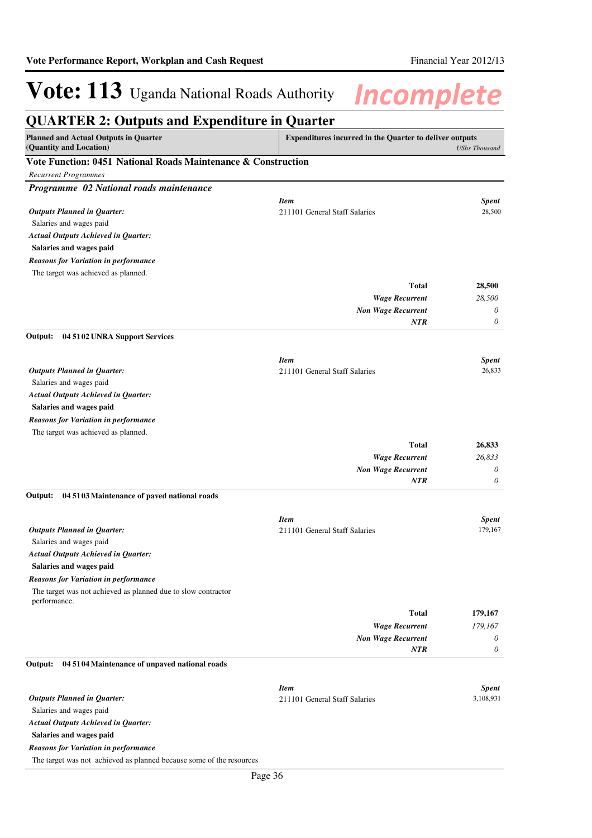| <b>QUARTER 2: Outputs and Expenditure in Quarter</b>                          |                                                                |                           |
|-------------------------------------------------------------------------------|----------------------------------------------------------------|---------------------------|
| <b>Planned and Actual Outputs in Quarter</b><br>(Quantity and Location)       | <b>Expenditures incurred in the Quarter to deliver outputs</b> | <b>UShs Thousand</b>      |
| Vote Function: 0451 National Roads Maintenance & Construction                 |                                                                |                           |
| <b>Recurrent Programmes</b>                                                   |                                                                |                           |
| Programme 02 National roads maintenance                                       |                                                                |                           |
|                                                                               | <b>Item</b>                                                    | <b>Spent</b>              |
| <b>Outputs Planned in Quarter:</b>                                            | 211101 General Staff Salaries                                  | 28,500                    |
| Salaries and wages paid                                                       |                                                                |                           |
| <b>Actual Outputs Achieved in Quarter:</b>                                    |                                                                |                           |
| Salaries and wages paid                                                       |                                                                |                           |
| <b>Reasons for Variation in performance</b>                                   |                                                                |                           |
| The target was achieved as planned.                                           |                                                                |                           |
|                                                                               | <b>Total</b>                                                   | 28,500                    |
|                                                                               | <b>Wage Recurrent</b>                                          | 28,500                    |
|                                                                               | <b>Non Wage Recurrent</b>                                      | 0                         |
|                                                                               | NTR                                                            | 0                         |
| 04 5102 UNRA Support Services<br>Output:                                      |                                                                |                           |
|                                                                               | <b>Item</b>                                                    | <b>Spent</b>              |
| <b>Outputs Planned in Quarter:</b>                                            | 211101 General Staff Salaries                                  | 26,833                    |
| Salaries and wages paid                                                       |                                                                |                           |
| <b>Actual Outputs Achieved in Quarter:</b>                                    |                                                                |                           |
| Salaries and wages paid                                                       |                                                                |                           |
| <b>Reasons for Variation in performance</b>                                   |                                                                |                           |
| The target was achieved as planned.                                           |                                                                |                           |
|                                                                               | <b>Total</b>                                                   | 26,833                    |
|                                                                               | <b>Wage Recurrent</b>                                          | 26,833                    |
|                                                                               | <b>Non Wage Recurrent</b><br><b>NTR</b>                        | 0<br>0                    |
| 04 5103 Maintenance of paved national roads<br>Output:                        |                                                                |                           |
|                                                                               |                                                                |                           |
|                                                                               | <b>Item</b>                                                    | <b>Spent</b>              |
| <b>Outputs Planned in Quarter:</b>                                            | 211101 General Staff Salaries                                  | 179,167                   |
| Salaries and wages paid                                                       |                                                                |                           |
| <b>Actual Outputs Achieved in Quarter:</b>                                    |                                                                |                           |
| Salaries and wages paid                                                       |                                                                |                           |
| <b>Reasons for Variation in performance</b>                                   |                                                                |                           |
| The target was not achieved as planned due to slow contractor<br>performance. |                                                                |                           |
|                                                                               | <b>Total</b>                                                   | 179,167                   |
|                                                                               | <b>Wage Recurrent</b>                                          | 179,167                   |
|                                                                               | <b>Non Wage Recurrent</b>                                      | 0                         |
|                                                                               | <b>NTR</b>                                                     | 0                         |
| Output:<br>04 5104 Maintenance of unpaved national roads                      |                                                                |                           |
|                                                                               |                                                                |                           |
| <b>Outputs Planned in Quarter:</b>                                            | <b>Item</b><br>211101 General Staff Salaries                   | <b>Spent</b><br>3,108,931 |
| Salaries and wages paid                                                       |                                                                |                           |
| <b>Actual Outputs Achieved in Quarter:</b>                                    |                                                                |                           |
| Salaries and wages paid                                                       |                                                                |                           |
| <b>Reasons for Variation in performance</b>                                   |                                                                |                           |
| The target was not achieved as planned because some of the resources          |                                                                |                           |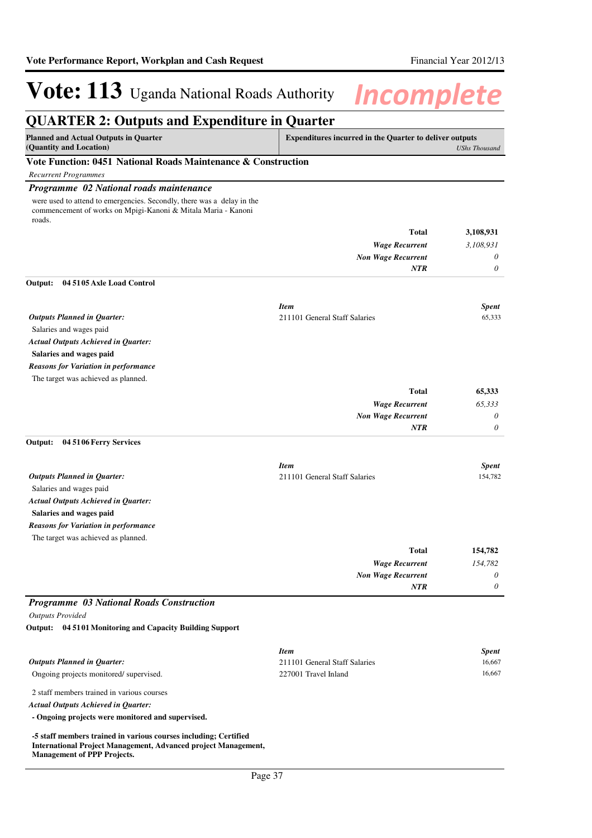## **QUARTER 2: Outputs and Expenditure in Quarter**

| Planned and Actual Outputs in Quarter                                                                                                                                                                                                                                                            | <b>Expenditures incurred in the Quarter to deliver outputs</b> |  |
|--------------------------------------------------------------------------------------------------------------------------------------------------------------------------------------------------------------------------------------------------------------------------------------------------|----------------------------------------------------------------|--|
| (Quantity and Location)                                                                                                                                                                                                                                                                          | UShs Thousand                                                  |  |
| $\mathbf{v}$ and $\mathbf{v}$ and $\mathbf{v}$ and $\mathbf{v}$ and $\mathbf{v}$ and $\mathbf{v}$ and $\mathbf{v}$ and $\mathbf{v}$ and $\mathbf{v}$ and $\mathbf{v}$ and $\mathbf{v}$ and $\mathbf{v}$ and $\mathbf{v}$ and $\mathbf{v}$ and $\mathbf{v}$ and $\mathbf{v}$ and $\mathbf{v}$ and |                                                                |  |

## **Vote Function: 0451 National Roads Maintenance & Construction**

*Recurrent Programmes*

## *Programme 02 National roads maintenance*

were used to attend to emergencies. Secondly, there was a delay in the commencement of works on Mpigi-Kanoni & Mitala Maria - Kanoni roads.

|                                            | <b>Total</b>                  | 3,108,931    |
|--------------------------------------------|-------------------------------|--------------|
|                                            | <b>Wage Recurrent</b>         | 3,108,931    |
|                                            | <b>Non Wage Recurrent</b>     | $\theta$     |
|                                            | <b>NTR</b>                    | $\theta$     |
| 04 5105 Axle Load Control<br>Output:       |                               |              |
|                                            | <b>Item</b>                   | <b>Spent</b> |
| <b>Outputs Planned in Quarter:</b>         | 211101 General Staff Salaries | 65,333       |
| Salaries and wages paid                    |                               |              |
| <b>Actual Outputs Achieved in Quarter:</b> |                               |              |
| Salaries and wages paid                    |                               |              |

## *Reasons for Variation in performance*

The target was achieved as planned.

| 65,333   | <b>Total</b>              |
|----------|---------------------------|
| 65,333   | <b>Wage Recurrent</b>     |
| $\theta$ | <b>Non Wage Recurrent</b> |
| $\theta$ | <b>NTR</b>                |
|          |                           |

### **04 5106 Ferry Services Output:**

|                                             | <b>Item</b>                   | <b>Spent</b> |
|---------------------------------------------|-------------------------------|--------------|
| <b>Outputs Planned in Quarter:</b>          | 211101 General Staff Salaries | 154,782      |
| Salaries and wages paid                     |                               |              |
| <b>Actual Outputs Achieved in Ouarter:</b>  |                               |              |
| Salaries and wages paid                     |                               |              |
| <b>Reasons for Variation in performance</b> |                               |              |
| The target was achieved as planned.         |                               |              |

| 154,782 | <b>Total</b>              |
|---------|---------------------------|
| 154,782 | <b>Wage Recurrent</b>     |
| 0       | <b>Non Wage Recurrent</b> |
| 0       | <b>NTR</b>                |

## *Programme 03 National Roads Construction*

*Outputs Provided*

**04 5101 Monitoring and Capacity Building Support Output:**

|                                            | <b>Item</b>                   | <b>Spent</b> |
|--------------------------------------------|-------------------------------|--------------|
| <b>Outputs Planned in Ouarter:</b>         | 211101 General Staff Salaries | 16.667       |
| Ongoing projects monitored/supervised.     | 227001 Travel Inland          | 16.667       |
| 2 staff members trained in various courses |                               |              |
| <b>Actual Outputs Achieved in Ouarter:</b> |                               |              |
|                                            |                               |              |

**- Ongoing projects were monitored and supervised.**

**-5 staff members trained in various courses including; Certified International Project Management, Advanced project Management, Management of PPP Projects.**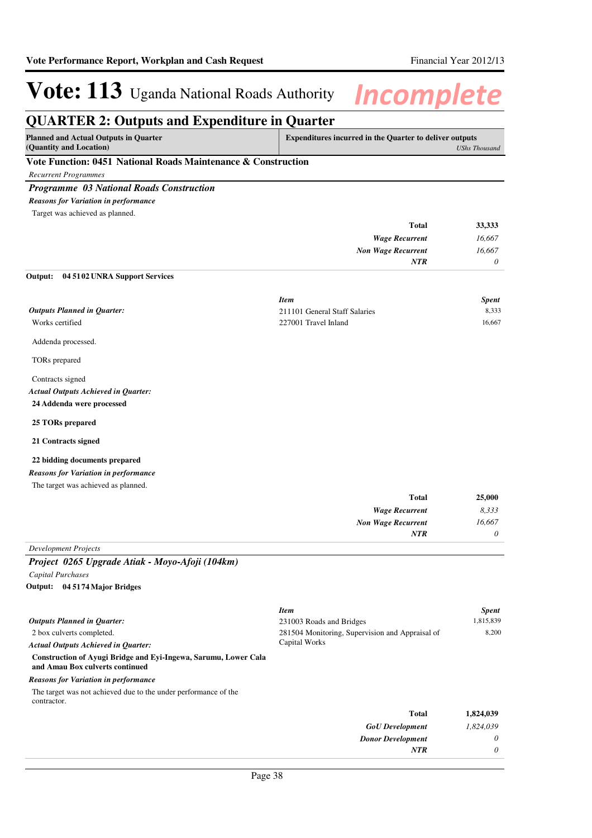*0*

*NTR*

# **Vote: 113** Uganda National Roads Authority **Incomplete**

## **QUARTER 2: Outputs and Expenditure in Quarter**

| <b>Planned and Actual Outputs in Quarter</b>                  | <b>Expenditures incurred in the Quarter to deliver outputs</b> |  |
|---------------------------------------------------------------|----------------------------------------------------------------|--|
| (Quantity and Location)                                       | UShs Thousand                                                  |  |
| Vote Function: 0451 National Roads Maintenance & Construction |                                                                |  |

*Recurrent Programmes*

## *Programme 03 National Roads Construction*

*Reasons for Variation in performance*

Target was achieved as planned.

| 33,333   | Total                 |
|----------|-----------------------|
| 16,667   | <b>Wage Recurrent</b> |
| 16,667   | Non Wage Recurrent    |
| $\theta$ | <b>NTR</b>            |
|          |                       |

### **04 5102 UNRA Support Services Output:**

|                                    | <b>Item</b>                   | <b>Spent</b> |
|------------------------------------|-------------------------------|--------------|
| <b>Outputs Planned in Quarter:</b> | 211101 General Staff Salaries | 8.333        |
| Works certified                    | 227001 Travel Inland          | 16.667       |
| Addenda processed.                 |                               |              |

TORs prepared

Contracts signed **24 Addenda were processed** *Actual Outputs Achieved in Quarter:*

### **25 TORs prepared**

**21 Contracts signed**

### **22 bidding documents prepared**

*Reasons for Variation in performance*

| The target was achieved as planned. |  |
|-------------------------------------|--|
|-------------------------------------|--|

| 25,000   | <b>Total</b>              |
|----------|---------------------------|
| 8,333    | <b>Wage Recurrent</b>     |
| 16,667   | <b>Non Wage Recurrent</b> |
| $\theta$ | <b>NTR</b>                |
|          |                           |

## *Development Projects*

*Project 0265 Upgrade Atiak - Moyo-Afoji (104km)*

*Capital Purchases* **04 5174 Major Bridges Output:**

|                                                                                                    | <b>Item</b>                                                      | <b>Spent</b> |
|----------------------------------------------------------------------------------------------------|------------------------------------------------------------------|--------------|
| Outputs Planned in Quarter:                                                                        | 231003 Roads and Bridges                                         | 1,815,839    |
| 2 box culverts completed.                                                                          | 281504 Monitoring, Supervision and Appraisal of<br>Capital Works | 8.200        |
| Actual Outputs Achieved in Ouarter:                                                                |                                                                  |              |
| Construction of Ayugi Bridge and Eyi-Ingewa, Sarumu, Lower Cala<br>and Amau Box culverts continued |                                                                  |              |
| Reasons for Variation in performance                                                               |                                                                  |              |
| The target was not achieved due to the under performance of the<br>contractor.                     |                                                                  |              |
|                                                                                                    | Total                                                            | 1,824,039    |
|                                                                                                    | <b>GoU</b> Development                                           | 1,824,039    |
|                                                                                                    | <b>Donor Development</b>                                         | $\theta$     |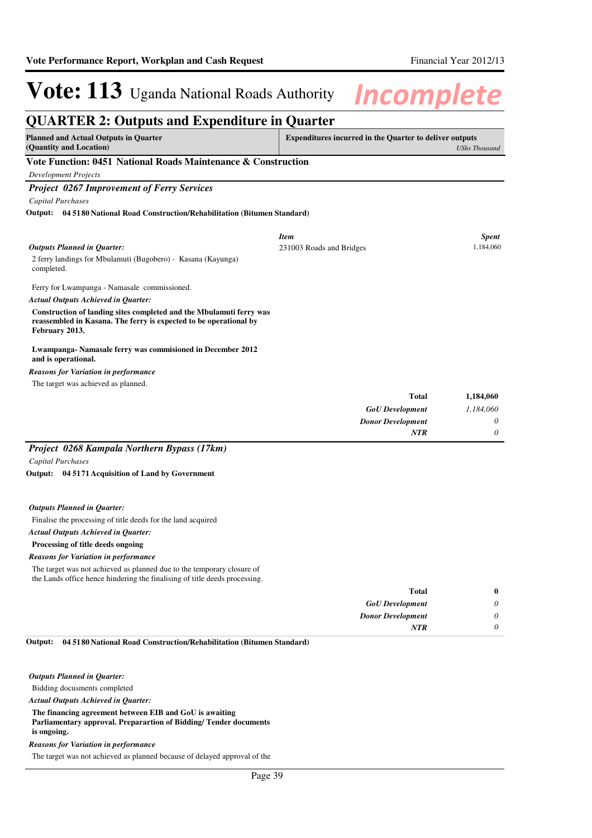**Total**

# **Vote: 113** Uganda National Roads Authority **Incomplete**

## **QUARTER 2: Outputs and Expenditure in Quarter Planned and Actual Outputs in Quarter (Quantity and Location) Expenditures incurred in the Quarter to deliver outputs**  *UShs Thousand* **Vote Function: 0451 National Roads Maintenance & Construction** *Development Projects Project 0267 Improvement of Ferry Services Capital Purchases* 2 ferry landings for Mbulamuti (Bugobero) - Kasana (Kayunga) completed. Ferry for Lwampanga - Namasale commissioned. **Construction of landing sites completed and the Mbulamuti ferry was reassembled in Kasana. The ferry is expected to be operational by February 2013. Lwampanga- Namasale ferry was commisioned in December 2012 and is operational. 04 5180 National Road Construction/Rehabilitation (Bitumen Standard) Output:** *GoU Development Donor Development* **Total** *1,184,060 0 0* **1,184,060** *Actual Outputs Achieved in Quarter: Outputs Planned in Quarter: NTR* The target was achieved as planned. *Reasons for Variation in performance Item Spent* 231003 Roads and Bridges 1,184,060 *Project 0268 Kampala Northern Bypass (17km)*

*Capital Purchases*

**04 5171 Acquisition of Land by Government Output:**

### *Outputs Planned in Quarter:*

Finalise the processing of title deeds for the land acquired

### *Actual Outputs Achieved in Quarter:*

**Processing of title deeds ongoing**

#### *Reasons for Variation in performance*

The target was not achieved as planned due to the temporary closure of the Lands office hence hindering the finalising of title deeds processing.

| $\bf{0}$ | Total                    |
|----------|--------------------------|
| 0        | <b>GoU</b> Development   |
| 0        | <b>Donor Development</b> |
|          | <b>NTR</b>               |
|          |                          |

#### **04 5180 National Road Construction/Rehabilitation (Bitumen Standard) Output:**

### *Outputs Planned in Quarter:*

Bidding docusments completed

*Actual Outputs Achieved in Quarter:*

**The financing agreement between EIB and GoU is awaiting Parliamentary approval. Preparartion of Bidding/ Tender documents is ongoing.**

#### *Reasons for Variation in performance*

The target was not achieved as planned because of delayed approval of the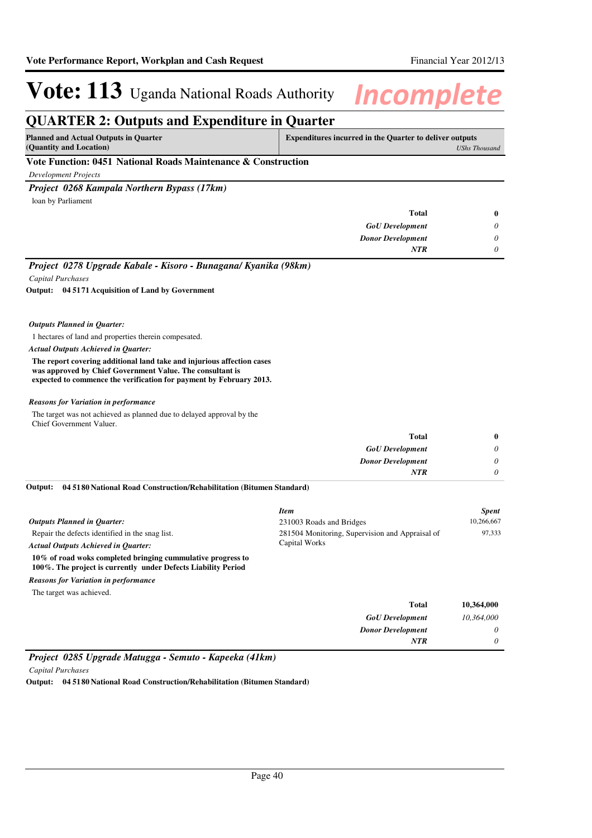## **QUARTER 2: Outputs and Expenditure in Quarter**

| <b>Planned and Actual Outputs in Quarter</b><br>(Quantity and Location) | <b>Expenditures incurred in the Quarter to deliver outputs</b> | UShs Thousand |
|-------------------------------------------------------------------------|----------------------------------------------------------------|---------------|
| Vote Function: 0451 National Roads Maintenance & Construction           |                                                                |               |
| Development Projects                                                    |                                                                |               |
| Project 0268 Kampala Northern Bypass (17km)                             |                                                                |               |
| loan by Parliament                                                      |                                                                |               |
|                                                                         | <b>Total</b>                                                   | $\mathbf{0}$  |
|                                                                         | <b>GoU</b> Development                                         | $\theta$      |
|                                                                         | <b>Donor Development</b>                                       | $\theta$      |
|                                                                         | <b>NTR</b>                                                     | $\theta$      |
|                                                                         |                                                                |               |

*Project 0278 Upgrade Kabale - Kisoro - Bunagana/ Kyanika (98km)*

*Capital Purchases*

**04 5171 Acquisition of Land by Government Output:**

### *Outputs Planned in Quarter:*

1 hectares of land and properties therein compesated.

*Actual Outputs Achieved in Quarter:*

**The report covering additional land take and injurious affection cases was approved by Chief Government Value. The consultant is expected to commence the verification for payment by February 2013.**

### *Reasons for Variation in performance*

The target was not achieved as planned due to delayed approval by the Chief Government Valuer.

| 0                     | <b>Total</b>             |
|-----------------------|--------------------------|
| $\boldsymbol{\omega}$ | <b>GoU</b> Development   |
| $\boldsymbol{\omega}$ | <b>Donor Development</b> |
| υ                     | NTR                      |
|                       |                          |

**04 5180 National Road Construction/Rehabilitation (Bitumen Standard) Output:**

|                                                                                                                              | <b>Item</b>                                                      | <b>Spent</b> |
|------------------------------------------------------------------------------------------------------------------------------|------------------------------------------------------------------|--------------|
| <b>Outputs Planned in Ouarter:</b>                                                                                           | 231003 Roads and Bridges                                         | 10.266,667   |
| Repair the defects identified in the snag list.                                                                              | 281504 Monitoring, Supervision and Appraisal of<br>Capital Works | 97.333       |
| <b>Actual Outputs Achieved in Ouarter:</b>                                                                                   |                                                                  |              |
| 10% of road woks completed bringing cummulative progress to<br>100%. The project is currently under Defects Liability Period |                                                                  |              |
| <b>Reasons for Variation in performance</b>                                                                                  |                                                                  |              |
| The target was achieved.                                                                                                     |                                                                  |              |
|                                                                                                                              | <b>Total</b>                                                     | 10,364,000   |
|                                                                                                                              | <b>GoU</b> Development                                           | 10.364,000   |
|                                                                                                                              | <b>Donor Development</b>                                         | $\theta$     |
|                                                                                                                              | <b>NTR</b>                                                       | $\theta$     |

*Project 0285 Upgrade Matugga - Semuto - Kapeeka (41km)*

*Capital Purchases*

**Output: 04 5180 National Road Construction/Rehabilitation (Bitumen Standard)**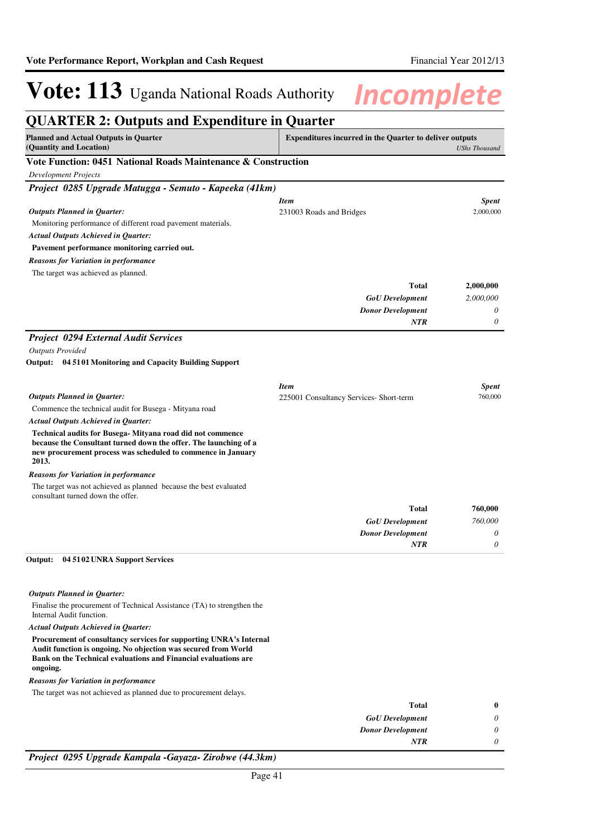## **QUARTER 2: Outputs and Expenditure in Quarter Planned and Actual Outputs in Quarter (Quantity and Location) Expenditures incurred in the Quarter to deliver outputs**  *UShs Thousand* **Vote Function: 0451 National Roads Maintenance & Construction** *Development Projects Project 0285 Upgrade Matugga - Semuto - Kapeeka (41km)* Monitoring performance of different road pavement materials. **Pavement performance monitoring carried out.** *GoU Development Donor Development* **Total** *2,000,000 0 0* **2,000,000** *Actual Outputs Achieved in Quarter: Outputs Planned in Quarter: NTR* The target was achieved as planned. *Reasons for Variation in performance Item Spent* 231003 Roads and Bridges 2,000,000 *Project 0294 External Audit Services Outputs Provided* Commence the technical audit for Busega - Mityana road **Technical audits for Busega- Mityana road did not commence because the Consultant turned down the offer. The launching of a new procurement process was scheduled to commence in January 2013. 04 5101 Monitoring and Capacity Building Support Output:** *GoU Development Donor Development* **Total** *760,000 0 0* **760,000** *Actual Outputs Achieved in Quarter: Outputs Planned in Quarter: NTR* The target was not achieved as planned because the best evaluated consultant turned down the offer. *Reasons for Variation in performance Item Spent* 225001 Consultancy Services- Short-term 760,000 Finalise the procurement of Technical Assistance (TA) to strengthen the Internal Audit function. **04 5102 UNRA Support Services Output:** *Outputs Planned in Quarter:*

*Actual Outputs Achieved in Quarter:*

**Procurement of consultancy services for supporting UNRA's Internal Audit function is ongoing. No objection was secured from World Bank on the Technical evaluations and Financial evaluations are ongoing.**

*Reasons for Variation in performance*

The target was not achieved as planned due to procurement delays.

| <b>Total</b>             |
|--------------------------|
| <b>GoU</b> Development   |
| <b>Donor Development</b> |
| <b>NTR</b>               |

*Project 0295 Upgrade Kampala -Gayaza- Zirobwe (44.3km)*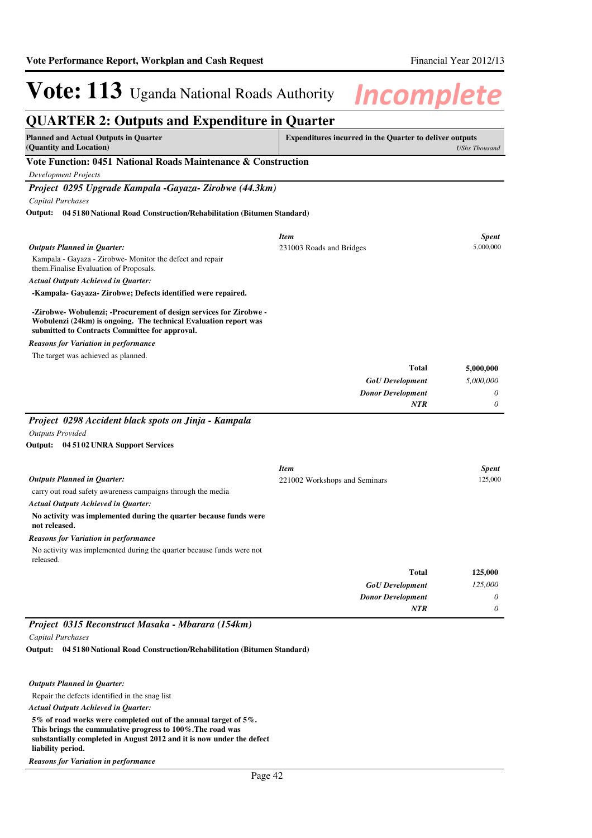| <b>QUARTER 2: Outputs and Expenditure in Quarter</b>                                                                                                                                     |                                                                |                      |
|------------------------------------------------------------------------------------------------------------------------------------------------------------------------------------------|----------------------------------------------------------------|----------------------|
| <b>Planned and Actual Outputs in Quarter</b><br>(Quantity and Location)                                                                                                                  | <b>Expenditures incurred in the Quarter to deliver outputs</b> | <b>UShs Thousand</b> |
| Vote Function: 0451 National Roads Maintenance & Construction                                                                                                                            |                                                                |                      |
| <b>Development Projects</b>                                                                                                                                                              |                                                                |                      |
| Project 0295 Upgrade Kampala -Gayaza- Zirobwe (44.3km)                                                                                                                                   |                                                                |                      |
| Capital Purchases                                                                                                                                                                        |                                                                |                      |
| Output: 04 5180 National Road Construction/Rehabilitation (Bitumen Standard)                                                                                                             |                                                                |                      |
|                                                                                                                                                                                          | <b>Item</b>                                                    | <b>Spent</b>         |
| <b>Outputs Planned in Quarter:</b>                                                                                                                                                       | 231003 Roads and Bridges                                       | 5,000,000            |
| Kampala - Gayaza - Zirobwe- Monitor the defect and repair<br>them. Finalise Evaluation of Proposals.                                                                                     |                                                                |                      |
| <b>Actual Outputs Achieved in Quarter:</b>                                                                                                                                               |                                                                |                      |
| -Kampala- Gayaza- Zirobwe; Defects identified were repaired.                                                                                                                             |                                                                |                      |
| -Zirobwe- Wobulenzi; -Procurement of design services for Zirobwe -<br>Wobulenzi (24km) is ongoing. The technical Evaluation report was<br>submitted to Contracts Committee for approval. |                                                                |                      |
| <b>Reasons for Variation in performance</b>                                                                                                                                              |                                                                |                      |
| The target was achieved as planned.                                                                                                                                                      |                                                                |                      |
|                                                                                                                                                                                          | <b>Total</b>                                                   | 5,000,000            |
|                                                                                                                                                                                          | <b>GoU</b> Development                                         | 5,000,000            |
|                                                                                                                                                                                          | <b>Donor Development</b>                                       | $\theta$             |
|                                                                                                                                                                                          | NTR                                                            | 0                    |
| Project 0298 Accident black spots on Jinja - Kampala                                                                                                                                     |                                                                |                      |
| <b>Outputs Provided</b>                                                                                                                                                                  |                                                                |                      |
| Output: 04 5102 UNRA Support Services                                                                                                                                                    |                                                                |                      |
|                                                                                                                                                                                          | <b>Item</b>                                                    | <b>Spent</b>         |
| <b>Outputs Planned in Quarter:</b>                                                                                                                                                       | 221002 Workshops and Seminars                                  | 125,000              |
| carry out road safety awareness campaigns through the media                                                                                                                              |                                                                |                      |
| <b>Actual Outputs Achieved in Quarter:</b>                                                                                                                                               |                                                                |                      |
| No activity was implemented during the quarter because funds were<br>not released.                                                                                                       |                                                                |                      |
| <b>Reasons for Variation in performance</b>                                                                                                                                              |                                                                |                      |
| No activity was implemented during the quarter because funds were not<br>released.                                                                                                       |                                                                |                      |
|                                                                                                                                                                                          | Total                                                          | 125,000              |
|                                                                                                                                                                                          | <b>GoU</b> Development                                         | 125,000              |
|                                                                                                                                                                                          | <b>Donor Development</b>                                       | $\theta$             |
|                                                                                                                                                                                          | <b>NTR</b>                                                     | $\theta$             |

## *Project 0315 Reconstruct Masaka - Mbarara (154km)*

*Capital Purchases*

**04 5180 National Road Construction/Rehabilitation (Bitumen Standard) Output:**

*Outputs Planned in Quarter:*

Repair the defects identified in the snag list

*Actual Outputs Achieved in Quarter:*

**5% of road works were completed out of the annual target of 5%. This brings the cummulative progress to 100%.The road was substantially completed in August 2012 and it is now under the defect liability period.**

*Reasons for Variation in performance*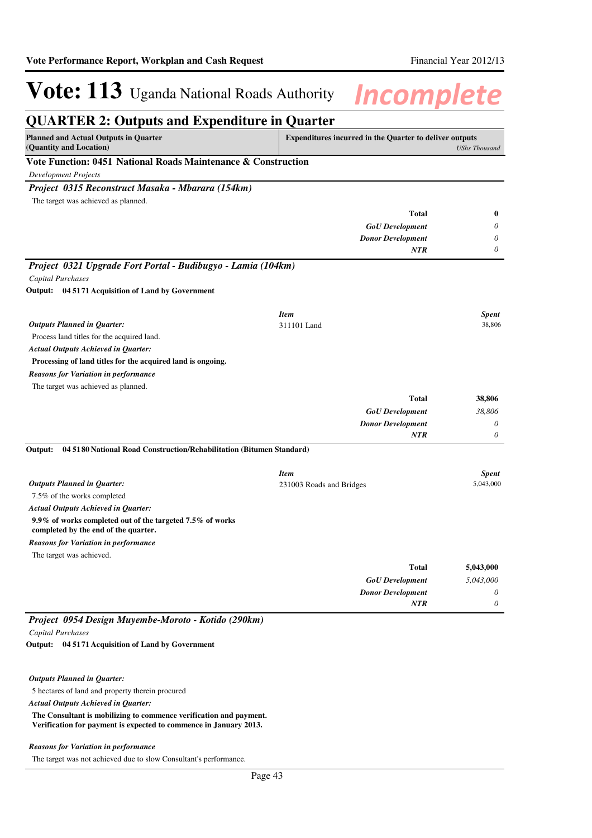### **QUARTER 2: Outputs and Expenditure in Quarter Planned and Actual Outputs in Quarter (Quantity and Location) Expenditures incurred in the Quarter to deliver outputs**  *UShs Thousand* **Vote Function: 0451 National Roads Maintenance & Construction** *Development Projects Project 0315 Reconstruct Masaka - Mbarara (154km) GoU Development Donor Development* **Total** *0 0 0* **0** *NTR* The target was achieved as planned. *Project 0321 Upgrade Fort Portal - Budibugyo - Lamia (104km) Capital Purchases* Process land titles for the acquired land. **Processing of land titles for the acquired land is ongoing. 04 5171 Acquisition of Land by Government Output:** *GoU Development Donor Development* **Total** *38,806 0 0* **38,806** *Actual Outputs Achieved in Quarter: Outputs Planned in Quarter: NTR* The target was achieved as planned. *Reasons for Variation in performance Item Spent* 311101 Land 38,806 7.5% of the works completed **9.9% of works completed out of the targeted 7.5% of works completed by the end of the quarter. 04 5180 National Road Construction/Rehabilitation (Bitumen Standard)** *GoU Development Donor Development* **Total** *5,043,000 0 0* **5,043,000** *Actual Outputs Achieved in Quarter: Outputs Planned in Quarter:* **Output:** *NTR* The target was achieved. *Reasons for Variation in performance Item Spent* 231003 Roads and Bridges 5,043,000 *Project 0954 Design Muyembe-Moroto - Kotido (290km) Capital Purchases* **04 5171 Acquisition of Land by Government Output:**

#### *Outputs Planned in Quarter:*

5 hectares of land and property therein procured

*Actual Outputs Achieved in Quarter:*

**The Consultant is mobilizing to commence verification and payment. Verification for payment is expected to commence in January 2013.**

### *Reasons for Variation in performance*

The target was not achieved due to slow Consultant's performance.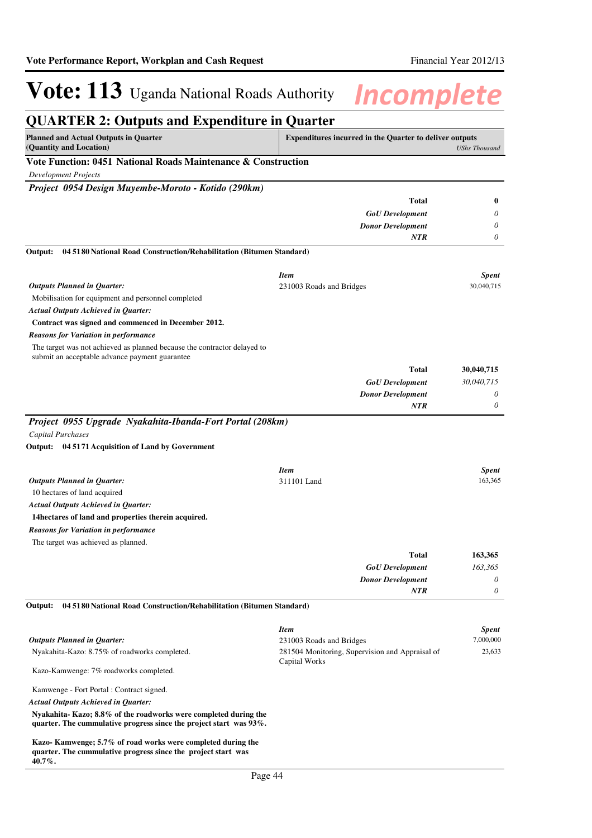| <b>QUARTER 2: Outputs and Expenditure in Quarter</b>                                                                                      |                                                                  |                      |
|-------------------------------------------------------------------------------------------------------------------------------------------|------------------------------------------------------------------|----------------------|
| <b>Planned and Actual Outputs in Quarter</b><br>(Quantity and Location)                                                                   | <b>Expenditures incurred in the Quarter to deliver outputs</b>   | <b>UShs Thousand</b> |
| Vote Function: 0451 National Roads Maintenance & Construction                                                                             |                                                                  |                      |
| <b>Development Projects</b>                                                                                                               |                                                                  |                      |
| Project 0954 Design Muyembe-Moroto - Kotido (290km)                                                                                       |                                                                  |                      |
|                                                                                                                                           | <b>Total</b>                                                     | 0                    |
|                                                                                                                                           | <b>GoU</b> Development                                           | 0                    |
|                                                                                                                                           | <b>Donor Development</b>                                         | 0                    |
|                                                                                                                                           | <b>NTR</b>                                                       | 0                    |
| 04 5180 National Road Construction/Rehabilitation (Bitumen Standard)<br>Output:                                                           |                                                                  |                      |
|                                                                                                                                           | <b>Item</b>                                                      | <b>Spent</b>         |
| <b>Outputs Planned in Quarter:</b>                                                                                                        | 231003 Roads and Bridges                                         | 30,040,715           |
| Mobilisation for equipment and personnel completed                                                                                        |                                                                  |                      |
| Actual Outputs Achieved in Quarter:                                                                                                       |                                                                  |                      |
| Contract was signed and commenced in December 2012.                                                                                       |                                                                  |                      |
| <b>Reasons for Variation in performance</b><br>The target was not achieved as planned because the contractor delayed to                   |                                                                  |                      |
| submit an acceptable advance payment guarantee                                                                                            |                                                                  |                      |
|                                                                                                                                           | <b>Total</b>                                                     | 30,040,715           |
|                                                                                                                                           | <b>GoU</b> Development                                           | 30,040,715           |
|                                                                                                                                           | <b>Donor Development</b>                                         | 0                    |
|                                                                                                                                           | <b>NTR</b>                                                       | 0                    |
| Capital Purchases<br>Output: 04 5171 Acquisition of Land by Government                                                                    |                                                                  |                      |
|                                                                                                                                           | <b>Item</b>                                                      | <b>Spent</b>         |
| <b>Outputs Planned in Quarter:</b><br>10 hectares of land acquired                                                                        | 311101 Land                                                      | 163,365              |
| <b>Actual Outputs Achieved in Quarter:</b>                                                                                                |                                                                  |                      |
| 14 hectares of land and properties therein acquired.                                                                                      |                                                                  |                      |
| <b>Reasons for Variation in performance</b>                                                                                               |                                                                  |                      |
| The target was achieved as planned.                                                                                                       |                                                                  |                      |
|                                                                                                                                           | <b>Total</b>                                                     | 163,365              |
|                                                                                                                                           | <b>GoU</b> Development                                           | 163,365              |
|                                                                                                                                           | <b>Donor Development</b>                                         | 0                    |
|                                                                                                                                           | <b>NTR</b>                                                       | 0                    |
| 04 5180 National Road Construction/Rehabilitation (Bitumen Standard)<br>Output:                                                           |                                                                  |                      |
|                                                                                                                                           | <b>Item</b>                                                      | Spent                |
| <b>Outputs Planned in Quarter:</b>                                                                                                        | 231003 Roads and Bridges                                         | 7,000,000            |
| Nyakahita-Kazo: 8.75% of roadworks completed.                                                                                             | 281504 Monitoring, Supervision and Appraisal of<br>Capital Works | 23,633               |
| Kazo-Kamwenge: 7% roadworks completed.                                                                                                    |                                                                  |                      |
| Kamwenge - Fort Portal : Contract signed.                                                                                                 |                                                                  |                      |
| Actual Outputs Achieved in Quarter:                                                                                                       |                                                                  |                      |
| Nyakahita-Kazo; 8.8% of the roadworks were completed during the<br>quarter. The cummulative progress since the project start was $93\%$ . |                                                                  |                      |
| Kazo-Kamwenge; 5.7% of road works were completed during the<br>quarter. The cummulative progress since the project start was<br>40.7%.    |                                                                  |                      |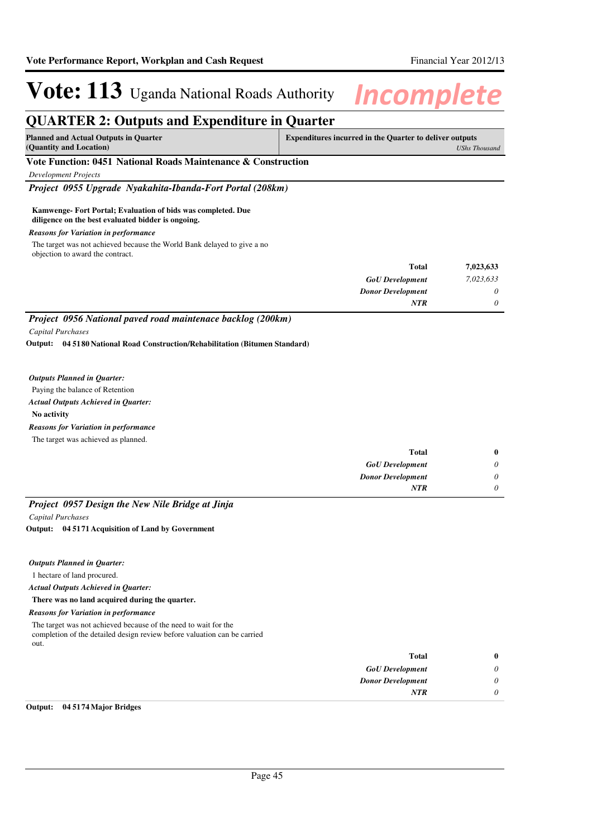## **QUARTER 2: Outputs and Expenditure in Quarter**

| <b>Planned and Actual Outputs in Quarter</b>                  | <b>Expenditures incurred in the Quarter to deliver outputs</b> |
|---------------------------------------------------------------|----------------------------------------------------------------|
| (Quantity and Location)                                       | UShs Thousand                                                  |
| Vate Europian: 0451 Notional Deads Maintenance & Construction |                                                                |

## **Vote Function: 0451 National Roads Maintenance & Construction**

*Development Projects*

*Project 0955 Upgrade Nyakahita-Ibanda-Fort Portal (208km)*

## **Kamwenge- Fort Portal; Evaluation of bids was completed. Due diligence on the best evaluated bidder is ongoing.**

## *Reasons for Variation in performance*

The target was not achieved because the World Bank delayed to give a no objection to award the contract.

| 7,023,633 | <b>Total</b>             |
|-----------|--------------------------|
| 7,023,633 | <b>GoU</b> Development   |
| 0         | <b>Donor Development</b> |
| 0         | <b>NTR</b>               |
|           |                          |

*Project 0956 National paved road maintenace backlog (200km) Capital Purchases*

**04 5180 National Road Construction/Rehabilitation (Bitumen Standard) Output:**

### *Outputs Planned in Quarter:*

Paying the balance of Retention

## *Actual Outputs Achieved in Quarter:*

**No activity**

*Reasons for Variation in performance*

The target was achieved as planned.

| $\bf{0}$ | Total                    |
|----------|--------------------------|
| 0        | <b>GoU</b> Development   |
| 0        | <b>Donor Development</b> |
| 0        | <b>NTR</b>               |
|          |                          |

## *Project 0957 Design the New Nile Bridge at Jinja*

*Capital Purchases*

**04 5171 Acquisition of Land by Government Output:**

## *Outputs Planned in Quarter:*

1 hectare of land procured.

*Actual Outputs Achieved in Quarter:*

### **There was no land acquired during the quarter.**

### *Reasons for Variation in performance*

The target was not achieved because of the need to wait for the completion of the detailed design review before valuation can be carried out.

| $\bf{0}$ | <b>Total</b>             |
|----------|--------------------------|
| 0        | <b>GoU</b> Development   |
| 0        | <b>Donor Development</b> |
|          | <b>NTR</b>               |
|          |                          |

## **Output: 04 5174 Major Bridges**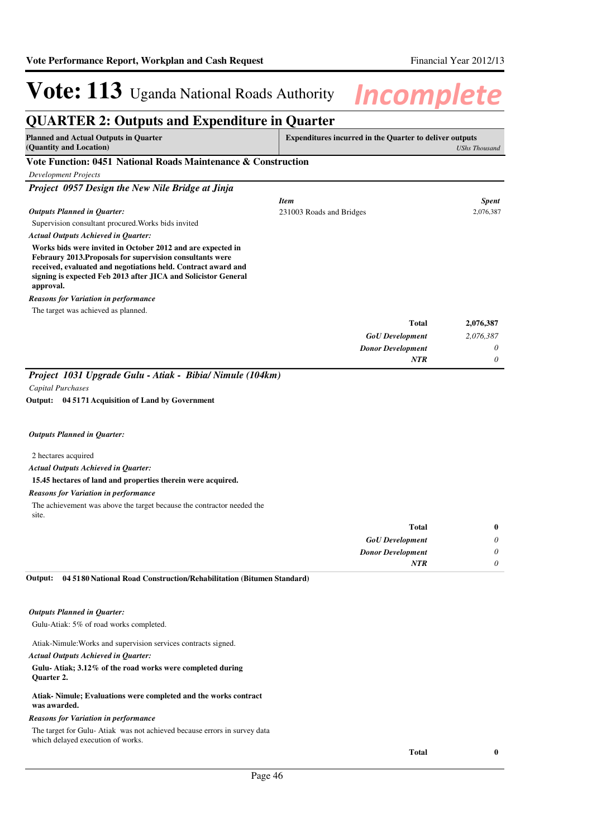### **QUARTER 2: Outputs and Expenditure in Quarter Planned and Actual Outputs in Quarter (Quantity and Location) Expenditures incurred in the Quarter to deliver outputs**  *UShs Thousand* **Vote Function: 0451 National Roads Maintenance & Construction** *Development Projects Project 0957 Design the New Nile Bridge at Jinja* Supervision consultant procured.Works bids invited **Works bids were invited in October 2012 and are expected in Febraury 2013.Proposals for supervision consultants were received, evaluated and negotiations held. Contract award and signing is expected Feb 2013 after JICA and Solicistor General approval.** *GoU Development Donor Development* **Total** *2,076,387 0 0* **2,076,387** *Actual Outputs Achieved in Quarter: Outputs Planned in Quarter: NTR* The target was achieved as planned. *Reasons for Variation in performance Item Spent* 231003 Roads and Bridges 2,076,387 *Project 1031 Upgrade Gulu - Atiak - Bibia/ Nimule (104km) Capital Purchases*

**04 5171 Acquisition of Land by Government Output:**

### *Outputs Planned in Quarter:*

### 2 hectares acquired

*Actual Outputs Achieved in Quarter:*

### **15.45 hectares of land and properties therein were acquired.**

### *Reasons for Variation in performance*

The achievement was above the target because the contractor needed the site.

|   | <b>Total</b>             |
|---|--------------------------|
| 0 | <b>GoU</b> Development   |
| 0 | <b>Donor Development</b> |
|   | <b>NTR</b>               |
|   |                          |

#### **04 5180 National Road Construction/Rehabilitation (Bitumen Standard) Output:**

### *Outputs Planned in Quarter:*

Gulu-Atiak: 5% of road works completed.

Atiak-Nimule:Works and supervision services contracts signed.

### *Actual Outputs Achieved in Quarter:*

### **Gulu- Atiak; 3.12% of the road works were completed during Quarter 2.**

#### **Atiak- Nimule; Evaluations were completed and the works contract was awarded.**

## *Reasons for Variation in performance*

The target for Gulu- Atiak was not achieved because errors in survey data which delayed execution of works.

**Total 0**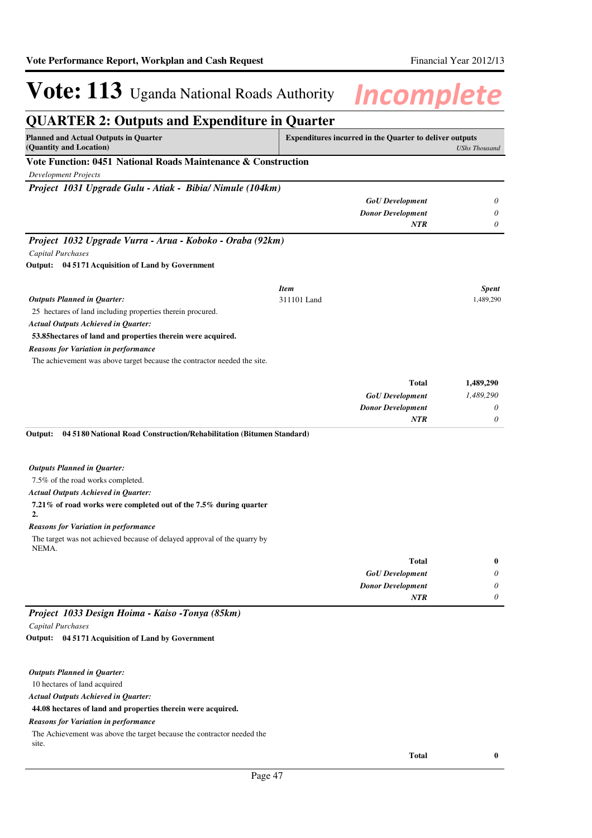## **QUARTER 2: Outputs and Expenditure in Quarter Planned and Actual Outputs in Quarter (Quantity and Location) Expenditures incurred in the Quarter to deliver outputs**  *UShs Thousand* **Vote Function: 0451 National Roads Maintenance & Construction** *Development Projects Project 1031 Upgrade Gulu - Atiak - Bibia/ Nimule (104km) GoU Development Donor Development 0 0 NTR 0 Project 1032 Upgrade Vurra - Arua - Koboko - Oraba (92km) Capital Purchases* 25 hectares of land including properties therein procured. **53.85hectares of land and properties therein were acquired. 04 5171 Acquisition of Land by Government Output:** *GoU Development Donor Development* **Total** *1,489,290 0 0* **1,489,290** *Actual Outputs Achieved in Quarter: Outputs Planned in Quarter: NTR* The achievement was above target because the contractor needed the site. *Reasons for Variation in performance Item Spent* 311101 Land 1,489,290 7.5% of the road works completed. **7.21% of road works were completed out of the 7.5% during quarter 2. 04 5180 National Road Construction/Rehabilitation (Bitumen Standard) Output:** *GoU Development Donor Development* **Total** *0 0 0* **0** *Actual Outputs Achieved in Quarter: Outputs Planned in Quarter: NTR* The target was not achieved because of delayed approval of the quarry by NEMA. *Reasons for Variation in performance Project 1033 Design Hoima - Kaiso -Tonya (85km) Capital Purchases* **04 5171 Acquisition of Land by Government Output:**

10 hectares of land acquired *Outputs Planned in Quarter:*

*Actual Outputs Achieved in Quarter:*

**44.08 hectares of land and properties therein were acquired.**

## *Reasons for Variation in performance*

The Achievement was above the target because the contractor needed the site.

**Total 0**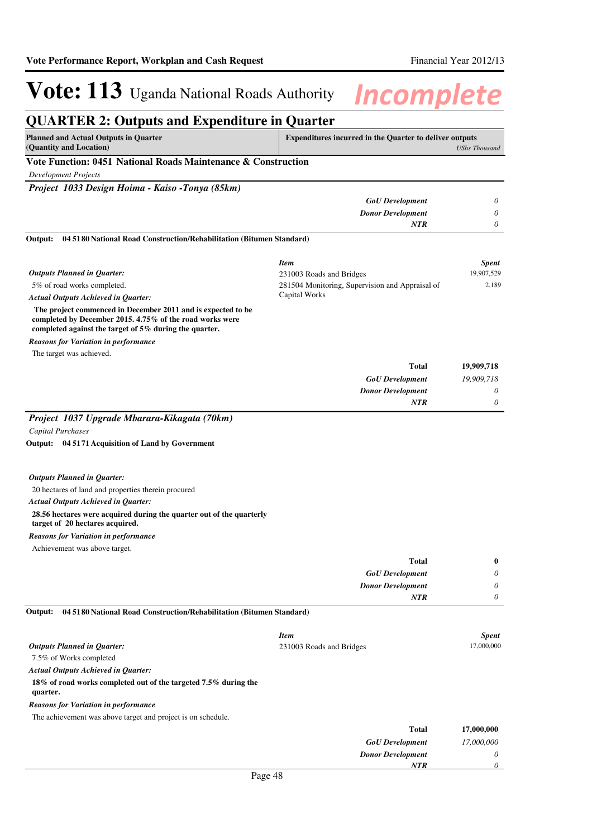### **QUARTER 2: Outputs and Expenditure in Quarter Planned and Actual Outputs in Quarter (Quantity and Location) Expenditures incurred in the Quarter to deliver outputs**  *UShs Thousand* **Vote Function: 0451 National Roads Maintenance & Construction** *Development Projects Project 1033 Design Hoima - Kaiso -Tonya (85km) GoU Development Donor Development 0 0 NTR 0* 5% of road works completed.  **The project commenced in December 2011 and is expected to be completed by December 2015. 4.75% of the road works were completed against the target of 5% during the quarter. 04 5180 National Road Construction/Rehabilitation (Bitumen Standard) Output:** *GoU Development Donor Development* **Total** *19,909,718 0 0* **19,909,718** *Actual Outputs Achieved in Quarter: Outputs Planned in Quarter: NTR* The target was achieved. *Reasons for Variation in performance Item Spent* 231003 Roads and Bridges 19,907,529 281504 Monitoring, Supervision and Appraisal of Capital Works 2,189 *Project 1037 Upgrade Mbarara-Kikagata (70km) Capital Purchases* 20 hectares of land and properties therein procured **28.56 hectares were acquired during the quarter out of the quarterly target of 20 hectares acquired. 04 5171 Acquisition of Land by Government Output:** *GoU Development Donor Development* **Total** *0 0 0* **0** *Actual Outputs Achieved in Quarter: Outputs Planned in Quarter: NTR* Achievement was above target. *Reasons for Variation in performance* 7.5% of Works completed **18% of road works completed out of the targeted 7.5% during the quarter. 04 5180 National Road Construction/Rehabilitation (Bitumen Standard)** *GoU Development* **Total** *17,000,000* **17,000,000** *Actual Outputs Achieved in Quarter: Outputs Planned in Quarter:* **Output:** The achievement was above target and project is on schedule. *Reasons for Variation in performance Item Spent* 231003 Roads and Bridges 17,000,000

*Donor Development*

*NTR*

*0 0*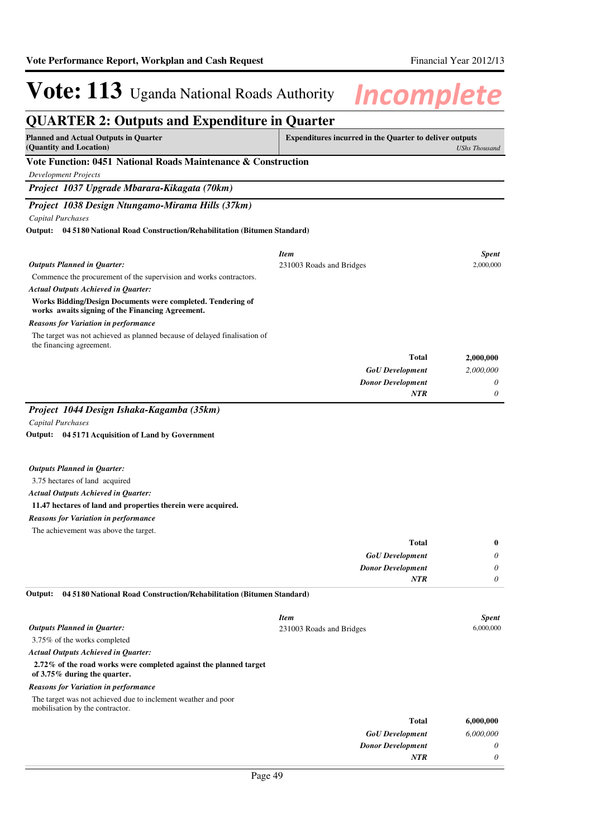| <b>Planned and Actual Outputs in Quarter</b>                                                                    | <b>Expenditures incurred in the Quarter to deliver outputs</b> |                      |
|-----------------------------------------------------------------------------------------------------------------|----------------------------------------------------------------|----------------------|
| (Quantity and Location)                                                                                         |                                                                | <b>UShs Thousand</b> |
| Vote Function: 0451 National Roads Maintenance & Construction                                                   |                                                                |                      |
| <b>Development Projects</b>                                                                                     |                                                                |                      |
| Project 1037 Upgrade Mbarara-Kikagata (70km)                                                                    |                                                                |                      |
| Project 1038 Design Ntungamo-Mirama Hills (37km)                                                                |                                                                |                      |
| <b>Capital Purchases</b>                                                                                        |                                                                |                      |
| <b>Output:</b> 04 5180 National Road Construction/Rehabilitation (Bitumen Standard)                             |                                                                |                      |
|                                                                                                                 | <b>Item</b>                                                    | <b>Spent</b>         |
| <b>Outputs Planned in Ouarter:</b>                                                                              | 231003 Roads and Bridges                                       | 2,000,000            |
| Commence the procurement of the supervision and works contractors.                                              |                                                                |                      |
| <b>Actual Outputs Achieved in Quarter:</b>                                                                      |                                                                |                      |
| Works Bidding/Design Documents were completed. Tendering of<br>works awaits signing of the Financing Agreement. |                                                                |                      |
| <b>Reasons for Variation in performance</b>                                                                     |                                                                |                      |
| The target was not achieved as planned because of delayed finalisation of<br>the financing agreement.           |                                                                |                      |
|                                                                                                                 | <b>Total</b>                                                   | 2,000,000            |
|                                                                                                                 | <b>GoU</b> Development                                         | 2,000,000            |
|                                                                                                                 | <b>Donor Development</b>                                       | 0                    |
|                                                                                                                 | <b>NTR</b>                                                     | 0                    |

**04 5171 Acquisition of Land by Government Output:**

### *Outputs Planned in Quarter:*

3.75 hectares of land acquired

### *Actual Outputs Achieved in Quarter:*

## **11.47 hectares of land and properties therein were acquired.**

## *Reasons for Variation in performance*

The achievement was above the target.

| $\bf{0}$ | <b>Total</b>             |
|----------|--------------------------|
| $\theta$ | <b>GoU</b> Development   |
| $\theta$ | <b>Donor Development</b> |
|          | <b>NTR</b>               |
|          |                          |

#### **04 5180 National Road Construction/Rehabilitation (Bitumen Standard) Output:**

|                                                                                                   | <b>Item</b>              | <b>Spent</b> |
|---------------------------------------------------------------------------------------------------|--------------------------|--------------|
| <b>Outputs Planned in Quarter:</b>                                                                | 231003 Roads and Bridges | 6,000,000    |
| 3.75% of the works completed                                                                      |                          |              |
| <b>Actual Outputs Achieved in Ouarter:</b>                                                        |                          |              |
| 2.72% of the road works were completed against the planned target<br>of 3.75% during the quarter. |                          |              |
| <b>Reasons for Variation in performance</b>                                                       |                          |              |
| The target was not achieved due to inclement weather and poor<br>mobilisation by the contractor.  |                          |              |
|                                                                                                   | <b>Total</b>             | 6,000,000    |
|                                                                                                   | <b>GoU</b> Development   | 6,000,000    |
|                                                                                                   | <b>Donor Development</b> | 0            |
|                                                                                                   | <b>NTR</b>               | 0            |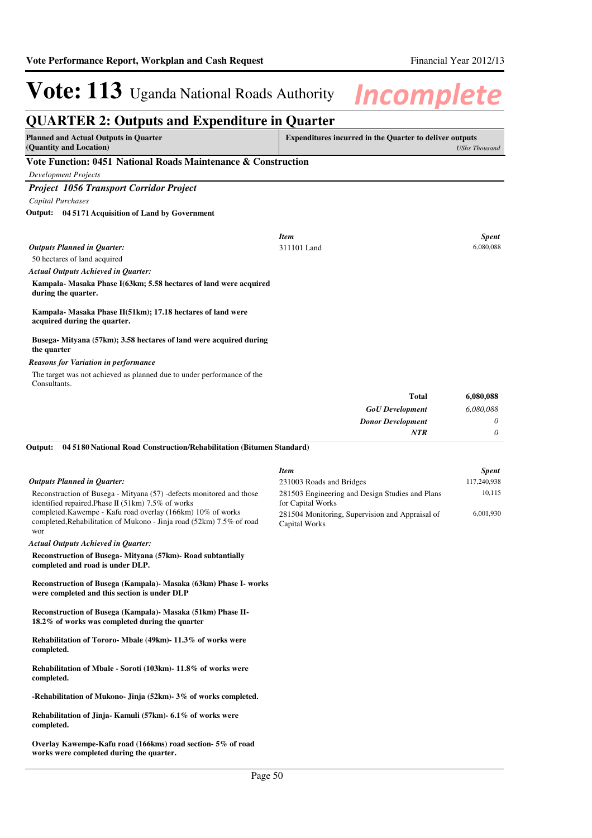## **QUARTER 2: Outputs and Expenditure in Quarter**

| Planned and Actual Outputs in Quarter                           | <b>Expenditures incurred in the Quarter to deliver outputs</b> |
|-----------------------------------------------------------------|----------------------------------------------------------------|
| (Quantity and Location)                                         | UShs Thousand                                                  |
| Vata Frantisa - 0451, National Deads Maintenance, & Constantino |                                                                |

## **Vote Function: 0451 National Roads Maintenance & Construction**

*Development Projects*

## *Project 1056 Transport Corridor Project*

*Capital Purchases*

**04 5171 Acquisition of Land by Government Output:**

|                                                                                             | <b>Item</b>              | <b>Spent</b> |
|---------------------------------------------------------------------------------------------|--------------------------|--------------|
| <b>Outputs Planned in Quarter:</b>                                                          | 311101 Land              | 6,080,088    |
| 50 hectares of land acquired                                                                |                          |              |
| <b>Actual Outputs Achieved in Quarter:</b>                                                  |                          |              |
| Kampala- Masaka Phase I(63km; 5.58 hectares of land were acquired<br>during the quarter.    |                          |              |
| Kampala- Masaka Phase II(51km); 17.18 hectares of land were<br>acquired during the quarter. |                          |              |
| Busega-Mityana (57km); 3.58 hectares of land were acquired during<br>the quarter            |                          |              |
| <b>Reasons for Variation in performance</b>                                                 |                          |              |
| The target was not achieved as planned due to under performance of the<br>Consultants.      |                          |              |
|                                                                                             | <b>Total</b>             | 6,080,088    |
|                                                                                             | <b>GoU</b> Development   | 6,080,088    |
|                                                                                             | <b>Donor Development</b> | 0            |
|                                                                                             | <b>NTR</b>               | 0            |
| 04 5180 National Road Construction/Rehabilitation (Bitumen Standard)<br>Output:             |                          |              |

#### Reconstruction of Busega - Mityana (57) -defects monitored and those identified repaired.Phase II (51km) 7.5% of works completed.Kawempe - Kafu road overlay (166km) 10% of works completed,Rehabilitation of Mukono - Jinja road (52km) 7.5% of road wor *Outputs Planned in Quarter: Item Spent* 231003 Roads and Bridges 117,240,938 281503 Engineering and Design Studies and Plans for Capital Works 10,115 281504 Monitoring, Supervision and Appraisal of Capital Works 6,001,930

*Actual Outputs Achieved in Quarter:*

**Reconstruction of Busega- Mityana (57km)- Road subtantially completed and road is under DLP.**

**Reconstruction of Busega (Kampala)- Masaka (63km) Phase I- works were completed and this section is under DLP**

**Reconstruction of Busega (Kampala)- Masaka (51km) Phase II-18.2% of works was completed during the quarter**

**Rehabilitation of Tororo- Mbale (49km)- 11.3% of works were completed.**

**Rehabilitation of Mbale - Soroti (103km)- 11.8% of works were completed.**

**-Rehabilitation of Mukono- Jinja (52km)- 3% of works completed.**

**Rehabilitation of Jinja- Kamuli (57km)- 6.1% of works were completed.**

**Overlay Kawempe-Kafu road (166kms) road section- 5% of road works were completed during the quarter.**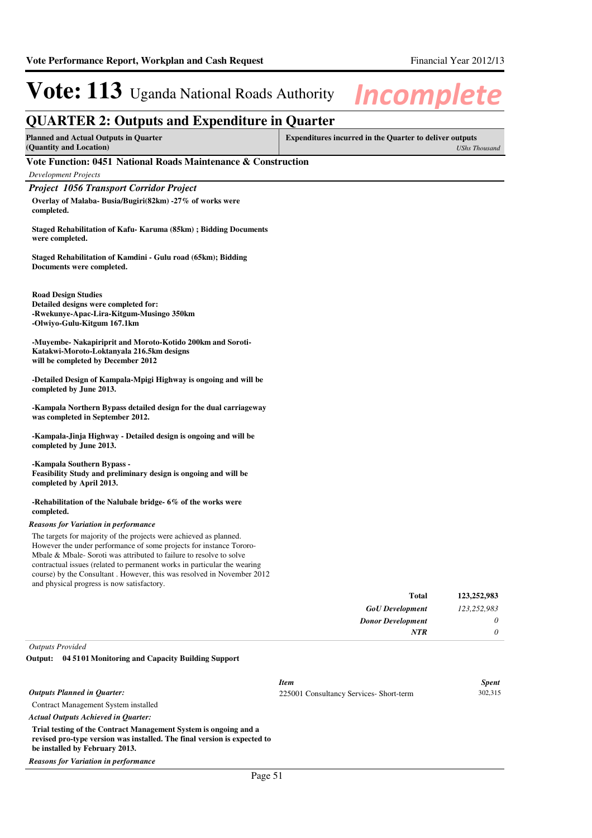| <b>QUARTER 2: Outputs and Expenditure in Quarter</b>                                                                                                                                                                                                                                                                                                                  |                                                                                        |  |  |
|-----------------------------------------------------------------------------------------------------------------------------------------------------------------------------------------------------------------------------------------------------------------------------------------------------------------------------------------------------------------------|----------------------------------------------------------------------------------------|--|--|
| <b>Planned and Actual Outputs in Quarter</b><br>(Quantity and Location)                                                                                                                                                                                                                                                                                               | <b>Expenditures incurred in the Quarter to deliver outputs</b><br><b>UShs Thousand</b> |  |  |
| Vote Function: 0451 National Roads Maintenance & Construction                                                                                                                                                                                                                                                                                                         |                                                                                        |  |  |
| Development Projects                                                                                                                                                                                                                                                                                                                                                  |                                                                                        |  |  |
| <b>Project 1056 Transport Corridor Project</b>                                                                                                                                                                                                                                                                                                                        |                                                                                        |  |  |
| Overlay of Malaba- Busia/Bugiri(82km) -27% of works were<br>completed.                                                                                                                                                                                                                                                                                                |                                                                                        |  |  |
| Staged Rehabilitation of Kafu-Karuma (85km); Bidding Documents<br>were completed.                                                                                                                                                                                                                                                                                     |                                                                                        |  |  |
| Staged Rehabilitation of Kamdini - Gulu road (65km); Bidding<br>Documents were completed.                                                                                                                                                                                                                                                                             |                                                                                        |  |  |
| <b>Road Design Studies</b><br>Detailed designs were completed for:<br>-Rwekunye-Apac-Lira-Kitgum-Musingo 350km<br>-Olwiyo-Gulu-Kitgum 167.1km                                                                                                                                                                                                                         |                                                                                        |  |  |
| -Muyembe- Nakapiriprit and Moroto-Kotido 200km and Soroti-<br>Katakwi-Moroto-Loktanyala 216.5km designs<br>will be completed by December 2012                                                                                                                                                                                                                         |                                                                                        |  |  |
| -Detailed Design of Kampala-Mpigi Highway is ongoing and will be<br>completed by June 2013.                                                                                                                                                                                                                                                                           |                                                                                        |  |  |
| -Kampala Northern Bypass detailed design for the dual carriageway<br>was completed in September 2012.                                                                                                                                                                                                                                                                 |                                                                                        |  |  |
| -Kampala-Jinja Highway - Detailed design is ongoing and will be<br>completed by June 2013.                                                                                                                                                                                                                                                                            |                                                                                        |  |  |
| -Kampala Southern Bypass -<br>Feasibility Study and preliminary design is ongoing and will be<br>completed by April 2013.                                                                                                                                                                                                                                             |                                                                                        |  |  |
| -Rehabilitation of the Nalubale bridge- 6% of the works were<br>completed.                                                                                                                                                                                                                                                                                            |                                                                                        |  |  |
| <b>Reasons for Variation in performance</b>                                                                                                                                                                                                                                                                                                                           |                                                                                        |  |  |
| The targets for majority of the projects were achieved as planned.<br>However the under performance of some projects for instance Tororo-<br>Mbale & Mbale-Soroti was attributed to failure to resolve to solve<br>contractual issues (related to permanent works in particular the wearing<br>course) by the Consultant. However, this was resolved in November 2012 |                                                                                        |  |  |

| Total                    | 123,252,983 |
|--------------------------|-------------|
| <b>GoU</b> Development   | 123,252,983 |
| <b>Donor Development</b> | 0           |
| NTR                      | 0           |

## *Outputs Provided*

## **04 5101 Monitoring and Capacity Building Support Output:**

and physical progress is now satisfactory.

|                                                                                                                                                                                | <b>Item</b>                             | <b>Spent</b> |
|--------------------------------------------------------------------------------------------------------------------------------------------------------------------------------|-----------------------------------------|--------------|
| <b>Outputs Planned in Ouarter:</b>                                                                                                                                             | 225001 Consultancy Services- Short-term | 302,315      |
| Contract Management System installed                                                                                                                                           |                                         |              |
| <b>Actual Outputs Achieved in Ouarter:</b>                                                                                                                                     |                                         |              |
| Trial testing of the Contract Management System is ongoing and a<br>revised pro-type version was installed. The final version is expected to<br>be installed by February 2013. |                                         |              |
| <b>Reasons for Variation in performance</b>                                                                                                                                    |                                         |              |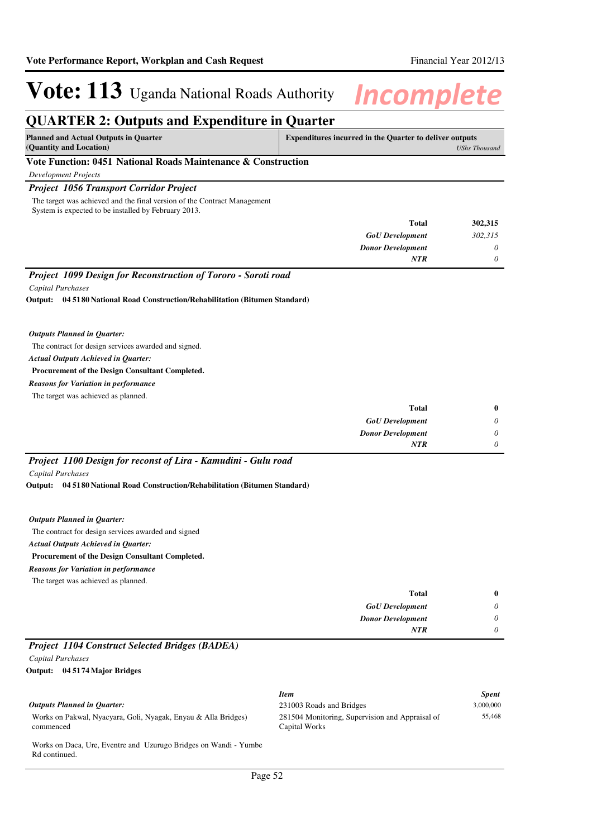## **QUARTER 2: Outputs and Expenditure in Quarter**

| <b>Planned and Actual Outputs in Quarter</b><br>(Quantity and Location)  | <b>Expenditures incurred in the Quarter to deliver outputs</b><br>UShs Thousand |
|--------------------------------------------------------------------------|---------------------------------------------------------------------------------|
| Vote Function: 0451 National Roads Maintenance & Construction            |                                                                                 |
| Development Projects                                                     |                                                                                 |
| $\sim$ $\sim$ $\sim$ $\sim$<br>$\sim$ $\sim$ $\sim$ $\sim$ $\sim$ $\sim$ |                                                                                 |

## *Project 1056 Transport Corridor Project*

The target was achieved and the final version of the Contract Management System is expected to be installed by February 2013.

| 302,315 | <b>Total</b>             |
|---------|--------------------------|
| 302,315 | <b>GoU</b> Development   |
| 0       | <b>Donor Development</b> |
| 0       | <b>NTR</b>               |
|         |                          |

## *Project 1099 Design for Reconstruction of Tororo - Soroti road*

*Capital Purchases*

**04 5180 National Road Construction/Rehabilitation (Bitumen Standard) Output:**

### *Outputs Planned in Quarter:*

The contract for design services awarded and signed.

*Actual Outputs Achieved in Quarter:*

## **Procurement of the Design Consultant Completed.**

*Reasons for Variation in performance*

The target was achieved as planned.

| $\bf{0}$ | Total                    |
|----------|--------------------------|
| $\theta$ | <b>GoU</b> Development   |
| $\theta$ | <b>Donor Development</b> |
| $\theta$ | <b>NTR</b>               |

## *Project 1100 Design for reconst of Lira - Kamudini - Gulu road*

*Capital Purchases*

**04 5180 National Road Construction/Rehabilitation (Bitumen Standard) Output:**

## *Outputs Planned in Quarter:*

The contract for design services awarded and signed **Procurement of the Design Consultant Completed.** *Actual Outputs Achieved in Quarter: Reasons for Variation in performance*

The target was achieved as planned.

| $\bf{0}$              | <b>Total</b>             |           |          |  |
|-----------------------|--------------------------|-----------|----------|--|
| $\boldsymbol{\omega}$ | <b>GoU</b> Development   |           |          |  |
| $\boldsymbol{\theta}$ | <b>Donor Development</b> |           |          |  |
| 0                     | <b>NTR</b>               |           |          |  |
|                       |                          | (1, 1, 1) | $\cdots$ |  |

## *Project 1104 Construct Selected Bridges (BADEA)*

## *Capital Purchases*

**04 5174 Major Bridges Output:**

|                                                                                   | <b>Item</b>                                                      | <b>Spent</b> |
|-----------------------------------------------------------------------------------|------------------------------------------------------------------|--------------|
| Outputs Planned in Ouarter:                                                       | 231003 Roads and Bridges                                         | 3,000,000    |
| Works on Pakwal, Nyacyara, Goli, Nyagak, Enyau & Alla Bridges)<br>commenced       | 281504 Monitoring, Supervision and Appraisal of<br>Capital Works | 55,468       |
| Works on Daca, Ure, Eventre and Uzurugo Bridges on Wandi - Yumbe<br>Rd continued. |                                                                  |              |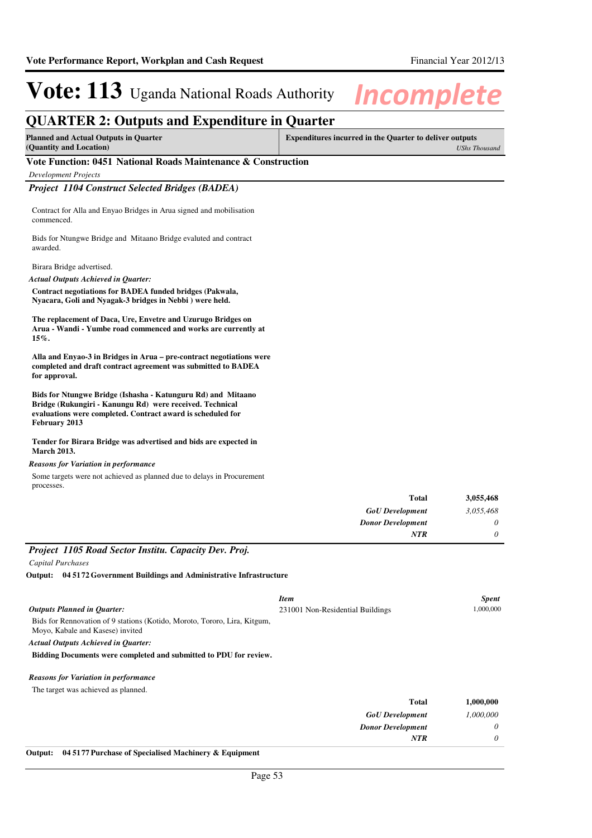## **QUARTER 2: Outputs and Expenditure in Quarter**

**Planned and Actual Outputs in Quarter (Quantity and Location)**

**Expenditures incurred in the Quarter to deliver outputs**  *UShs Thousand*

## **Vote Function: 0451 National Roads Maintenance & Construction**

*Development Projects*

## *Project 1104 Construct Selected Bridges (BADEA)*

Contract for Alla and Enyao Bridges in Arua signed and mobilisation commenced.

Bids for Ntungwe Bridge and Mitaano Bridge evaluted and contract awarded.

Birara Bridge advertised.

*Actual Outputs Achieved in Quarter:*

**Contract negotiations for BADEA funded bridges (Pakwala, Nyacara, Goli and Nyagak-3 bridges in Nebbi ) were held.**

**The replacement of Daca, Ure, Envetre and Uzurugo Bridges on Arua - Wandi - Yumbe road commenced and works are currently at 15%.**

**Alla and Enyao-3 in Bridges in Arua – pre-contract negotiations were completed and draft contract agreement was submitted to BADEA for approval.**

**Bids for Ntungwe Bridge (Ishasha - Katunguru Rd) and Mitaano Bridge (Rukungiri - Kanungu Rd) were received. Technical evaluations were completed. Contract award is scheduled for February 2013**

## **Tender for Birara Bridge was advertised and bids are expected in March 2013.**

## *Reasons for Variation in performance*

Some targets were not achieved as planned due to delays in Procurement processes.

|                                                                                                               | <b>Total</b>                     | 3,055,468    |
|---------------------------------------------------------------------------------------------------------------|----------------------------------|--------------|
|                                                                                                               | <b>GoU</b> Development           | 3,055,468    |
|                                                                                                               | <b>Donor Development</b>         | $\theta$     |
|                                                                                                               | NTR                              | $\theta$     |
| Project 1105 Road Sector Institu. Capacity Dev. Proj.                                                         |                                  |              |
| <b>Capital Purchases</b>                                                                                      |                                  |              |
| Output: 04 5172 Government Buildings and Administrative Infrastructure                                        |                                  |              |
|                                                                                                               | <b>Item</b>                      | <i>Spent</i> |
| <b>Outputs Planned in Quarter:</b>                                                                            | 231001 Non-Residential Buildings | 1,000,000    |
| Bids for Rennovation of 9 stations (Kotido, Moroto, Tororo, Lira, Kitgum,<br>Moyo, Kabale and Kasese) invited |                                  |              |
| <b>Actual Outputs Achieved in Quarter:</b>                                                                    |                                  |              |
| Bidding Documents were completed and submitted to PDU for review.                                             |                                  |              |
| <b>Reasons for Variation in performance</b>                                                                   |                                  |              |
|                                                                                                               |                                  |              |

The target was achieved as planned.

| 1,000,000 | Total                    |
|-----------|--------------------------|
| 1,000,000 | <b>GoU</b> Development   |
| $\theta$  | <b>Donor Development</b> |
| $\theta$  | <b>NTR</b>               |
|           |                          |

### **Output: 04 5177 Purchase of Specialised Machinery & Equipment**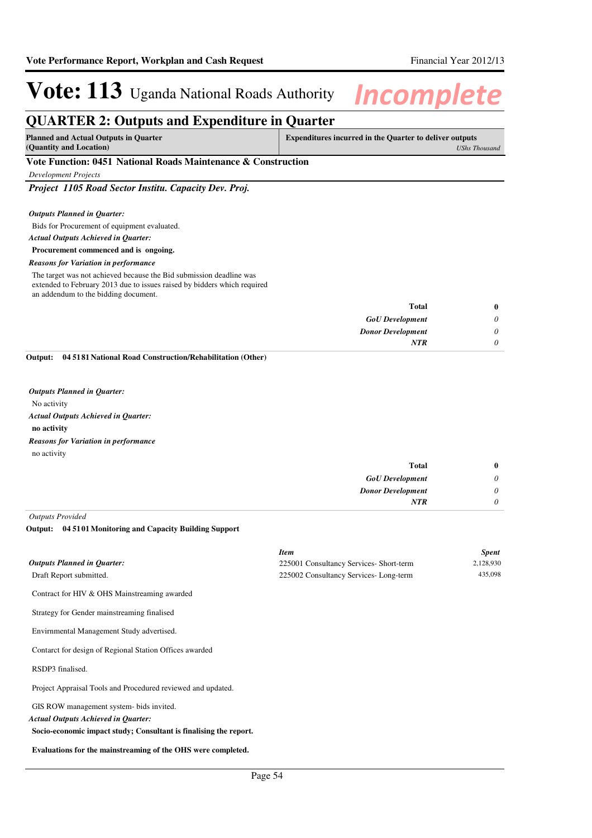## **QUARTER 2: Outputs and Expenditure in Quarter**

| (Quantity and Location) | <b>Planned and Actual Outputs in Quarter</b> | <b>Expenditures incurred in the Quarter to deliver outputs</b> |
|-------------------------|----------------------------------------------|----------------------------------------------------------------|
|                         |                                              | <b>UShs Thousand</b>                                           |

## **Vote Function: 0451 National Roads Maintenance & Construction**

*Development Projects*

*Project 1105 Road Sector Institu. Capacity Dev. Proj.*

### *Outputs Planned in Quarter:*

Bids for Procurement of equipment evaluated.

*Actual Outputs Achieved in Quarter:*

### **Procurement commenced and is ongoing.**

### *Reasons for Variation in performance*

The target was not achieved because the Bid submission deadline was extended to February 2013 due to issues raised by bidders which required an addendum to the bidding document.

| $\bf{0}$ | Total                    |
|----------|--------------------------|
| 0        | <b>GoU</b> Development   |
| 0        | <b>Donor Development</b> |
|          | <b>NTR</b>               |
|          |                          |

**04 5181 National Road Construction/Rehabilitation (Other) Output:**

*Outputs Planned in Quarter:*

No activity

*Actual Outputs Achieved in Quarter:*

**no activity**

no activity *Reasons for Variation in performance*

| $\bf{0}$ | Total                    |
|----------|--------------------------|
| 0        | <b>GoU</b> Development   |
| 0        | <b>Donor Development</b> |
| 0        | <b>NTR</b>               |
|          |                          |

*Outputs Provided*

## **04 5101 Monitoring and Capacity Building Support Output:**

|                                                                                                                                          | <b>Item</b>                            | <b>Spent</b> |
|------------------------------------------------------------------------------------------------------------------------------------------|----------------------------------------|--------------|
| <b>Outputs Planned in Quarter:</b>                                                                                                       | 225001 Consultancy Services-Short-term | 2,128,930    |
| Draft Report submitted.                                                                                                                  | 225002 Consultancy Services-Long-term  | 435,098      |
| Contract for HIV & OHS Mainstreaming awarded<br>Strategy for Gender mainstreaming finalised<br>Envirnmental Management Study advertised. |                                        |              |
|                                                                                                                                          |                                        |              |

Contarct for design of Regional Station Offices awarded

RSDP3 finalised.

Project Appraisal Tools and Procedured reviewed and updated.

GIS ROW management system- bids invited.

*Actual Outputs Achieved in Quarter:*

**Socio-economic impact study; Consultant is finalising the report.**

**Evaluations for the mainstreaming of the OHS were completed.**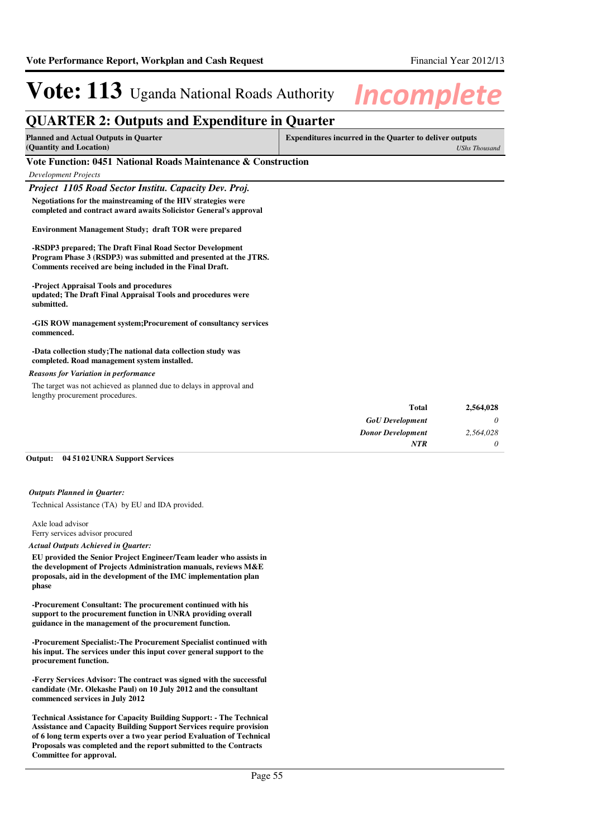*UShs Thousand*

# **Vote: 113** Uganda National Roads Authority **Incomplete**

## **QUARTER 2: Outputs and Expenditure in Quarter**

**Planned and Actual Outputs in Quarter (Quantity and Location) Expenditures incurred in the Quarter to deliver outputs** 

## **Vote Function: 0451 National Roads Maintenance & Construction**

## *Development Projects*

*Project 1105 Road Sector Institu. Capacity Dev. Proj.*

**Negotiations for the mainstreaming of the HIV strategies were completed and contract award awaits Solicistor General's approval**

### **Environment Management Study; draft TOR were prepared**

**-RSDP3 prepared; The Draft Final Road Sector Development Program Phase 3 (RSDP3) was submitted and presented at the JTRS. Comments received are being included in the Final Draft.**

## **-Project Appraisal Tools and procedures**

**updated; The Draft Final Appraisal Tools and procedures were submitted.**

### **-GIS ROW management system;Procurement of consultancy services commenced.**

#### **-Data collection study;The national data collection study was completed. Road management system installed.**

### *Reasons for Variation in performance*

The target was not achieved as planned due to delays in approval and lengthy procurement procedures.

| 2,564,028 | <b>Total</b>             |
|-----------|--------------------------|
| 0         | <b>GoU</b> Development   |
| 2,564,028 | <b>Donor Development</b> |
|           | <b>NTR</b>               |
|           |                          |

#### **04 5102 UNRA Support Services Output:**

#### *Outputs Planned in Quarter:*

Technical Assistance (TA) by EU and IDA provided.

Axle load advisor Ferry services advisor procured

#### *Actual Outputs Achieved in Quarter:*

**EU provided the Senior Project Engineer/Team leader who assists in the development of Projects Administration manuals, reviews M&E proposals, aid in the development of the IMC implementation plan phase**

**-Procurement Consultant: The procurement continued with his support to the procurement function in UNRA providing overall guidance in the management of the procurement function.**

**-Procurement Specialist:-The Procurement Specialist continued with his input. The services under this input cover general support to the procurement function.**

**-Ferry Services Advisor: The contract was signed with the successful candidate (Mr. Olekashe Paul) on 10 July 2012 and the consultant commenced services in July 2012**

**Technical Assistance for Capacity Building Support: - The Technical Assistance and Capacity Building Support Services require provision of 6 long term experts over a two year period Evaluation of Technical Proposals was completed and the report submitted to the Contracts Committee for approval.**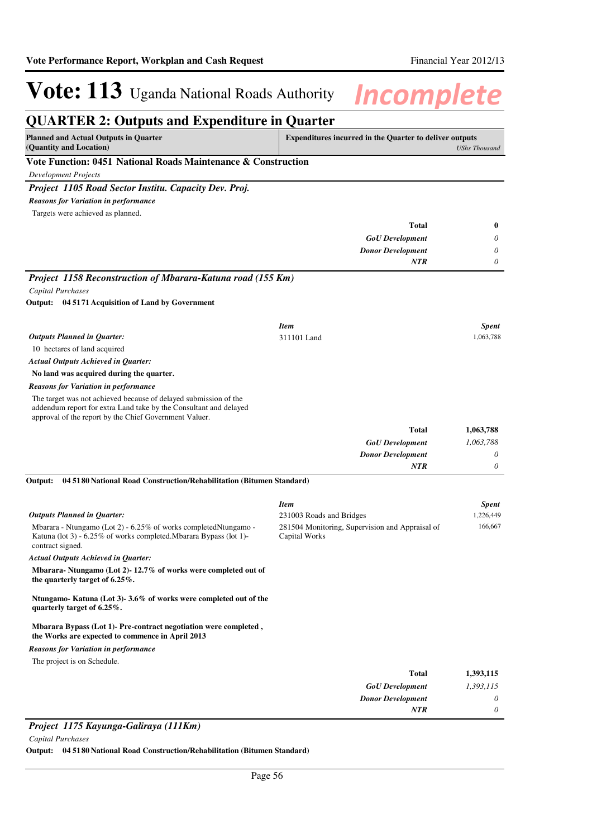#### **QUARTER 2: Outputs and Expenditure in Quarter Planned and Actual Outputs in Quarter (Quantity and Location) Expenditures incurred in the Quarter to deliver outputs**  *UShs Thousand* **Vote Function: 0451 National Roads Maintenance & Construction** *Development Projects Project 1105 Road Sector Institu. Capacity Dev. Proj. GoU Development Donor Development* **Total** *0 0 0* **0** *NTR* Targets were achieved as planned. *Reasons for Variation in performance Project 1158 Reconstruction of Mbarara-Katuna road (155 Km) Capital Purchases* 10 hectares of land acquired **No land was acquired during the quarter. 04 5171 Acquisition of Land by Government Output:** *GoU Development Donor Development* **Total** *1,063,788 0 0* **1,063,788** *Actual Outputs Achieved in Quarter: Outputs Planned in Quarter: NTR* The target was not achieved because of delayed submission of the addendum report for extra Land take by the Consultant and delayed approval of the report by the Chief Government Valuer. *Reasons for Variation in performance Item Spent* 311101 Land 1,063,788 Mbarara - Ntungamo (Lot 2) - 6.25% of works completedNtungamo - Katuna (lot 3) - 6.25% of works completed.Mbarara Bypass (lot 1) contract signed. **Mbarara- Ntungamo (Lot 2)- 12.7% of works were completed out of the quarterly target of 6.25%. Ntungamo- Katuna (Lot 3)- 3.6% of works were completed out of the quarterly target of 6.25%. Mbarara Bypass (Lot 1)- Pre-contract negotiation were completed , the Works are expected to commence in April 2013 04 5180 National Road Construction/Rehabilitation (Bitumen Standard)** *GoU Development Donor Development* **Total** *1,393,115 0 0* **1,393,115** *Actual Outputs Achieved in Quarter: Outputs Planned in Quarter:* **Output:** *NTR* The project is on Schedule. *Reasons for Variation in performance Item Spent* 231003 Roads and Bridges 1,226,449 281504 Monitoring, Supervision and Appraisal of Capital Works 166,667

## *Project 1175 Kayunga-Galiraya (111Km)*

*Capital Purchases*

**Output: 04 5180 National Road Construction/Rehabilitation (Bitumen Standard)**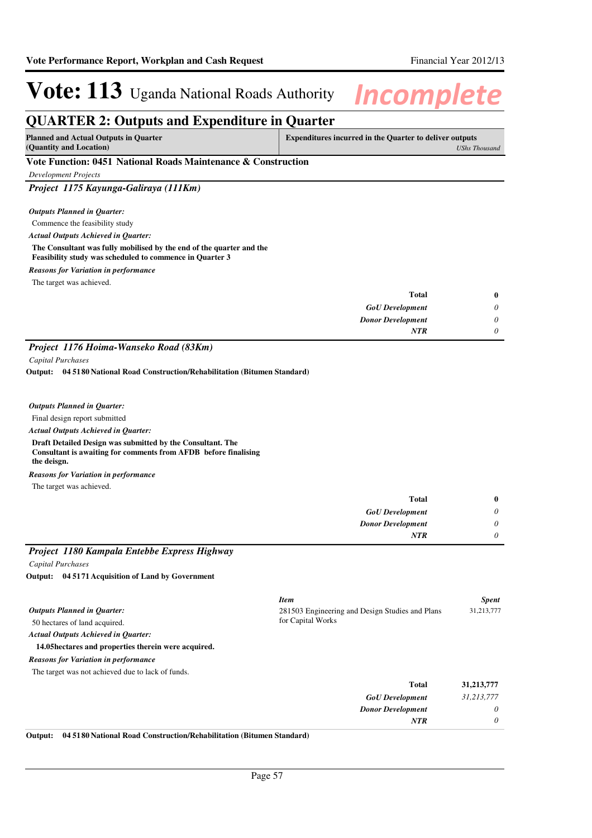## **QUARTER 2: Outputs and Expenditure in Quarter**

| <b>Planned and Actual Outputs in Quarter</b> | <b>Expenditures incurred in the Quarter to deliver outputs</b> |
|----------------------------------------------|----------------------------------------------------------------|
| (Quantity and Location)                      | <b>UShs Thousand</b>                                           |

## **Vote Function: 0451 National Roads Maintenance & Construction**

*Development Projects*

*Project 1175 Kayunga-Galiraya (111Km)*

## *Outputs Planned in Quarter:*

Commence the feasibility study

*Actual Outputs Achieved in Quarter:*

**The Consultant was fully mobilised by the end of the quarter and the Feasibility study was scheduled to commence in Quarter 3**

*Reasons for Variation in performance*

The target was achieved.

| $\bf{0}$ | <b>Total</b>             |
|----------|--------------------------|
| 0        | <b>GoU</b> Development   |
| 0        | <b>Donor Development</b> |
| 0        | <b>NTR</b>               |

## *Project 1176 Hoima-Wanseko Road (83Km)*

*Capital Purchases*

**04 5180 National Road Construction/Rehabilitation (Bitumen Standard) Output:**

## *Outputs Planned in Quarter:*

Final design report submitted

## *Actual Outputs Achieved in Quarter:*

**Draft Detailed Design was submitted by the Consultant. The Consultant is awaiting for comments from AFDB before finalising the deisgn.**

*Reasons for Variation in performance*

The target was achieved.

| - - - - -<br>____<br>$ -$<br>------ |                          |            |
|-------------------------------------|--------------------------|------------|
|                                     | <b>NTR</b>               | $\theta$   |
|                                     | <b>Donor Development</b> | $\upsilon$ |
|                                     | <b>GoU</b> Development   | $\theta$   |
|                                     | Total                    | $\bf{0}$   |

## *Project 1180 Kampala Entebbe Express Highway*

*Capital Purchases*

**04 5171 Acquisition of Land by Government Output:**

|                                                      | <b>Item</b>                                     | <b>Spent</b> |
|------------------------------------------------------|-------------------------------------------------|--------------|
| <b>Outputs Planned in Quarter:</b>                   | 281503 Engineering and Design Studies and Plans | 31,213,777   |
| 50 hectares of land acquired.                        | for Capital Works                               |              |
| <b>Actual Outputs Achieved in Ouarter:</b>           |                                                 |              |
| 14.05 hectares and properties therein were acquired. |                                                 |              |
| <b>Reasons for Variation in performance</b>          |                                                 |              |
| The target was not achieved due to lack of funds.    |                                                 |              |
|                                                      | <b>Total</b>                                    | 31,213,777   |
|                                                      | <b>GoU</b> Development                          | 31,213,777   |
|                                                      | <b>Donor Development</b>                        | $\theta$     |
|                                                      | <b>NTR</b>                                      | 0            |

## **Output: 04 5180 National Road Construction/Rehabilitation (Bitumen Standard)**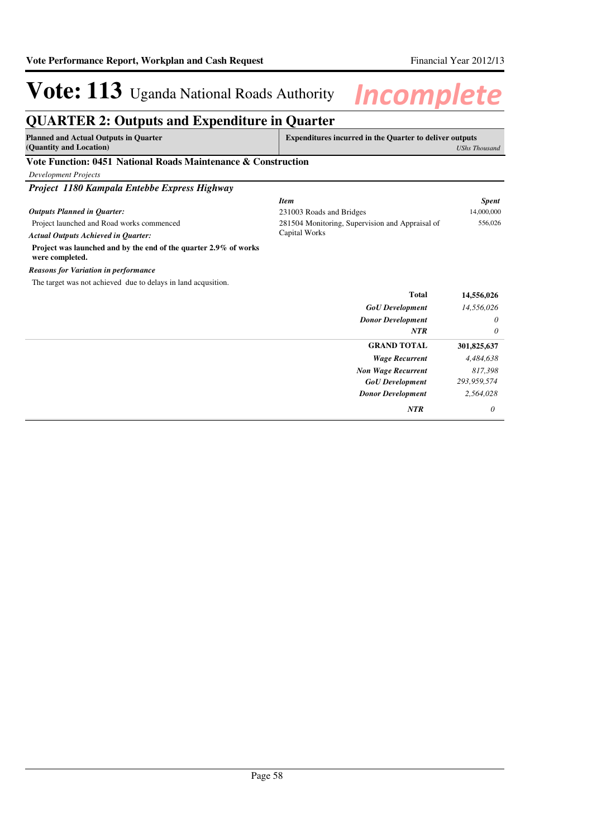## **QUARTER 2: Outputs and Expenditure in Quarter**

| Planned and Actual Outputs in Quarter | <b>Expenditures incurred in the Quarter to deliver outputs</b> |
|---------------------------------------|----------------------------------------------------------------|
| (Quantity and Location)               | UShs Thousand                                                  |
| $0.404$ $0.7$ $0.8$<br>.<br>.         |                                                                |

## **Vote Function: 0451 National Roads Maintenance & Construction**

| <b>Development Projects</b> |  |
|-----------------------------|--|
|-----------------------------|--|

*Project 1180 Kampala Entebbe Express Highway*

| <b>Item</b>                                                                         |                                                 | <b>Spent</b> |
|-------------------------------------------------------------------------------------|-------------------------------------------------|--------------|
| <b>Outputs Planned in Quarter:</b>                                                  | 231003 Roads and Bridges                        | 14,000,000   |
| Project launched and Road works commenced                                           | 281504 Monitoring, Supervision and Appraisal of | 556,026      |
| <b>Actual Outputs Achieved in Quarter:</b>                                          | Capital Works                                   |              |
| Project was launched and by the end of the quarter 2.9% of works<br>were completed. |                                                 |              |
| <b>Reasons for Variation in performance</b>                                         |                                                 |              |
| The target was not achieved due to delays in land acqusition.                       |                                                 |              |
|                                                                                     | <b>Total</b>                                    | 14,556,026   |
|                                                                                     | <b>GoU</b> Development                          | 14,556,026   |
|                                                                                     | <b>Donor Development</b>                        | $\theta$     |
|                                                                                     | <b>NTR</b>                                      | $\theta$     |
|                                                                                     | <b>GRAND TOTAL</b>                              | 301,825,637  |
|                                                                                     | <b>Wage Recurrent</b>                           | 4,484,638    |
|                                                                                     | <b>Non Wage Recurrent</b>                       | 817,398      |
|                                                                                     | <b>GoU</b> Development                          | 293,959,574  |
|                                                                                     | <b>Donor Development</b>                        | 2,564,028    |
|                                                                                     | <b>NTR</b>                                      | 0            |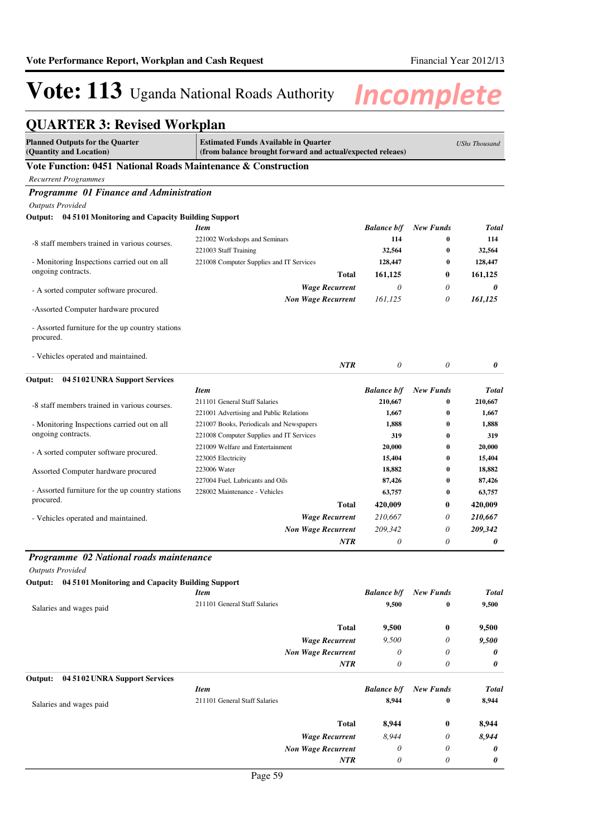## **QUARTER 3: Revised Workplan**

| <b>Planned Outputs for the Quarter</b><br>(Quantity and Location)                                                              | <b>Estimated Funds Available in Quarter</b><br>(from balance brought forward and actual/expected releaes) |                    |                  | <b>UShs Thousand</b> |
|--------------------------------------------------------------------------------------------------------------------------------|-----------------------------------------------------------------------------------------------------------|--------------------|------------------|----------------------|
| Vote Function: 0451 National Roads Maintenance & Construction                                                                  |                                                                                                           |                    |                  |                      |
| <b>Recurrent Programmes</b>                                                                                                    |                                                                                                           |                    |                  |                      |
| Programme 01 Finance and Administration                                                                                        |                                                                                                           |                    |                  |                      |
| <b>Outputs Provided</b>                                                                                                        |                                                                                                           |                    |                  |                      |
| Output: 04 51 01 Monitoring and Capacity Building Support                                                                      |                                                                                                           |                    |                  |                      |
|                                                                                                                                | Item                                                                                                      | <b>Balance b/f</b> | <b>New Funds</b> | <b>Total</b>         |
| -8 staff members trained in various courses.                                                                                   | 221002 Workshops and Seminars                                                                             | 114                | 0                | 114                  |
|                                                                                                                                | 221003 Staff Training                                                                                     | 32,564             | 0                | 32,564               |
| - Monitoring Inspections carried out on all                                                                                    | 221008 Computer Supplies and IT Services                                                                  | 128,447            | 0                | 128,447              |
| ongoing contracts.                                                                                                             | Total                                                                                                     | 161,125            | $\bf{0}$         | 161,125              |
| - A sorted computer software procured.                                                                                         | <b>Wage Recurrent</b>                                                                                     | $\theta$           | $\theta$         | 0                    |
|                                                                                                                                | <b>Non Wage Recurrent</b>                                                                                 | 161,125            | 0                | 161,125              |
| -Assorted Computer hardware procured                                                                                           |                                                                                                           |                    |                  |                      |
| - Assorted furniture for the up country stations<br>procured.                                                                  |                                                                                                           |                    |                  |                      |
| - Vehicles operated and maintained.                                                                                            | <b>NTR</b>                                                                                                | $\theta$           | $\theta$         | 0                    |
| 04 5102 UNRA Support Services<br>Output:                                                                                       |                                                                                                           |                    |                  |                      |
|                                                                                                                                | <b>Item</b>                                                                                               | <b>Balance b/f</b> | <b>New Funds</b> | <b>Total</b>         |
|                                                                                                                                | 211101 General Staff Salaries                                                                             | 210,667            | 0                | 210,667              |
| -8 staff members trained in various courses.                                                                                   | 221001 Advertising and Public Relations                                                                   | 1,667              | 0                | 1,667                |
| - Monitoring Inspections carried out on all                                                                                    | 221007 Books, Periodicals and Newspapers                                                                  | 1,888              | 0                | 1,888                |
| ongoing contracts.                                                                                                             | 221008 Computer Supplies and IT Services                                                                  | 319                | 0                | 319                  |
|                                                                                                                                | 221009 Welfare and Entertainment                                                                          | 20,000             | 0                | 20,000               |
| - A sorted computer software procured.                                                                                         | 223005 Electricity                                                                                        | 15,404             | 0                | 15,404               |
| Assorted Computer hardware procured                                                                                            | 223006 Water                                                                                              | 18,882             | 0                | 18,882               |
|                                                                                                                                | 227004 Fuel, Lubricants and Oils                                                                          | 87,426             | 0                | 87,426               |
| - Assorted furniture for the up country stations                                                                               | 228002 Maintenance - Vehicles                                                                             | 63,757             | 0                | 63,757               |
| procured.                                                                                                                      | Total                                                                                                     | 420,009            | $\bf{0}$         | 420,009              |
| - Vehicles operated and maintained.                                                                                            | Wage Recurrent                                                                                            | 210,667            | 0                | 210,667              |
|                                                                                                                                | <b>Non Wage Recurrent</b>                                                                                 | 209,342            | $\theta$         | 209,342              |
|                                                                                                                                | $\ensuremath{\textit{NTR}}\xspace$                                                                        | $\theta$           | 0                | 0                    |
| Programme 02 National roads maintenance<br><b>Outputs Provided</b><br>Output: 04 5101 Monitoring and Capacity Building Support |                                                                                                           |                    |                  |                      |
|                                                                                                                                | <b>Item</b>                                                                                               | <b>Balance b/f</b> | <b>New Funds</b> | <b>Total</b>         |
| Salaries and wages paid                                                                                                        | 211101 General Staff Salaries                                                                             | 9,500              | 0                | 9,500                |
|                                                                                                                                | <b>Total</b>                                                                                              | 9,500              | $\bf{0}$         | 9,500                |
|                                                                                                                                | <b>Wage Recurrent</b>                                                                                     | 9,500              | 0                | 9,500                |
|                                                                                                                                | <b>Non Wage Recurrent</b>                                                                                 | $\theta$           | 0                | 0                    |
|                                                                                                                                | NTR                                                                                                       | $\theta$           | 0                | 0                    |
| Output:<br>04 5102 UNRA Support Services                                                                                       |                                                                                                           |                    |                  |                      |
|                                                                                                                                | <b>Item</b>                                                                                               | <b>Balance b/f</b> | <b>New Funds</b> | <b>Total</b>         |
| Salaries and wages paid                                                                                                        | 211101 General Staff Salaries                                                                             | 8,944              | 0                | 8,944                |
|                                                                                                                                |                                                                                                           |                    |                  |                      |
|                                                                                                                                | <b>Total</b>                                                                                              | 8,944              | $\bf{0}$         | 8,944                |
|                                                                                                                                | <b>Wage Recurrent</b>                                                                                     | 8,944              | 0                | 8,944                |
|                                                                                                                                | <b>Non Wage Recurrent</b>                                                                                 | 0                  | 0                | 0                    |
|                                                                                                                                | <b>NTR</b>                                                                                                | $\theta$           | 0                | 0                    |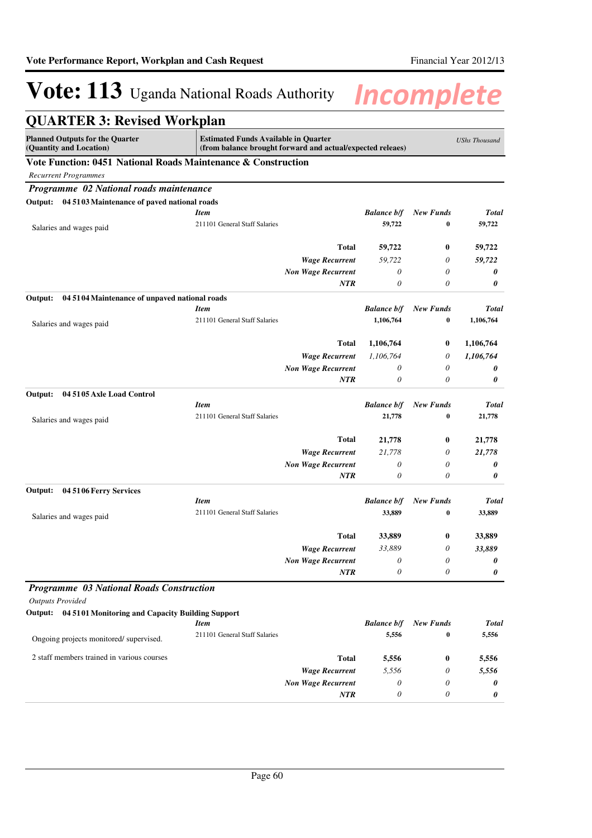| <b>QUARTER 3: Revised Workplan</b>                                |                                                                                                           |                           |                           |                              |                      |
|-------------------------------------------------------------------|-----------------------------------------------------------------------------------------------------------|---------------------------|---------------------------|------------------------------|----------------------|
| <b>Planned Outputs for the Quarter</b><br>(Quantity and Location) | <b>Estimated Funds Available in Quarter</b><br>(from balance brought forward and actual/expected releaes) |                           |                           |                              | <b>UShs Thousand</b> |
| Vote Function: 0451 National Roads Maintenance & Construction     |                                                                                                           |                           |                           |                              |                      |
| <b>Recurrent Programmes</b>                                       |                                                                                                           |                           |                           |                              |                      |
| Programme 02 National roads maintenance                           |                                                                                                           |                           |                           |                              |                      |
| Output: 04 5103 Maintenance of paved national roads               |                                                                                                           |                           |                           |                              |                      |
|                                                                   | <b>Item</b>                                                                                               |                           | <b>Balance b/f</b>        | <b>New Funds</b>             | Total                |
| Salaries and wages paid                                           | 211101 General Staff Salaries                                                                             |                           | 59,722                    | $\bf{0}$                     | 59,722               |
|                                                                   |                                                                                                           | <b>Total</b>              | 59,722                    | 0                            | 59,722               |
|                                                                   |                                                                                                           | <b>Wage Recurrent</b>     | 59,722                    | 0                            | 59,722               |
|                                                                   |                                                                                                           | <b>Non Wage Recurrent</b> | $\boldsymbol{\theta}$     | 0                            | 0                    |
|                                                                   |                                                                                                           | <b>NTR</b>                | 0                         | 0                            | 0                    |
| Output:<br>04 5104 Maintenance of unpaved national roads          |                                                                                                           |                           |                           |                              |                      |
|                                                                   | <b>Item</b>                                                                                               |                           | <b>Balance b/f</b>        | <b>New Funds</b>             | <b>Total</b>         |
| Salaries and wages paid                                           | 211101 General Staff Salaries                                                                             |                           | 1,106,764                 | $\bf{0}$                     | 1,106,764            |
|                                                                   |                                                                                                           | <b>Total</b>              | 1,106,764                 | 0                            | 1,106,764            |
|                                                                   |                                                                                                           | <b>Wage Recurrent</b>     | 1,106,764                 | 0                            | 1,106,764            |
|                                                                   |                                                                                                           | <b>Non Wage Recurrent</b> | 0                         | 0                            | 0                    |
|                                                                   |                                                                                                           | <b>NTR</b>                | $\boldsymbol{\theta}$     | 0                            | 0                    |
| 04 5105 Axle Load Control<br>Output:                              |                                                                                                           |                           |                           |                              |                      |
|                                                                   | <b>Item</b>                                                                                               |                           | <b>Balance b/f</b>        | <b>New Funds</b>             | <b>Total</b>         |
| Salaries and wages paid                                           | 211101 General Staff Salaries                                                                             |                           | 21,778                    | $\bf{0}$                     | 21,778               |
|                                                                   |                                                                                                           | <b>Total</b>              | 21,778                    | 0                            | 21,778               |
|                                                                   |                                                                                                           | <b>Wage Recurrent</b>     | 21,778                    | 0                            | 21,778               |
|                                                                   |                                                                                                           | <b>Non Wage Recurrent</b> | 0                         | 0                            | 0                    |
|                                                                   |                                                                                                           | <b>NTR</b>                | $\boldsymbol{\theta}$     | 0                            | 0                    |
| 04 5106 Ferry Services<br>Output:                                 |                                                                                                           |                           |                           |                              |                      |
|                                                                   | <b>Item</b><br>211101 General Staff Salaries                                                              |                           | <b>Balance b/f</b>        | <b>New Funds</b><br>$\bf{0}$ | <b>Total</b>         |
| Salaries and wages paid                                           |                                                                                                           |                           | 33,889                    |                              | 33,889               |
|                                                                   |                                                                                                           | <b>Total</b>              | 33,889                    | 0                            | 33,889               |
|                                                                   |                                                                                                           | <b>Wage Recurrent</b>     | 33,889                    | 0                            | 33,889               |
|                                                                   |                                                                                                           | <b>Non Wage Recurrent</b> | $\boldsymbol{\mathit{0}}$ | $\boldsymbol{\mathit{0}}$    | 0                    |
|                                                                   |                                                                                                           | <b>NTR</b>                | 0                         | 0                            | 0                    |
| Programme 03 National Roads Construction                          |                                                                                                           |                           |                           |                              |                      |
| <b>Outputs Provided</b>                                           |                                                                                                           |                           |                           |                              |                      |
| Output: 04 5101 Monitoring and Capacity Building Support          | <b>Item</b>                                                                                               |                           | <b>Balance b/f</b>        | <b>New Funds</b>             | Total                |
|                                                                   | 211101 General Staff Salaries                                                                             |                           | 5,556                     | $\bf{0}$                     | 5,556                |
| Ongoing projects monitored/supervised.                            |                                                                                                           |                           |                           |                              |                      |
| 2 staff members trained in various courses                        |                                                                                                           | <b>Total</b>              | 5,556                     | 0                            | 5,556                |
|                                                                   |                                                                                                           | <b>Wage Recurrent</b>     | 5,556                     | 0                            | 5,556                |
|                                                                   |                                                                                                           | <b>Non Wage Recurrent</b> | 0                         | 0                            | 0                    |
|                                                                   |                                                                                                           | NTR                       | 0                         | 0                            | 0                    |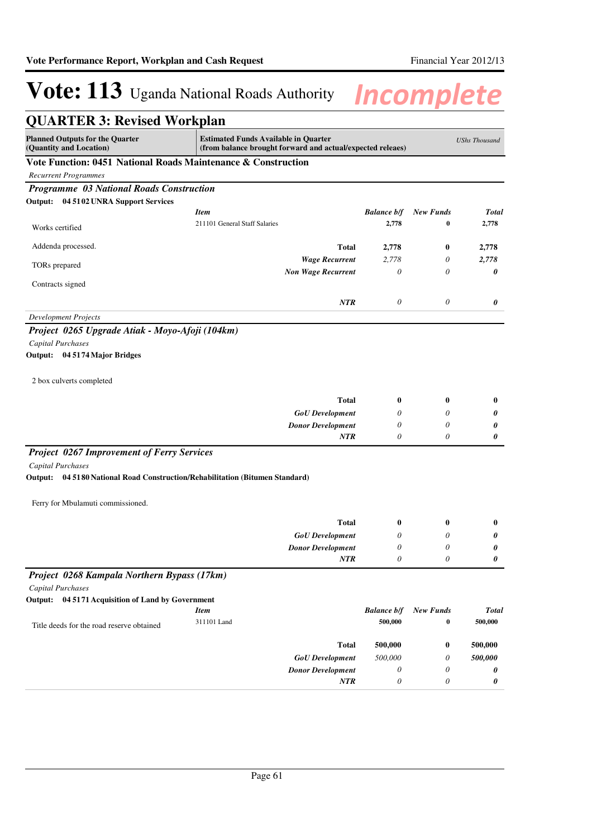| <b>QUARTER 3: Revised Workplan</b>                                              |                                                                                                           |                      |                  |                            |
|---------------------------------------------------------------------------------|-----------------------------------------------------------------------------------------------------------|----------------------|------------------|----------------------------|
| <b>Planned Outputs for the Quarter</b><br>(Quantity and Location)               | <b>Estimated Funds Available in Quarter</b><br>(from balance brought forward and actual/expected releaes) |                      |                  | <b>UShs Thousand</b>       |
| Vote Function: 0451 National Roads Maintenance & Construction                   |                                                                                                           |                      |                  |                            |
| <b>Recurrent Programmes</b>                                                     |                                                                                                           |                      |                  |                            |
| Programme 03 National Roads Construction                                        |                                                                                                           |                      |                  |                            |
| Output: 04 5102 UNRA Support Services                                           |                                                                                                           |                      |                  |                            |
|                                                                                 | <b>Item</b>                                                                                               | <b>Balance b/f</b>   | <b>New Funds</b> | <b>Total</b>               |
| Works certified                                                                 | 211101 General Staff Salaries                                                                             | 2,778                | 0                | 2,778                      |
| Addenda processed.                                                              | Total                                                                                                     | 2,778                | $\bf{0}$         | 2,778                      |
| TORs prepared                                                                   | <b>Wage Recurrent</b>                                                                                     | 2,778                | 0                | 2,778                      |
|                                                                                 | <b>Non Wage Recurrent</b>                                                                                 | $\theta$             | $\theta$         | 0                          |
| Contracts signed                                                                |                                                                                                           |                      |                  |                            |
|                                                                                 | <b>NTR</b>                                                                                                | $\theta$             | $\theta$         | 0                          |
| <b>Development Projects</b>                                                     |                                                                                                           |                      |                  |                            |
| Project 0265 Upgrade Atiak - Moyo-Afoji (104km)                                 |                                                                                                           |                      |                  |                            |
| Capital Purchases                                                               |                                                                                                           |                      |                  |                            |
| Output: 04 5174 Major Bridges                                                   |                                                                                                           |                      |                  |                            |
|                                                                                 |                                                                                                           |                      |                  |                            |
| 2 box culverts completed                                                        |                                                                                                           |                      |                  |                            |
|                                                                                 | <b>Total</b>                                                                                              | $\boldsymbol{0}$     | $\bf{0}$         | $\bf{0}$                   |
|                                                                                 | <b>GoU</b> Development                                                                                    | 0                    | $\theta$         | 0                          |
|                                                                                 | <b>Donor Development</b>                                                                                  | 0                    | 0                | 0                          |
|                                                                                 | <b>NTR</b>                                                                                                | $\theta$             | 0                | 0                          |
| <b>Project 0267 Improvement of Ferry Services</b>                               |                                                                                                           |                      |                  |                            |
| Capital Purchases                                                               |                                                                                                           |                      |                  |                            |
| 04 5180 National Road Construction/Rehabilitation (Bitumen Standard)<br>Output: |                                                                                                           |                      |                  |                            |
| Ferry for Mbulamuti commissioned.                                               |                                                                                                           |                      |                  |                            |
|                                                                                 |                                                                                                           |                      |                  |                            |
|                                                                                 | Total                                                                                                     | $\bf{0}$             | $\bf{0}$         | $\bf{0}$                   |
|                                                                                 | <b>GoU</b> Development                                                                                    | $\theta$             | 0                | 0<br>$\boldsymbol{\theta}$ |
|                                                                                 | <b>Donor Development</b><br>$\boldsymbol{NTR}$                                                            | $\theta$<br>$\theta$ | 0<br>0           | 0                          |
|                                                                                 |                                                                                                           |                      |                  |                            |
| Project 0268 Kampala Northern Bypass (17km)                                     |                                                                                                           |                      |                  |                            |
| Capital Purchases                                                               |                                                                                                           |                      |                  |                            |
| Output: 04 5171 Acquisition of Land by Government                               | <b>Item</b>                                                                                               | <b>Balance b/f</b>   | <b>New Funds</b> | <b>Total</b>               |
|                                                                                 | 311101 Land                                                                                               | 500,000              | $\bf{0}$         | 500,000                    |
| Title deeds for the road reserve obtained                                       |                                                                                                           |                      |                  |                            |
|                                                                                 | <b>Total</b>                                                                                              | 500,000              | $\bf{0}$         | 500,000                    |
|                                                                                 | <b>GoU</b> Development                                                                                    | 500,000              | 0                | 500,000                    |
|                                                                                 | <b>Donor Development</b>                                                                                  | $\theta$             | 0                | 0                          |
|                                                                                 | NTR                                                                                                       | $\theta$             | 0                | 0                          |
|                                                                                 |                                                                                                           |                      |                  |                            |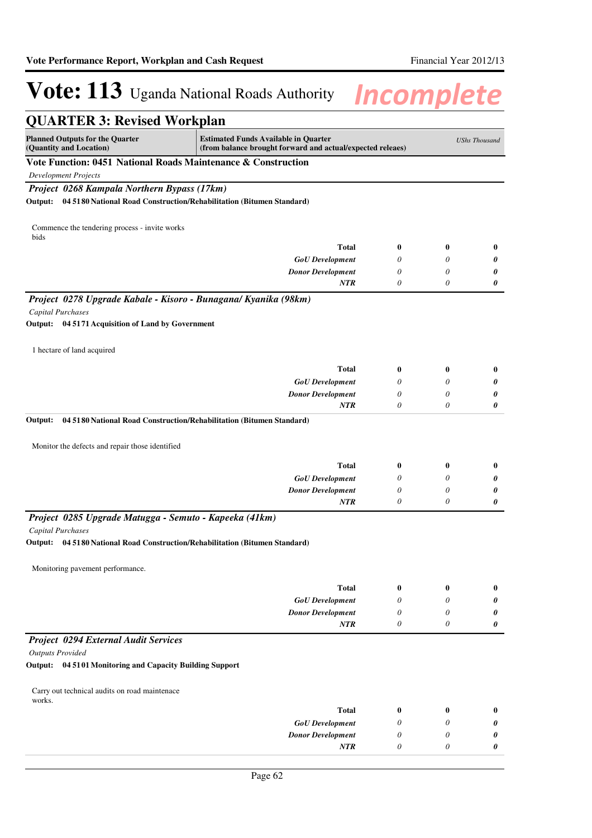| <b>QUARTER 3: Revised Workplan</b>                                           |                                                                                                           |                  |                  |                      |
|------------------------------------------------------------------------------|-----------------------------------------------------------------------------------------------------------|------------------|------------------|----------------------|
| <b>Planned Outputs for the Quarter</b><br>(Quantity and Location)            | <b>Estimated Funds Available in Quarter</b><br>(from balance brought forward and actual/expected releaes) |                  |                  | <b>UShs Thousand</b> |
| Vote Function: 0451 National Roads Maintenance & Construction                |                                                                                                           |                  |                  |                      |
| <b>Development Projects</b>                                                  |                                                                                                           |                  |                  |                      |
| Project 0268 Kampala Northern Bypass (17km)                                  |                                                                                                           |                  |                  |                      |
| Output:                                                                      | 04 5180 National Road Construction/Rehabilitation (Bitumen Standard)                                      |                  |                  |                      |
| Commence the tendering process - invite works<br>bids                        |                                                                                                           |                  |                  |                      |
|                                                                              | <b>Total</b>                                                                                              | 0                | $\bf{0}$         | $\bf{0}$             |
|                                                                              | <b>GoU</b> Development                                                                                    | 0                | 0                | 0                    |
|                                                                              | <b>Donor Development</b>                                                                                  | 0                | 0                | 0                    |
|                                                                              | NTR                                                                                                       | 0                | 0                | 0                    |
| Project 0278 Upgrade Kabale - Kisoro - Bunagana/ Kyanika (98km)              |                                                                                                           |                  |                  |                      |
| <b>Capital Purchases</b>                                                     |                                                                                                           |                  |                  |                      |
| Output: 04 5171 Acquisition of Land by Government                            |                                                                                                           |                  |                  |                      |
| 1 hectare of land acquired                                                   |                                                                                                           |                  |                  |                      |
|                                                                              | <b>Total</b>                                                                                              | 0                | $\bf{0}$         | $\bf{0}$             |
|                                                                              | <b>GoU</b> Development                                                                                    | 0                | 0                | 0                    |
|                                                                              | <b>Donor Development</b>                                                                                  | 0                | 0                | 0                    |
|                                                                              | <b>NTR</b>                                                                                                | $\theta$         | $\theta$         | 0                    |
| Output:                                                                      | 04 5180 National Road Construction/Rehabilitation (Bitumen Standard)                                      |                  |                  |                      |
| Monitor the defects and repair those identified                              |                                                                                                           |                  |                  |                      |
|                                                                              | <b>Total</b>                                                                                              | 0                | $\bf{0}$         | $\bf{0}$             |
|                                                                              | <b>GoU</b> Development                                                                                    | 0                | 0                | 0                    |
|                                                                              | <b>Donor Development</b>                                                                                  | 0                | 0                | 0                    |
|                                                                              | NTR                                                                                                       | 0                | 0                | 0                    |
| Project 0285 Upgrade Matugga - Semuto - Kapeeka (41km)                       |                                                                                                           |                  |                  |                      |
| Capital Purchases                                                            |                                                                                                           |                  |                  |                      |
| Output: 04 5180 National Road Construction/Rehabilitation (Bitumen Standard) |                                                                                                           |                  |                  |                      |
| Monitoring pavement performance.                                             |                                                                                                           |                  |                  |                      |
|                                                                              | <b>Total</b>                                                                                              | $\boldsymbol{0}$ | $\boldsymbol{0}$ | $\bf{0}$             |
|                                                                              | <b>GoU</b> Development                                                                                    | 0                | $\theta$         | 0                    |
|                                                                              | <b>Donor Development</b>                                                                                  | 0                | $\theta$         | 0                    |
|                                                                              | NTR                                                                                                       | 0                | 0                | 0                    |
| Project 0294 External Audit Services                                         |                                                                                                           |                  |                  |                      |
| <b>Outputs Provided</b>                                                      |                                                                                                           |                  |                  |                      |
| Output: 04 5101 Monitoring and Capacity Building Support                     |                                                                                                           |                  |                  |                      |
| Carry out technical audits on road maintenace                                |                                                                                                           |                  |                  |                      |
| works.                                                                       | <b>Total</b>                                                                                              | $\bf{0}$         | $\bf{0}$         | $\bf{0}$             |
|                                                                              | <b>GoU</b> Development                                                                                    | 0                | 0                | 0                    |
|                                                                              | <b>Donor Development</b>                                                                                  | 0                | 0                | 0                    |
|                                                                              | NTR                                                                                                       | 0                | 0                | 0                    |
|                                                                              |                                                                                                           |                  |                  |                      |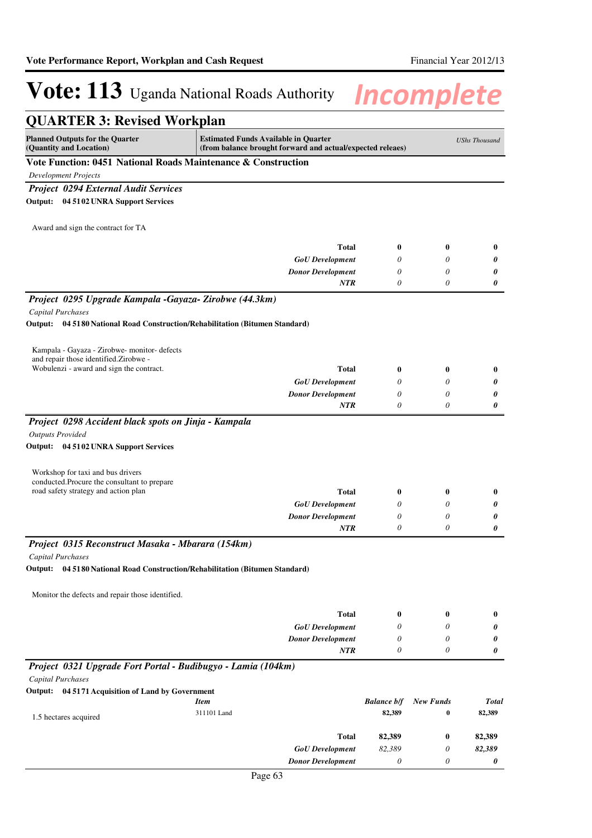| <b>QUARTER 3: Revised Workplan</b>                                                                       |             |                                                                                                           |                    |                  |                      |
|----------------------------------------------------------------------------------------------------------|-------------|-----------------------------------------------------------------------------------------------------------|--------------------|------------------|----------------------|
| <b>Planned Outputs for the Quarter</b><br>(Quantity and Location)                                        |             | <b>Estimated Funds Available in Quarter</b><br>(from balance brought forward and actual/expected releaes) |                    |                  | <b>UShs Thousand</b> |
| Vote Function: 0451 National Roads Maintenance & Construction                                            |             |                                                                                                           |                    |                  |                      |
| <b>Development Projects</b>                                                                              |             |                                                                                                           |                    |                  |                      |
| <b>Project 0294 External Audit Services</b>                                                              |             |                                                                                                           |                    |                  |                      |
| Output: 04 5102 UNRA Support Services                                                                    |             |                                                                                                           |                    |                  |                      |
|                                                                                                          |             |                                                                                                           |                    |                  |                      |
| Award and sign the contract for TA                                                                       |             |                                                                                                           |                    |                  |                      |
|                                                                                                          |             | <b>Total</b>                                                                                              |                    | 0                |                      |
|                                                                                                          |             |                                                                                                           | 0<br>0             | 0                | 0                    |
|                                                                                                          |             | <b>GoU</b> Development<br><b>Donor Development</b>                                                        | 0                  | 0                | 0<br>0               |
|                                                                                                          |             | <b>NTR</b>                                                                                                | 0                  | 0                | 0                    |
|                                                                                                          |             |                                                                                                           |                    |                  |                      |
| Project 0295 Upgrade Kampala -Gayaza- Zirobwe (44.3km)                                                   |             |                                                                                                           |                    |                  |                      |
| <b>Capital Purchases</b><br>Output: 04 5180 National Road Construction/Rehabilitation (Bitumen Standard) |             |                                                                                                           |                    |                  |                      |
|                                                                                                          |             |                                                                                                           |                    |                  |                      |
|                                                                                                          |             |                                                                                                           |                    |                  |                      |
| Kampala - Gayaza - Zirobwe- monitor- defects<br>and repair those identified. Zirobwe -                   |             |                                                                                                           |                    |                  |                      |
| Wobulenzi - award and sign the contract.                                                                 |             | <b>Total</b>                                                                                              | 0                  | 0                | $\bf{0}$             |
|                                                                                                          |             | <b>GoU</b> Development                                                                                    | 0                  | 0                | 0                    |
|                                                                                                          |             | <b>Donor Development</b>                                                                                  | 0                  | 0                | 0                    |
|                                                                                                          |             | <b>NTR</b>                                                                                                | 0                  | 0                | 0                    |
| Project 0298 Accident black spots on Jinja - Kampala                                                     |             |                                                                                                           |                    |                  |                      |
| <b>Outputs Provided</b>                                                                                  |             |                                                                                                           |                    |                  |                      |
| Output: 04 51 02 UNRA Support Services                                                                   |             |                                                                                                           |                    |                  |                      |
|                                                                                                          |             |                                                                                                           |                    |                  |                      |
| Workshop for taxi and bus drivers                                                                        |             |                                                                                                           |                    |                  |                      |
| conducted.Procure the consultant to prepare                                                              |             |                                                                                                           |                    |                  |                      |
| road safety strategy and action plan                                                                     |             | <b>Total</b>                                                                                              | 0                  | 0                | $\bf{0}$             |
|                                                                                                          |             | <b>GoU</b> Development<br><b>Donor Development</b>                                                        | 0<br>0             | 0<br>0           | 0                    |
|                                                                                                          |             | <b>NTR</b>                                                                                                | 0                  | 0                | 0<br>0               |
|                                                                                                          |             |                                                                                                           |                    |                  |                      |
| Project 0315 Reconstruct Masaka - Mbarara (154km)                                                        |             |                                                                                                           |                    |                  |                      |
| Capital Purchases                                                                                        |             |                                                                                                           |                    |                  |                      |
| Output:<br>04 5180 National Road Construction/Rehabilitation (Bitumen Standard)                          |             |                                                                                                           |                    |                  |                      |
| Monitor the defects and repair those identified.                                                         |             |                                                                                                           |                    |                  |                      |
|                                                                                                          |             |                                                                                                           |                    |                  |                      |
|                                                                                                          |             | <b>Total</b>                                                                                              | $\boldsymbol{0}$   | 0                | $\bf{0}$             |
|                                                                                                          |             | <b>GoU</b> Development                                                                                    | 0                  | 0                | 0                    |
|                                                                                                          |             | <b>Donor Development</b>                                                                                  | 0                  | 0                | 0                    |
|                                                                                                          |             | <b>NTR</b>                                                                                                | 0                  | 0                | 0                    |
| Project 0321 Upgrade Fort Portal - Budibugyo - Lamia (104km)                                             |             |                                                                                                           |                    |                  |                      |
| Capital Purchases                                                                                        |             |                                                                                                           |                    |                  |                      |
| Output: 04 5171 Acquisition of Land by Government                                                        |             |                                                                                                           |                    |                  |                      |
|                                                                                                          | <b>Item</b> |                                                                                                           | <b>Balance b/f</b> | <b>New Funds</b> | <b>Total</b>         |
| 1.5 hectares acquired                                                                                    | 311101 Land |                                                                                                           | 82,389             | 0                | 82,389               |
|                                                                                                          |             | <b>Total</b>                                                                                              | 82,389             | 0                | 82,389               |
|                                                                                                          |             | <b>GoU</b> Development                                                                                    | 82,389             | 0                | 82,389               |
|                                                                                                          |             | <b>Donor Development</b>                                                                                  | $\theta$           | 0                | 0                    |
|                                                                                                          |             |                                                                                                           |                    |                  |                      |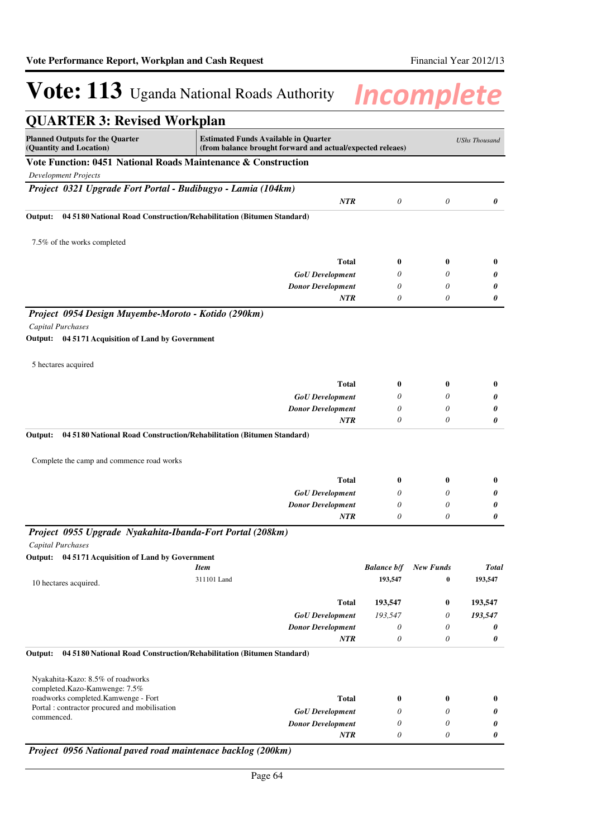| <b>QUARTER 3: Revised Workplan</b>                                              |                                                                                                           |                    |                       |                      |
|---------------------------------------------------------------------------------|-----------------------------------------------------------------------------------------------------------|--------------------|-----------------------|----------------------|
| <b>Planned Outputs for the Quarter</b><br>(Quantity and Location)               | <b>Estimated Funds Available in Quarter</b><br>(from balance brought forward and actual/expected releaes) |                    |                       | <b>UShs Thousand</b> |
| Vote Function: 0451 National Roads Maintenance & Construction                   |                                                                                                           |                    |                       |                      |
| <b>Development Projects</b>                                                     |                                                                                                           |                    |                       |                      |
| Project 0321 Upgrade Fort Portal - Budibugyo - Lamia (104km)                    |                                                                                                           |                    |                       |                      |
|                                                                                 | <b>NTR</b>                                                                                                | 0                  | 0                     | 0                    |
| Output:<br>04 5180 National Road Construction/Rehabilitation (Bitumen Standard) |                                                                                                           |                    |                       |                      |
| 7.5% of the works completed                                                     |                                                                                                           |                    |                       |                      |
|                                                                                 | <b>Total</b>                                                                                              | 0                  | $\bf{0}$              | $\bf{0}$             |
|                                                                                 | <b>GoU</b> Development                                                                                    | 0                  | 0                     | 0                    |
|                                                                                 | <b>Donor Development</b>                                                                                  | 0                  | 0                     | 0                    |
|                                                                                 | NTR                                                                                                       | 0                  | 0                     | 0                    |
| Project 0954 Design Muyembe-Moroto - Kotido (290km)                             |                                                                                                           |                    |                       |                      |
| <b>Capital Purchases</b>                                                        |                                                                                                           |                    |                       |                      |
| Output: 04 5171 Acquisition of Land by Government                               |                                                                                                           |                    |                       |                      |
| 5 hectares acquired                                                             |                                                                                                           |                    |                       |                      |
|                                                                                 | <b>Total</b>                                                                                              | 0                  | 0                     | $\bf{0}$             |
|                                                                                 | <b>GoU</b> Development                                                                                    | 0                  | 0                     | 0                    |
|                                                                                 |                                                                                                           |                    |                       | 0                    |
|                                                                                 | <b>Donor Development</b>                                                                                  | 0                  | 0                     |                      |
|                                                                                 | <b>NTR</b>                                                                                                | 0                  | 0                     | 0                    |
| 04 5180 National Road Construction/Rehabilitation (Bitumen Standard)<br>Output: |                                                                                                           |                    |                       |                      |
|                                                                                 |                                                                                                           |                    |                       |                      |
| Complete the camp and commence road works                                       |                                                                                                           |                    |                       |                      |
|                                                                                 | <b>Total</b>                                                                                              | 0                  | 0                     | $\bf{0}$             |
|                                                                                 | <b>GoU</b> Development                                                                                    | 0                  | 0                     | 0                    |
|                                                                                 | <b>Donor Development</b>                                                                                  | 0                  | 0                     | 0                    |
|                                                                                 | <b>NTR</b>                                                                                                | 0                  | 0                     | 0                    |
| Project 0955 Upgrade Nyakahita-Ibanda-Fort Portal (208km)                       |                                                                                                           |                    |                       |                      |
| <b>Capital Purchases</b>                                                        |                                                                                                           |                    |                       |                      |
| Output: 04 5171 Acquisition of Land by Government                               |                                                                                                           |                    |                       |                      |
|                                                                                 | <b>Item</b>                                                                                               | <b>Balance b/f</b> | <b>New Funds</b><br>0 | 193,547              |
| 10 hectares acquired.                                                           | 311101 Land                                                                                               | 193,547            |                       |                      |
|                                                                                 | <b>Total</b>                                                                                              | 193,547            | 0                     | 193,547              |
|                                                                                 | <b>GoU</b> Development                                                                                    | 193,547            | 0                     | 193,547              |
|                                                                                 | <b>Donor Development</b>                                                                                  | 0                  | 0                     | <b>Total</b><br>0    |
|                                                                                 | NTR                                                                                                       | 0                  | 0                     | 0                    |
| 04 5180 National Road Construction/Rehabilitation (Bitumen Standard)<br>Output: |                                                                                                           |                    |                       |                      |
| Nyakahita-Kazo: 8.5% of roadworks<br>completed.Kazo-Kamwenge: 7.5%              |                                                                                                           |                    |                       |                      |
| roadworks completed.Kamwenge - Fort                                             | <b>Total</b>                                                                                              | 0                  | 0                     | 0                    |
| Portal : contractor procured and mobilisation                                   | <b>GoU</b> Development                                                                                    | 0                  | 0                     | 0                    |
| commenced.                                                                      | <b>Donor Development</b><br><b>NTR</b>                                                                    | 0<br>0             | 0<br>0                | 0<br>0               |

Page 64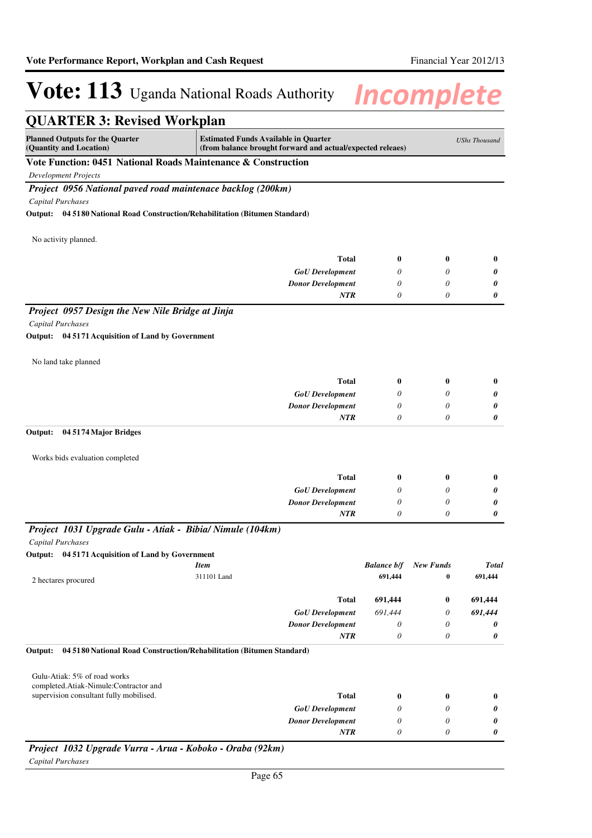| <b>Estimated Funds Available in Quarter</b><br><b>UShs Thousand</b><br>(Quantity and Location)<br>(from balance brought forward and actual/expected releaes)<br>Vote Function: 0451 National Roads Maintenance & Construction<br><b>Development Projects</b><br>Project 0956 National paved road maintenace backlog (200km)<br><b>Capital Purchases</b><br>Output: 04 5180 National Road Construction/Rehabilitation (Bitumen Standard)<br>No activity planned.<br><b>Total</b><br>$\bf{0}$<br>$\bf{0}$<br>$\bf{0}$<br><b>GoU</b> Development<br>0<br>0<br>0<br><b>Donor Development</b><br>0<br>0<br>0<br>0<br>NTR<br>0<br>0<br>Project 0957 Design the New Nile Bridge at Jinja<br>Capital Purchases<br>Output: 04 5171 Acquisition of Land by Government<br>No land take planned<br><b>Total</b><br>0<br>0<br>$\bf{0}$<br><b>GoU</b> Development<br>0<br>0<br>0<br><b>Donor Development</b><br>0<br>0<br>0<br>NTR<br>0<br>0<br>0<br>Output:<br>04 5174 Major Bridges<br>Works bids evaluation completed<br><b>Total</b><br>0<br>0<br>$\bf{0}$<br><b>GoU</b> Development<br>0<br>0<br>0<br><b>Donor Development</b><br>0<br>0<br>0<br><b>NTR</b><br>0<br>0<br>0<br>Project 1031 Upgrade Gulu - Atiak - Bibia/ Nimule (104km)<br><b>Capital Purchases</b><br>Output: 04 5171 Acquisition of Land by Government<br><b>Item</b><br><b>Balance b/f</b><br><b>New Funds</b><br><b>Total</b><br>311101 Land<br>691,444<br>691,444<br>$\bf{0}$<br>2 hectares procured<br>691,444<br><b>Total</b><br>691,444<br>0<br>691,444<br>691,444<br><b>GoU</b> Development<br>0<br><b>Donor Development</b><br>0<br>0<br>0<br>$\boldsymbol{\theta}$<br>NTR<br>0<br>0<br>Output:<br>04 5180 National Road Construction/Rehabilitation (Bitumen Standard)<br>Gulu-Atiak: 5% of road works<br>completed.Atiak-Nimule:Contractor and<br>supervision consultant fully mobilised.<br><b>Total</b><br>0<br>0<br>$\bf{0}$<br><b>GoU</b> Development<br>0<br>0<br>0<br><b>Donor Development</b><br>0<br>0<br>0<br>0<br>NTR<br>0<br>0<br>Project 1032 Upgrade Vurra - Arua - Koboko - Oraba (92km) | <b>QUARTER 3: Revised Workplan</b>     |  |  |
|---------------------------------------------------------------------------------------------------------------------------------------------------------------------------------------------------------------------------------------------------------------------------------------------------------------------------------------------------------------------------------------------------------------------------------------------------------------------------------------------------------------------------------------------------------------------------------------------------------------------------------------------------------------------------------------------------------------------------------------------------------------------------------------------------------------------------------------------------------------------------------------------------------------------------------------------------------------------------------------------------------------------------------------------------------------------------------------------------------------------------------------------------------------------------------------------------------------------------------------------------------------------------------------------------------------------------------------------------------------------------------------------------------------------------------------------------------------------------------------------------------------------------------------------------------------------------------------------------------------------------------------------------------------------------------------------------------------------------------------------------------------------------------------------------------------------------------------------------------------------------------------------------------------------------------------------------------------------------------------------------------------------------------------------------------------------------|----------------------------------------|--|--|
|                                                                                                                                                                                                                                                                                                                                                                                                                                                                                                                                                                                                                                                                                                                                                                                                                                                                                                                                                                                                                                                                                                                                                                                                                                                                                                                                                                                                                                                                                                                                                                                                                                                                                                                                                                                                                                                                                                                                                                                                                                                                           | <b>Planned Outputs for the Quarter</b> |  |  |
|                                                                                                                                                                                                                                                                                                                                                                                                                                                                                                                                                                                                                                                                                                                                                                                                                                                                                                                                                                                                                                                                                                                                                                                                                                                                                                                                                                                                                                                                                                                                                                                                                                                                                                                                                                                                                                                                                                                                                                                                                                                                           |                                        |  |  |
|                                                                                                                                                                                                                                                                                                                                                                                                                                                                                                                                                                                                                                                                                                                                                                                                                                                                                                                                                                                                                                                                                                                                                                                                                                                                                                                                                                                                                                                                                                                                                                                                                                                                                                                                                                                                                                                                                                                                                                                                                                                                           |                                        |  |  |
|                                                                                                                                                                                                                                                                                                                                                                                                                                                                                                                                                                                                                                                                                                                                                                                                                                                                                                                                                                                                                                                                                                                                                                                                                                                                                                                                                                                                                                                                                                                                                                                                                                                                                                                                                                                                                                                                                                                                                                                                                                                                           |                                        |  |  |
|                                                                                                                                                                                                                                                                                                                                                                                                                                                                                                                                                                                                                                                                                                                                                                                                                                                                                                                                                                                                                                                                                                                                                                                                                                                                                                                                                                                                                                                                                                                                                                                                                                                                                                                                                                                                                                                                                                                                                                                                                                                                           |                                        |  |  |
|                                                                                                                                                                                                                                                                                                                                                                                                                                                                                                                                                                                                                                                                                                                                                                                                                                                                                                                                                                                                                                                                                                                                                                                                                                                                                                                                                                                                                                                                                                                                                                                                                                                                                                                                                                                                                                                                                                                                                                                                                                                                           |                                        |  |  |
|                                                                                                                                                                                                                                                                                                                                                                                                                                                                                                                                                                                                                                                                                                                                                                                                                                                                                                                                                                                                                                                                                                                                                                                                                                                                                                                                                                                                                                                                                                                                                                                                                                                                                                                                                                                                                                                                                                                                                                                                                                                                           |                                        |  |  |
|                                                                                                                                                                                                                                                                                                                                                                                                                                                                                                                                                                                                                                                                                                                                                                                                                                                                                                                                                                                                                                                                                                                                                                                                                                                                                                                                                                                                                                                                                                                                                                                                                                                                                                                                                                                                                                                                                                                                                                                                                                                                           |                                        |  |  |
|                                                                                                                                                                                                                                                                                                                                                                                                                                                                                                                                                                                                                                                                                                                                                                                                                                                                                                                                                                                                                                                                                                                                                                                                                                                                                                                                                                                                                                                                                                                                                                                                                                                                                                                                                                                                                                                                                                                                                                                                                                                                           |                                        |  |  |
|                                                                                                                                                                                                                                                                                                                                                                                                                                                                                                                                                                                                                                                                                                                                                                                                                                                                                                                                                                                                                                                                                                                                                                                                                                                                                                                                                                                                                                                                                                                                                                                                                                                                                                                                                                                                                                                                                                                                                                                                                                                                           |                                        |  |  |
|                                                                                                                                                                                                                                                                                                                                                                                                                                                                                                                                                                                                                                                                                                                                                                                                                                                                                                                                                                                                                                                                                                                                                                                                                                                                                                                                                                                                                                                                                                                                                                                                                                                                                                                                                                                                                                                                                                                                                                                                                                                                           |                                        |  |  |
|                                                                                                                                                                                                                                                                                                                                                                                                                                                                                                                                                                                                                                                                                                                                                                                                                                                                                                                                                                                                                                                                                                                                                                                                                                                                                                                                                                                                                                                                                                                                                                                                                                                                                                                                                                                                                                                                                                                                                                                                                                                                           |                                        |  |  |
|                                                                                                                                                                                                                                                                                                                                                                                                                                                                                                                                                                                                                                                                                                                                                                                                                                                                                                                                                                                                                                                                                                                                                                                                                                                                                                                                                                                                                                                                                                                                                                                                                                                                                                                                                                                                                                                                                                                                                                                                                                                                           |                                        |  |  |
|                                                                                                                                                                                                                                                                                                                                                                                                                                                                                                                                                                                                                                                                                                                                                                                                                                                                                                                                                                                                                                                                                                                                                                                                                                                                                                                                                                                                                                                                                                                                                                                                                                                                                                                                                                                                                                                                                                                                                                                                                                                                           |                                        |  |  |
|                                                                                                                                                                                                                                                                                                                                                                                                                                                                                                                                                                                                                                                                                                                                                                                                                                                                                                                                                                                                                                                                                                                                                                                                                                                                                                                                                                                                                                                                                                                                                                                                                                                                                                                                                                                                                                                                                                                                                                                                                                                                           |                                        |  |  |
|                                                                                                                                                                                                                                                                                                                                                                                                                                                                                                                                                                                                                                                                                                                                                                                                                                                                                                                                                                                                                                                                                                                                                                                                                                                                                                                                                                                                                                                                                                                                                                                                                                                                                                                                                                                                                                                                                                                                                                                                                                                                           |                                        |  |  |
|                                                                                                                                                                                                                                                                                                                                                                                                                                                                                                                                                                                                                                                                                                                                                                                                                                                                                                                                                                                                                                                                                                                                                                                                                                                                                                                                                                                                                                                                                                                                                                                                                                                                                                                                                                                                                                                                                                                                                                                                                                                                           |                                        |  |  |
|                                                                                                                                                                                                                                                                                                                                                                                                                                                                                                                                                                                                                                                                                                                                                                                                                                                                                                                                                                                                                                                                                                                                                                                                                                                                                                                                                                                                                                                                                                                                                                                                                                                                                                                                                                                                                                                                                                                                                                                                                                                                           |                                        |  |  |
|                                                                                                                                                                                                                                                                                                                                                                                                                                                                                                                                                                                                                                                                                                                                                                                                                                                                                                                                                                                                                                                                                                                                                                                                                                                                                                                                                                                                                                                                                                                                                                                                                                                                                                                                                                                                                                                                                                                                                                                                                                                                           |                                        |  |  |
|                                                                                                                                                                                                                                                                                                                                                                                                                                                                                                                                                                                                                                                                                                                                                                                                                                                                                                                                                                                                                                                                                                                                                                                                                                                                                                                                                                                                                                                                                                                                                                                                                                                                                                                                                                                                                                                                                                                                                                                                                                                                           |                                        |  |  |
|                                                                                                                                                                                                                                                                                                                                                                                                                                                                                                                                                                                                                                                                                                                                                                                                                                                                                                                                                                                                                                                                                                                                                                                                                                                                                                                                                                                                                                                                                                                                                                                                                                                                                                                                                                                                                                                                                                                                                                                                                                                                           |                                        |  |  |
|                                                                                                                                                                                                                                                                                                                                                                                                                                                                                                                                                                                                                                                                                                                                                                                                                                                                                                                                                                                                                                                                                                                                                                                                                                                                                                                                                                                                                                                                                                                                                                                                                                                                                                                                                                                                                                                                                                                                                                                                                                                                           |                                        |  |  |
|                                                                                                                                                                                                                                                                                                                                                                                                                                                                                                                                                                                                                                                                                                                                                                                                                                                                                                                                                                                                                                                                                                                                                                                                                                                                                                                                                                                                                                                                                                                                                                                                                                                                                                                                                                                                                                                                                                                                                                                                                                                                           |                                        |  |  |
|                                                                                                                                                                                                                                                                                                                                                                                                                                                                                                                                                                                                                                                                                                                                                                                                                                                                                                                                                                                                                                                                                                                                                                                                                                                                                                                                                                                                                                                                                                                                                                                                                                                                                                                                                                                                                                                                                                                                                                                                                                                                           |                                        |  |  |
|                                                                                                                                                                                                                                                                                                                                                                                                                                                                                                                                                                                                                                                                                                                                                                                                                                                                                                                                                                                                                                                                                                                                                                                                                                                                                                                                                                                                                                                                                                                                                                                                                                                                                                                                                                                                                                                                                                                                                                                                                                                                           |                                        |  |  |
|                                                                                                                                                                                                                                                                                                                                                                                                                                                                                                                                                                                                                                                                                                                                                                                                                                                                                                                                                                                                                                                                                                                                                                                                                                                                                                                                                                                                                                                                                                                                                                                                                                                                                                                                                                                                                                                                                                                                                                                                                                                                           |                                        |  |  |
|                                                                                                                                                                                                                                                                                                                                                                                                                                                                                                                                                                                                                                                                                                                                                                                                                                                                                                                                                                                                                                                                                                                                                                                                                                                                                                                                                                                                                                                                                                                                                                                                                                                                                                                                                                                                                                                                                                                                                                                                                                                                           |                                        |  |  |
|                                                                                                                                                                                                                                                                                                                                                                                                                                                                                                                                                                                                                                                                                                                                                                                                                                                                                                                                                                                                                                                                                                                                                                                                                                                                                                                                                                                                                                                                                                                                                                                                                                                                                                                                                                                                                                                                                                                                                                                                                                                                           |                                        |  |  |
|                                                                                                                                                                                                                                                                                                                                                                                                                                                                                                                                                                                                                                                                                                                                                                                                                                                                                                                                                                                                                                                                                                                                                                                                                                                                                                                                                                                                                                                                                                                                                                                                                                                                                                                                                                                                                                                                                                                                                                                                                                                                           |                                        |  |  |
|                                                                                                                                                                                                                                                                                                                                                                                                                                                                                                                                                                                                                                                                                                                                                                                                                                                                                                                                                                                                                                                                                                                                                                                                                                                                                                                                                                                                                                                                                                                                                                                                                                                                                                                                                                                                                                                                                                                                                                                                                                                                           |                                        |  |  |
|                                                                                                                                                                                                                                                                                                                                                                                                                                                                                                                                                                                                                                                                                                                                                                                                                                                                                                                                                                                                                                                                                                                                                                                                                                                                                                                                                                                                                                                                                                                                                                                                                                                                                                                                                                                                                                                                                                                                                                                                                                                                           |                                        |  |  |
|                                                                                                                                                                                                                                                                                                                                                                                                                                                                                                                                                                                                                                                                                                                                                                                                                                                                                                                                                                                                                                                                                                                                                                                                                                                                                                                                                                                                                                                                                                                                                                                                                                                                                                                                                                                                                                                                                                                                                                                                                                                                           |                                        |  |  |
|                                                                                                                                                                                                                                                                                                                                                                                                                                                                                                                                                                                                                                                                                                                                                                                                                                                                                                                                                                                                                                                                                                                                                                                                                                                                                                                                                                                                                                                                                                                                                                                                                                                                                                                                                                                                                                                                                                                                                                                                                                                                           |                                        |  |  |
|                                                                                                                                                                                                                                                                                                                                                                                                                                                                                                                                                                                                                                                                                                                                                                                                                                                                                                                                                                                                                                                                                                                                                                                                                                                                                                                                                                                                                                                                                                                                                                                                                                                                                                                                                                                                                                                                                                                                                                                                                                                                           |                                        |  |  |
|                                                                                                                                                                                                                                                                                                                                                                                                                                                                                                                                                                                                                                                                                                                                                                                                                                                                                                                                                                                                                                                                                                                                                                                                                                                                                                                                                                                                                                                                                                                                                                                                                                                                                                                                                                                                                                                                                                                                                                                                                                                                           |                                        |  |  |
|                                                                                                                                                                                                                                                                                                                                                                                                                                                                                                                                                                                                                                                                                                                                                                                                                                                                                                                                                                                                                                                                                                                                                                                                                                                                                                                                                                                                                                                                                                                                                                                                                                                                                                                                                                                                                                                                                                                                                                                                                                                                           |                                        |  |  |
|                                                                                                                                                                                                                                                                                                                                                                                                                                                                                                                                                                                                                                                                                                                                                                                                                                                                                                                                                                                                                                                                                                                                                                                                                                                                                                                                                                                                                                                                                                                                                                                                                                                                                                                                                                                                                                                                                                                                                                                                                                                                           |                                        |  |  |
|                                                                                                                                                                                                                                                                                                                                                                                                                                                                                                                                                                                                                                                                                                                                                                                                                                                                                                                                                                                                                                                                                                                                                                                                                                                                                                                                                                                                                                                                                                                                                                                                                                                                                                                                                                                                                                                                                                                                                                                                                                                                           |                                        |  |  |
|                                                                                                                                                                                                                                                                                                                                                                                                                                                                                                                                                                                                                                                                                                                                                                                                                                                                                                                                                                                                                                                                                                                                                                                                                                                                                                                                                                                                                                                                                                                                                                                                                                                                                                                                                                                                                                                                                                                                                                                                                                                                           |                                        |  |  |
|                                                                                                                                                                                                                                                                                                                                                                                                                                                                                                                                                                                                                                                                                                                                                                                                                                                                                                                                                                                                                                                                                                                                                                                                                                                                                                                                                                                                                                                                                                                                                                                                                                                                                                                                                                                                                                                                                                                                                                                                                                                                           |                                        |  |  |
|                                                                                                                                                                                                                                                                                                                                                                                                                                                                                                                                                                                                                                                                                                                                                                                                                                                                                                                                                                                                                                                                                                                                                                                                                                                                                                                                                                                                                                                                                                                                                                                                                                                                                                                                                                                                                                                                                                                                                                                                                                                                           |                                        |  |  |

*Capital Purchases*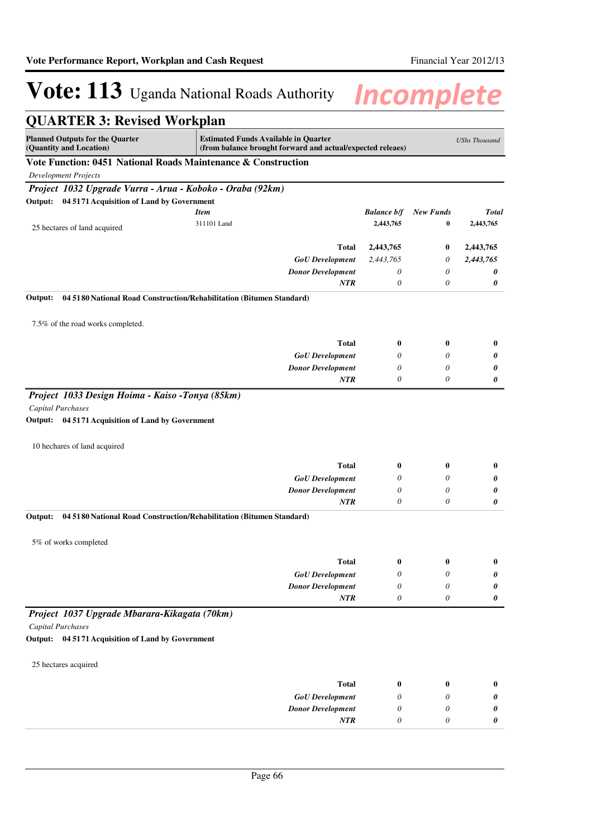| <b>QUARTER 3: Revised Workplan</b>                                                                                        |                                                                                                           |                       |                  |                      |
|---------------------------------------------------------------------------------------------------------------------------|-----------------------------------------------------------------------------------------------------------|-----------------------|------------------|----------------------|
| <b>Planned Outputs for the Quarter</b><br>(Quantity and Location)                                                         | <b>Estimated Funds Available in Quarter</b><br>(from balance brought forward and actual/expected releaes) |                       |                  | <b>UShs Thousand</b> |
| Vote Function: 0451 National Roads Maintenance & Construction                                                             |                                                                                                           |                       |                  |                      |
| <b>Development Projects</b>                                                                                               |                                                                                                           |                       |                  |                      |
| Project 1032 Upgrade Vurra - Arua - Koboko - Oraba (92km)                                                                 |                                                                                                           |                       |                  |                      |
| Output: 04 5171 Acquisition of Land by Government                                                                         |                                                                                                           |                       |                  |                      |
|                                                                                                                           | <b>Item</b>                                                                                               | <b>Balance b/f</b>    | <b>New Funds</b> | <b>Total</b>         |
| 25 hectares of land acquired                                                                                              | 311101 Land                                                                                               | 2,443,765             | $\bf{0}$         | 2,443,765            |
|                                                                                                                           | Total                                                                                                     | 2,443,765             | $\bf{0}$         | 2,443,765            |
|                                                                                                                           | <b>GoU</b> Development                                                                                    | 2,443,765             | 0                | 2,443,765            |
|                                                                                                                           | <b>Donor Development</b>                                                                                  | $\theta$              | $\theta$         | 0                    |
|                                                                                                                           | NTR                                                                                                       | $\theta$              | $\theta$         | 0                    |
| Output:<br>04 5180 National Road Construction/Rehabilitation (Bitumen Standard)                                           |                                                                                                           |                       |                  |                      |
| 7.5% of the road works completed.                                                                                         |                                                                                                           |                       |                  |                      |
|                                                                                                                           | <b>Total</b>                                                                                              |                       | $\bf{0}$         |                      |
|                                                                                                                           | <b>GoU</b> Development                                                                                    | $\bf{0}$<br>0         | $\theta$         | $\bf{0}$<br>0        |
|                                                                                                                           | <b>Donor Development</b>                                                                                  | 0                     | 0                | 0                    |
|                                                                                                                           | NTR                                                                                                       | $\theta$              | 0                | 0                    |
| Project 1033 Design Hoima - Kaiso -Tonya (85km)<br>Capital Purchases<br>Output: 04 5171 Acquisition of Land by Government |                                                                                                           |                       |                  |                      |
| 10 hechares of land acquired                                                                                              |                                                                                                           |                       |                  |                      |
|                                                                                                                           | <b>Total</b>                                                                                              | $\bf{0}$              | $\bf{0}$         | $\bf{0}$             |
|                                                                                                                           | <b>GoU</b> Development                                                                                    | $\theta$              | 0                | 0                    |
|                                                                                                                           | <b>Donor Development</b>                                                                                  | 0                     | 0                | 0                    |
|                                                                                                                           | <b>NTR</b>                                                                                                | $\theta$              | 0                | 0                    |
| 04 5180 National Road Construction/Rehabilitation (Bitumen Standard)<br>Output:                                           |                                                                                                           |                       |                  |                      |
| 5% of works completed                                                                                                     |                                                                                                           |                       |                  |                      |
|                                                                                                                           | <b>Total</b>                                                                                              | $\boldsymbol{0}$      | $\boldsymbol{0}$ | $\bf{0}$             |
|                                                                                                                           | <b>GoU</b> Development                                                                                    | $\theta$              | 0                | 0                    |
|                                                                                                                           | <b>Donor Development</b>                                                                                  | 0                     | 0                | 0                    |
|                                                                                                                           | NTR                                                                                                       | $\boldsymbol{\theta}$ | 0                | 0                    |
| Project 1037 Upgrade Mbarara-Kikagata (70km)                                                                              |                                                                                                           |                       |                  |                      |
| Capital Purchases                                                                                                         |                                                                                                           |                       |                  |                      |
| Output: 04 5171 Acquisition of Land by Government                                                                         |                                                                                                           |                       |                  |                      |
| 25 hectares acquired                                                                                                      |                                                                                                           |                       |                  |                      |
|                                                                                                                           | <b>Total</b>                                                                                              | $\bf{0}$              | $\bf{0}$         | $\bf{0}$             |
|                                                                                                                           | <b>GoU</b> Development                                                                                    | 0                     | 0                | 0                    |
|                                                                                                                           | <b>Donor Development</b>                                                                                  | $\theta$              | 0                | 0                    |
|                                                                                                                           | NTR                                                                                                       | 0                     | 0                | 0                    |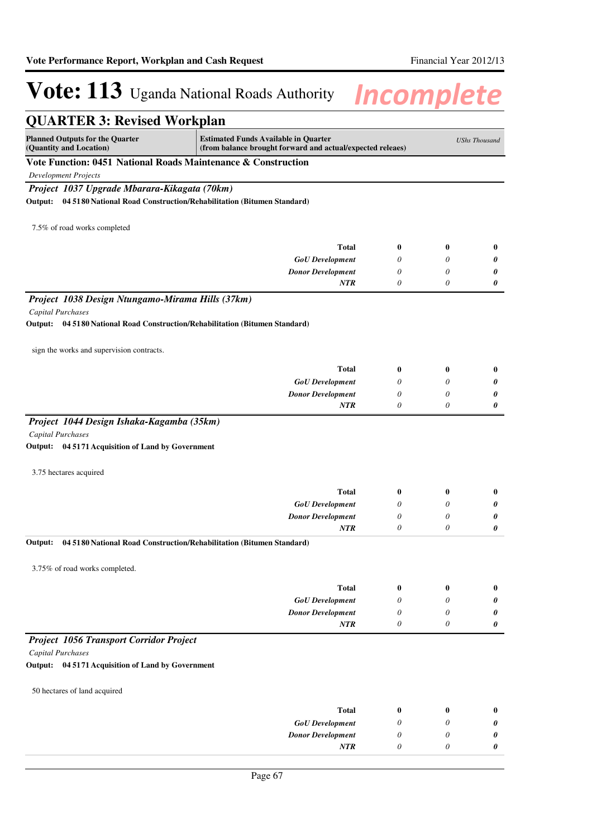| <b>QUARTER 3: Revised Workplan</b>                                                                   |                                                                                                           |                  |                       |                      |
|------------------------------------------------------------------------------------------------------|-----------------------------------------------------------------------------------------------------------|------------------|-----------------------|----------------------|
| <b>Planned Outputs for the Quarter</b><br>(Quantity and Location)                                    | <b>Estimated Funds Available in Quarter</b><br>(from balance brought forward and actual/expected releaes) |                  |                       | <b>UShs Thousand</b> |
| Vote Function: 0451 National Roads Maintenance & Construction                                        |                                                                                                           |                  |                       |                      |
| <b>Development Projects</b>                                                                          |                                                                                                           |                  |                       |                      |
| Project 1037 Upgrade Mbarara-Kikagata (70km)                                                         |                                                                                                           |                  |                       |                      |
| Output: 04 5180 National Road Construction/Rehabilitation (Bitumen Standard)                         |                                                                                                           |                  |                       |                      |
| 7.5% of road works completed                                                                         |                                                                                                           |                  |                       |                      |
|                                                                                                      | Total                                                                                                     | $\bf{0}$         | $\bf{0}$              | $\bf{0}$             |
|                                                                                                      | <b>GoU</b> Development                                                                                    | $\theta$         | 0                     | 0                    |
|                                                                                                      | <b>Donor Development</b>                                                                                  | 0                | 0                     | 0                    |
|                                                                                                      | NTR                                                                                                       | $\theta$         | 0                     | 0                    |
| Project 1038 Design Ntungamo-Mirama Hills (37km)                                                     |                                                                                                           |                  |                       |                      |
| Capital Purchases<br>04 5180 National Road Construction/Rehabilitation (Bitumen Standard)<br>Output: |                                                                                                           |                  |                       |                      |
|                                                                                                      |                                                                                                           |                  |                       |                      |
| sign the works and supervision contracts.                                                            |                                                                                                           |                  |                       |                      |
|                                                                                                      | Total                                                                                                     | $\bf{0}$         | $\bf{0}$              | $\bf{0}$             |
|                                                                                                      | <b>GoU</b> Development                                                                                    | $\theta$         | $\theta$              | 0                    |
|                                                                                                      | <b>Donor Development</b><br>NTR                                                                           | 0<br>$\theta$    | 0<br>0                | 0<br>0               |
|                                                                                                      |                                                                                                           |                  |                       |                      |
| Project 1044 Design Ishaka-Kagamba (35km)<br>Capital Purchases                                       |                                                                                                           |                  |                       |                      |
| Output: 04 5171 Acquisition of Land by Government                                                    |                                                                                                           |                  |                       |                      |
|                                                                                                      |                                                                                                           |                  |                       |                      |
| 3.75 hectares acquired                                                                               |                                                                                                           |                  |                       |                      |
|                                                                                                      | <b>Total</b>                                                                                              | $\bf{0}$         | $\bf{0}$              | $\bf{0}$             |
|                                                                                                      | <b>GoU</b> Development                                                                                    | 0                | 0                     | 0                    |
|                                                                                                      | <b>Donor Development</b>                                                                                  | 0                | $\theta$              | 0                    |
|                                                                                                      | <b>NTR</b>                                                                                                | 0                | $\theta$              | 0                    |
| Output:                                                                                              | 04 5180 National Road Construction/Rehabilitation (Bitumen Standard)                                      |                  |                       |                      |
| 3.75% of road works completed.                                                                       |                                                                                                           |                  |                       |                      |
|                                                                                                      | <b>Total</b>                                                                                              | $\boldsymbol{0}$ | $\bf{0}$              | $\bf{0}$             |
|                                                                                                      | <b>GoU</b> Development                                                                                    | 0                | 0                     | 0                    |
|                                                                                                      | <b>Donor Development</b>                                                                                  | $\theta$         | $\theta$              | 0                    |
|                                                                                                      | NTR                                                                                                       | 0                | 0                     | 0                    |
| <b>Project 1056 Transport Corridor Project</b>                                                       |                                                                                                           |                  |                       |                      |
| Capital Purchases                                                                                    |                                                                                                           |                  |                       |                      |
| Output: 04 5171 Acquisition of Land by Government                                                    |                                                                                                           |                  |                       |                      |
|                                                                                                      |                                                                                                           |                  |                       |                      |
| 50 hectares of land acquired                                                                         |                                                                                                           |                  |                       |                      |
|                                                                                                      | <b>Total</b>                                                                                              | $\boldsymbol{0}$ | $\bf{0}$              | $\bf{0}$             |
|                                                                                                      | <b>GoU</b> Development                                                                                    | 0                | 0                     | 0                    |
|                                                                                                      | <b>Donor Development</b>                                                                                  | 0                | 0                     | 0                    |
|                                                                                                      | NTR                                                                                                       | $\theta$         | $\boldsymbol{\theta}$ | 0                    |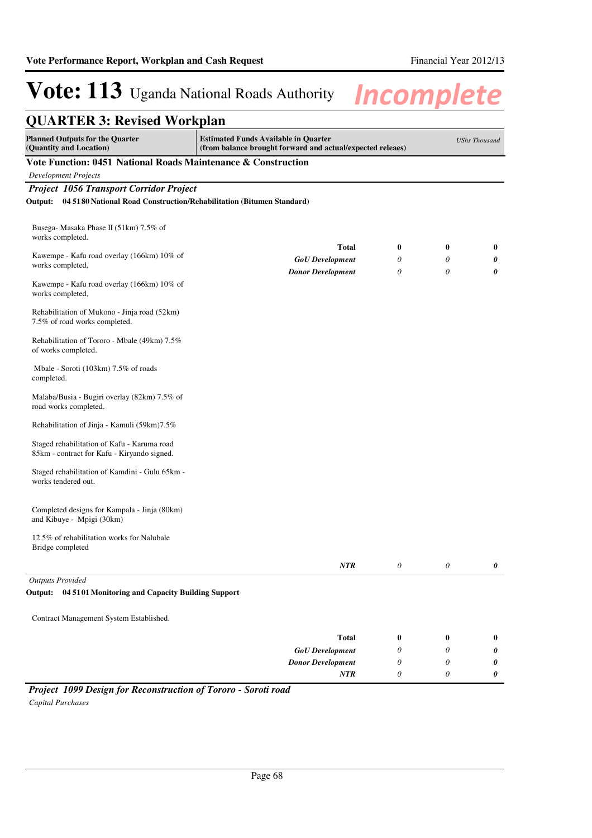| <b>QUARTER 3: Revised Workplan</b>                                                                                                                                             |                          |                       |                       |          |  |  |
|--------------------------------------------------------------------------------------------------------------------------------------------------------------------------------|--------------------------|-----------------------|-----------------------|----------|--|--|
| <b>Planned Outputs for the Quarter</b><br><b>Estimated Funds Available in Quarter</b><br>(Quantity and Location)<br>(from balance brought forward and actual/expected releaes) |                          |                       |                       |          |  |  |
| Vote Function: 0451 National Roads Maintenance & Construction                                                                                                                  |                          |                       |                       |          |  |  |
| <b>Development Projects</b>                                                                                                                                                    |                          |                       |                       |          |  |  |
| Project 1056 Transport Corridor Project                                                                                                                                        |                          |                       |                       |          |  |  |
| Output: 04 5180 National Road Construction/Rehabilitation (Bitumen Standard)                                                                                                   |                          |                       |                       |          |  |  |
| Busega- Masaka Phase II (51km) 7.5% of<br>works completed.                                                                                                                     |                          |                       |                       |          |  |  |
|                                                                                                                                                                                | <b>Total</b>             | $\bf{0}$              | $\bf{0}$              | $\bf{0}$ |  |  |
| Kawempe - Kafu road overlay (166km) 10% of<br>works completed,                                                                                                                 | <b>GoU</b> Development   | $\theta$              | 0                     | 0        |  |  |
|                                                                                                                                                                                | <b>Donor Development</b> | $\theta$              | 0                     | 0        |  |  |
| Kawempe - Kafu road overlay (166km) 10% of<br>works completed,                                                                                                                 |                          |                       |                       |          |  |  |
| Rehabilitation of Mukono - Jinja road (52km)<br>7.5% of road works completed.                                                                                                  |                          |                       |                       |          |  |  |
| Rehabilitation of Tororo - Mbale (49km) 7.5%<br>of works completed.                                                                                                            |                          |                       |                       |          |  |  |
| Mbale - Soroti (103km) 7.5% of roads<br>completed.                                                                                                                             |                          |                       |                       |          |  |  |
| Malaba/Busia - Bugiri overlay (82km) 7.5% of<br>road works completed.                                                                                                          |                          |                       |                       |          |  |  |
| Rehabilitation of Jinja - Kamuli (59km)7.5%                                                                                                                                    |                          |                       |                       |          |  |  |
| Staged rehabilitation of Kafu - Karuma road<br>85km - contract for Kafu - Kiryando signed.                                                                                     |                          |                       |                       |          |  |  |
| Staged rehabilitation of Kamdini - Gulu 65km -<br>works tendered out.                                                                                                          |                          |                       |                       |          |  |  |
| Completed designs for Kampala - Jinja (80km)<br>and Kibuye - Mpigi (30km)                                                                                                      |                          |                       |                       |          |  |  |
| 12.5% of rehabilitation works for Nalubale<br>Bridge completed                                                                                                                 |                          |                       |                       |          |  |  |
|                                                                                                                                                                                | NTR                      | $\boldsymbol{\theta}$ | $\boldsymbol{\theta}$ | 0        |  |  |
| <b>Outputs Provided</b>                                                                                                                                                        |                          |                       |                       |          |  |  |
| Output: 04 51 01 Monitoring and Capacity Building Support                                                                                                                      |                          |                       |                       |          |  |  |
| Contract Management System Established.                                                                                                                                        |                          |                       |                       |          |  |  |
|                                                                                                                                                                                |                          |                       |                       |          |  |  |
|                                                                                                                                                                                | <b>Total</b>             | $\bf{0}$              | $\bf{0}$              | $\bf{0}$ |  |  |
|                                                                                                                                                                                | <b>GoU</b> Development   | 0                     | 0                     | 0        |  |  |
|                                                                                                                                                                                | <b>Donor Development</b> | $\theta$              | 0                     | 0        |  |  |
|                                                                                                                                                                                | NTR                      | 0                     | 0                     | 0        |  |  |

*Project 1099 Design for Reconstruction of Tororo - Soroti road Capital Purchases*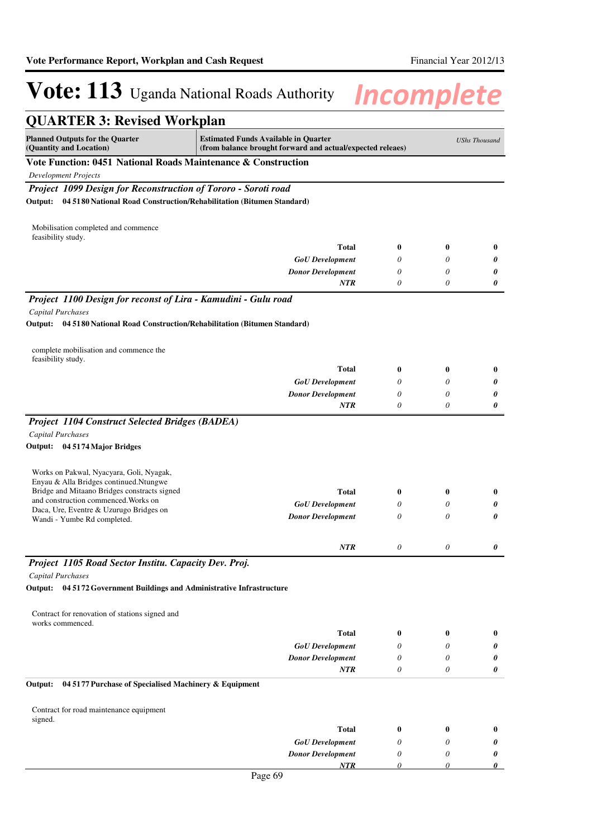| <b>Planned Outputs for the Quarter</b><br><b>Estimated Funds Available in Quarter</b><br><b>UShs Thousand</b><br>(Quantity and Location)<br>(from balance brought forward and actual/expected releaes)<br>Vote Function: 0451 National Roads Maintenance & Construction<br><b>Development Projects</b><br>Project 1099 Design for Reconstruction of Tororo - Soroti road<br>04 5180 National Road Construction/Rehabilitation (Bitumen Standard)<br>Output:<br>Mobilisation completed and commence<br>feasibility study.<br><b>Total</b><br>0<br>0<br><b>GoU</b> Development<br>0<br>0<br><b>Donor Development</b><br>0<br>0<br>0<br>0<br><b>NTR</b><br>Project 1100 Design for reconst of Lira - Kamudini - Gulu road<br>Capital Purchases<br>Output:<br>04 5180 National Road Construction/Rehabilitation (Bitumen Standard)<br>complete mobilisation and commence the<br>feasibility study.<br><b>Total</b><br>0<br>0<br><b>GoU</b> Development<br>0<br>0<br>0<br><b>Donor Development</b><br>0<br><b>NTR</b><br>0<br>0<br><b>Project 1104 Construct Selected Bridges (BADEA)</b> | <b>QUARTER 3: Revised Workplan</b> |  |          |
|--------------------------------------------------------------------------------------------------------------------------------------------------------------------------------------------------------------------------------------------------------------------------------------------------------------------------------------------------------------------------------------------------------------------------------------------------------------------------------------------------------------------------------------------------------------------------------------------------------------------------------------------------------------------------------------------------------------------------------------------------------------------------------------------------------------------------------------------------------------------------------------------------------------------------------------------------------------------------------------------------------------------------------------------------------------------------------------|------------------------------------|--|----------|
|                                                                                                                                                                                                                                                                                                                                                                                                                                                                                                                                                                                                                                                                                                                                                                                                                                                                                                                                                                                                                                                                                      |                                    |  |          |
|                                                                                                                                                                                                                                                                                                                                                                                                                                                                                                                                                                                                                                                                                                                                                                                                                                                                                                                                                                                                                                                                                      |                                    |  |          |
|                                                                                                                                                                                                                                                                                                                                                                                                                                                                                                                                                                                                                                                                                                                                                                                                                                                                                                                                                                                                                                                                                      |                                    |  |          |
|                                                                                                                                                                                                                                                                                                                                                                                                                                                                                                                                                                                                                                                                                                                                                                                                                                                                                                                                                                                                                                                                                      |                                    |  |          |
|                                                                                                                                                                                                                                                                                                                                                                                                                                                                                                                                                                                                                                                                                                                                                                                                                                                                                                                                                                                                                                                                                      |                                    |  |          |
|                                                                                                                                                                                                                                                                                                                                                                                                                                                                                                                                                                                                                                                                                                                                                                                                                                                                                                                                                                                                                                                                                      |                                    |  |          |
|                                                                                                                                                                                                                                                                                                                                                                                                                                                                                                                                                                                                                                                                                                                                                                                                                                                                                                                                                                                                                                                                                      |                                    |  | 0        |
|                                                                                                                                                                                                                                                                                                                                                                                                                                                                                                                                                                                                                                                                                                                                                                                                                                                                                                                                                                                                                                                                                      |                                    |  | 0        |
|                                                                                                                                                                                                                                                                                                                                                                                                                                                                                                                                                                                                                                                                                                                                                                                                                                                                                                                                                                                                                                                                                      |                                    |  | 0        |
|                                                                                                                                                                                                                                                                                                                                                                                                                                                                                                                                                                                                                                                                                                                                                                                                                                                                                                                                                                                                                                                                                      |                                    |  | 0        |
|                                                                                                                                                                                                                                                                                                                                                                                                                                                                                                                                                                                                                                                                                                                                                                                                                                                                                                                                                                                                                                                                                      |                                    |  |          |
|                                                                                                                                                                                                                                                                                                                                                                                                                                                                                                                                                                                                                                                                                                                                                                                                                                                                                                                                                                                                                                                                                      |                                    |  |          |
|                                                                                                                                                                                                                                                                                                                                                                                                                                                                                                                                                                                                                                                                                                                                                                                                                                                                                                                                                                                                                                                                                      |                                    |  |          |
|                                                                                                                                                                                                                                                                                                                                                                                                                                                                                                                                                                                                                                                                                                                                                                                                                                                                                                                                                                                                                                                                                      |                                    |  |          |
|                                                                                                                                                                                                                                                                                                                                                                                                                                                                                                                                                                                                                                                                                                                                                                                                                                                                                                                                                                                                                                                                                      |                                    |  | $\bf{0}$ |
|                                                                                                                                                                                                                                                                                                                                                                                                                                                                                                                                                                                                                                                                                                                                                                                                                                                                                                                                                                                                                                                                                      |                                    |  | 0        |
|                                                                                                                                                                                                                                                                                                                                                                                                                                                                                                                                                                                                                                                                                                                                                                                                                                                                                                                                                                                                                                                                                      |                                    |  | 0        |
|                                                                                                                                                                                                                                                                                                                                                                                                                                                                                                                                                                                                                                                                                                                                                                                                                                                                                                                                                                                                                                                                                      |                                    |  | 0        |
| <b>Capital Purchases</b><br>Output: 04 5174 Major Bridges                                                                                                                                                                                                                                                                                                                                                                                                                                                                                                                                                                                                                                                                                                                                                                                                                                                                                                                                                                                                                            |                                    |  |          |
| Works on Pakwal, Nyacyara, Goli, Nyagak,                                                                                                                                                                                                                                                                                                                                                                                                                                                                                                                                                                                                                                                                                                                                                                                                                                                                                                                                                                                                                                             |                                    |  |          |
| Enyau & Alla Bridges continued.Ntungwe                                                                                                                                                                                                                                                                                                                                                                                                                                                                                                                                                                                                                                                                                                                                                                                                                                                                                                                                                                                                                                               |                                    |  |          |
| Bridge and Mitaano Bridges constracts signed<br><b>Total</b><br>0<br>0<br>and construction commenced. Works on                                                                                                                                                                                                                                                                                                                                                                                                                                                                                                                                                                                                                                                                                                                                                                                                                                                                                                                                                                       |                                    |  | $\bf{0}$ |
| <b>GoU</b> Development<br>0<br>0<br>Daca, Ure, Eventre & Uzurugo Bridges on                                                                                                                                                                                                                                                                                                                                                                                                                                                                                                                                                                                                                                                                                                                                                                                                                                                                                                                                                                                                          |                                    |  | 0        |
| 0<br><b>Donor Development</b><br>0<br>Wandi - Yumbe Rd completed.                                                                                                                                                                                                                                                                                                                                                                                                                                                                                                                                                                                                                                                                                                                                                                                                                                                                                                                                                                                                                    |                                    |  | 0        |
| <b>NTR</b><br>0<br>0                                                                                                                                                                                                                                                                                                                                                                                                                                                                                                                                                                                                                                                                                                                                                                                                                                                                                                                                                                                                                                                                 |                                    |  | 0        |
| Project 1105 Road Sector Institu. Capacity Dev. Proj.                                                                                                                                                                                                                                                                                                                                                                                                                                                                                                                                                                                                                                                                                                                                                                                                                                                                                                                                                                                                                                |                                    |  |          |
| Capital Purchases                                                                                                                                                                                                                                                                                                                                                                                                                                                                                                                                                                                                                                                                                                                                                                                                                                                                                                                                                                                                                                                                    |                                    |  |          |
| Output: 04 5172 Government Buildings and Administrative Infrastructure                                                                                                                                                                                                                                                                                                                                                                                                                                                                                                                                                                                                                                                                                                                                                                                                                                                                                                                                                                                                               |                                    |  |          |
| Contract for renovation of stations signed and<br>works commenced.                                                                                                                                                                                                                                                                                                                                                                                                                                                                                                                                                                                                                                                                                                                                                                                                                                                                                                                                                                                                                   |                                    |  |          |
| <b>Total</b><br>0<br>0                                                                                                                                                                                                                                                                                                                                                                                                                                                                                                                                                                                                                                                                                                                                                                                                                                                                                                                                                                                                                                                               |                                    |  | $\bf{0}$ |
| <b>GoU</b> Development<br>0<br>0                                                                                                                                                                                                                                                                                                                                                                                                                                                                                                                                                                                                                                                                                                                                                                                                                                                                                                                                                                                                                                                     |                                    |  | 0        |
| <b>Donor Development</b><br>0<br>0                                                                                                                                                                                                                                                                                                                                                                                                                                                                                                                                                                                                                                                                                                                                                                                                                                                                                                                                                                                                                                                   |                                    |  | 0        |
| 0<br>0<br>NTR<br>04 5177 Purchase of Specialised Machinery & Equipment<br>Output:                                                                                                                                                                                                                                                                                                                                                                                                                                                                                                                                                                                                                                                                                                                                                                                                                                                                                                                                                                                                    |                                    |  | 0        |
|                                                                                                                                                                                                                                                                                                                                                                                                                                                                                                                                                                                                                                                                                                                                                                                                                                                                                                                                                                                                                                                                                      |                                    |  |          |
| Contract for road maintenance equipment<br>signed.                                                                                                                                                                                                                                                                                                                                                                                                                                                                                                                                                                                                                                                                                                                                                                                                                                                                                                                                                                                                                                   |                                    |  |          |
| <b>Total</b><br>0<br>0                                                                                                                                                                                                                                                                                                                                                                                                                                                                                                                                                                                                                                                                                                                                                                                                                                                                                                                                                                                                                                                               |                                    |  | $\bf{0}$ |
| <b>GoU</b> Development<br>0<br>0                                                                                                                                                                                                                                                                                                                                                                                                                                                                                                                                                                                                                                                                                                                                                                                                                                                                                                                                                                                                                                                     |                                    |  | 0        |
| <b>Donor Development</b><br>0<br>0<br>NTR<br>0<br>0                                                                                                                                                                                                                                                                                                                                                                                                                                                                                                                                                                                                                                                                                                                                                                                                                                                                                                                                                                                                                                  |                                    |  | 0<br>0   |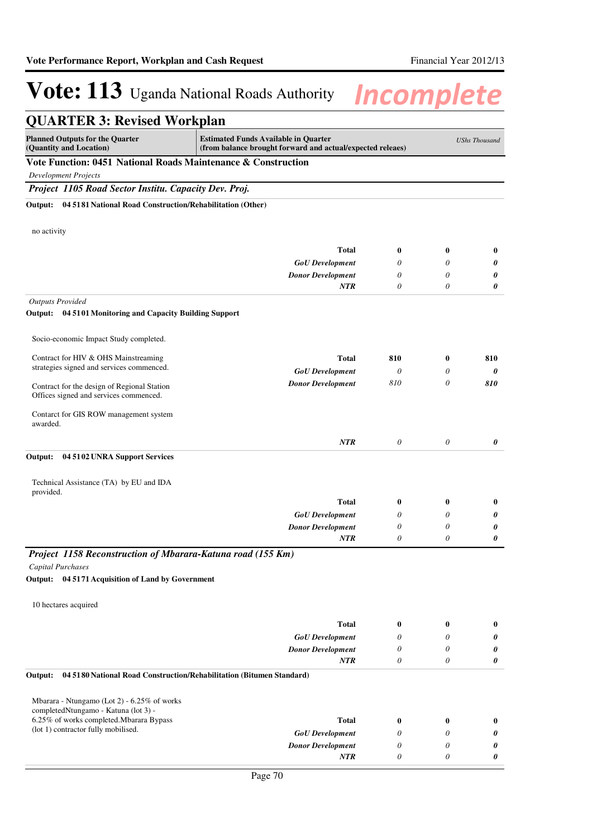| <b>QUARTER 3: Revised Workplan</b>                                              |                                                                                                           |                  |                  |                      |
|---------------------------------------------------------------------------------|-----------------------------------------------------------------------------------------------------------|------------------|------------------|----------------------|
| <b>Planned Outputs for the Quarter</b><br>(Quantity and Location)               | <b>Estimated Funds Available in Quarter</b><br>(from balance brought forward and actual/expected releaes) |                  |                  | <b>UShs Thousand</b> |
| Vote Function: 0451 National Roads Maintenance & Construction                   |                                                                                                           |                  |                  |                      |
| <b>Development Projects</b>                                                     |                                                                                                           |                  |                  |                      |
| Project 1105 Road Sector Institu. Capacity Dev. Proj.                           |                                                                                                           |                  |                  |                      |
| 04 5181 National Road Construction/Rehabilitation (Other)<br>Output:            |                                                                                                           |                  |                  |                      |
| no activity                                                                     |                                                                                                           |                  |                  |                      |
|                                                                                 | Total                                                                                                     | $\bf{0}$         | $\bf{0}$         | $\bf{0}$             |
|                                                                                 | <b>GoU</b> Development                                                                                    | 0                | 0                | 0                    |
|                                                                                 | <b>Donor Development</b>                                                                                  | 0                | 0                | 0                    |
|                                                                                 | <b>NTR</b>                                                                                                | $\theta$         | 0                | 0                    |
| <b>Outputs Provided</b>                                                         |                                                                                                           |                  |                  |                      |
| Output: 04 5101 Monitoring and Capacity Building Support                        |                                                                                                           |                  |                  |                      |
| Socio-economic Impact Study completed.                                          |                                                                                                           |                  |                  |                      |
| Contract for HIV & OHS Mainstreaming                                            | <b>Total</b>                                                                                              | 810              | $\bf{0}$         | 810                  |
| strategies signed and services commenced.                                       | <b>GoU</b> Development                                                                                    | $\theta$         | 0                | 0                    |
| Contract for the design of Regional Station                                     | <b>Donor Development</b>                                                                                  | 810              | $\theta$         | 810                  |
| Offices signed and services commenced.                                          |                                                                                                           |                  |                  |                      |
| Contarct for GIS ROW management system                                          |                                                                                                           |                  |                  |                      |
| awarded.                                                                        |                                                                                                           |                  |                  |                      |
|                                                                                 | <b>NTR</b>                                                                                                | $\theta$         | $\theta$         | 0                    |
| Output:<br>04 5102 UNRA Support Services                                        |                                                                                                           |                  |                  |                      |
|                                                                                 |                                                                                                           |                  |                  |                      |
| Technical Assistance (TA) by EU and IDA                                         |                                                                                                           |                  |                  |                      |
| provided.                                                                       | <b>Total</b>                                                                                              | $\boldsymbol{0}$ | $\boldsymbol{0}$ | $\bf{0}$             |
|                                                                                 | <b>GoU</b> Development                                                                                    | $\theta$         | $\theta$         | 0                    |
|                                                                                 | <b>Donor Development</b>                                                                                  | $\theta$         | 0                | 0                    |
|                                                                                 | <b>NTR</b>                                                                                                | $\theta$         | 0                | 0                    |
| Project 1158 Reconstruction of Mbarara-Katuna road (155 Km)                     |                                                                                                           |                  |                  |                      |
| Capital Purchases                                                               |                                                                                                           |                  |                  |                      |
| Output: 04 5171 Acquisition of Land by Government                               |                                                                                                           |                  |                  |                      |
| 10 hectares acquired                                                            |                                                                                                           |                  |                  |                      |
|                                                                                 | Total                                                                                                     |                  |                  |                      |
|                                                                                 | <b>GoU</b> Development                                                                                    | $\bf{0}$<br>0    | $\bf{0}$<br>0    | $\bf{0}$<br>0        |
|                                                                                 | <b>Donor Development</b>                                                                                  | $\theta$         | 0                | 0                    |
|                                                                                 | <b>NTR</b>                                                                                                | $\theta$         | 0                | 0                    |
| 04 5180 National Road Construction/Rehabilitation (Bitumen Standard)<br>Output: |                                                                                                           |                  |                  |                      |
| Mbarara - Ntungamo (Lot 2) - 6.25% of works                                     |                                                                                                           |                  |                  |                      |
| completedNtungamo - Katuna (lot 3) -                                            |                                                                                                           |                  |                  |                      |
| 6.25% of works completed. Mbarara Bypass<br>(lot 1) contractor fully mobilised. | Total                                                                                                     | $\bf{0}$         | $\bf{0}$         | $\bf{0}$             |
|                                                                                 | <b>GoU</b> Development                                                                                    | 0                | 0                | 0                    |
|                                                                                 | <b>Donor Development</b>                                                                                  | 0                | 0                | 0                    |
|                                                                                 | NTR                                                                                                       | 0                | 0                | 0                    |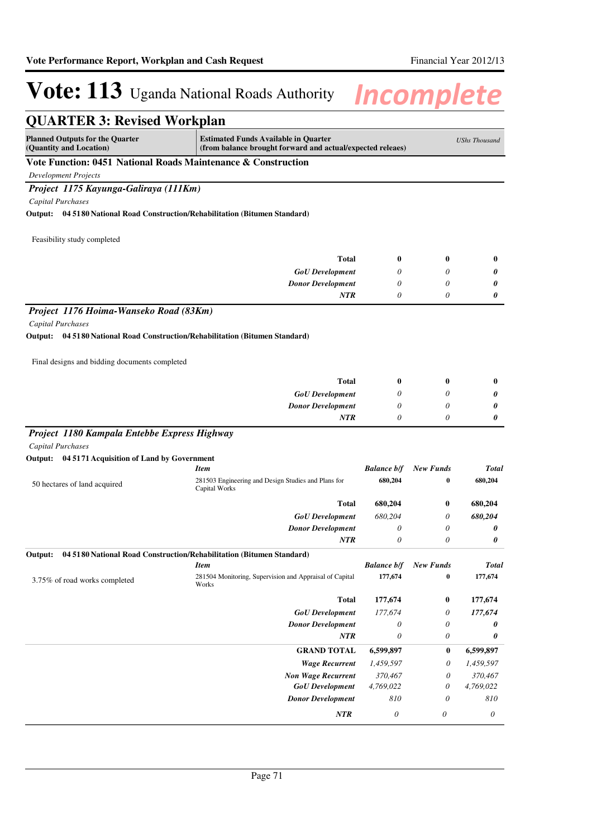| <b>QUARTER 3: Revised Workplan</b>                                                                   |                                                                                                           |                       |                           |                       |  |  |  |
|------------------------------------------------------------------------------------------------------|-----------------------------------------------------------------------------------------------------------|-----------------------|---------------------------|-----------------------|--|--|--|
| <b>Planned Outputs for the Quarter</b><br>(Quantity and Location)                                    | <b>Estimated Funds Available in Quarter</b><br>(from balance brought forward and actual/expected releaes) |                       |                           |                       |  |  |  |
| Vote Function: 0451 National Roads Maintenance & Construction                                        |                                                                                                           |                       |                           |                       |  |  |  |
| <b>Development Projects</b>                                                                          |                                                                                                           |                       |                           |                       |  |  |  |
| Project 1175 Kayunga-Galiraya (111Km)                                                                |                                                                                                           |                       |                           |                       |  |  |  |
| Capital Purchases                                                                                    |                                                                                                           |                       |                           |                       |  |  |  |
| Output:<br>04 5180 National Road Construction/Rehabilitation (Bitumen Standard)                      |                                                                                                           |                       |                           |                       |  |  |  |
|                                                                                                      |                                                                                                           |                       |                           |                       |  |  |  |
| Feasibility study completed                                                                          |                                                                                                           |                       |                           |                       |  |  |  |
|                                                                                                      | <b>Total</b>                                                                                              | 0                     | 0                         | $\bf{0}$              |  |  |  |
|                                                                                                      | <b>GoU</b> Development                                                                                    | 0                     | 0                         | 0                     |  |  |  |
|                                                                                                      | <b>Donor Development</b>                                                                                  | 0                     | 0                         | 0                     |  |  |  |
|                                                                                                      | <b>NTR</b>                                                                                                | 0                     | 0                         | 0                     |  |  |  |
|                                                                                                      |                                                                                                           |                       |                           |                       |  |  |  |
| Project 1176 Hoima-Wanseko Road (83Km)                                                               |                                                                                                           |                       |                           |                       |  |  |  |
| Capital Purchases<br>04 5180 National Road Construction/Rehabilitation (Bitumen Standard)<br>Output: |                                                                                                           |                       |                           |                       |  |  |  |
|                                                                                                      |                                                                                                           |                       |                           |                       |  |  |  |
| Final designs and bidding documents completed                                                        |                                                                                                           |                       |                           |                       |  |  |  |
|                                                                                                      | <b>Total</b>                                                                                              | 0                     | 0                         | $\bf{0}$              |  |  |  |
|                                                                                                      | <b>GoU</b> Development                                                                                    | 0                     | 0                         | 0                     |  |  |  |
|                                                                                                      | <b>Donor Development</b>                                                                                  | 0                     | 0                         | 0                     |  |  |  |
|                                                                                                      | NTR                                                                                                       | 0                     | 0                         | 0                     |  |  |  |
| Project 1180 Kampala Entebbe Express Highway                                                         |                                                                                                           |                       |                           |                       |  |  |  |
| <b>Capital Purchases</b>                                                                             |                                                                                                           |                       |                           |                       |  |  |  |
| 04 5171 Acquisition of Land by Government<br>Output:                                                 |                                                                                                           |                       |                           |                       |  |  |  |
|                                                                                                      | <b>Item</b>                                                                                               | <b>Balance b/f</b>    | <b>New Funds</b>          | <b>Total</b>          |  |  |  |
| 50 hectares of land acquired                                                                         | 281503 Engineering and Design Studies and Plans for<br>Capital Works                                      | 680,204               | 0                         | 680,204               |  |  |  |
|                                                                                                      | <b>Total</b>                                                                                              | 680,204               | 0                         | 680,204               |  |  |  |
|                                                                                                      | <b>GoU</b> Development                                                                                    | 680,204               | 0                         | 680,204               |  |  |  |
|                                                                                                      | <b>Donor Development</b>                                                                                  | 0                     | 0                         | 0                     |  |  |  |
|                                                                                                      | <b>NTR</b>                                                                                                | 0                     | 0                         | 0                     |  |  |  |
| Output: 04 5180 National Road Construction/Rehabilitation (Bitumen Standard)                         |                                                                                                           |                       |                           |                       |  |  |  |
|                                                                                                      | <b>Item</b>                                                                                               | <b>Balance b/f</b>    | <b>New Funds</b>          | <b>Total</b>          |  |  |  |
| 3.75% of road works completed                                                                        | 281504 Monitoring, Supervision and Appraisal of Capital<br>Works                                          | 177,674               | 0                         | 177,674               |  |  |  |
|                                                                                                      | <b>Total</b>                                                                                              | 177,674               | 0                         | 177,674               |  |  |  |
|                                                                                                      | <b>GoU</b> Development                                                                                    | 177,674               | 0                         | 177,674               |  |  |  |
|                                                                                                      | <b>Donor Development</b>                                                                                  | 0                     | 0                         | 0                     |  |  |  |
|                                                                                                      | <b>NTR</b>                                                                                                | 0                     | 0                         | 0                     |  |  |  |
|                                                                                                      | <b>GRAND TOTAL</b>                                                                                        | 6,599,897             | $\bf{0}$                  | 6,599,897             |  |  |  |
|                                                                                                      | <b>Wage Recurrent</b>                                                                                     | 1,459,597             | 0                         | 1,459,597             |  |  |  |
|                                                                                                      | <b>Non Wage Recurrent</b>                                                                                 | 370,467               | $\theta$                  | 370,467               |  |  |  |
|                                                                                                      | <b>GoU</b> Development                                                                                    | 4,769,022             | 0                         | 4,769,022             |  |  |  |
|                                                                                                      | <b>Donor Development</b>                                                                                  | 810                   | 0                         | 810                   |  |  |  |
|                                                                                                      | NTR                                                                                                       | $\boldsymbol{\theta}$ | $\boldsymbol{\mathit{0}}$ | $\boldsymbol{\theta}$ |  |  |  |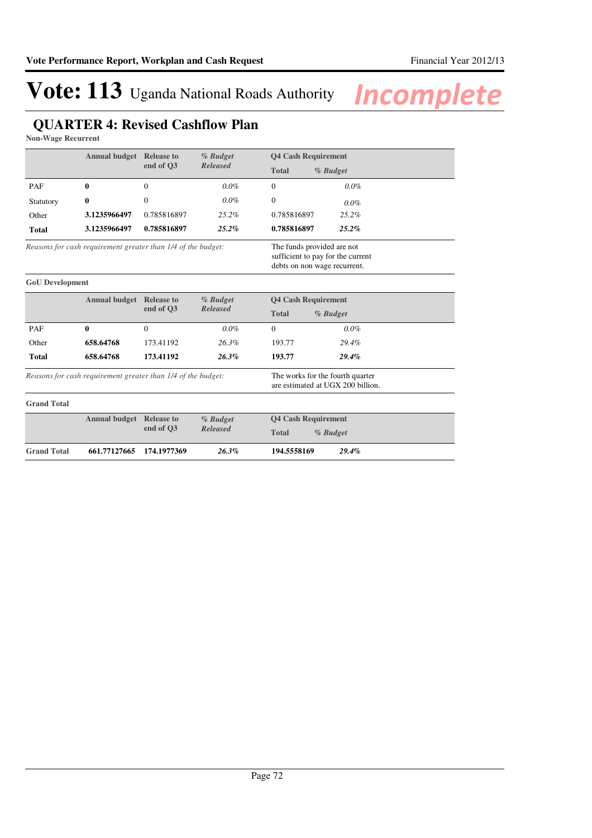## **QUARTER 4: Revised Cashflow Plan**

**Non-Wage Recurrent**

**GoU Development**

| <b>Annual budget</b>                                         | <b>Release to</b> | % Budget     | <b>Q4 Cash Requirement</b>                                                                      |              |            |  |
|--------------------------------------------------------------|-------------------|--------------|-------------------------------------------------------------------------------------------------|--------------|------------|--|
|                                                              |                   | end of O3    | <b>Released</b>                                                                                 | <b>Total</b> | $%$ Budget |  |
| PAF                                                          | $\bf{0}$          | $\theta$     | $0.0\%$                                                                                         | $\theta$     | $0.0\%$    |  |
| Statutory                                                    | $\bf{0}$          | $\mathbf{0}$ | $0.0\%$                                                                                         | $\theta$     | $0.0\%$    |  |
| Other                                                        | 3.1235966497      | 0.785816897  | $25.2\%$                                                                                        | 0.785816897  | 25.2%      |  |
| Total                                                        | 3.1235966497      | 0.785816897  | $25.2\%$                                                                                        | 0.785816897  | $25.2\%$   |  |
| Reasons for cash requirement greater than 1/4 of the budget: |                   |              | The funds provided are not<br>sufficient to pay for the current<br>debts on non wage recurrent. |              |            |  |

|                                                              | <b>Annual budget</b> | <b>Release to</b><br>end of O3 | $%$ Budget                                                            |              | <b>Q4 Cash Requirement</b> |  |
|--------------------------------------------------------------|----------------------|--------------------------------|-----------------------------------------------------------------------|--------------|----------------------------|--|
|                                                              |                      |                                | <b>Released</b>                                                       | <b>Total</b> | $\%$ Budget                |  |
| PAF                                                          | 0                    | 0                              | $0.0\%$                                                               | $\Omega$     | $0.0\%$                    |  |
| Other                                                        | 658.64768            | 173.41192                      | $26.3\%$                                                              | 193.77       | 29.4%                      |  |
| Total                                                        | 658.64768            | 173.41192                      | 26.3%                                                                 | 193.77       | $29.4\%$                   |  |
| Reasons for cash requirement greater than 1/4 of the budget: |                      |                                | The works for the fourth quarter<br>are estimated at UGX 200 billion. |              |                            |  |
| <b>Grand Total</b>                                           |                      |                                |                                                                       |              |                            |  |

|                    | <b>Annual budget Release to</b> |          | % Budget                 | <b>Q4 Cash Requirement</b> |  |
|--------------------|---------------------------------|----------|--------------------------|----------------------------|--|
|                    | end of O3                       | Released | <b>Total</b><br>% Budget |                            |  |
| <b>Grand Total</b> | 661.77127665 174.1977369        |          | $26.3\%$                 | 194.5558169<br>$29.4\%$    |  |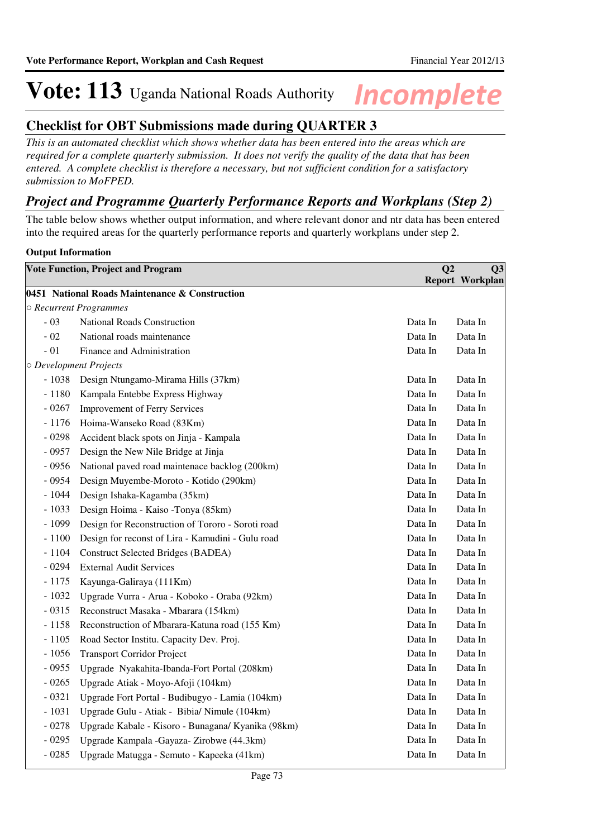# **Vote: 113** Uganda National Roads Authority **Incomplete**

#### **Checklist for OBT Submissions made during QUARTER 3**

*This is an automated checklist which shows whether data has been entered into the areas which are required for a complete quarterly submission. It does not verify the quality of the data that has been entered. A complete checklist is therefore a necessary, but not sufficient condition for a satisfactory submission to MoFPED.*

#### *Project and Programme Quarterly Performance Reports and Workplans (Step 2)*

The table below shows whether output information, and where relevant donor and ntr data has been entered into the required areas for the quarterly performance reports and quarterly workplans under step 2.

#### **Output Information**

| <b>Vote Function, Project and Program</b> |                                                    | Q <sub>2</sub> | Q <sub>3</sub>  |
|-------------------------------------------|----------------------------------------------------|----------------|-----------------|
|                                           |                                                    |                | Report Workplan |
|                                           | 0451 National Roads Maintenance & Construction     |                |                 |
|                                           | O Recurrent Programmes                             |                |                 |
| $-03$                                     | National Roads Construction                        | Data In        | Data In         |
| $-02$                                     | National roads maintenance                         | Data In        | Data In         |
| $-01$                                     | Finance and Administration                         | Data In        | Data In         |
|                                           | O Development Projects                             |                |                 |
| $-1038$                                   | Design Ntungamo-Mirama Hills (37km)                | Data In        | Data In         |
| $-1180$                                   | Kampala Entebbe Express Highway                    | Data In        | Data In         |
| $-0267$                                   | <b>Improvement of Ferry Services</b>               | Data In        | Data In         |
| $-1176$                                   | Hoima-Wanseko Road (83Km)                          | Data In        | Data In         |
| $-0298$                                   | Accident black spots on Jinja - Kampala            | Data In        | Data In         |
| $-0957$                                   | Design the New Nile Bridge at Jinja                | Data In        | Data In         |
| $-0956$                                   | National paved road maintenace backlog (200km)     | Data In        | Data In         |
| $-0954$                                   | Design Muyembe-Moroto - Kotido (290km)             | Data In        | Data In         |
| - 1044                                    | Design Ishaka-Kagamba (35km)                       | Data In        | Data In         |
| $-1033$                                   | Design Hoima - Kaiso -Tonya (85km)                 | Data In        | Data In         |
| $-1099$                                   | Design for Reconstruction of Tororo - Soroti road  | Data In        | Data In         |
| $-1100$                                   | Design for reconst of Lira - Kamudini - Gulu road  | Data In        | Data In         |
| $-1104$                                   | <b>Construct Selected Bridges (BADEA)</b>          | Data In        | Data In         |
| $-0294$                                   | <b>External Audit Services</b>                     | Data In        | Data In         |
| $-1175$                                   | Kayunga-Galiraya (111Km)                           | Data In        | Data In         |
| $-1032$                                   | Upgrade Vurra - Arua - Koboko - Oraba (92km)       | Data In        | Data In         |
| $-0315$                                   | Reconstruct Masaka - Mbarara (154km)               | Data In        | Data In         |
| $-1158$                                   | Reconstruction of Mbarara-Katuna road (155 Km)     | Data In        | Data In         |
| $-1105$                                   | Road Sector Institu. Capacity Dev. Proj.           | Data In        | Data In         |
| $-1056$                                   | <b>Transport Corridor Project</b>                  | Data In        | Data In         |
| $-0955$                                   | Upgrade Nyakahita-Ibanda-Fort Portal (208km)       | Data In        | Data In         |
| $-0265$                                   | Upgrade Atiak - Moyo-Afoji (104km)                 | Data In        | Data In         |
| $-0321$                                   | Upgrade Fort Portal - Budibugyo - Lamia (104km)    | Data In        | Data In         |
| $-1031$                                   | Upgrade Gulu - Atiak - Bibia/ Nimule (104km)       | Data In        | Data In         |
| $-0278$                                   | Upgrade Kabale - Kisoro - Bunagana/ Kyanika (98km) | Data In        | Data In         |
| $-0295$                                   | Upgrade Kampala -Gayaza- Zirobwe (44.3km)          | Data In        | Data In         |
| $-0285$                                   | Upgrade Matugga - Semuto - Kapeeka (41km)          | Data In        | Data In         |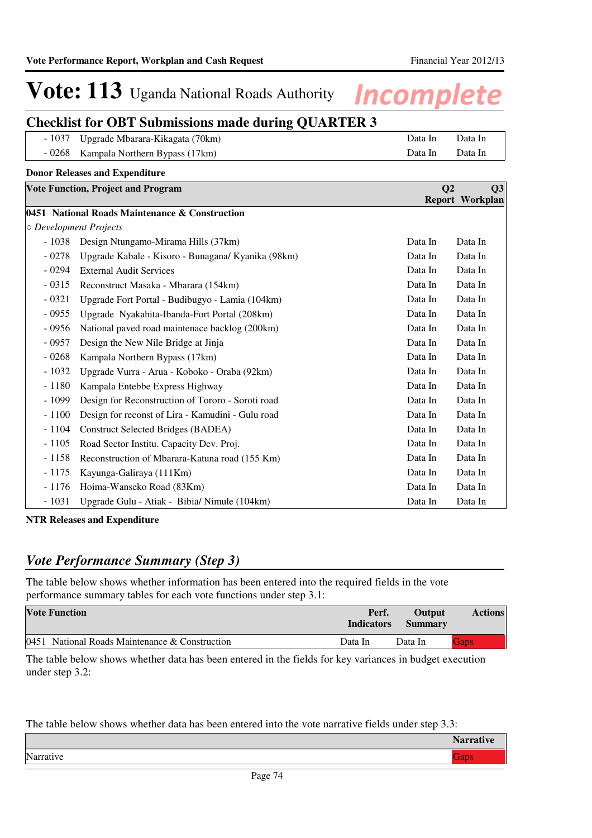# **Vote: 113** Uganda National Roads Authority **Incomplete**

### **Checklist for OBT Submissions made during QUARTER 3**

| - 1037 Upgrade Mbarara-Kikagata (70km) | Data In  | Data In |
|----------------------------------------|----------|---------|
| - 0268 Kampala Northern Bypass (17km)  | Data In- | Data In |

| <b>Donor Releases and Expenditure</b> |                                                    |                |                 |
|---------------------------------------|----------------------------------------------------|----------------|-----------------|
|                                       | <b>Vote Function, Project and Program</b>          | Q <sub>2</sub> | Q3              |
|                                       |                                                    |                | Report Workplan |
|                                       | 0451 National Roads Maintenance & Construction     |                |                 |
|                                       | $\circ$ Development Projects                       |                |                 |
| $-1038$                               | Design Ntungamo-Mirama Hills (37km)                | Data In        | Data In         |
| $-0278$                               | Upgrade Kabale - Kisoro - Bunagana/ Kyanika (98km) | Data In        | Data In         |
| $-0294$                               | <b>External Audit Services</b>                     | Data In        | Data In         |
| $-0315$                               | Reconstruct Masaka - Mbarara (154km)               | Data In        | Data In         |
| $-0321$                               | Upgrade Fort Portal - Budibugyo - Lamia (104km)    | Data In        | Data In         |
| $-0955$                               | Upgrade Nyakahita-Ibanda-Fort Portal (208km)       | Data In        | Data In         |
| $-0956$                               | National paved road maintenace backlog (200km)     | Data In        | Data In         |
| $-0957$                               | Design the New Nile Bridge at Jinja                | Data In        | Data In         |
| $-0268$                               | Kampala Northern Bypass (17km)                     | Data In        | Data In         |
| $-1032$                               | Upgrade Vurra - Arua - Koboko - Oraba (92km)       | Data In        | Data In         |
| $-1180$                               | Kampala Entebbe Express Highway                    | Data In        | Data In         |
| $-1099$                               | Design for Reconstruction of Tororo - Soroti road  | Data In        | Data In         |
| $-1100$                               | Design for reconst of Lira - Kamudini - Gulu road  | Data In        | Data In         |
| $-1104$                               | <b>Construct Selected Bridges (BADEA)</b>          | Data In        | Data In         |
| $-1105$                               | Road Sector Institu. Capacity Dev. Proj.           | Data In        | Data In         |
| $-1158$                               | Reconstruction of Mbarara-Katuna road (155 Km)     | Data In        | Data In         |
| $-1175$                               | Kayunga-Galiraya (111Km)                           | Data In        | Data In         |
| $-1176$                               | Hoima-Wanseko Road (83Km)                          | Data In        | Data In         |
| $-1031$                               | Upgrade Gulu - Atiak - Bibia/ Nimule (104km)       | Data In        | Data In         |

**NTR Releases and Expenditure**

#### *Vote Performance Summary (Step 3)*

The table below shows whether information has been entered into the required fields in the vote performance summary tables for each vote functions under step 3.1:

| <b>Vote Function</b>                                | Perf.<br><b>Indicators</b> | <b>Output</b><br><b>Summary</b> | <b>Actions</b> |
|-----------------------------------------------------|----------------------------|---------------------------------|----------------|
| 0451<br>National Roads Maintenance $&$ Construction | Data In                    | Data In                         | <b>Gaps</b>    |

The table below shows whether data has been entered in the fields for key variances in budget execution under step 3.2:

The table below shows whether data has been entered into the vote narrative fields under step 3.3:

|        | $N$ $\alpha$ mm $\alpha$<br><b>Natiauve</b> |
|--------|---------------------------------------------|
| Narrat |                                             |